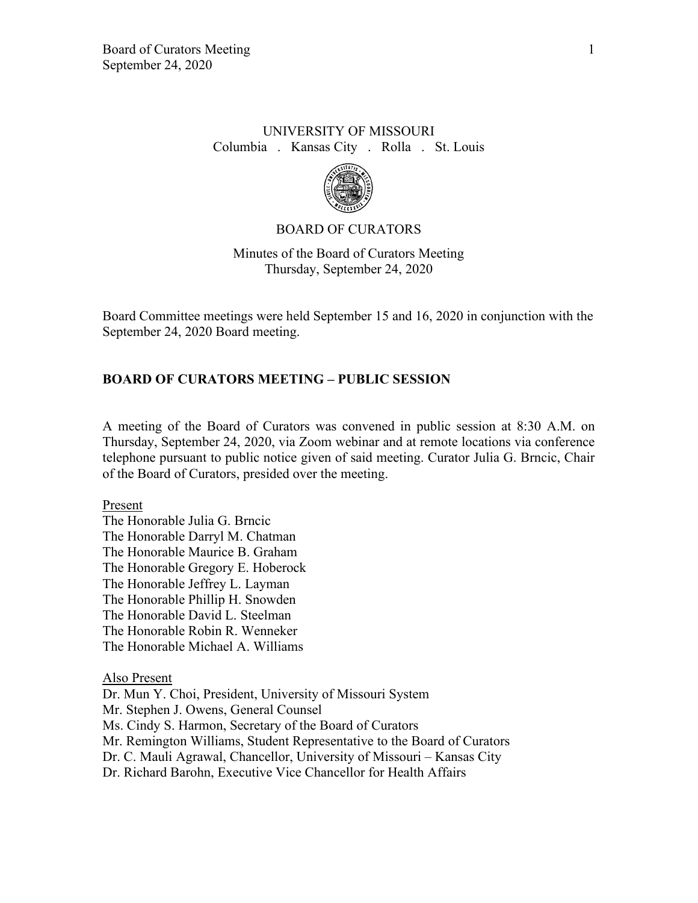## UNIVERSITY OF MISSOURI Columbia . Kansas City . Rolla . St. Louis



### BOARD OF CURATORS

Minutes of the Board of Curators Meeting Thursday, September 24, 2020

Board Committee meetings were held September 15 and 16, 2020 in conjunction with the September 24, 2020 Board meeting.

### **BOARD OF CURATORS MEETING – PUBLIC SESSION**

A meeting of the Board of Curators was convened in public session at 8:30 A.M. on Thursday, September 24, 2020, via Zoom webinar and at remote locations via conference telephone pursuant to public notice given of said meeting. Curator Julia G. Brncic, Chair of the Board of Curators, presided over the meeting.

Present

The Honorable Julia G. Brncic The Honorable Darryl M. Chatman The Honorable Maurice B. Graham The Honorable Gregory E. Hoberock The Honorable Jeffrey L. Layman The Honorable Phillip H. Snowden The Honorable David L. Steelman The Honorable Robin R. Wenneker The Honorable Michael A. Williams

Also Present

Dr. Mun Y. Choi, President, University of Missouri System Mr. Stephen J. Owens, General Counsel Ms. Cindy S. Harmon, Secretary of the Board of Curators Mr. Remington Williams, Student Representative to the Board of Curators Dr. C. Mauli Agrawal, Chancellor, University of Missouri – Kansas City Dr. Richard Barohn, Executive Vice Chancellor for Health Affairs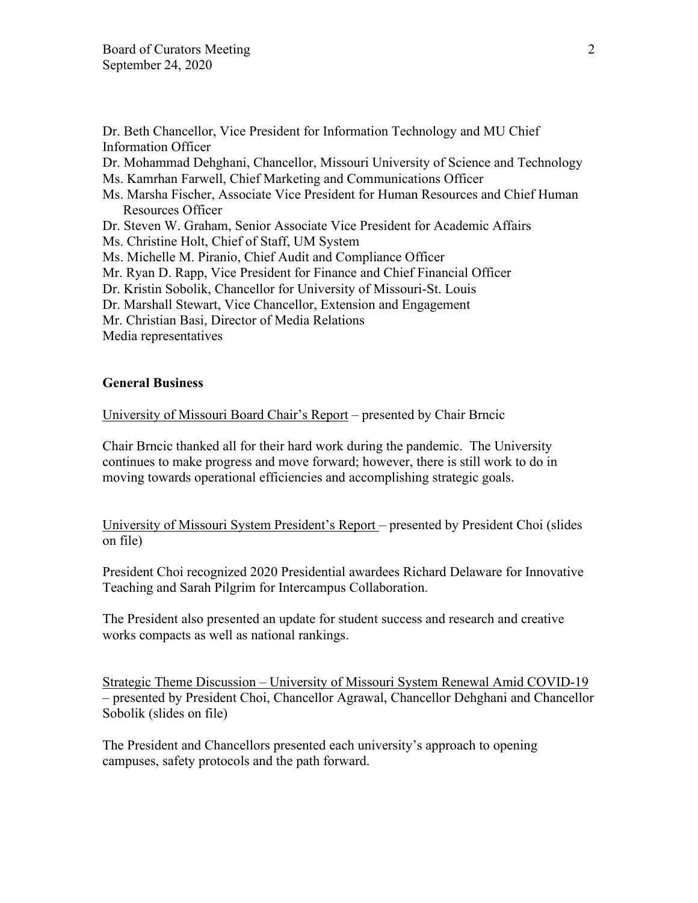Dr. Beth Chancellor, Vice President for Information Technology and MU Chief Information Officer

Dr. Mohammad Dehghani, Chancellor, Missouri University of Science and Technology

- Ms. Kamrhan Farwell, Chief Marketing and Communications Officer
- Ms. Marsha Fischer, Associate Vice President for Human Resources and Chief Human Resources Officer
- Dr. Steven W. Graham, Senior Associate Vice President for Academic Affairs

Ms. Christine Holt, Chief of Staff, UM System

- Ms. Michelle M. Piranio, Chief Audit and Compliance Officer
- Mr. Ryan D. Rapp, Vice President for Finance and Chief Financial Officer
- Dr. Kristin Sobolik, Chancellor for University of Missouri-St. Louis

Dr. Marshall Stewart, Vice Chancellor, Extension and Engagement

Mr. Christian Basi, Director of Media Relations

Media representatives

### **General Business**

University of Missouri Board Chair's Report – presented by Chair Brncic

Chair Brncic thanked all for their hard work during the pandemic. The University continues to make progress and move forward; however, there is still work to do in moving towards operational efficiencies and accomplishing strategic goals.

University of Missouri System President's Report – presented by President Choi (slides on file)

President Choi recognized 2020 Presidential awardees Richard Delaware for Innovative Teaching and Sarah Pilgrim for Intercampus Collaboration.

The President also presented an update for student success and research and creative works compacts as well as national rankings.

Strategic Theme Discussion – University of Missouri System Renewal Amid COVID-19 – presented by President Choi, Chancellor Agrawal, Chancellor Dehghani and Chancellor Sobolik (slides on file)

The President and Chancellors presented each university's approach to opening campuses, safety protocols and the path forward.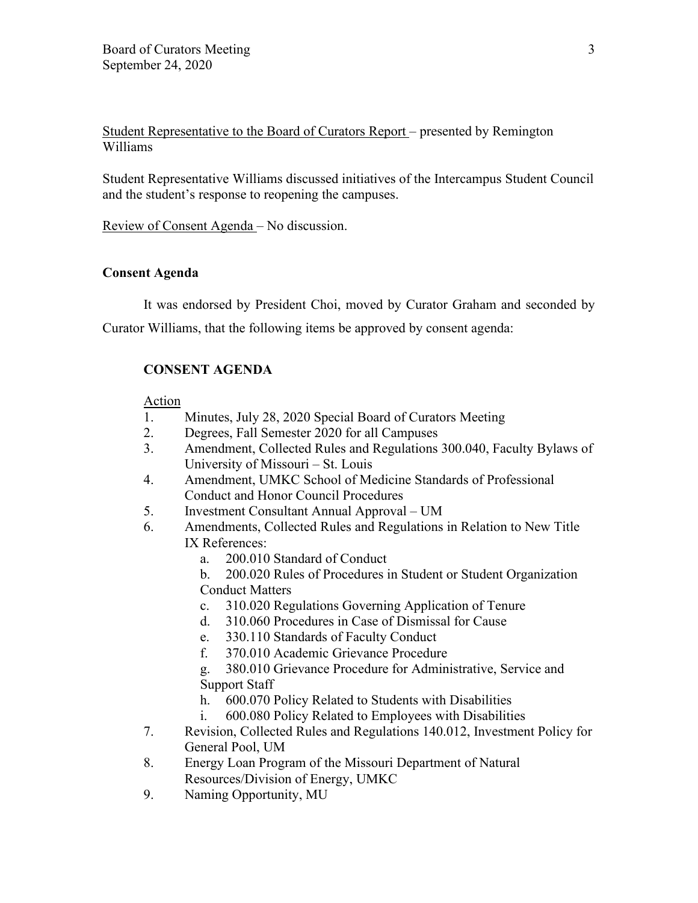Student Representative to the Board of Curators Report – presented by Remington Williams

Student Representative Williams discussed initiatives of the Intercampus Student Council and the student's response to reopening the campuses.

Review of Consent Agenda – No discussion.

## **Consent Agenda**

It was endorsed by President Choi, moved by Curator Graham and seconded by

Curator Williams, that the following items be approved by consent agenda:

# **CONSENT AGENDA**

## Action

- 1. Minutes, July 28, 2020 Special Board of Curators Meeting
- 2. Degrees, Fall Semester 2020 for all Campuses
- 3. Amendment, Collected Rules and Regulations 300.040, Faculty Bylaws of University of Missouri – St. Louis
- 4. Amendment, UMKC School of Medicine Standards of Professional Conduct and Honor Council Procedures
- 5. Investment Consultant Annual Approval UM
- 6. Amendments, Collected Rules and Regulations in Relation to New Title IX References:
	- a. 200.010 Standard of Conduct
	- b. 200.020 Rules of Procedures in Student or Student Organization Conduct Matters
	- c. 310.020 Regulations Governing Application of Tenure
	- d. 310.060 Procedures in Case of Dismissal for Cause
	- e. 330.110 Standards of Faculty Conduct
	- f. 370.010 Academic Grievance Procedure
	- g. 380.010 Grievance Procedure for Administrative, Service and Support Staff
	- h. 600.070 Policy Related to Students with Disabilities
	- i. 600.080 Policy Related to Employees with Disabilities
- 7. Revision, Collected Rules and Regulations 140.012, Investment Policy for General Pool, UM
- 8. Energy Loan Program of the Missouri Department of Natural Resources/Division of Energy, UMKC
- 9. Naming Opportunity, MU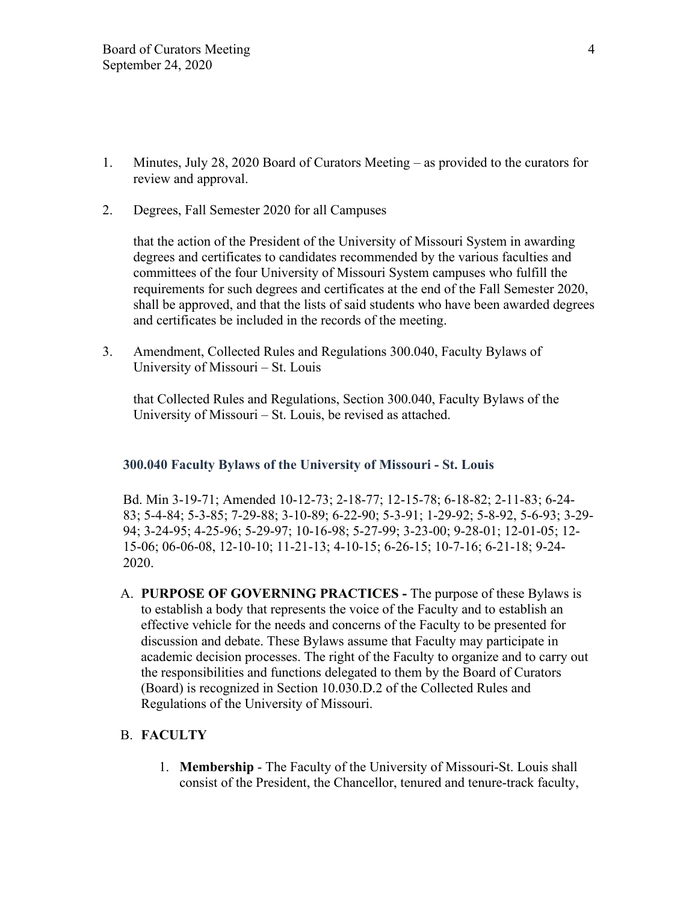- 1. Minutes, July 28, 2020 Board of Curators Meeting as provided to the curators for review and approval.
- 2. Degrees, Fall Semester 2020 for all Campuses

that the action of the President of the University of Missouri System in awarding degrees and certificates to candidates recommended by the various faculties and committees of the four University of Missouri System campuses who fulfill the requirements for such degrees and certificates at the end of the Fall Semester 2020, shall be approved, and that the lists of said students who have been awarded degrees and certificates be included in the records of the meeting.

3. Amendment, Collected Rules and Regulations 300.040, Faculty Bylaws of University of Missouri – St. Louis

that Collected Rules and Regulations, Section 300.040, Faculty Bylaws of the University of Missouri – St. Louis, be revised as attached.

### **300.040 Faculty Bylaws of the University of Missouri - St. Louis**

Bd. Min 3-19-71; Amended 10-12-73; 2-18-77; 12-15-78; 6-18-82; 2-11-83; 6-24- 83; 5-4-84; 5-3-85; 7-29-88; 3-10-89; 6-22-90; 5-3-91; 1-29-92; 5-8-92, 5-6-93; 3-29- 94; 3-24-95; 4-25-96; 5-29-97; 10-16-98; 5-27-99; 3-23-00; 9-28-01; 12-01-05; 12- 15-06; 06-06-08, 12-10-10; 11-21-13; 4-10-15; 6-26-15; 10-7-16; 6-21-18; 9-24- 2020.

A. **PURPOSE OF GOVERNING PRACTICES -** The purpose of these Bylaws is to establish a body that represents the voice of the Faculty and to establish an effective vehicle for the needs and concerns of the Faculty to be presented for discussion and debate. These Bylaws assume that Faculty may participate in academic decision processes. The right of the Faculty to organize and to carry out the responsibilities and functions delegated to them by the Board of Curators (Board) is recognized in Section 10.030.D.2 of the Collected Rules and Regulations of the University of Missouri.

### B. **FACULTY**

1. **Membership** - The Faculty of the University of Missouri-St. Louis shall consist of the President, the Chancellor, tenured and tenure-track faculty,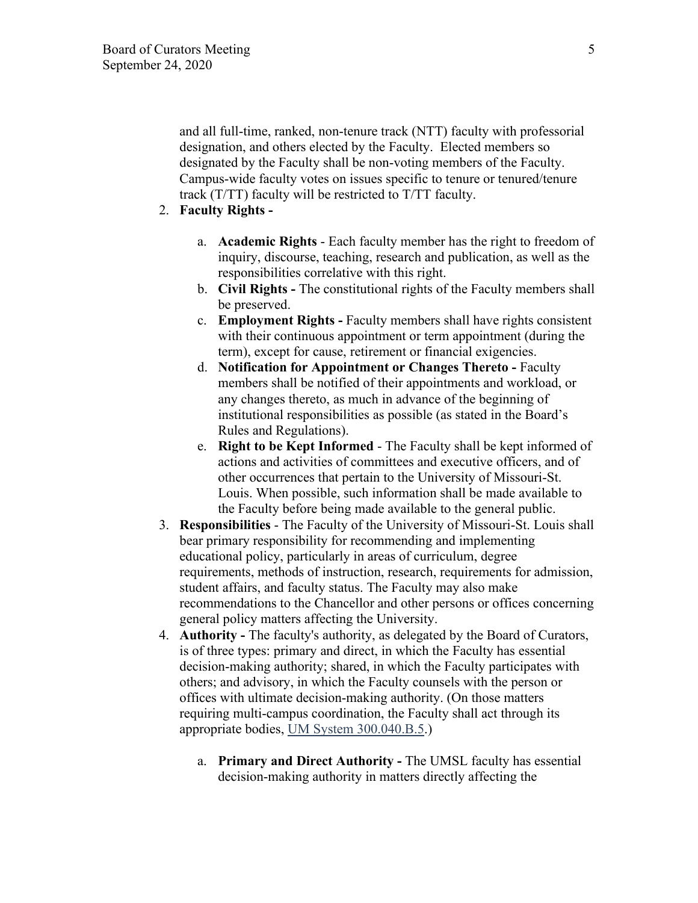and all full-time, ranked, non-tenure track (NTT) faculty with professorial designation, and others elected by the Faculty. Elected members so designated by the Faculty shall be non-voting members of the Faculty. Campus-wide faculty votes on issues specific to tenure or tenured/tenure track (T/TT) faculty will be restricted to T/TT faculty.

# 2. **Faculty Rights -**

- a. **Academic Rights** Each faculty member has the right to freedom of inquiry, discourse, teaching, research and publication, as well as the responsibilities correlative with this right.
- b. **Civil Rights** The constitutional rights of the Faculty members shall be preserved.
- c. **Employment Rights** Faculty members shall have rights consistent with their continuous appointment or term appointment (during the term), except for cause, retirement or financial exigencies.
- d. **Notification for Appointment or Changes Thereto** Faculty members shall be notified of their appointments and workload, or any changes thereto, as much in advance of the beginning of institutional responsibilities as possible (as stated in the Board's Rules and Regulations).
- e. **Right to be Kept Informed** The Faculty shall be kept informed of actions and activities of committees and executive officers, and of other occurrences that pertain to the University of Missouri-St. Louis. When possible, such information shall be made available to the Faculty before being made available to the general public.
- 3. **Responsibilities** The Faculty of the University of Missouri-St. Louis shall bear primary responsibility for recommending and implementing educational policy, particularly in areas of curriculum, degree requirements, methods of instruction, research, requirements for admission, student affairs, and faculty status. The Faculty may also make recommendations to the Chancellor and other persons or offices concerning general policy matters affecting the University.
- 4. **Authority** The faculty's authority, as delegated by the Board of Curators, is of three types: primary and direct, in which the Faculty has essential decision-making authority; shared, in which the Faculty participates with others; and advisory, in which the Faculty counsels with the person or offices with ultimate decision-making authority. (On those matters requiring multi-campus coordination, the Faculty shall act through its appropriate bodies, UM [System 300.040.B.5.](https://www.umsystem.edu/ums/rules/collected_rules/faculty/ch300/300.040_faculty_bylaws_umsl))
	- a. **Primary and Direct Authority** The UMSL faculty has essential decision-making authority in matters directly affecting the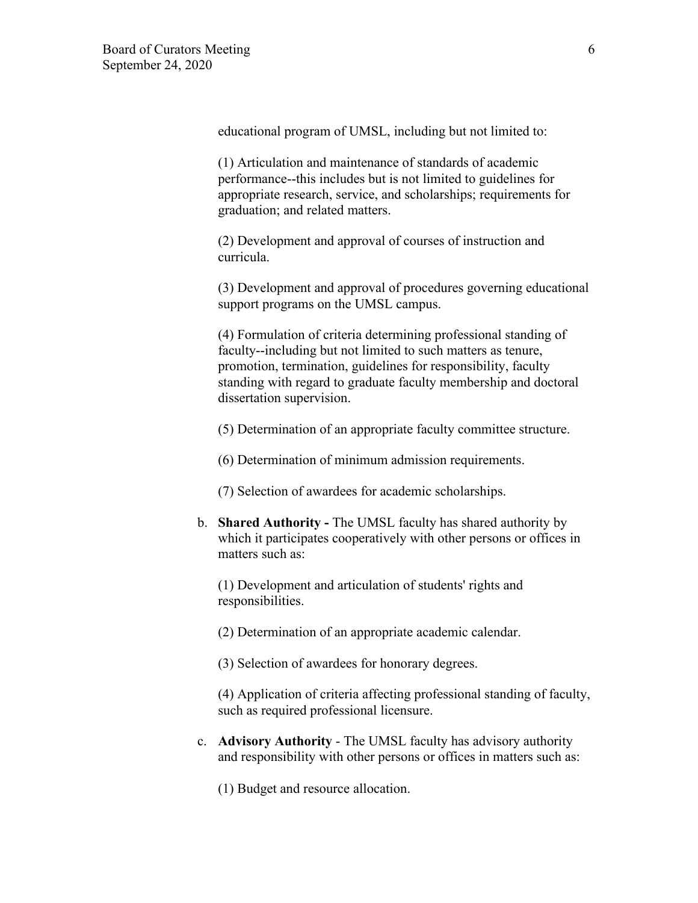educational program of UMSL, including but not limited to:

(1) Articulation and maintenance of standards of academic performance--this includes but is not limited to guidelines for appropriate research, service, and scholarships; requirements for graduation; and related matters.

(2) Development and approval of courses of instruction and curricula.

(3) Development and approval of procedures governing educational support programs on the UMSL campus.

(4) Formulation of criteria determining professional standing of faculty--including but not limited to such matters as tenure, promotion, termination, guidelines for responsibility, faculty standing with regard to graduate faculty membership and doctoral dissertation supervision.

(5) Determination of an appropriate faculty committee structure.

(6) Determination of minimum admission requirements.

(7) Selection of awardees for academic scholarships.

b. **Shared Authority -** The UMSL faculty has shared authority by which it participates cooperatively with other persons or offices in matters such as:

(1) Development and articulation of students' rights and responsibilities.

(2) Determination of an appropriate academic calendar.

(3) Selection of awardees for honorary degrees.

(4) Application of criteria affecting professional standing of faculty, such as required professional licensure.

c. **Advisory Authority** - The UMSL faculty has advisory authority and responsibility with other persons or offices in matters such as:

(1) Budget and resource allocation.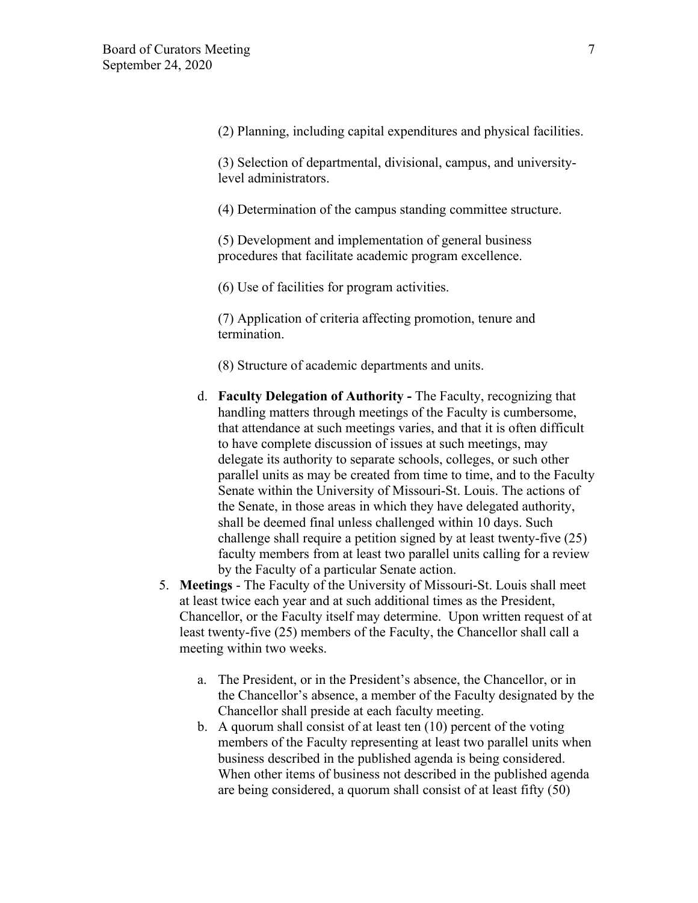(2) Planning, including capital expenditures and physical facilities.

(3) Selection of departmental, divisional, campus, and universitylevel administrators.

(4) Determination of the campus standing committee structure.

(5) Development and implementation of general business procedures that facilitate academic program excellence.

(6) Use of facilities for program activities.

(7) Application of criteria affecting promotion, tenure and termination.

- (8) Structure of academic departments and units.
- d. **Faculty Delegation of Authority** The Faculty, recognizing that handling matters through meetings of the Faculty is cumbersome, that attendance at such meetings varies, and that it is often difficult to have complete discussion of issues at such meetings, may delegate its authority to separate schools, colleges, or such other parallel units as may be created from time to time, and to the Faculty Senate within the University of Missouri-St. Louis. The actions of the Senate, in those areas in which they have delegated authority, shall be deemed final unless challenged within 10 days. Such challenge shall require a petition signed by at least twenty-five (25) faculty members from at least two parallel units calling for a review by the Faculty of a particular Senate action.
- 5. **Meetings** The Faculty of the University of Missouri-St. Louis shall meet at least twice each year and at such additional times as the President, Chancellor, or the Faculty itself may determine. Upon written request of at least twenty-five (25) members of the Faculty, the Chancellor shall call a meeting within two weeks.
	- a. The President, or in the President's absence, the Chancellor, or in the Chancellor's absence, a member of the Faculty designated by the Chancellor shall preside at each faculty meeting.
	- b. A quorum shall consist of at least ten (10) percent of the voting members of the Faculty representing at least two parallel units when business described in the published agenda is being considered. When other items of business not described in the published agenda are being considered, a quorum shall consist of at least fifty (50)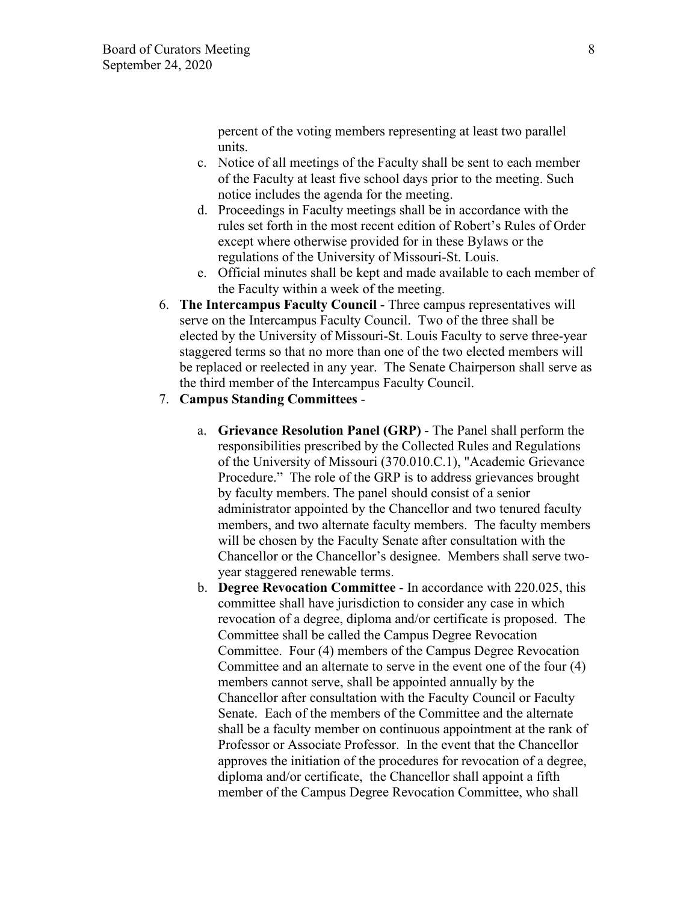percent of the voting members representing at least two parallel units.

- c. Notice of all meetings of the Faculty shall be sent to each member of the Faculty at least five school days prior to the meeting. Such notice includes the agenda for the meeting.
- d. Proceedings in Faculty meetings shall be in accordance with the rules set forth in the most recent edition of Robert's Rules of Order except where otherwise provided for in these Bylaws or the regulations of the University of Missouri-St. Louis.
- e. Official minutes shall be kept and made available to each member of the Faculty within a week of the meeting.
- 6. **The Intercampus Faculty Council** Three campus representatives will serve on the Intercampus Faculty Council. Two of the three shall be elected by the University of Missouri-St. Louis Faculty to serve three-year staggered terms so that no more than one of the two elected members will be replaced or reelected in any year. The Senate Chairperson shall serve as the third member of the Intercampus Faculty Council.
- 7. **Campus Standing Committees**
	- a. **Grievance Resolution Panel (GRP)** The Panel shall perform the responsibilities prescribed by the Collected Rules and Regulations of the University of Missouri (370.010.C.1), "Academic Grievance Procedure." The role of the GRP is to address grievances brought by faculty members. The panel should consist of a senior administrator appointed by the Chancellor and two tenured faculty members, and two alternate faculty members. The faculty members will be chosen by the Faculty Senate after consultation with the Chancellor or the Chancellor's designee. Members shall serve twoyear staggered renewable terms.
	- b. **Degree Revocation Committee** In accordance with 220.025, this committee shall have jurisdiction to consider any case in which revocation of a degree, diploma and/or certificate is proposed. The Committee shall be called the Campus Degree Revocation Committee. Four (4) members of the Campus Degree Revocation Committee and an alternate to serve in the event one of the four (4) members cannot serve, shall be appointed annually by the Chancellor after consultation with the Faculty Council or Faculty Senate. Each of the members of the Committee and the alternate shall be a faculty member on continuous appointment at the rank of Professor or Associate Professor. In the event that the Chancellor approves the initiation of the procedures for revocation of a degree, diploma and/or certificate, the Chancellor shall appoint a fifth member of the Campus Degree Revocation Committee, who shall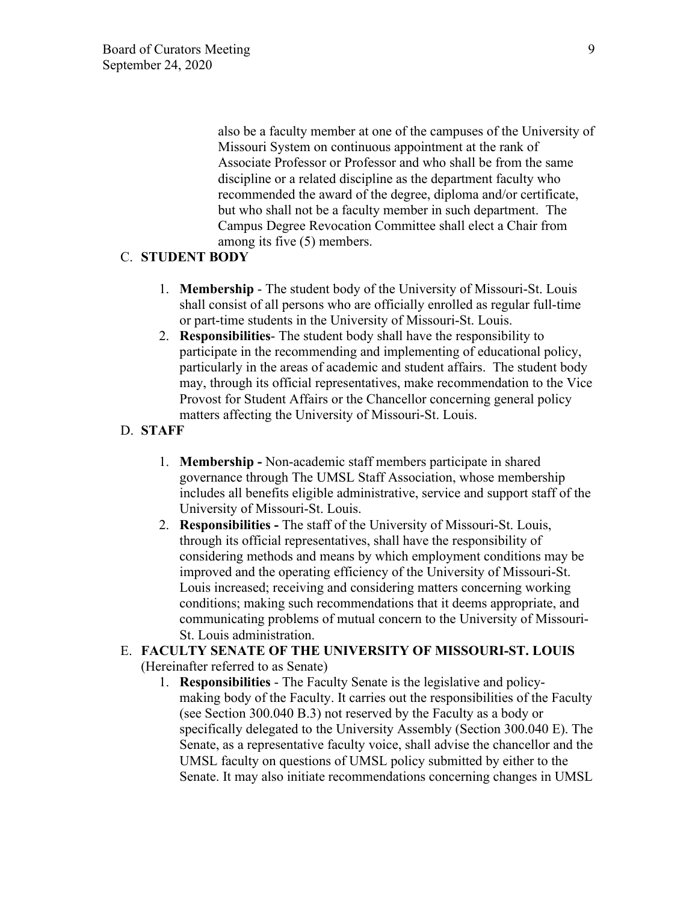also be a faculty member at one of the campuses of the University of Missouri System on continuous appointment at the rank of Associate Professor or Professor and who shall be from the same discipline or a related discipline as the department faculty who recommended the award of the degree, diploma and/or certificate, but who shall not be a faculty member in such department. The Campus Degree Revocation Committee shall elect a Chair from among its five (5) members.

## C. **STUDENT BODY**

- 1. **Membership** The student body of the University of Missouri-St. Louis shall consist of all persons who are officially enrolled as regular full-time or part-time students in the University of Missouri-St. Louis.
- 2. **Responsibilities** The student body shall have the responsibility to participate in the recommending and implementing of educational policy, particularly in the areas of academic and student affairs. The student body may, through its official representatives, make recommendation to the Vice Provost for Student Affairs or the Chancellor concerning general policy matters affecting the University of Missouri-St. Louis.
- D. **STAFF**
	- 1. **Membership -** Non-academic staff members participate in shared governance through The UMSL Staff Association, whose membership includes all benefits eligible administrative, service and support staff of the University of Missouri-St. Louis.
	- 2. **Responsibilities** The staff of the University of Missouri-St. Louis, through its official representatives, shall have the responsibility of considering methods and means by which employment conditions may be improved and the operating efficiency of the University of Missouri-St. Louis increased; receiving and considering matters concerning working conditions; making such recommendations that it deems appropriate, and communicating problems of mutual concern to the University of Missouri-St. Louis administration.

# E. **FACULTY SENATE OF THE UNIVERSITY OF MISSOURI-ST. LOUIS** (Hereinafter referred to as Senate)

1. **Responsibilities** - The Faculty Senate is the legislative and policymaking body of the Faculty. It carries out the responsibilities of the Faculty (see Section 300.040 B.3) not reserved by the Faculty as a body or specifically delegated to the University Assembly (Section 300.040 E). The Senate, as a representative faculty voice, shall advise the chancellor and the UMSL faculty on questions of UMSL policy submitted by either to the Senate. It may also initiate recommendations concerning changes in UMSL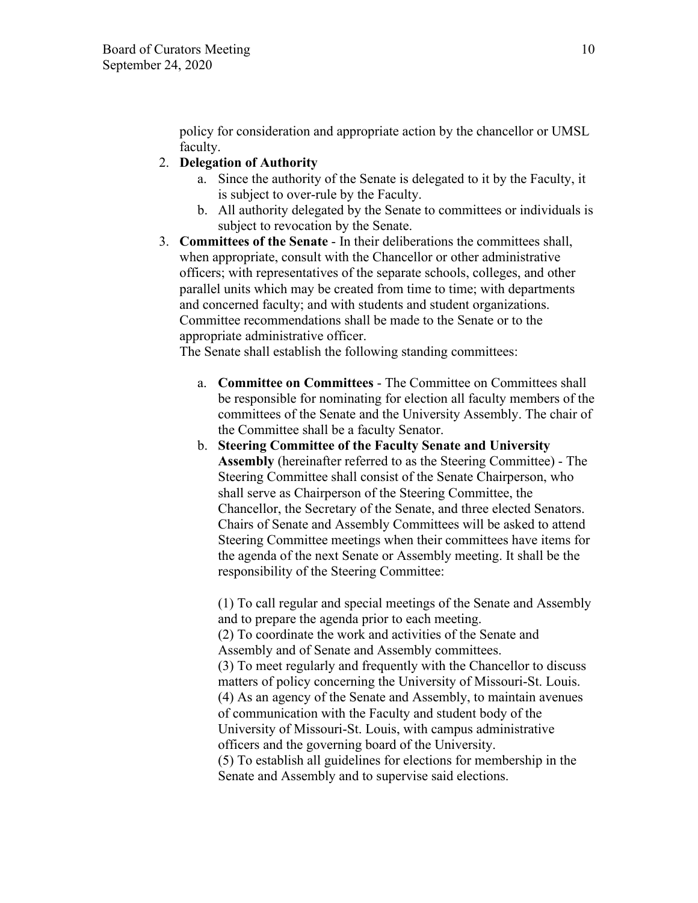policy for consideration and appropriate action by the chancellor or UMSL faculty.

## 2. **Delegation of Authority**

- a. Since the authority of the Senate is delegated to it by the Faculty, it is subject to over-rule by the Faculty.
- b. All authority delegated by the Senate to committees or individuals is subject to revocation by the Senate.
- 3. **Committees of the Senate** In their deliberations the committees shall, when appropriate, consult with the Chancellor or other administrative officers; with representatives of the separate schools, colleges, and other parallel units which may be created from time to time; with departments and concerned faculty; and with students and student organizations. Committee recommendations shall be made to the Senate or to the appropriate administrative officer.

The Senate shall establish the following standing committees:

- a. **Committee on Committees** The Committee on Committees shall be responsible for nominating for election all faculty members of the committees of the Senate and the University Assembly. The chair of the Committee shall be a faculty Senator.
- b. **Steering Committee of the Faculty Senate and University Assembly** (hereinafter referred to as the Steering Committee) - The Steering Committee shall consist of the Senate Chairperson, who shall serve as Chairperson of the Steering Committee, the Chancellor, the Secretary of the Senate, and three elected Senators. Chairs of Senate and Assembly Committees will be asked to attend Steering Committee meetings when their committees have items for the agenda of the next Senate or Assembly meeting. It shall be the responsibility of the Steering Committee:

(1) To call regular and special meetings of the Senate and Assembly and to prepare the agenda prior to each meeting. (2) To coordinate the work and activities of the Senate and Assembly and of Senate and Assembly committees. (3) To meet regularly and frequently with the Chancellor to discuss matters of policy concerning the University of Missouri-St. Louis. (4) As an agency of the Senate and Assembly, to maintain avenues of communication with the Faculty and student body of the University of Missouri-St. Louis, with campus administrative officers and the governing board of the University. (5) To establish all guidelines for elections for membership in the Senate and Assembly and to supervise said elections.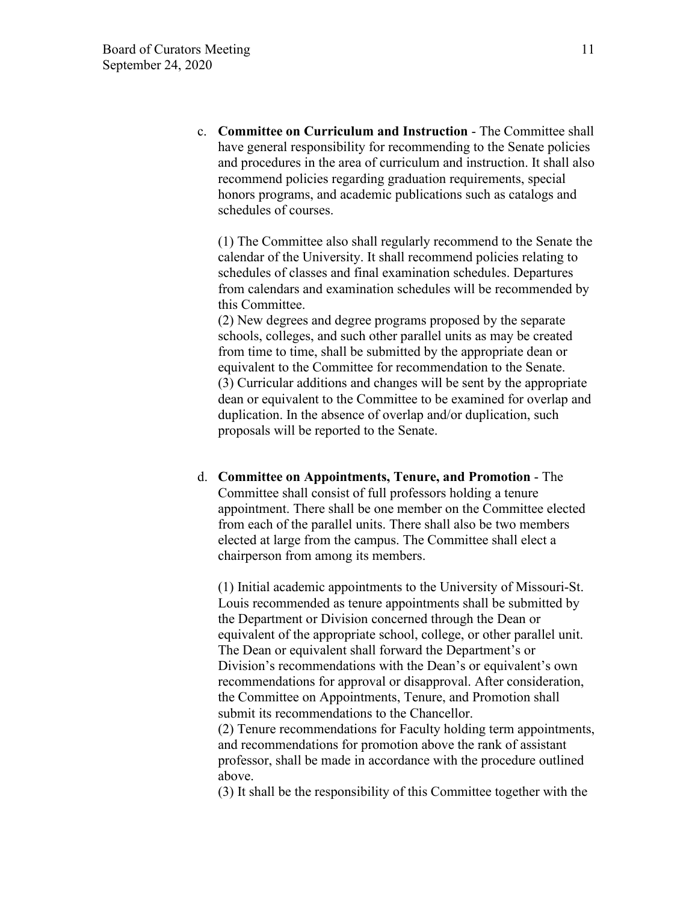c. **Committee on Curriculum and Instruction** - The Committee shall have general responsibility for recommending to the Senate policies and procedures in the area of curriculum and instruction. It shall also recommend policies regarding graduation requirements, special honors programs, and academic publications such as catalogs and schedules of courses.

(1) The Committee also shall regularly recommend to the Senate the calendar of the University. It shall recommend policies relating to schedules of classes and final examination schedules. Departures from calendars and examination schedules will be recommended by this Committee.

(2) New degrees and degree programs proposed by the separate schools, colleges, and such other parallel units as may be created from time to time, shall be submitted by the appropriate dean or equivalent to the Committee for recommendation to the Senate. (3) Curricular additions and changes will be sent by the appropriate dean or equivalent to the Committee to be examined for overlap and duplication. In the absence of overlap and/or duplication, such proposals will be reported to the Senate.

d. **Committee on Appointments, Tenure, and Promotion** - The Committee shall consist of full professors holding a tenure appointment. There shall be one member on the Committee elected from each of the parallel units. There shall also be two members elected at large from the campus. The Committee shall elect a chairperson from among its members.

(1) Initial academic appointments to the University of Missouri-St. Louis recommended as tenure appointments shall be submitted by the Department or Division concerned through the Dean or equivalent of the appropriate school, college, or other parallel unit. The Dean or equivalent shall forward the Department's or Division's recommendations with the Dean's or equivalent's own recommendations for approval or disapproval. After consideration, the Committee on Appointments, Tenure, and Promotion shall submit its recommendations to the Chancellor.

(2) Tenure recommendations for Faculty holding term appointments, and recommendations for promotion above the rank of assistant professor, shall be made in accordance with the procedure outlined above.

(3) It shall be the responsibility of this Committee together with the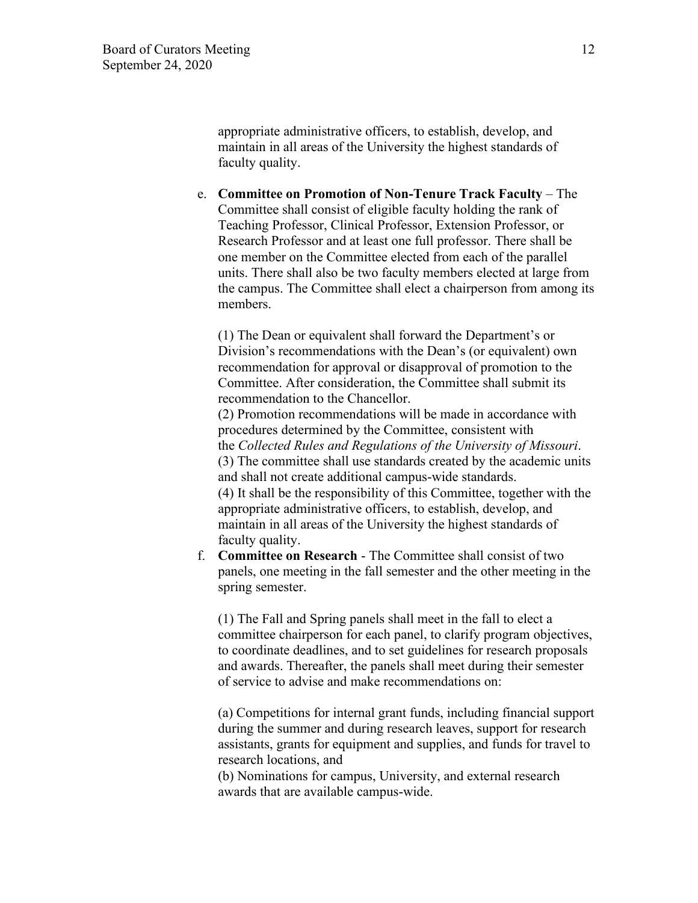appropriate administrative officers, to establish, develop, and maintain in all areas of the University the highest standards of faculty quality.

e. **Committee on Promotion of Non-Tenure Track Faculty** – The Committee shall consist of eligible faculty holding the rank of Teaching Professor, Clinical Professor, Extension Professor, or Research Professor and at least one full professor. There shall be one member on the Committee elected from each of the parallel units. There shall also be two faculty members elected at large from the campus. The Committee shall elect a chairperson from among its members.

(1) The Dean or equivalent shall forward the Department's or Division's recommendations with the Dean's (or equivalent) own recommendation for approval or disapproval of promotion to the Committee. After consideration, the Committee shall submit its recommendation to the Chancellor.

(2) Promotion recommendations will be made in accordance with procedures determined by the Committee, consistent with the *Collected Rules and Regulations of the University of Missouri*. (3) The committee shall use standards created by the academic units and shall not create additional campus-wide standards. (4) It shall be the responsibility of this Committee, together with the appropriate administrative officers, to establish, develop, and maintain in all areas of the University the highest standards of faculty quality.

f. **Committee on Research** - The Committee shall consist of two panels, one meeting in the fall semester and the other meeting in the spring semester.

(1) The Fall and Spring panels shall meet in the fall to elect a committee chairperson for each panel, to clarify program objectives, to coordinate deadlines, and to set guidelines for research proposals and awards. Thereafter, the panels shall meet during their semester of service to advise and make recommendations on:

(a) Competitions for internal grant funds, including financial support during the summer and during research leaves, support for research assistants, grants for equipment and supplies, and funds for travel to research locations, and

(b) Nominations for campus, University, and external research awards that are available campus-wide.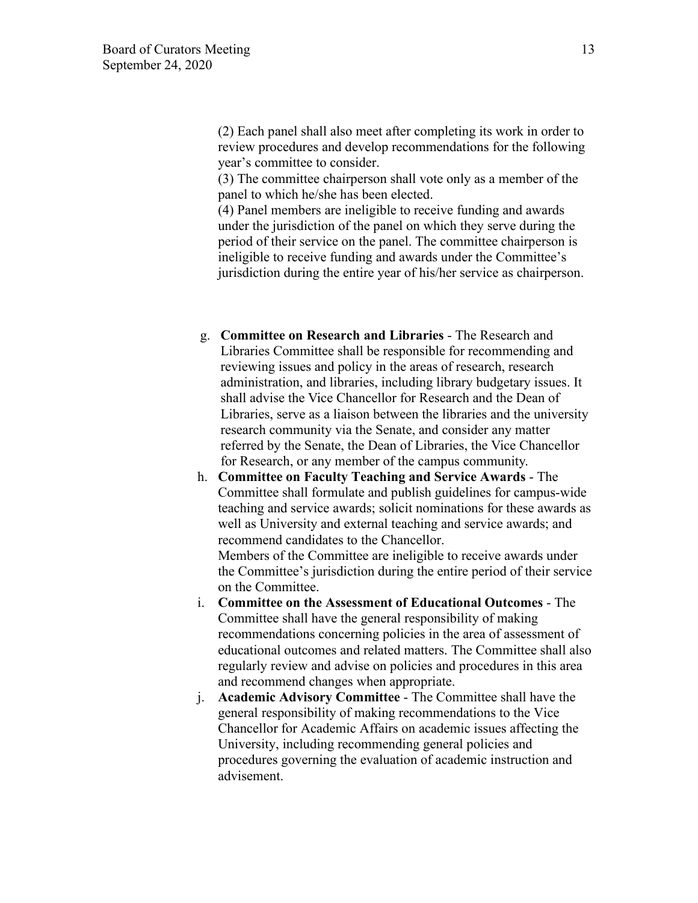(2) Each panel shall also meet after completing its work in order to review procedures and develop recommendations for the following year's committee to consider.

(3) The committee chairperson shall vote only as a member of the panel to which he/she has been elected.

(4) Panel members are ineligible to receive funding and awards under the jurisdiction of the panel on which they serve during the period of their service on the panel. The committee chairperson is ineligible to receive funding and awards under the Committee's jurisdiction during the entire year of his/her service as chairperson.

- g. **Committee on Research and Libraries** The Research and Libraries Committee shall be responsible for recommending and reviewing issues and policy in the areas of research, research administration, and libraries, including library budgetary issues. It shall advise the Vice Chancellor for Research and the Dean of Libraries, serve as a liaison between the libraries and the university research community via the Senate, and consider any matter referred by the Senate, the Dean of Libraries, the Vice Chancellor for Research, or any member of the campus community.
- h. **Committee on Faculty Teaching and Service Awards** The Committee shall formulate and publish guidelines for campus-wide teaching and service awards; solicit nominations for these awards as well as University and external teaching and service awards; and recommend candidates to the Chancellor. Members of the Committee are ineligible to receive awards under the Committee's jurisdiction during the entire period of their service
- on the Committee. i. **Committee on the Assessment of Educational Outcomes** - The Committee shall have the general responsibility of making recommendations concerning policies in the area of assessment of educational outcomes and related matters. The Committee shall also regularly review and advise on policies and procedures in this area and recommend changes when appropriate.
- j. **Academic Advisory Committee** The Committee shall have the general responsibility of making recommendations to the Vice Chancellor for Academic Affairs on academic issues affecting the University, including recommending general policies and procedures governing the evaluation of academic instruction and advisement.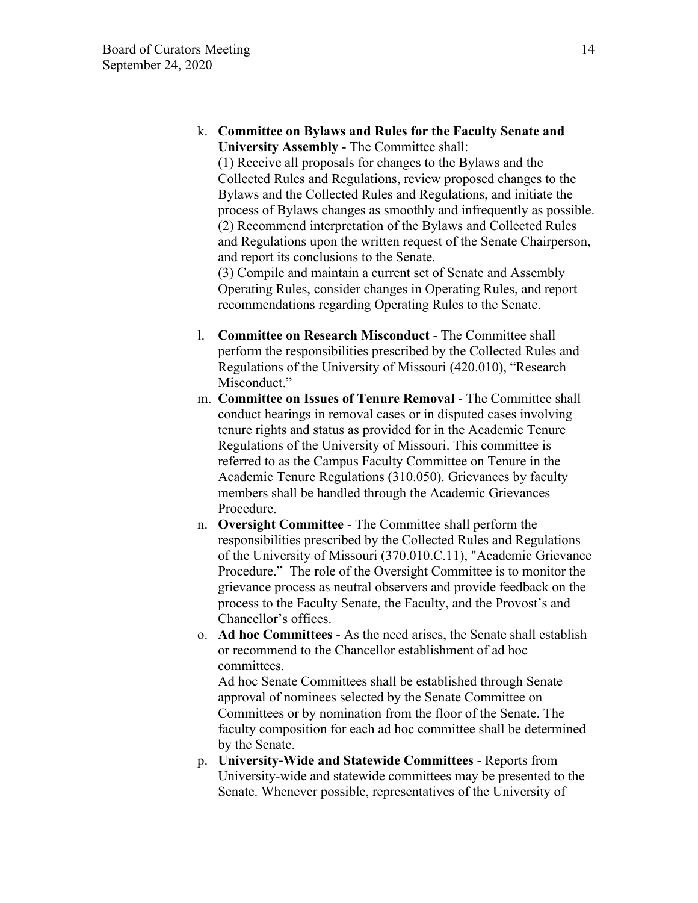k. **Committee on Bylaws and Rules for the Faculty Senate and University Assembly** - The Committee shall:

(1) Receive all proposals for changes to the Bylaws and the Collected Rules and Regulations, review proposed changes to the Bylaws and the Collected Rules and Regulations, and initiate the process of Bylaws changes as smoothly and infrequently as possible. (2) Recommend interpretation of the Bylaws and Collected Rules and Regulations upon the written request of the Senate Chairperson, and report its conclusions to the Senate.

(3) Compile and maintain a current set of Senate and Assembly Operating Rules, consider changes in Operating Rules, and report recommendations regarding Operating Rules to the Senate.

- l. **Committee on Research Misconduct** The Committee shall perform the responsibilities prescribed by the Collected Rules and Regulations of the University of Missouri (420.010), "Research Misconduct."
- m. **Committee on Issues of Tenure Removal** The Committee shall conduct hearings in removal cases or in disputed cases involving tenure rights and status as provided for in the Academic Tenure Regulations of the University of Missouri. This committee is referred to as the Campus Faculty Committee on Tenure in the Academic Tenure Regulations (310.050). Grievances by faculty members shall be handled through the Academic Grievances Procedure.
- n. **Oversight Committee** The Committee shall perform the responsibilities prescribed by the Collected Rules and Regulations of the University of Missouri (370.010.C.11), "Academic Grievance Procedure." The role of the Oversight Committee is to monitor the grievance process as neutral observers and provide feedback on the process to the Faculty Senate, the Faculty, and the Provost's and Chancellor's offices.
- o. **Ad hoc Committees** As the need arises, the Senate shall establish or recommend to the Chancellor establishment of ad hoc committees.

Ad hoc Senate Committees shall be established through Senate approval of nominees selected by the Senate Committee on Committees or by nomination from the floor of the Senate. The faculty composition for each ad hoc committee shall be determined by the Senate.

p. **University-Wide and Statewide Committees** - Reports from University-wide and statewide committees may be presented to the Senate. Whenever possible, representatives of the University of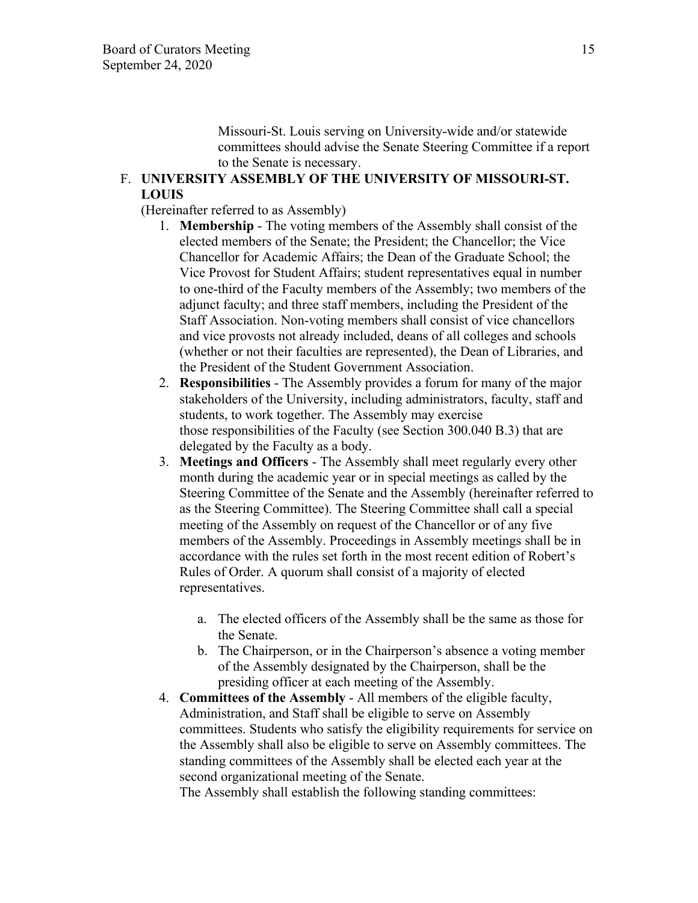Missouri-St. Louis serving on University-wide and/or statewide committees should advise the Senate Steering Committee if a report to the Senate is necessary.

# F. **UNIVERSITY ASSEMBLY OF THE UNIVERSITY OF MISSOURI-ST. LOUIS**

(Hereinafter referred to as Assembly)

- 1. **Membership** The voting members of the Assembly shall consist of the elected members of the Senate; the President; the Chancellor; the Vice Chancellor for Academic Affairs; the Dean of the Graduate School; the Vice Provost for Student Affairs; student representatives equal in number to one-third of the Faculty members of the Assembly; two members of the adjunct faculty; and three staff members, including the President of the Staff Association. Non-voting members shall consist of vice chancellors and vice provosts not already included, deans of all colleges and schools (whether or not their faculties are represented), the Dean of Libraries, and the President of the Student Government Association.
- 2. **Responsibilities** The Assembly provides a forum for many of the major stakeholders of the University, including administrators, faculty, staff and students, to work together. The Assembly may exercise those responsibilities of the Faculty (see Section 300.040 B.3) that are delegated by the Faculty as a body.
- 3. **Meetings and Officers** The Assembly shall meet regularly every other month during the academic year or in special meetings as called by the Steering Committee of the Senate and the Assembly (hereinafter referred to as the Steering Committee). The Steering Committee shall call a special meeting of the Assembly on request of the Chancellor or of any five members of the Assembly. Proceedings in Assembly meetings shall be in accordance with the rules set forth in the most recent edition of Robert's Rules of Order. A quorum shall consist of a majority of elected representatives.
	- a. The elected officers of the Assembly shall be the same as those for the Senate.
	- b. The Chairperson, or in the Chairperson's absence a voting member of the Assembly designated by the Chairperson, shall be the presiding officer at each meeting of the Assembly.
- 4. **Committees of the Assembly** All members of the eligible faculty, Administration, and Staff shall be eligible to serve on Assembly committees. Students who satisfy the eligibility requirements for service on the Assembly shall also be eligible to serve on Assembly committees. The standing committees of the Assembly shall be elected each year at the second organizational meeting of the Senate.

The Assembly shall establish the following standing committees: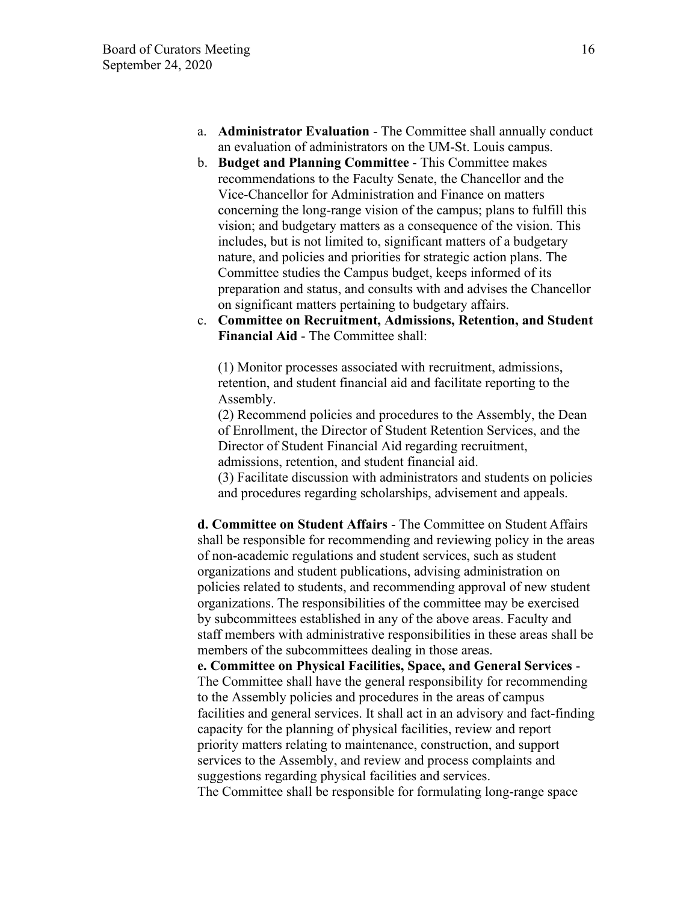- a. **Administrator Evaluation** The Committee shall annually conduct an evaluation of administrators on the UM-St. Louis campus.
- b. **Budget and Planning Committee** This Committee makes recommendations to the Faculty Senate, the Chancellor and the Vice-Chancellor for Administration and Finance on matters concerning the long-range vision of the campus; plans to fulfill this vision; and budgetary matters as a consequence of the vision. This includes, but is not limited to, significant matters of a budgetary nature, and policies and priorities for strategic action plans. The Committee studies the Campus budget, keeps informed of its preparation and status, and consults with and advises the Chancellor on significant matters pertaining to budgetary affairs.
- c. **Committee on Recruitment, Admissions, Retention, and Student Financial Aid** - The Committee shall:

(1) Monitor processes associated with recruitment, admissions, retention, and student financial aid and facilitate reporting to the Assembly.

(2) Recommend policies and procedures to the Assembly, the Dean of Enrollment, the Director of Student Retention Services, and the Director of Student Financial Aid regarding recruitment, admissions, retention, and student financial aid.

(3) Facilitate discussion with administrators and students on policies and procedures regarding scholarships, advisement and appeals.

**d. Committee on Student Affairs** - The Committee on Student Affairs shall be responsible for recommending and reviewing policy in the areas of non-academic regulations and student services, such as student organizations and student publications, advising administration on policies related to students, and recommending approval of new student organizations. The responsibilities of the committee may be exercised by subcommittees established in any of the above areas. Faculty and staff members with administrative responsibilities in these areas shall be members of the subcommittees dealing in those areas.

**e. Committee on Physical Facilities, Space, and General Services** - The Committee shall have the general responsibility for recommending to the Assembly policies and procedures in the areas of campus facilities and general services. It shall act in an advisory and fact-finding capacity for the planning of physical facilities, review and report priority matters relating to maintenance, construction, and support services to the Assembly, and review and process complaints and suggestions regarding physical facilities and services.

The Committee shall be responsible for formulating long-range space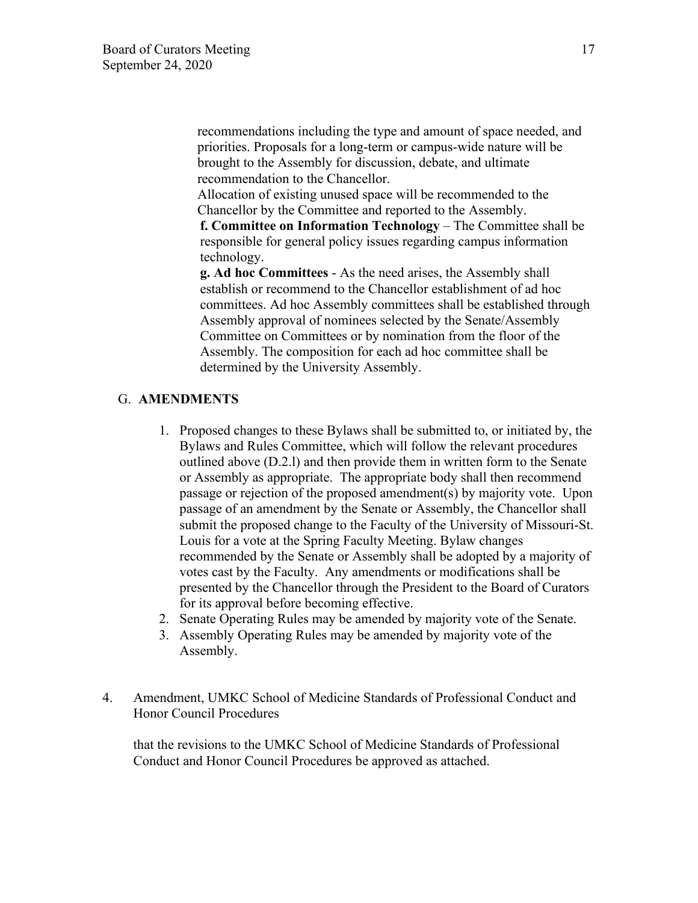recommendations including the type and amount of space needed, and priorities. Proposals for a long-term or campus-wide nature will be brought to the Assembly for discussion, debate, and ultimate recommendation to the Chancellor.

Allocation of existing unused space will be recommended to the Chancellor by the Committee and reported to the Assembly.

**f. Committee on Information Technology** – The Committee shall be responsible for general policy issues regarding campus information technology.

**g. Ad hoc Committees** - As the need arises, the Assembly shall establish or recommend to the Chancellor establishment of ad hoc committees. Ad hoc Assembly committees shall be established through Assembly approval of nominees selected by the Senate/Assembly Committee on Committees or by nomination from the floor of the Assembly. The composition for each ad hoc committee shall be determined by the University Assembly.

## G. **AMENDMENTS**

- 1. Proposed changes to these Bylaws shall be submitted to, or initiated by, the Bylaws and Rules Committee, which will follow the relevant procedures outlined above (D.2.l) and then provide them in written form to the Senate or Assembly as appropriate. The appropriate body shall then recommend passage or rejection of the proposed amendment(s) by majority vote. Upon passage of an amendment by the Senate or Assembly, the Chancellor shall submit the proposed change to the Faculty of the University of Missouri-St. Louis for a vote at the Spring Faculty Meeting. Bylaw changes recommended by the Senate or Assembly shall be adopted by a majority of votes cast by the Faculty. Any amendments or modifications shall be presented by the Chancellor through the President to the Board of Curators for its approval before becoming effective.
- 2. Senate Operating Rules may be amended by majority vote of the Senate.
- 3. Assembly Operating Rules may be amended by majority vote of the Assembly.
- 4. Amendment, UMKC School of Medicine Standards of Professional Conduct and Honor Council Procedures

that the revisions to the UMKC School of Medicine Standards of Professional Conduct and Honor Council Procedures be approved as attached.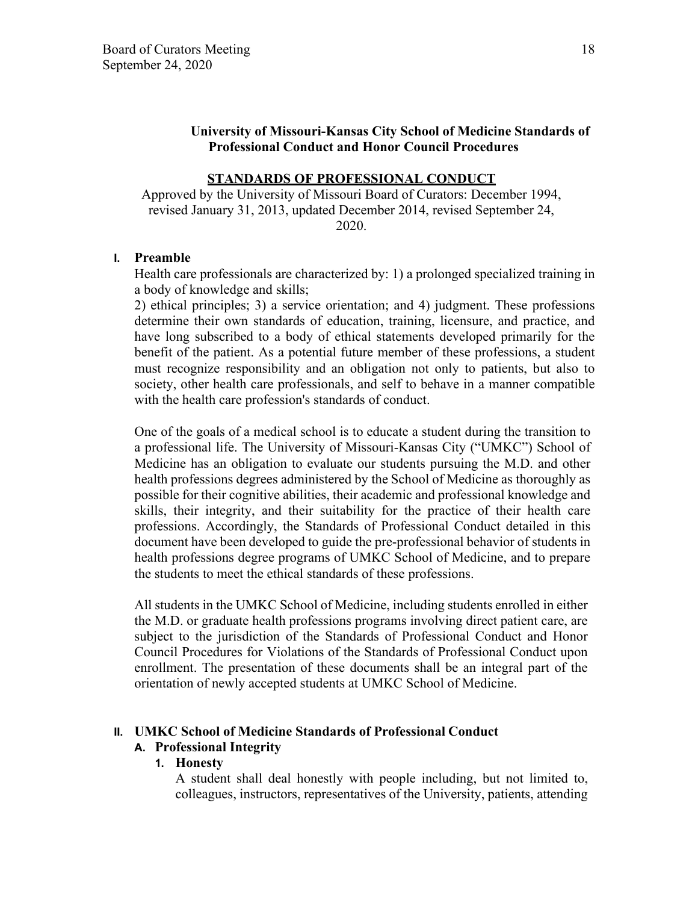### **University of Missouri-Kansas City School of Medicine Standards of Professional Conduct and Honor Council Procedures**

### **STANDARDS OF PROFESSIONAL CONDUCT**

Approved by the University of Missouri Board of Curators: December 1994, revised January 31, 2013, updated December 2014, revised September 24, 2020.

#### **I. Preamble**

Health care professionals are characterized by: 1) a prolonged specialized training in a body of knowledge and skills;

2) ethical principles; 3) a service orientation; and 4) judgment. These professions determine their own standards of education, training, licensure, and practice, and have long subscribed to a body of ethical statements developed primarily for the benefit of the patient. As a potential future member of these professions, a student must recognize responsibility and an obligation not only to patients, but also to society, other health care professionals, and self to behave in a manner compatible with the health care profession's standards of conduct.

One of the goals of a medical school is to educate a student during the transition to a professional life. The University of Missouri-Kansas City ("UMKC") School of Medicine has an obligation to evaluate our students pursuing the M.D. and other health professions degrees administered by the School of Medicine as thoroughly as possible for their cognitive abilities, their academic and professional knowledge and skills, their integrity, and their suitability for the practice of their health care professions. Accordingly, the Standards of Professional Conduct detailed in this document have been developed to guide the pre-professional behavior of students in health professions degree programs of UMKC School of Medicine, and to prepare the students to meet the ethical standards of these professions.

All students in the UMKC School of Medicine, including students enrolled in either the M.D. or graduate health professions programs involving direct patient care, are subject to the jurisdiction of the Standards of Professional Conduct and Honor Council Procedures for Violations of the Standards of Professional Conduct upon enrollment. The presentation of these documents shall be an integral part of the orientation of newly accepted students at UMKC School of Medicine.

### **II. UMKC School of Medicine Standards of Professional Conduct**

### **A. Professional Integrity**

## **1. Honesty**

A student shall deal honestly with people including, but not limited to, colleagues, instructors, representatives of the University, patients, attending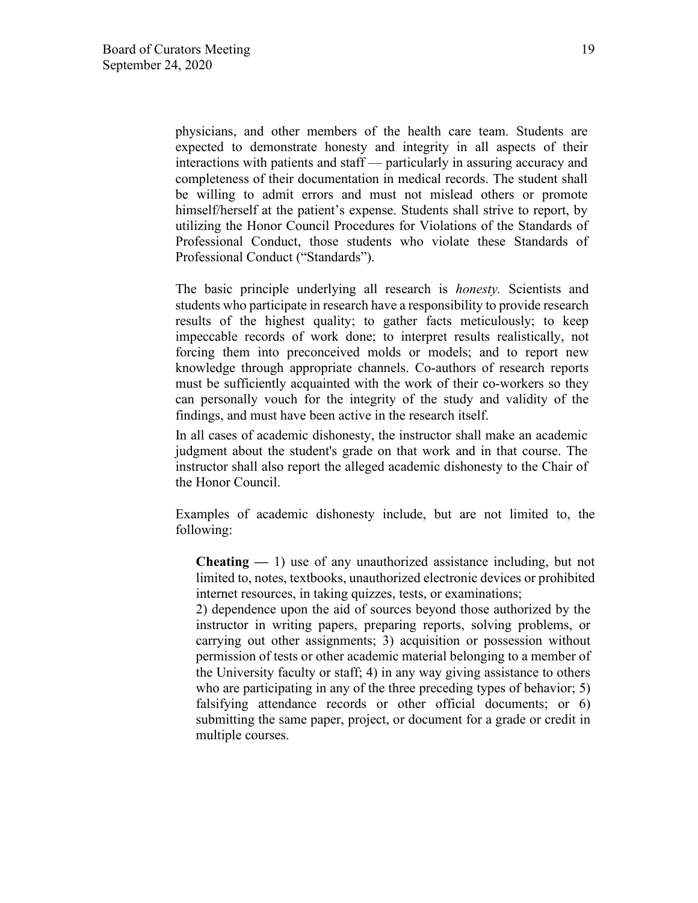physicians, and other members of the health care team. Students are expected to demonstrate honesty and integrity in all aspects of their interactions with patients and staff — particularly in assuring accuracy and completeness of their documentation in medical records. The student shall be willing to admit errors and must not mislead others or promote himself/herself at the patient's expense. Students shall strive to report, by utilizing the Honor Council Procedures for Violations of the Standards of Professional Conduct, those students who violate these Standards of Professional Conduct ("Standards").

The basic principle underlying all research is *honesty.* Scientists and students who participate in research have a responsibility to provide research results of the highest quality; to gather facts meticulously; to keep impeccable records of work done; to interpret results realistically, not forcing them into preconceived molds or models; and to report new knowledge through appropriate channels. Co-authors of research reports must be sufficiently acquainted with the work of their co-workers so they can personally vouch for the integrity of the study and validity of the findings, and must have been active in the research itself.

In all cases of academic dishonesty, the instructor shall make an academic judgment about the student's grade on that work and in that course. The instructor shall also report the alleged academic dishonesty to the Chair of the Honor Council.

Examples of academic dishonesty include, but are not limited to, the following:

**Cheating —** 1) use of any unauthorized assistance including, but not limited to, notes, textbooks, unauthorized electronic devices or prohibited internet resources, in taking quizzes, tests, or examinations;

2) dependence upon the aid of sources beyond those authorized by the instructor in writing papers, preparing reports, solving problems, or carrying out other assignments; 3) acquisition or possession without permission of tests or other academic material belonging to a member of the University faculty or staff; 4) in any way giving assistance to others who are participating in any of the three preceding types of behavior; 5) falsifying attendance records or other official documents; or 6) submitting the same paper, project, or document for a grade or credit in multiple courses.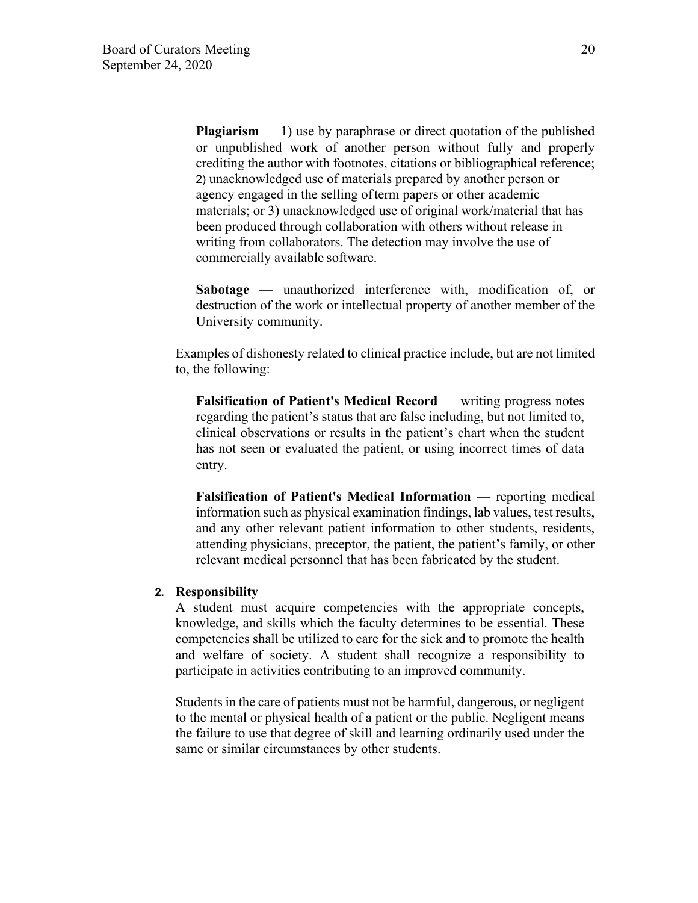**Plagiarism** — 1) use by paraphrase or direct quotation of the published or unpublished work of another person without fully and properly crediting the author with footnotes, citations or bibliographical reference; 2) unacknowledged use of materials prepared by another person or agency engaged in the selling of term papers or other academic materials; or 3) unacknowledged use of original work/material that has been produced through collaboration with others without release in writing from collaborators. The detection may involve the use of commercially available software.

**Sabotage** — unauthorized interference with, modification of, or destruction of the work or intellectual property of another member of the University community.

Examples of dishonesty related to clinical practice include, but are not limited to, the following:

**Falsification of Patient's Medical Record — writing progress notes** regarding the patient's status that are false including, but not limited to, clinical observations or results in the patient's chart when the student has not seen or evaluated the patient, or using incorrect times of data entry.

**Falsification of Patient's Medical Information** — reporting medical information such as physical examination findings, lab values, test results, and any other relevant patient information to other students, residents, attending physicians, preceptor, the patient, the patient's family, or other relevant medical personnel that has been fabricated by the student.

### **2. Responsibility**

A student must acquire competencies with the appropriate concepts, knowledge, and skills which the faculty determines to be essential. These competencies shall be utilized to care for the sick and to promote the health and welfare of society. A student shall recognize a responsibility to participate in activities contributing to an improved community.

Students in the care of patients must not be harmful, dangerous, or negligent to the mental or physical health of a patient or the public. Negligent means the failure to use that degree of skill and learning ordinarily used under the same or similar circumstances by other students.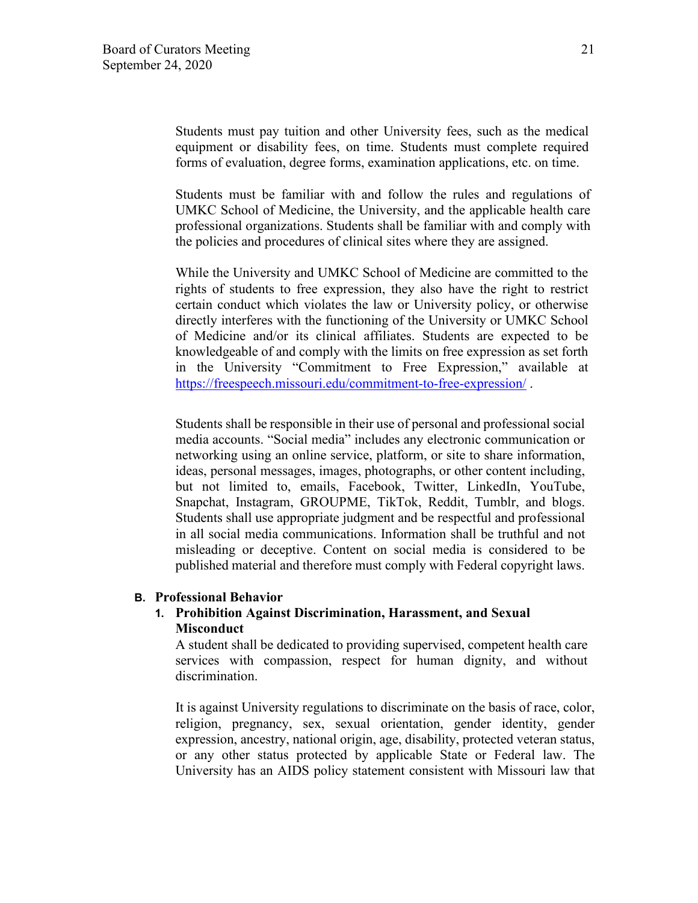Students must pay tuition and other University fees, such as the medical equipment or disability fees, on time. Students must complete required forms of evaluation, degree forms, examination applications, etc. on time.

Students must be familiar with and follow the rules and regulations of UMKC School of Medicine, the University, and the applicable health care professional organizations. Students shall be familiar with and comply with the policies and procedures of clinical sites where they are assigned.

While the University and UMKC School of Medicine are committed to the rights of students to free expression, they also have the right to restrict certain conduct which violates the law or University policy, or otherwise directly interferes with the functioning of the University or UMKC School of Medicine and/or its clinical affiliates. Students are expected to be knowledgeable of and comply with the limits on free expression as set forth in the University "Commitment to Free Expression," available at [https://freespeech.missouri.edu/commitment-to-free-expression/ .](https://freespeech.missouri.edu/commitment-to-free-expression/)

Students shall be responsible in their use of personal and professional social media accounts. "Social media" includes any electronic communication or networking using an online service, platform, or site to share information, ideas, personal messages, images, photographs, or other content including, but not limited to, emails, Facebook, Twitter, LinkedIn, YouTube, Snapchat, Instagram, GROUPME, TikTok, Reddit, Tumblr, and blogs. Students shall use appropriate judgment and be respectful and professional in all social media communications. Information shall be truthful and not misleading or deceptive. Content on social media is considered to be published material and therefore must comply with Federal copyright laws.

### **B. Professional Behavior**

## **1. Prohibition Against Discrimination, Harassment, and Sexual Misconduct**

A student shall be dedicated to providing supervised, competent health care services with compassion, respect for human dignity, and without discrimination.

It is against University regulations to discriminate on the basis of race, color, religion, pregnancy, sex, sexual orientation, gender identity, gender expression, ancestry, national origin, age, disability, protected veteran status, or any other status protected by applicable State or Federal law. The University has an AIDS policy statement consistent with Missouri law that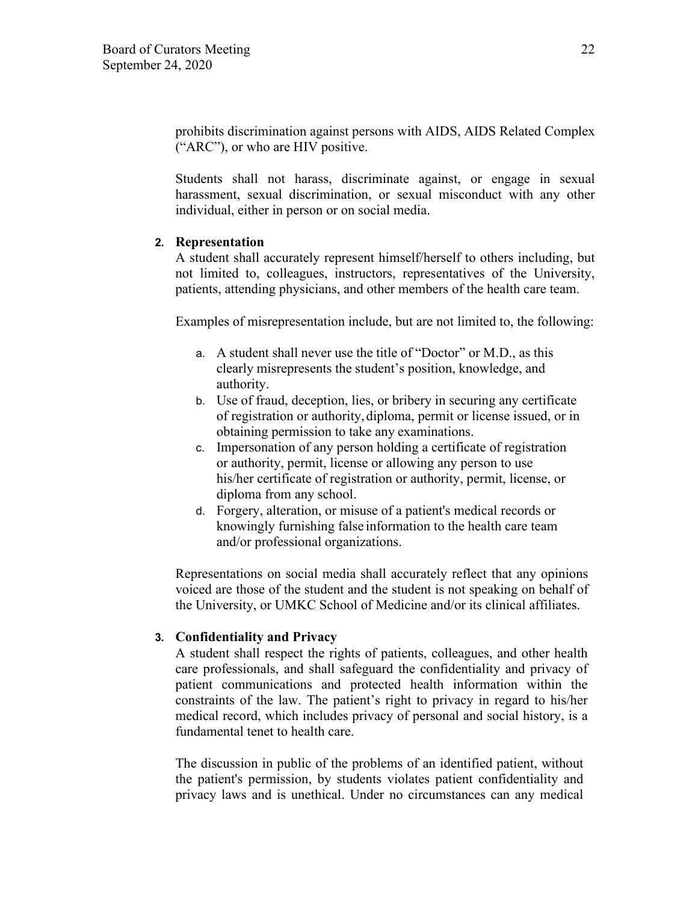prohibits discrimination against persons with AIDS, AIDS Related Complex ("ARC"), or who are HIV positive.

Students shall not harass, discriminate against, or engage in sexual harassment, sexual discrimination, or sexual misconduct with any other individual, either in person or on social media.

## **2. Representation**

A student shall accurately represent himself/herself to others including, but not limited to, colleagues, instructors, representatives of the University, patients, attending physicians, and other members of the health care team.

Examples of misrepresentation include, but are not limited to, the following:

- a. A student shall never use the title of "Doctor" or M.D., as this clearly misrepresents the student's position, knowledge, and authority.
- b. Use of fraud, deception, lies, or bribery in securing any certificate of registration or authority, diploma, permit or license issued, or in obtaining permission to take any examinations.
- c. Impersonation of any person holding a certificate of registration or authority, permit, license or allowing any person to use his/her certificate of registration or authority, permit, license, or diploma from any school.
- d. Forgery, alteration, or misuse of a patient's medical records or knowingly furnishing false information to the health care team and/or professional organizations.

Representations on social media shall accurately reflect that any opinions voiced are those of the student and the student is not speaking on behalf of the University, or UMKC School of Medicine and/or its clinical affiliates.

## **3. Confidentiality and Privacy**

A student shall respect the rights of patients, colleagues, and other health care professionals, and shall safeguard the confidentiality and privacy of patient communications and protected health information within the constraints of the law. The patient's right to privacy in regard to his/her medical record, which includes privacy of personal and social history, is a fundamental tenet to health care.

The discussion in public of the problems of an identified patient, without the patient's permission, by students violates patient confidentiality and privacy laws and is unethical. Under no circumstances can any medical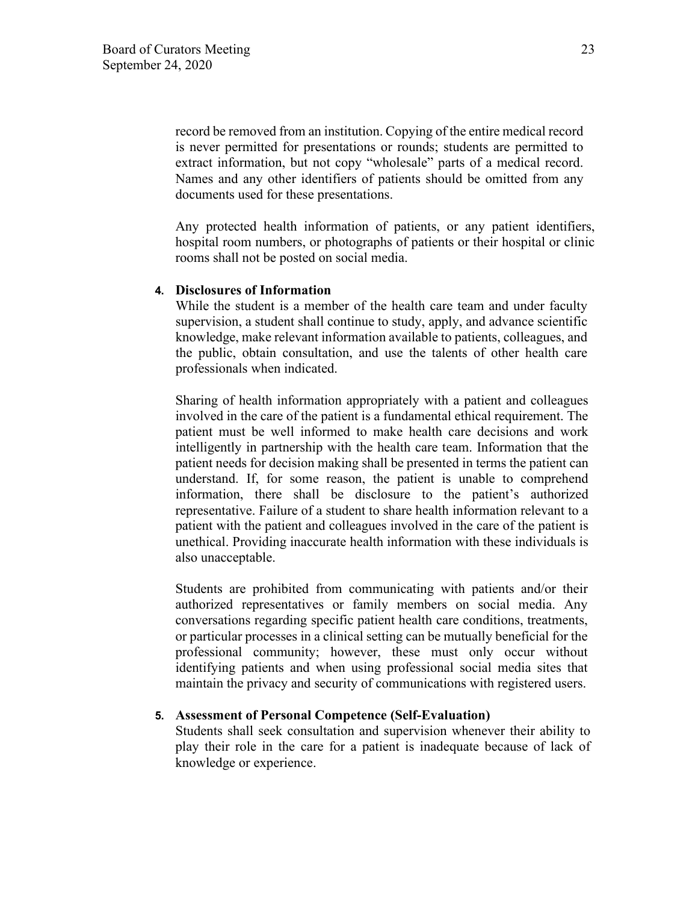record be removed from an institution. Copying of the entire medical record is never permitted for presentations or rounds; students are permitted to extract information, but not copy "wholesale" parts of a medical record. Names and any other identifiers of patients should be omitted from any documents used for these presentations.

Any protected health information of patients, or any patient identifiers, hospital room numbers, or photographs of patients or their hospital or clinic rooms shall not be posted on social media.

#### **4. Disclosures of Information**

While the student is a member of the health care team and under faculty supervision, a student shall continue to study, apply, and advance scientific knowledge, make relevant information available to patients, colleagues, and the public, obtain consultation, and use the talents of other health care professionals when indicated.

Sharing of health information appropriately with a patient and colleagues involved in the care of the patient is a fundamental ethical requirement. The patient must be well informed to make health care decisions and work intelligently in partnership with the health care team. Information that the patient needs for decision making shall be presented in terms the patient can understand. If, for some reason, the patient is unable to comprehend information, there shall be disclosure to the patient's authorized representative. Failure of a student to share health information relevant to a patient with the patient and colleagues involved in the care of the patient is unethical. Providing inaccurate health information with these individuals is also unacceptable.

Students are prohibited from communicating with patients and/or their authorized representatives or family members on social media. Any conversations regarding specific patient health care conditions, treatments, or particular processes in a clinical setting can be mutually beneficial for the professional community; however, these must only occur without identifying patients and when using professional social media sites that maintain the privacy and security of communications with registered users.

### **5. Assessment of Personal Competence (Self-Evaluation)**

Students shall seek consultation and supervision whenever their ability to play their role in the care for a patient is inadequate because of lack of knowledge or experience.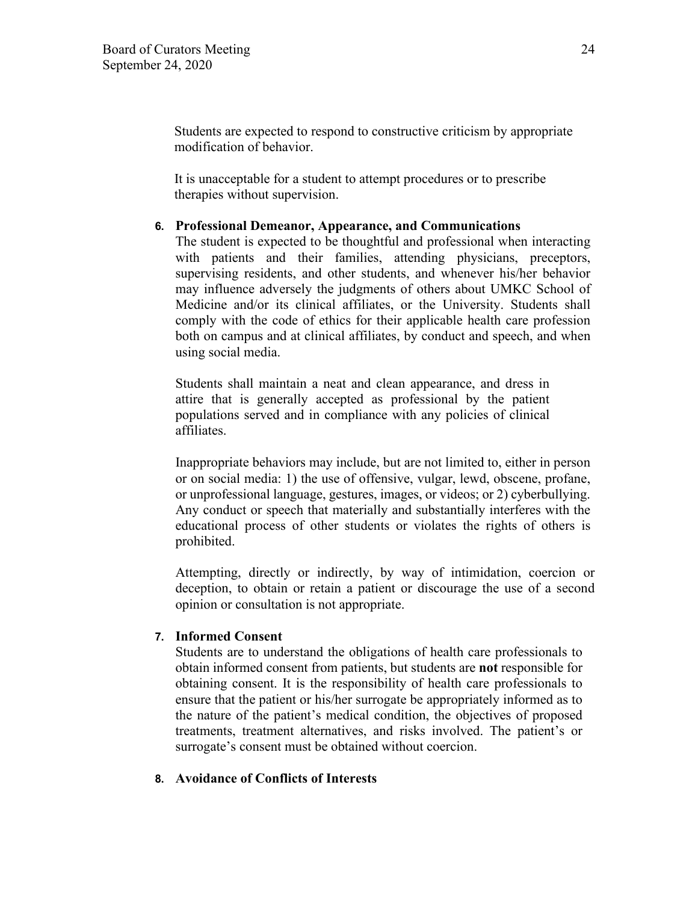Students are expected to respond to constructive criticism by appropriate modification of behavior.

It is unacceptable for a student to attempt procedures or to prescribe therapies without supervision.

### **6. Professional Demeanor, Appearance, and Communications**

The student is expected to be thoughtful and professional when interacting with patients and their families, attending physicians, preceptors, supervising residents, and other students, and whenever his/her behavior may influence adversely the judgments of others about UMKC School of Medicine and/or its clinical affiliates, or the University. Students shall comply with the code of ethics for their applicable health care profession both on campus and at clinical affiliates, by conduct and speech, and when using social media.

Students shall maintain a neat and clean appearance, and dress in attire that is generally accepted as professional by the patient populations served and in compliance with any policies of clinical affiliates.

Inappropriate behaviors may include, but are not limited to, either in person or on social media: 1) the use of offensive, vulgar, lewd, obscene, profane, or unprofessional language, gestures, images, or videos; or 2) cyberbullying. Any conduct or speech that materially and substantially interferes with the educational process of other students or violates the rights of others is prohibited.

Attempting, directly or indirectly, by way of intimidation, coercion or deception, to obtain or retain a patient or discourage the use of a second opinion or consultation is not appropriate.

### **7. Informed Consent**

Students are to understand the obligations of health care professionals to obtain informed consent from patients, but students are **not** responsible for obtaining consent. It is the responsibility of health care professionals to ensure that the patient or his/her surrogate be appropriately informed as to the nature of the patient's medical condition, the objectives of proposed treatments, treatment alternatives, and risks involved. The patient's or surrogate's consent must be obtained without coercion.

### **8. Avoidance of Conflicts of Interests**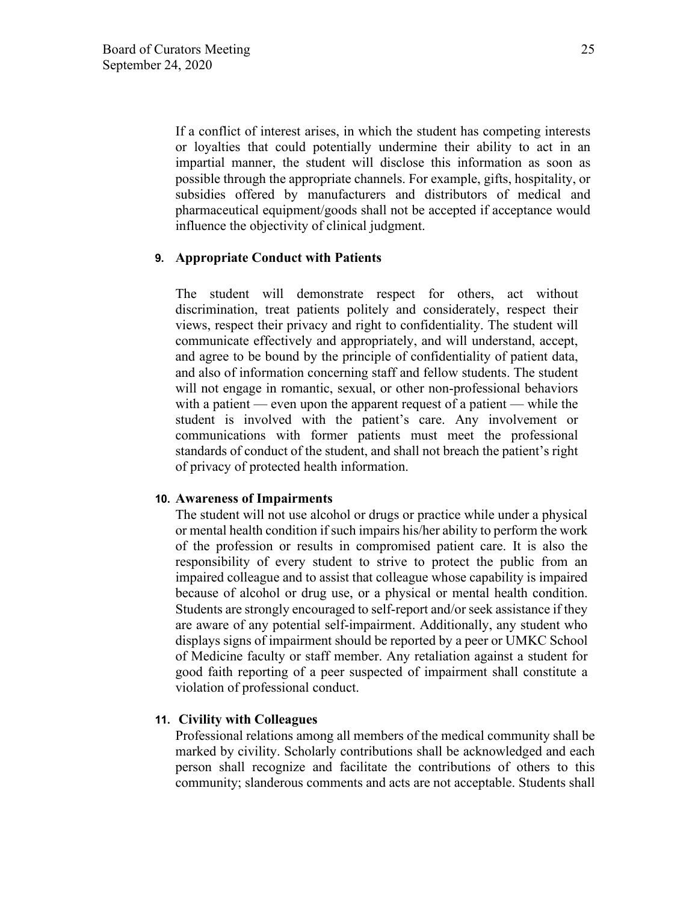If a conflict of interest arises, in which the student has competing interests or loyalties that could potentially undermine their ability to act in an impartial manner, the student will disclose this information as soon as possible through the appropriate channels. For example, gifts, hospitality, or subsidies offered by manufacturers and distributors of medical and pharmaceutical equipment/goods shall not be accepted if acceptance would influence the objectivity of clinical judgment.

### **9. Appropriate Conduct with Patients**

The student will demonstrate respect for others, act without discrimination, treat patients politely and considerately, respect their views, respect their privacy and right to confidentiality. The student will communicate effectively and appropriately, and will understand, accept, and agree to be bound by the principle of confidentiality of patient data, and also of information concerning staff and fellow students. The student will not engage in romantic, sexual, or other non-professional behaviors with a patient — even upon the apparent request of a patient — while the student is involved with the patient's care. Any involvement or communications with former patients must meet the professional standards of conduct of the student, and shall not breach the patient's right of privacy of protected health information.

### **10. Awareness of Impairments**

The student will not use alcohol or drugs or practice while under a physical or mental health condition if such impairs his/her ability to perform the work of the profession or results in compromised patient care. It is also the responsibility of every student to strive to protect the public from an impaired colleague and to assist that colleague whose capability is impaired because of alcohol or drug use, or a physical or mental health condition. Students are strongly encouraged to self-report and/or seek assistance if they are aware of any potential self-impairment. Additionally, any student who displays signs of impairment should be reported by a peer or UMKC School of Medicine faculty or staff member. Any retaliation against a student for good faith reporting of a peer suspected of impairment shall constitute a violation of professional conduct.

### **11. Civility with Colleagues**

Professional relations among all members of the medical community shall be marked by civility. Scholarly contributions shall be acknowledged and each person shall recognize and facilitate the contributions of others to this community; slanderous comments and acts are not acceptable. Students shall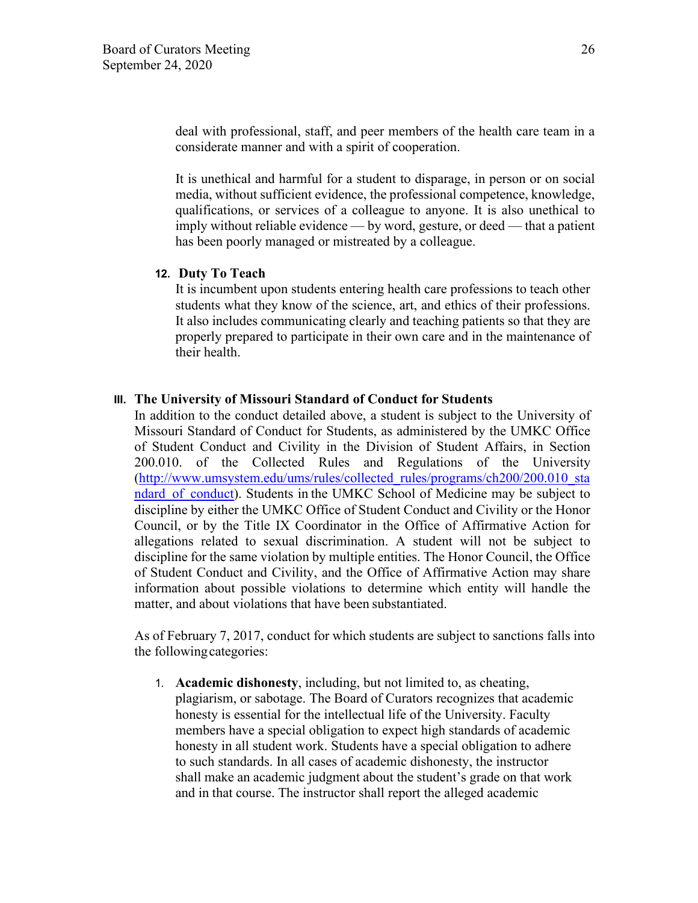deal with professional, staff, and peer members of the health care team in a considerate manner and with a spirit of cooperation.

It is unethical and harmful for a student to disparage, in person or on social media, without sufficient evidence, the professional competence, knowledge, qualifications, or services of a colleague to anyone. It is also unethical to imply without reliable evidence — by word, gesture, or deed — that a patient has been poorly managed or mistreated by a colleague.

### **12. Duty To Teach**

It is incumbent upon students entering health care professions to teach other students what they know of the science, art, and ethics of their professions. It also includes communicating clearly and teaching patients so that they are properly prepared to participate in their own care and in the maintenance of their health.

#### **III. The University of Missouri Standard of Conduct for Students**

In addition to the conduct detailed above, a student is subject to the University of Missouri Standard of Conduct for Students, as administered by the UMKC Office of Student Conduct and Civility in the Division of Student Affairs, in Section 200.010. of the Collected Rules and Regulations of the University [\(http://www.umsystem.edu/ums/rules/collected\\_rules/programs/ch200/200.010\\_sta](http://www.umsystem.edu/ums/rules/collected_rules/programs/ch200/200.010_standard_of_conduct) ndard of conduct). Students in the UMKC School of Medicine may be subject to discipline by either the UMKC Office of Student Conduct and Civility or the Honor Council, or by the Title IX Coordinator in the Office of Affirmative Action for allegations related to sexual discrimination. A student will not be subject to discipline for the same violation by multiple entities. The Honor Council, the Office of Student Conduct and Civility, and the Office of Affirmative Action may share information about possible violations to determine which entity will handle the matter, and about violations that have been substantiated.

As of February 7, 2017, conduct for which students are subject to sanctions falls into the following categories:

1. **Academic dishonesty**, including, but not limited to, as cheating, plagiarism, or sabotage. The Board of Curators recognizes that academic honesty is essential for the intellectual life of the University. Faculty members have a special obligation to expect high standards of academic honesty in all student work. Students have a special obligation to adhere to such standards. In all cases of academic dishonesty, the instructor shall make an academic judgment about the student's grade on that work and in that course. The instructor shall report the alleged academic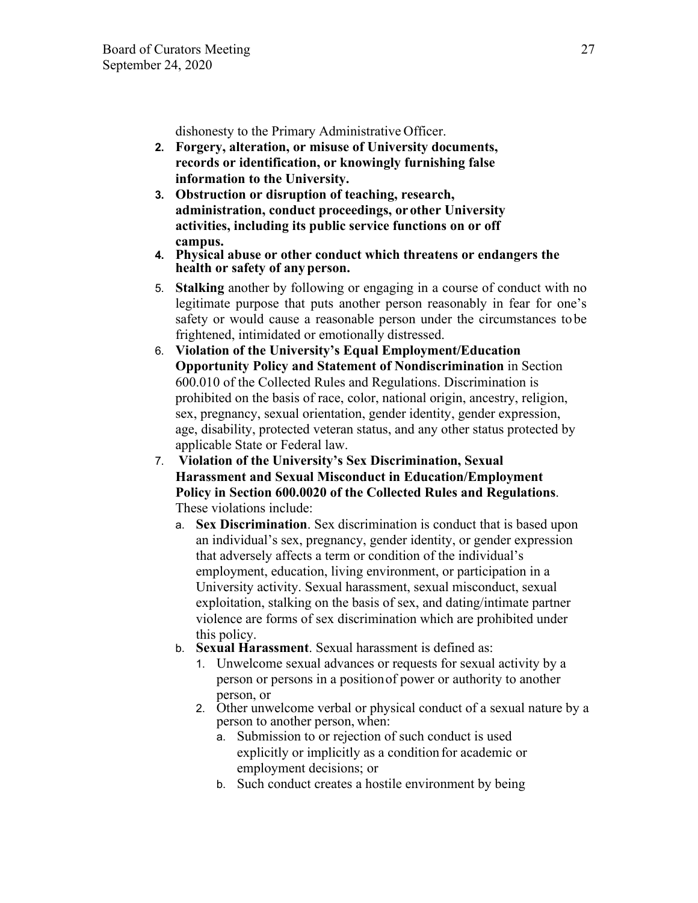dishonesty to the Primary Administrative Officer.

- **2. Forgery, alteration, or misuse of University documents, records or identification, or knowingly furnishing false information to the University.**
- **3. Obstruction or disruption of teaching, research, administration, conduct proceedings, or other University activities, including its public service functions on or off campus.**
- **4. Physical abuse or other conduct which threatens or endangers the health or safety of any person.**
- 5. **Stalking** another by following or engaging in a course of conduct with no legitimate purpose that puts another person reasonably in fear for one's safety or would cause a reasonable person under the circumstances to be frightened, intimidated or emotionally distressed.
- 6. **Violation of the University's Equal Employment/Education Opportunity Policy and Statement of Nondiscrimination** in Section 600.010 of the Collected Rules and Regulations. Discrimination is prohibited on the basis of race, color, national origin, ancestry, religion, sex, pregnancy, sexual orientation, gender identity, gender expression, age, disability, protected veteran status, and any other status protected by applicable State or Federal law.
- 7. **Violation of the University's Sex Discrimination, Sexual Harassment and Sexual Misconduct in Education/Employment Policy in Section 600.0020 of the Collected Rules and Regulations**. These violations include:
	- a. **Sex Discrimination**. Sex discrimination is conduct that is based upon an individual's sex, pregnancy, gender identity, or gender expression that adversely affects a term or condition of the individual's employment, education, living environment, or participation in a University activity. Sexual harassment, sexual misconduct, sexual exploitation, stalking on the basis of sex, and dating/intimate partner violence are forms of sex discrimination which are prohibited under this policy.
	- b. **Sexual Harassment**. Sexual harassment is defined as:
		- 1. Unwelcome sexual advances or requests for sexual activity by a person or persons in a position of power or authority to another person, or
		- 2. Other unwelcome verbal or physical conduct of a sexual nature by a person to another person, when:
			- a. Submission to or rejection of such conduct is used explicitly or implicitly as a condition for academic or employment decisions; or
			- b. Such conduct creates a hostile environment by being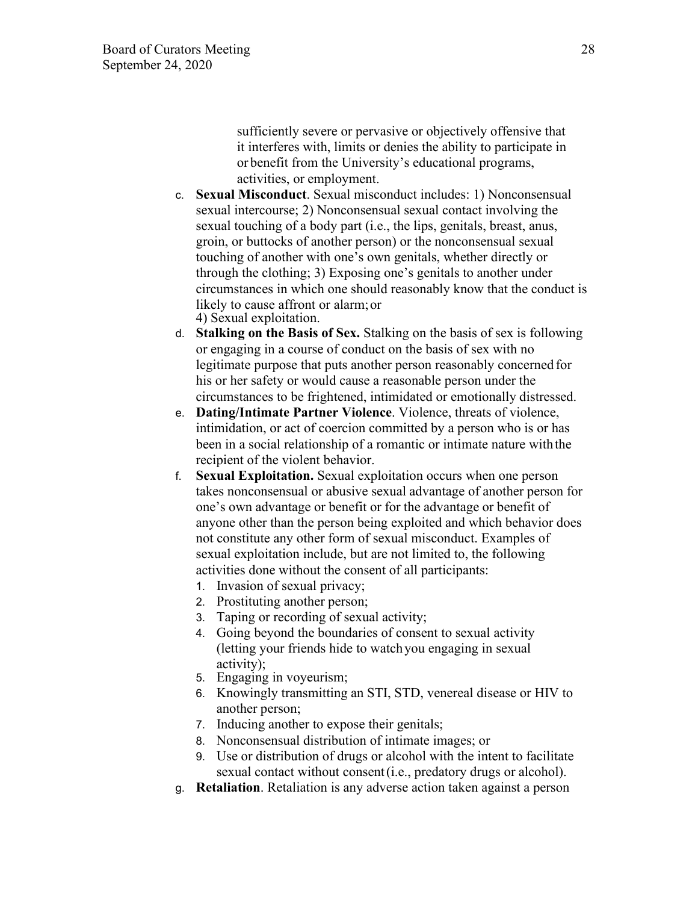sufficiently severe or pervasive or objectively offensive that it interferes with, limits or denies the ability to participate in or benefit from the University's educational programs, activities, or employment.

- c. **Sexual Misconduct**. Sexual misconduct includes: 1) Nonconsensual sexual intercourse; 2) Nonconsensual sexual contact involving the sexual touching of a body part (i.e., the lips, genitals, breast, anus, groin, or buttocks of another person) or the nonconsensual sexual touching of another with one's own genitals, whether directly or through the clothing; 3) Exposing one's genitals to another under circumstances in which one should reasonably know that the conduct is likely to cause affront or alarm; or 4) Sexual exploitation.
- d. **Stalking on the Basis of Sex.** Stalking on the basis of sex is following or engaging in a course of conduct on the basis of sex with no legitimate purpose that puts another person reasonably concerned for his or her safety or would cause a reasonable person under the circumstances to be frightened, intimidated or emotionally distressed.
- e. **Dating/Intimate Partner Violence**. Violence, threats of violence, intimidation, or act of coercion committed by a person who is or has been in a social relationship of a romantic or intimate nature withthe recipient of the violent behavior.
- f. **Sexual Exploitation.** Sexual exploitation occurs when one person takes nonconsensual or abusive sexual advantage of another person for one's own advantage or benefit or for the advantage or benefit of anyone other than the person being exploited and which behavior does not constitute any other form of sexual misconduct. Examples of sexual exploitation include, but are not limited to, the following activities done without the consent of all participants:
	- 1. Invasion of sexual privacy;
	- 2. Prostituting another person;
	- 3. Taping or recording of sexual activity;
	- 4. Going beyond the boundaries of consent to sexual activity (letting your friends hide to watch you engaging in sexual activity);
	- 5. Engaging in voyeurism;
	- 6. Knowingly transmitting an STI, STD, venereal disease or HIV to another person;
	- 7. Inducing another to expose their genitals;
	- 8. Nonconsensual distribution of intimate images; or
	- 9. Use or distribution of drugs or alcohol with the intent to facilitate sexual contact without consent (i.e., predatory drugs or alcohol).
- g. **Retaliation**. Retaliation is any adverse action taken against a person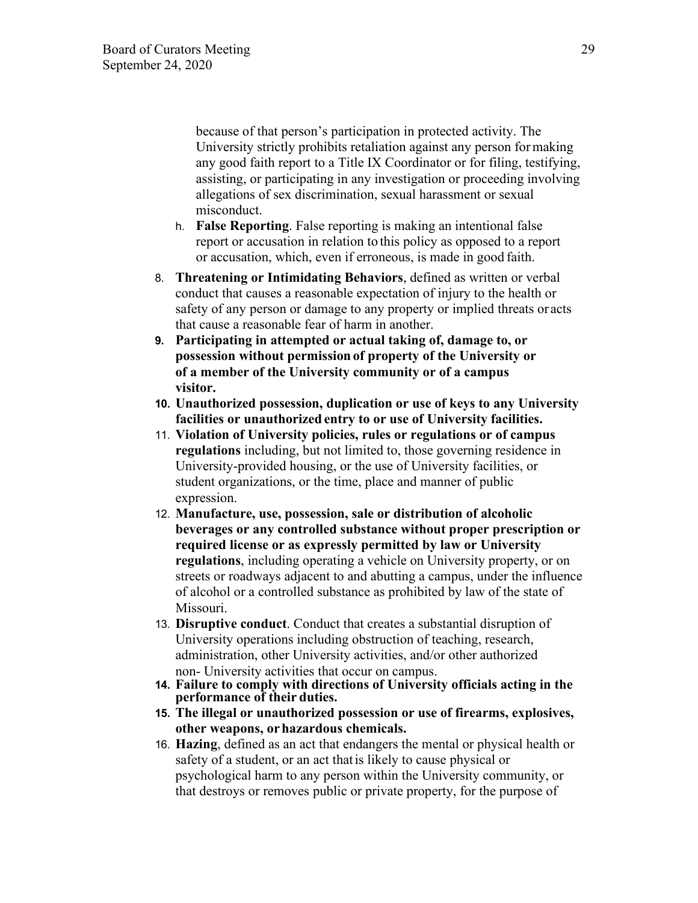because of that person's participation in protected activity. The University strictly prohibits retaliation against any person for making any good faith report to a Title IX Coordinator or for filing, testifying, assisting, or participating in any investigation or proceeding involving allegations of sex discrimination, sexual harassment or sexual misconduct.

- h. **False Reporting**. False reporting is making an intentional false report or accusation in relation to this policy as opposed to a report or accusation, which, even if erroneous, is made in good faith.
- 8. **Threatening or Intimidating Behaviors**, defined as written or verbal conduct that causes a reasonable expectation of injury to the health or safety of any person or damage to any property or implied threats or acts that cause a reasonable fear of harm in another.
- **9. Participating in attempted or actual taking of, damage to, or possession without permission of property of the University or of a member of the University community or of a campus visitor.**
- **10. Unauthorized possession, duplication or use of keys to any University facilities or unauthorized entry to or use of University facilities.**
- 11. **Violation of University policies, rules or regulations or of campus regulations** including, but not limited to, those governing residence in University-provided housing, or the use of University facilities, or student organizations, or the time, place and manner of public expression.
- 12. **Manufacture, use, possession, sale or distribution of alcoholic beverages or any controlled substance without proper prescription or required license or as expressly permitted by law or University regulations**, including operating a vehicle on University property, or on streets or roadways adjacent to and abutting a campus, under the influence of alcohol or a controlled substance as prohibited by law of the state of Missouri.
- 13. **Disruptive conduct**. Conduct that creates a substantial disruption of University operations including obstruction of teaching, research, administration, other University activities, and/or other authorized non- University activities that occur on campus.
- **14. Failure to comply with directions of University officials acting in the performance of their duties.**
- **15. The illegal or unauthorized possession or use of firearms, explosives, other weapons, or hazardous chemicals.**
- 16. **Hazing**, defined as an act that endangers the mental or physical health or safety of a student, or an act that is likely to cause physical or psychological harm to any person within the University community, or that destroys or removes public or private property, for the purpose of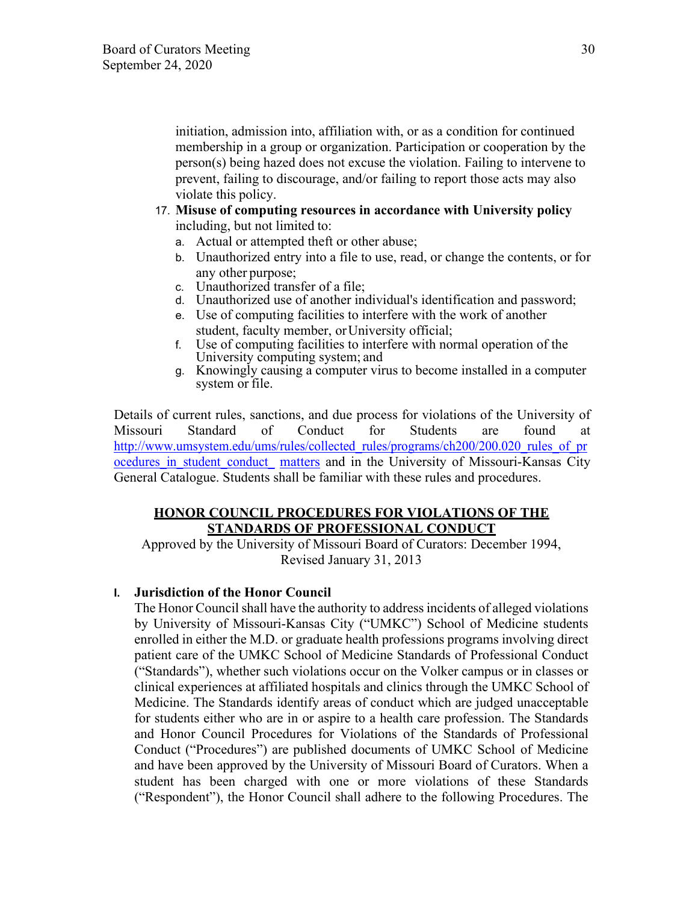initiation, admission into, affiliation with, or as a condition for continued membership in a group or organization. Participation or cooperation by the person(s) being hazed does not excuse the violation. Failing to intervene to prevent, failing to discourage, and/or failing to report those acts may also violate this policy.

- 17. **Misuse of computing resources in accordance with University policy**  including, but not limited to:
	- a. Actual or attempted theft or other abuse;
	- b. Unauthorized entry into a file to use, read, or change the contents, or for any other purpose;
	- c. Unauthorized transfer of a file;
	- d. Unauthorized use of another individual's identification and password;
	- e. Use of computing facilities to interfere with the work of another student, faculty member, or University official;
	- f. Use of computing facilities to interfere with normal operation of the University computing system; and
	- g. Knowingly causing a computer virus to become installed in a computer system or file.

Details of current rules, sanctions, and due process for violations of the University of Missouri Standard of Conduct for Students are found at [http://www.umsystem.edu/ums/rules/collected\\_rules/programs/ch200/200.020\\_rules\\_of\\_pr](http://www.umsystem.edu/ums/rules/collected_rules/programs/ch200/200.020_rules_of_procedures_in_student_conduct_matters) ocedures in student conduct [matters](http://www.umsystem.edu/ums/rules/collected_rules/programs/ch200/200.020_rules_of_procedures_in_student_conduct_matters) and in the University of Missouri-Kansas City General Catalogue. Students shall be familiar with these rules and procedures.

# **HONOR COUNCIL PROCEDURES FOR VIOLATIONS OF THE STANDARDS OF PROFESSIONAL CONDUCT**

Approved by the University of Missouri Board of Curators: December 1994, Revised January 31, 2013

# **I. Jurisdiction of the Honor Council**

The Honor Council shall have the authority to address incidents of alleged violations by University of Missouri-Kansas City ("UMKC") School of Medicine students enrolled in either the M.D. or graduate health professions programs involving direct patient care of the UMKC School of Medicine Standards of Professional Conduct ("Standards"), whether such violations occur on the Volker campus or in classes or clinical experiences at affiliated hospitals and clinics through the UMKC School of Medicine. The Standards identify areas of conduct which are judged unacceptable for students either who are in or aspire to a health care profession. The Standards and Honor Council Procedures for Violations of the Standards of Professional Conduct ("Procedures") are published documents of UMKC School of Medicine and have been approved by the University of Missouri Board of Curators. When a student has been charged with one or more violations of these Standards ("Respondent"), the Honor Council shall adhere to the following Procedures. The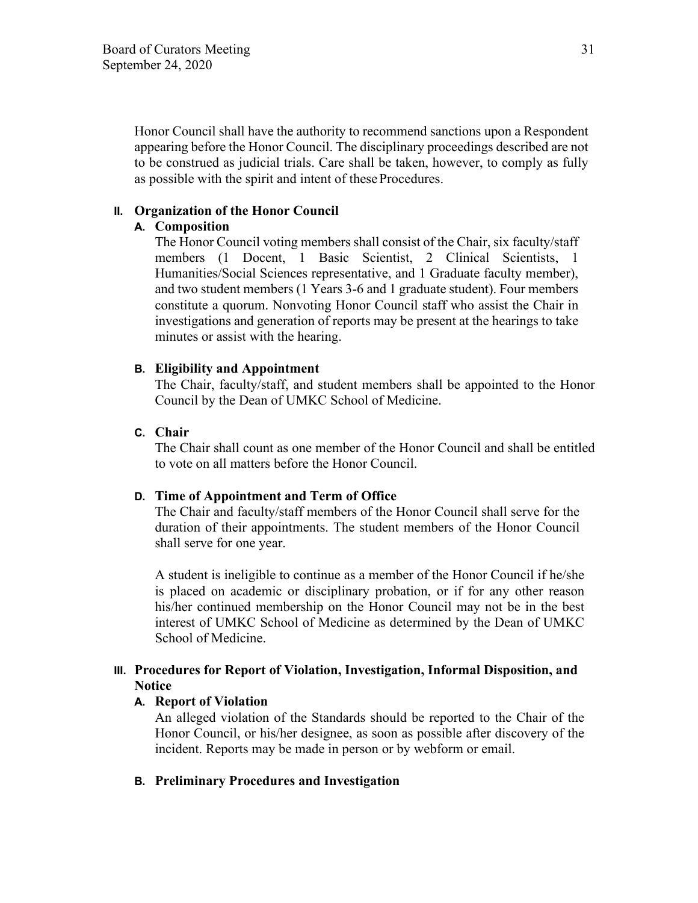Honor Council shall have the authority to recommend sanctions upon a Respondent appearing before the Honor Council. The disciplinary proceedings described are not to be construed as judicial trials. Care shall be taken, however, to comply as fully as possible with the spirit and intent of these Procedures.

### **II. Organization of the Honor Council**

## **A. Composition**

The Honor Council voting members shall consist of the Chair, six faculty/staff members (1 Docent, 1 Basic Scientist, 2 Clinical Scientists, 1 Humanities/Social Sciences representative, and 1 Graduate faculty member), and two student members (1 Years 3-6 and 1 graduate student). Four members constitute a quorum. Nonvoting Honor Council staff who assist the Chair in investigations and generation of reports may be present at the hearings to take minutes or assist with the hearing.

### **B. Eligibility and Appointment**

The Chair, faculty/staff, and student members shall be appointed to the Honor Council by the Dean of UMKC School of Medicine.

## **C. Chair**

The Chair shall count as one member of the Honor Council and shall be entitled to vote on all matters before the Honor Council.

### **D. Time of Appointment and Term of Office**

The Chair and faculty/staff members of the Honor Council shall serve for the duration of their appointments. The student members of the Honor Council shall serve for one year.

A student is ineligible to continue as a member of the Honor Council if he/she is placed on academic or disciplinary probation, or if for any other reason his/her continued membership on the Honor Council may not be in the best interest of UMKC School of Medicine as determined by the Dean of UMKC School of Medicine.

### **III. Procedures for Report of Violation, Investigation, Informal Disposition, and Notice**

## **A. Report of Violation**

An alleged violation of the Standards should be reported to the Chair of the Honor Council, or his/her designee, as soon as possible after discovery of the incident. Reports may be made in person or by webform or email.

### **B. Preliminary Procedures and Investigation**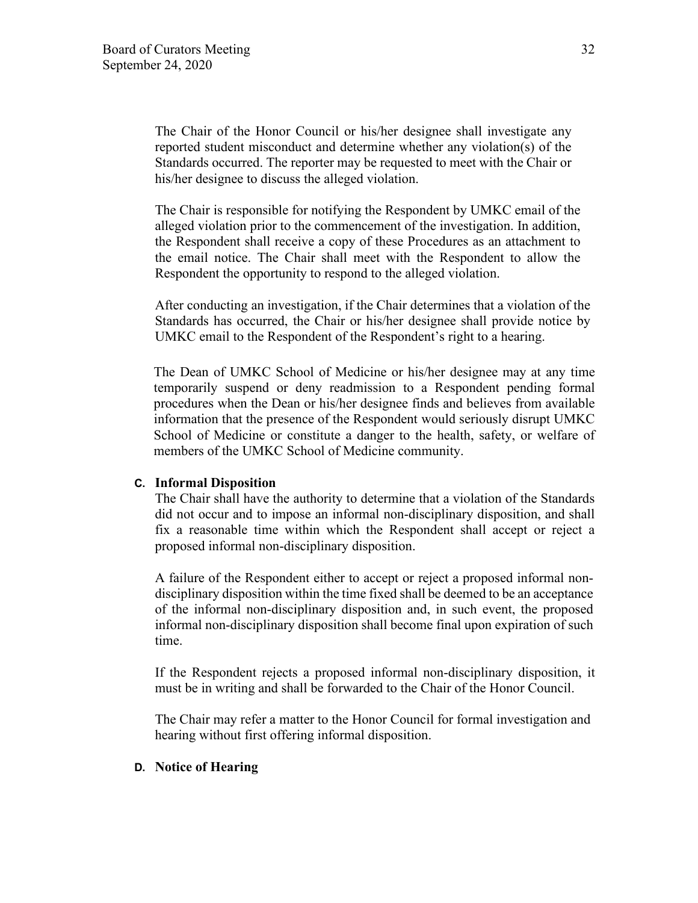The Chair of the Honor Council or his/her designee shall investigate any reported student misconduct and determine whether any violation(s) of the Standards occurred. The reporter may be requested to meet with the Chair or his/her designee to discuss the alleged violation.

The Chair is responsible for notifying the Respondent by UMKC email of the alleged violation prior to the commencement of the investigation. In addition, the Respondent shall receive a copy of these Procedures as an attachment to the email notice. The Chair shall meet with the Respondent to allow the Respondent the opportunity to respond to the alleged violation.

After conducting an investigation, if the Chair determines that a violation of the Standards has occurred, the Chair or his/her designee shall provide notice by UMKC email to the Respondent of the Respondent's right to a hearing.

The Dean of UMKC School of Medicine or his/her designee may at any time temporarily suspend or deny readmission to a Respondent pending formal procedures when the Dean or his/her designee finds and believes from available information that the presence of the Respondent would seriously disrupt UMKC School of Medicine or constitute a danger to the health, safety, or welfare of members of the UMKC School of Medicine community.

### **C. Informal Disposition**

The Chair shall have the authority to determine that a violation of the Standards did not occur and to impose an informal non-disciplinary disposition, and shall fix a reasonable time within which the Respondent shall accept or reject a proposed informal non-disciplinary disposition.

A failure of the Respondent either to accept or reject a proposed informal nondisciplinary disposition within the time fixed shall be deemed to be an acceptance of the informal non-disciplinary disposition and, in such event, the proposed informal non-disciplinary disposition shall become final upon expiration of such time.

If the Respondent rejects a proposed informal non-disciplinary disposition, it must be in writing and shall be forwarded to the Chair of the Honor Council.

The Chair may refer a matter to the Honor Council for formal investigation and hearing without first offering informal disposition.

#### **D. Notice of Hearing**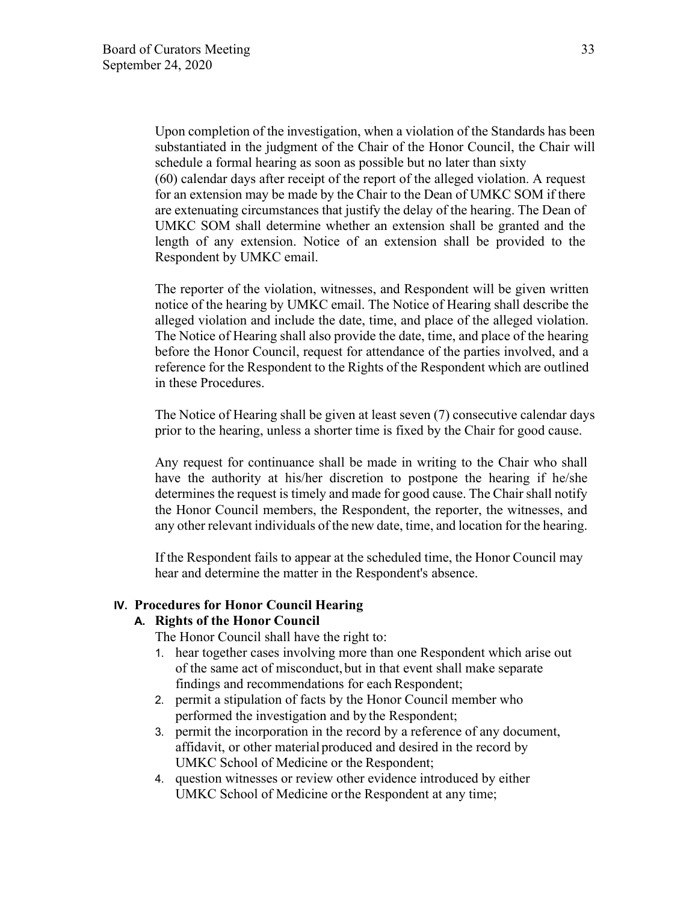Upon completion of the investigation, when a violation of the Standards has been substantiated in the judgment of the Chair of the Honor Council, the Chair will schedule a formal hearing as soon as possible but no later than sixty (60) calendar days after receipt of the report of the alleged violation. A request for an extension may be made by the Chair to the Dean of UMKC SOM if there are extenuating circumstances that justify the delay of the hearing. The Dean of UMKC SOM shall determine whether an extension shall be granted and the length of any extension. Notice of an extension shall be provided to the Respondent by UMKC email.

The reporter of the violation, witnesses, and Respondent will be given written notice of the hearing by UMKC email. The Notice of Hearing shall describe the alleged violation and include the date, time, and place of the alleged violation. The Notice of Hearing shall also provide the date, time, and place of the hearing before the Honor Council, request for attendance of the parties involved, and a reference for the Respondent to the Rights of the Respondent which are outlined in these Procedures.

The Notice of Hearing shall be given at least seven (7) consecutive calendar days prior to the hearing, unless a shorter time is fixed by the Chair for good cause.

Any request for continuance shall be made in writing to the Chair who shall have the authority at his/her discretion to postpone the hearing if he/she determines the request is timely and made for good cause. The Chair shall notify the Honor Council members, the Respondent, the reporter, the witnesses, and any other relevant individuals of the new date, time, and location for the hearing.

If the Respondent fails to appear at the scheduled time, the Honor Council may hear and determine the matter in the Respondent's absence.

### **IV. Procedures for Honor Council Hearing**

### **A. Rights of the Honor Council**

The Honor Council shall have the right to:

- 1. hear together cases involving more than one Respondent which arise out of the same act of misconduct, but in that event shall make separate findings and recommendations for each Respondent;
- 2. permit a stipulation of facts by the Honor Council member who performed the investigation and by the Respondent;
- 3. permit the incorporation in the record by a reference of any document, affidavit, or other material produced and desired in the record by UMKC School of Medicine or the Respondent;
- 4. question witnesses or review other evidence introduced by either UMKC School of Medicine or the Respondent at any time;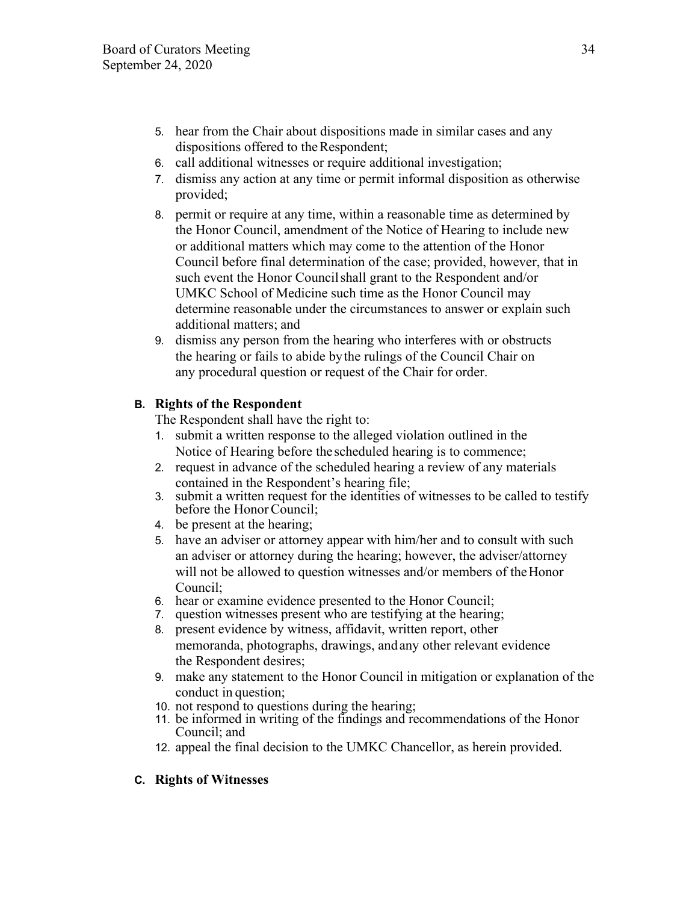- 5. hear from the Chair about dispositions made in similar cases and any dispositions offered to the Respondent;
- 6. call additional witnesses or require additional investigation;
- 7. dismiss any action at any time or permit informal disposition as otherwise provided;
- 8. permit or require at any time, within a reasonable time as determined by the Honor Council, amendment of the Notice of Hearing to include new or additional matters which may come to the attention of the Honor Council before final determination of the case; provided, however, that in such event the Honor Council shall grant to the Respondent and/or UMKC School of Medicine such time as the Honor Council may determine reasonable under the circumstances to answer or explain such additional matters; and
- 9. dismiss any person from the hearing who interferes with or obstructs the hearing or fails to abide by the rulings of the Council Chair on any procedural question or request of the Chair for order.

# **B. Rights of the Respondent**

The Respondent shall have the right to:

- 1. submit a written response to the alleged violation outlined in the Notice of Hearing before the scheduled hearing is to commence;
- 2. request in advance of the scheduled hearing a review of any materials contained in the Respondent's hearing file;
- 3. submit a written request for the identities of witnesses to be called to testify before the Honor Council;
- 4. be present at the hearing;
- 5. have an adviser or attorney appear with him/her and to consult with such an adviser or attorney during the hearing; however, the adviser/attorney will not be allowed to question witnesses and/or members of the Honor Council;
- 6. hear or examine evidence presented to the Honor Council;
- 7. question witnesses present who are testifying at the hearing;
- 8. present evidence by witness, affidavit, written report, other memoranda, photographs, drawings, and any other relevant evidence the Respondent desires;
- 9. make any statement to the Honor Council in mitigation or explanation of the conduct in question;
- 10. not respond to questions during the hearing;
- 11. be informed in writing of the findings and recommendations of the Honor Council; and
- 12. appeal the final decision to the UMKC Chancellor, as herein provided.

# **C. Rights of Witnesses**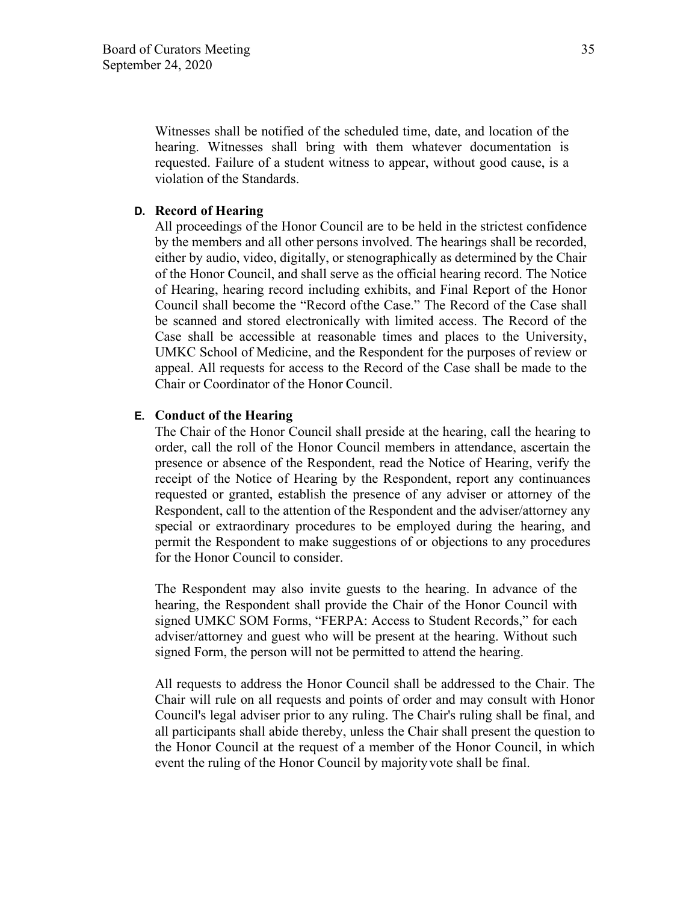Witnesses shall be notified of the scheduled time, date, and location of the hearing. Witnesses shall bring with them whatever documentation is requested. Failure of a student witness to appear, without good cause, is a violation of the Standards.

#### **D. Record of Hearing**

All proceedings of the Honor Council are to be held in the strictest confidence by the members and all other persons involved. The hearings shall be recorded, either by audio, video, digitally, or stenographically as determined by the Chair of the Honor Council, and shall serve as the official hearing record. The Notice of Hearing, hearing record including exhibits, and Final Report of the Honor Council shall become the "Record ofthe Case." The Record of the Case shall be scanned and stored electronically with limited access. The Record of the Case shall be accessible at reasonable times and places to the University, UMKC School of Medicine, and the Respondent for the purposes of review or appeal. All requests for access to the Record of the Case shall be made to the Chair or Coordinator of the Honor Council.

#### **E. Conduct of the Hearing**

The Chair of the Honor Council shall preside at the hearing, call the hearing to order, call the roll of the Honor Council members in attendance, ascertain the presence or absence of the Respondent, read the Notice of Hearing, verify the receipt of the Notice of Hearing by the Respondent, report any continuances requested or granted, establish the presence of any adviser or attorney of the Respondent, call to the attention of the Respondent and the adviser/attorney any special or extraordinary procedures to be employed during the hearing, and permit the Respondent to make suggestions of or objections to any procedures for the Honor Council to consider.

The Respondent may also invite guests to the hearing. In advance of the hearing, the Respondent shall provide the Chair of the Honor Council with signed UMKC SOM Forms, "FERPA: Access to Student Records," for each adviser/attorney and guest who will be present at the hearing. Without such signed Form, the person will not be permitted to attend the hearing.

All requests to address the Honor Council shall be addressed to the Chair. The Chair will rule on all requests and points of order and may consult with Honor Council's legal adviser prior to any ruling. The Chair's ruling shall be final, and all participants shall abide thereby, unless the Chair shall present the question to the Honor Council at the request of a member of the Honor Council, in which event the ruling of the Honor Council by majority vote shall be final.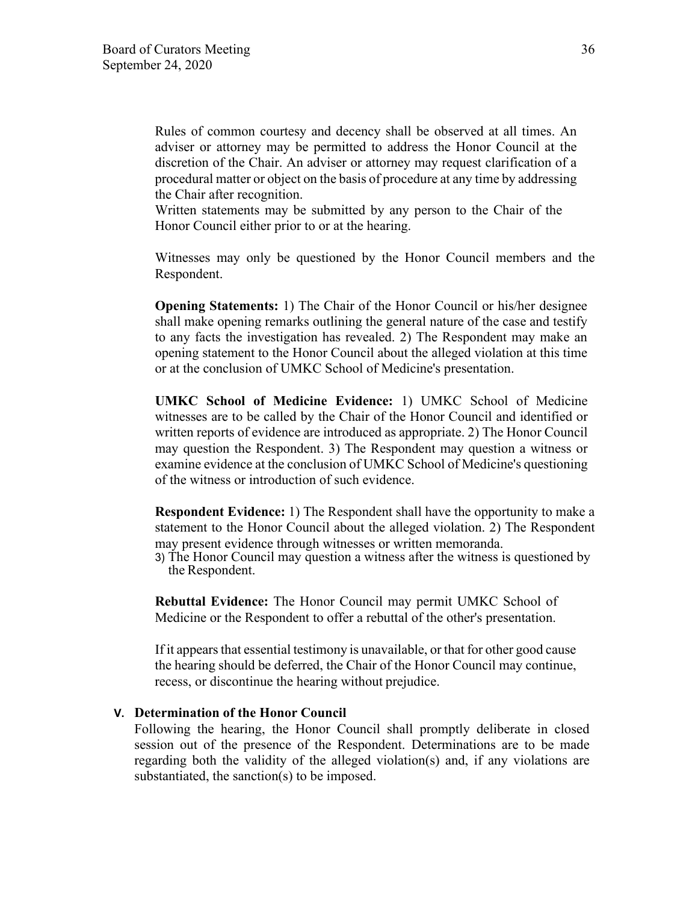Rules of common courtesy and decency shall be observed at all times. An adviser or attorney may be permitted to address the Honor Council at the discretion of the Chair. An adviser or attorney may request clarification of a procedural matter or object on the basis of procedure at any time by addressing the Chair after recognition.

Written statements may be submitted by any person to the Chair of the Honor Council either prior to or at the hearing.

Witnesses may only be questioned by the Honor Council members and the Respondent.

**Opening Statements:** 1) The Chair of the Honor Council or his/her designee shall make opening remarks outlining the general nature of the case and testify to any facts the investigation has revealed. 2) The Respondent may make an opening statement to the Honor Council about the alleged violation at this time or at the conclusion of UMKC School of Medicine's presentation.

**UMKC School of Medicine Evidence:** 1) UMKC School of Medicine witnesses are to be called by the Chair of the Honor Council and identified or written reports of evidence are introduced as appropriate. 2) The Honor Council may question the Respondent. 3) The Respondent may question a witness or examine evidence at the conclusion of UMKC School of Medicine's questioning of the witness or introduction of such evidence.

**Respondent Evidence:** 1) The Respondent shall have the opportunity to make a statement to the Honor Council about the alleged violation. 2) The Respondent may present evidence through witnesses or written memoranda.

3) The Honor Council may question a witness after the witness is questioned by the Respondent.

**Rebuttal Evidence:** The Honor Council may permit UMKC School of Medicine or the Respondent to offer a rebuttal of the other's presentation.

If it appears that essential testimony is unavailable, or that for other good cause the hearing should be deferred, the Chair of the Honor Council may continue, recess, or discontinue the hearing without prejudice.

#### **V. Determination of the Honor Council**

Following the hearing, the Honor Council shall promptly deliberate in closed session out of the presence of the Respondent. Determinations are to be made regarding both the validity of the alleged violation(s) and, if any violations are substantiated, the sanction(s) to be imposed.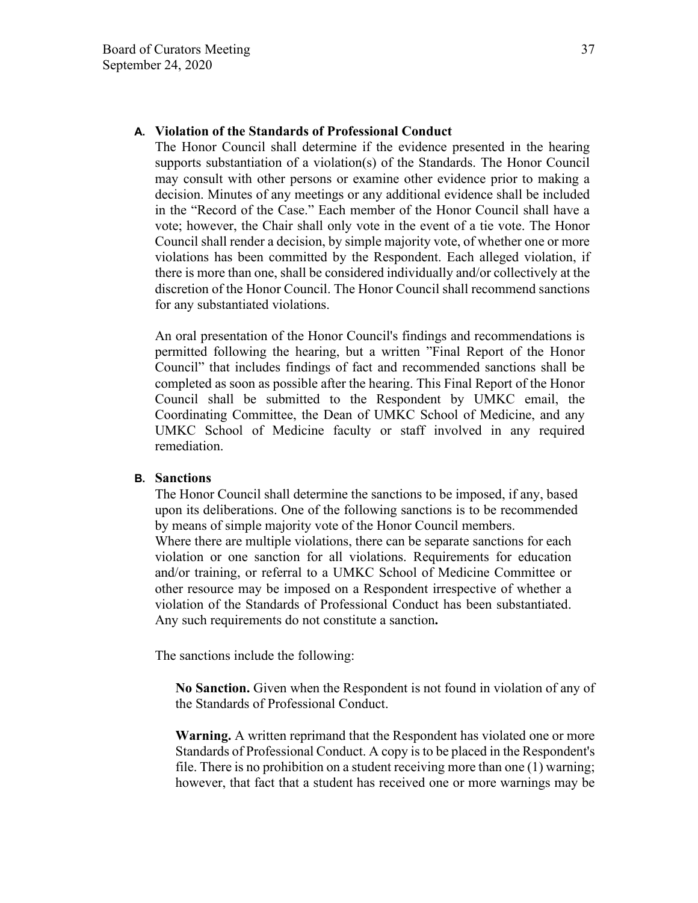## **A. Violation of the Standards of Professional Conduct**

The Honor Council shall determine if the evidence presented in the hearing supports substantiation of a violation(s) of the Standards. The Honor Council may consult with other persons or examine other evidence prior to making a decision. Minutes of any meetings or any additional evidence shall be included in the "Record of the Case." Each member of the Honor Council shall have a vote; however, the Chair shall only vote in the event of a tie vote. The Honor Council shall render a decision, by simple majority vote, of whether one or more violations has been committed by the Respondent. Each alleged violation, if there is more than one, shall be considered individually and/or collectively at the discretion of the Honor Council. The Honor Council shall recommend sanctions for any substantiated violations.

An oral presentation of the Honor Council's findings and recommendations is permitted following the hearing, but a written "Final Report of the Honor Council" that includes findings of fact and recommended sanctions shall be completed as soon as possible after the hearing. This Final Report of the Honor Council shall be submitted to the Respondent by UMKC email, the Coordinating Committee, the Dean of UMKC School of Medicine, and any UMKC School of Medicine faculty or staff involved in any required remediation.

#### **B. Sanctions**

The Honor Council shall determine the sanctions to be imposed, if any, based upon its deliberations. One of the following sanctions is to be recommended by means of simple majority vote of the Honor Council members. Where there are multiple violations, there can be separate sanctions for each violation or one sanction for all violations. Requirements for education and/or training, or referral to a UMKC School of Medicine Committee or other resource may be imposed on a Respondent irrespective of whether a violation of the Standards of Professional Conduct has been substantiated. Any such requirements do not constitute a sanction**.** 

The sanctions include the following:

**No Sanction.** Given when the Respondent is not found in violation of any of the Standards of Professional Conduct.

**Warning.** A written reprimand that the Respondent has violated one or more Standards of Professional Conduct. A copy is to be placed in the Respondent's file. There is no prohibition on a student receiving more than one (1) warning; however, that fact that a student has received one or more warnings may be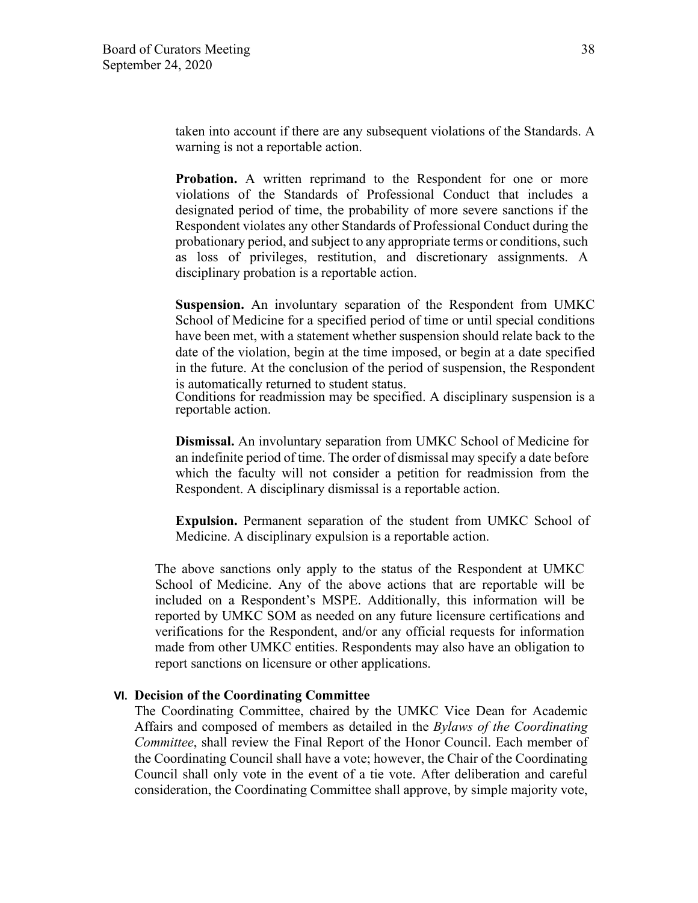taken into account if there are any subsequent violations of the Standards. A warning is not a reportable action.

**Probation.** A written reprimand to the Respondent for one or more violations of the Standards of Professional Conduct that includes a designated period of time, the probability of more severe sanctions if the Respondent violates any other Standards of Professional Conduct during the probationary period, and subject to any appropriate terms or conditions, such as loss of privileges, restitution, and discretionary assignments. A disciplinary probation is a reportable action.

**Suspension.** An involuntary separation of the Respondent from UMKC School of Medicine for a specified period of time or until special conditions have been met, with a statement whether suspension should relate back to the date of the violation, begin at the time imposed, or begin at a date specified in the future. At the conclusion of the period of suspension, the Respondent is automatically returned to student status.

Conditions for readmission may be specified. A disciplinary suspension is a reportable action.

**Dismissal.** An involuntary separation from UMKC School of Medicine for an indefinite period of time. The order of dismissal may specify a date before which the faculty will not consider a petition for readmission from the Respondent. A disciplinary dismissal is a reportable action.

**Expulsion.** Permanent separation of the student from UMKC School of Medicine. A disciplinary expulsion is a reportable action.

The above sanctions only apply to the status of the Respondent at UMKC School of Medicine. Any of the above actions that are reportable will be included on a Respondent's MSPE. Additionally, this information will be reported by UMKC SOM as needed on any future licensure certifications and verifications for the Respondent, and/or any official requests for information made from other UMKC entities. Respondents may also have an obligation to report sanctions on licensure or other applications.

#### **VI. Decision of the Coordinating Committee**

The Coordinating Committee, chaired by the UMKC Vice Dean for Academic Affairs and composed of members as detailed in the *Bylaws of the Coordinating Committee*, shall review the Final Report of the Honor Council. Each member of the Coordinating Council shall have a vote; however, the Chair of the Coordinating Council shall only vote in the event of a tie vote. After deliberation and careful consideration, the Coordinating Committee shall approve, by simple majority vote,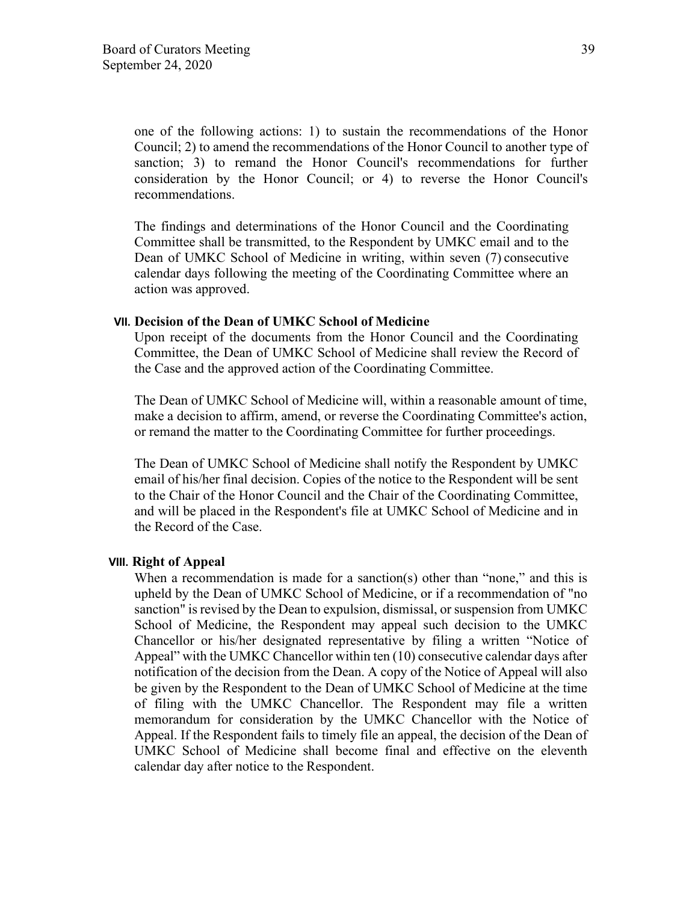one of the following actions: 1) to sustain the recommendations of the Honor Council; 2) to amend the recommendations of the Honor Council to another type of sanction; 3) to remand the Honor Council's recommendations for further consideration by the Honor Council; or 4) to reverse the Honor Council's recommendations.

The findings and determinations of the Honor Council and the Coordinating Committee shall be transmitted, to the Respondent by UMKC email and to the Dean of UMKC School of Medicine in writing, within seven (7) consecutive calendar days following the meeting of the Coordinating Committee where an action was approved.

## **VII. Decision of the Dean of UMKC School of Medicine**

Upon receipt of the documents from the Honor Council and the Coordinating Committee, the Dean of UMKC School of Medicine shall review the Record of the Case and the approved action of the Coordinating Committee.

The Dean of UMKC School of Medicine will, within a reasonable amount of time, make a decision to affirm, amend, or reverse the Coordinating Committee's action, or remand the matter to the Coordinating Committee for further proceedings.

The Dean of UMKC School of Medicine shall notify the Respondent by UMKC email of his/her final decision. Copies of the notice to the Respondent will be sent to the Chair of the Honor Council and the Chair of the Coordinating Committee, and will be placed in the Respondent's file at UMKC School of Medicine and in the Record of the Case.

## **VIII. Right of Appeal**

When a recommendation is made for a sanction(s) other than "none," and this is upheld by the Dean of UMKC School of Medicine, or if a recommendation of "no sanction" is revised by the Dean to expulsion, dismissal, or suspension from UMKC School of Medicine, the Respondent may appeal such decision to the UMKC Chancellor or his/her designated representative by filing a written "Notice of Appeal" with the UMKC Chancellor within ten (10) consecutive calendar days after notification of the decision from the Dean. A copy of the Notice of Appeal will also be given by the Respondent to the Dean of UMKC School of Medicine at the time of filing with the UMKC Chancellor. The Respondent may file a written memorandum for consideration by the UMKC Chancellor with the Notice of Appeal. If the Respondent fails to timely file an appeal, the decision of the Dean of UMKC School of Medicine shall become final and effective on the eleventh calendar day after notice to the Respondent.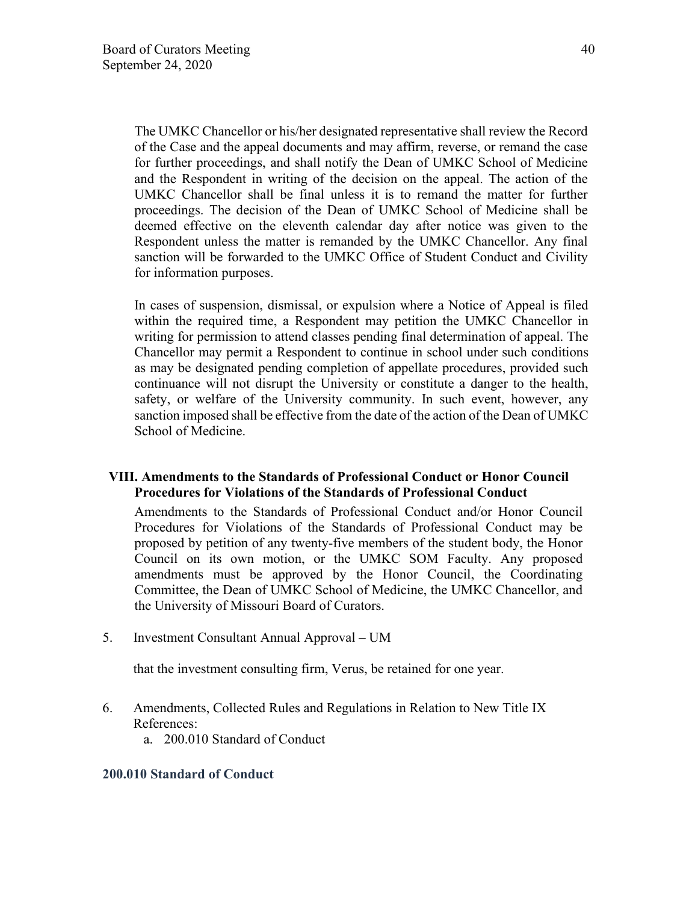The UMKC Chancellor or his/her designated representative shall review the Record of the Case and the appeal documents and may affirm, reverse, or remand the case for further proceedings, and shall notify the Dean of UMKC School of Medicine and the Respondent in writing of the decision on the appeal. The action of the UMKC Chancellor shall be final unless it is to remand the matter for further proceedings. The decision of the Dean of UMKC School of Medicine shall be deemed effective on the eleventh calendar day after notice was given to the Respondent unless the matter is remanded by the UMKC Chancellor. Any final sanction will be forwarded to the UMKC Office of Student Conduct and Civility for information purposes.

In cases of suspension, dismissal, or expulsion where a Notice of Appeal is filed within the required time, a Respondent may petition the UMKC Chancellor in writing for permission to attend classes pending final determination of appeal. The Chancellor may permit a Respondent to continue in school under such conditions as may be designated pending completion of appellate procedures, provided such continuance will not disrupt the University or constitute a danger to the health, safety, or welfare of the University community. In such event, however, any sanction imposed shall be effective from the date of the action of the Dean of UMKC School of Medicine.

## **VIII. Amendments to the Standards of Professional Conduct or Honor Council Procedures for Violations of the Standards of Professional Conduct**

Amendments to the Standards of Professional Conduct and/or Honor Council Procedures for Violations of the Standards of Professional Conduct may be proposed by petition of any twenty-five members of the student body, the Honor Council on its own motion, or the UMKC SOM Faculty. Any proposed amendments must be approved by the Honor Council, the Coordinating Committee, the Dean of UMKC School of Medicine, the UMKC Chancellor, and the University of Missouri Board of Curators.

5. Investment Consultant Annual Approval – UM

that the investment consulting firm, Verus, be retained for one year.

- 6. Amendments, Collected Rules and Regulations in Relation to New Title IX References:
	- a. 200.010 Standard of Conduct

#### **200.010 Standard of Conduct**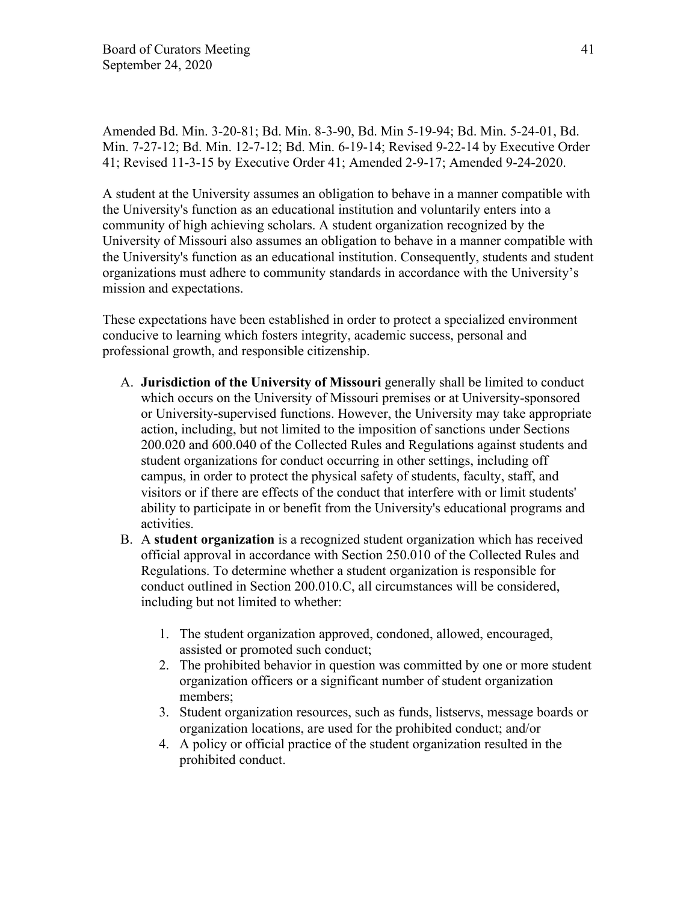Amended Bd. Min. 3-20-81; Bd. Min. 8-3-90, Bd. Min 5-19-94; Bd. Min. 5-24-01, Bd. Min. 7-27-12; Bd. Min. 12-7-12; Bd. Min. 6-19-14; Revised 9-22-14 by Executive Order 41; Revised 11-3-15 by Executive Order 41; Amended 2-9-17; Amended 9-24-2020.

A student at the University assumes an obligation to behave in a manner compatible with the University's function as an educational institution and voluntarily enters into a community of high achieving scholars. A student organization recognized by the University of Missouri also assumes an obligation to behave in a manner compatible with the University's function as an educational institution. Consequently, students and student organizations must adhere to community standards in accordance with the University's mission and expectations.

These expectations have been established in order to protect a specialized environment conducive to learning which fosters integrity, academic success, personal and professional growth, and responsible citizenship.

- A. **Jurisdiction of the University of Missouri** generally shall be limited to conduct which occurs on the University of Missouri premises or at University-sponsored or University-supervised functions. However, the University may take appropriate action, including, but not limited to the imposition of sanctions under Sections 200.020 and 600.040 of the Collected Rules and Regulations against students and student organizations for conduct occurring in other settings, including off campus, in order to protect the physical safety of students, faculty, staff, and visitors or if there are effects of the conduct that interfere with or limit students' ability to participate in or benefit from the University's educational programs and activities.
- B. A **student organization** is a recognized student organization which has received official approval in accordance with Section 250.010 of the Collected Rules and Regulations. To determine whether a student organization is responsible for conduct outlined in Section 200.010.C, all circumstances will be considered, including but not limited to whether:
	- 1. The student organization approved, condoned, allowed, encouraged, assisted or promoted such conduct;
	- 2. The prohibited behavior in question was committed by one or more student organization officers or a significant number of student organization members;
	- 3. Student organization resources, such as funds, listservs, message boards or organization locations, are used for the prohibited conduct; and/or
	- 4. A policy or official practice of the student organization resulted in the prohibited conduct.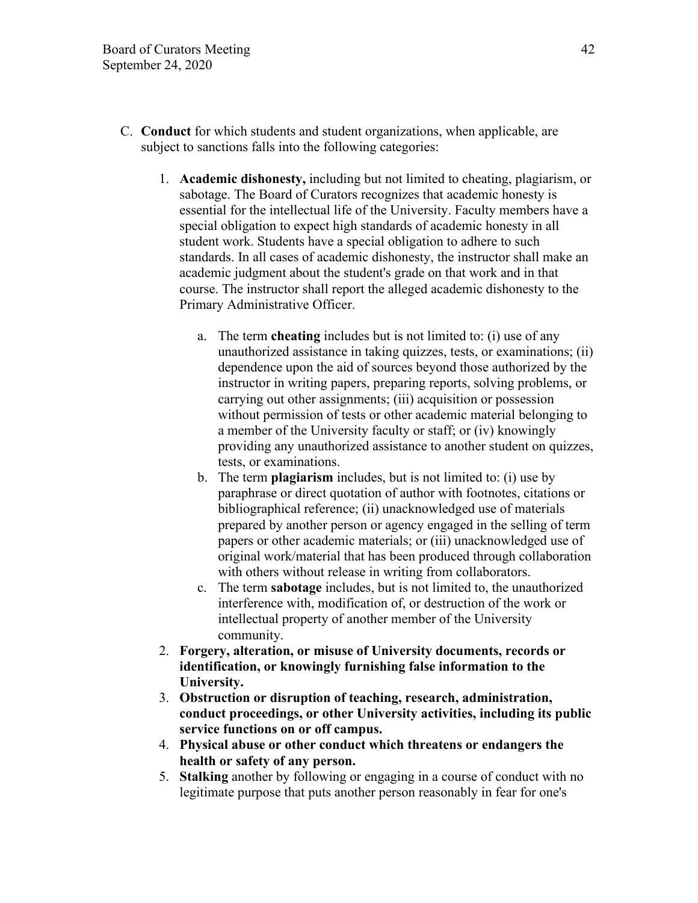- C. **Conduct** for which students and student organizations, when applicable, are subject to sanctions falls into the following categories:
	- 1. **Academic dishonesty,** including but not limited to cheating, plagiarism, or sabotage. The Board of Curators recognizes that academic honesty is essential for the intellectual life of the University. Faculty members have a special obligation to expect high standards of academic honesty in all student work. Students have a special obligation to adhere to such standards. In all cases of academic dishonesty, the instructor shall make an academic judgment about the student's grade on that work and in that course. The instructor shall report the alleged academic dishonesty to the Primary Administrative Officer.
		- a. The term **cheating** includes but is not limited to: (i) use of any unauthorized assistance in taking quizzes, tests, or examinations; (ii) dependence upon the aid of sources beyond those authorized by the instructor in writing papers, preparing reports, solving problems, or carrying out other assignments; (iii) acquisition or possession without permission of tests or other academic material belonging to a member of the University faculty or staff; or (iv) knowingly providing any unauthorized assistance to another student on quizzes, tests, or examinations.
		- b. The term **plagiarism** includes, but is not limited to: (i) use by paraphrase or direct quotation of author with footnotes, citations or bibliographical reference; (ii) unacknowledged use of materials prepared by another person or agency engaged in the selling of term papers or other academic materials; or (iii) unacknowledged use of original work/material that has been produced through collaboration with others without release in writing from collaborators.
		- c. The term **sabotage** includes, but is not limited to, the unauthorized interference with, modification of, or destruction of the work or intellectual property of another member of the University community.
	- 2. **Forgery, alteration, or misuse of University documents, records or identification, or knowingly furnishing false information to the University.**
	- 3. **Obstruction or disruption of teaching, research, administration, conduct proceedings, or other University activities, including its public service functions on or off campus.**
	- 4. **Physical abuse or other conduct which threatens or endangers the health or safety of any person.**
	- 5. **Stalking** another by following or engaging in a course of conduct with no legitimate purpose that puts another person reasonably in fear for one's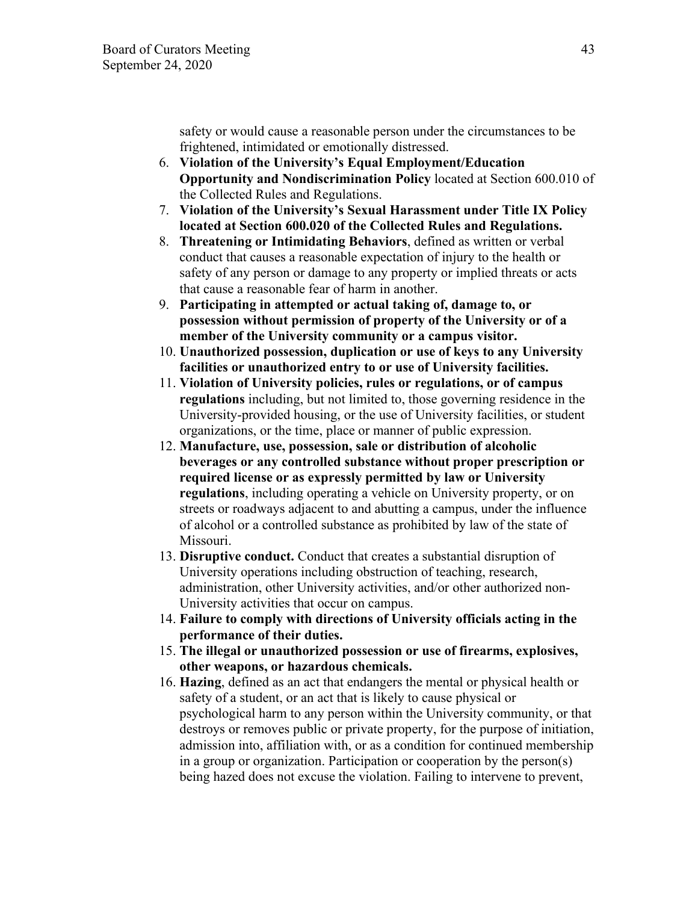safety or would cause a reasonable person under the circumstances to be frightened, intimidated or emotionally distressed.

- 6. **Violation of the University's Equal Employment/Education Opportunity and Nondiscrimination Policy** located at Section 600.010 of the Collected Rules and Regulations.
- 7. **Violation of the University's Sexual Harassment under Title IX Policy located at Section 600.020 of the Collected Rules and Regulations.**
- 8. **Threatening or Intimidating Behaviors**, defined as written or verbal conduct that causes a reasonable expectation of injury to the health or safety of any person or damage to any property or implied threats or acts that cause a reasonable fear of harm in another.
- 9. **Participating in attempted or actual taking of, damage to, or possession without permission of property of the University or of a member of the University community or a campus visitor.**
- 10. **Unauthorized possession, duplication or use of keys to any University facilities or unauthorized entry to or use of University facilities.**
- 11. **Violation of University policies, rules or regulations, or of campus regulations** including, but not limited to, those governing residence in the University-provided housing, or the use of University facilities, or student organizations, or the time, place or manner of public expression.
- 12. **Manufacture, use, possession, sale or distribution of alcoholic beverages or any controlled substance without proper prescription or required license or as expressly permitted by law or University regulations**, including operating a vehicle on University property, or on streets or roadways adjacent to and abutting a campus, under the influence of alcohol or a controlled substance as prohibited by law of the state of Missouri.
- 13. **Disruptive conduct.** Conduct that creates a substantial disruption of University operations including obstruction of teaching, research, administration, other University activities, and/or other authorized non-University activities that occur on campus.
- 14. **Failure to comply with directions of University officials acting in the performance of their duties.**
- 15. **The illegal or unauthorized possession or use of firearms, explosives, other weapons, or hazardous chemicals.**
- 16. **Hazing**, defined as an act that endangers the mental or physical health or safety of a student, or an act that is likely to cause physical or psychological harm to any person within the University community, or that destroys or removes public or private property, for the purpose of initiation, admission into, affiliation with, or as a condition for continued membership in a group or organization. Participation or cooperation by the person(s) being hazed does not excuse the violation. Failing to intervene to prevent,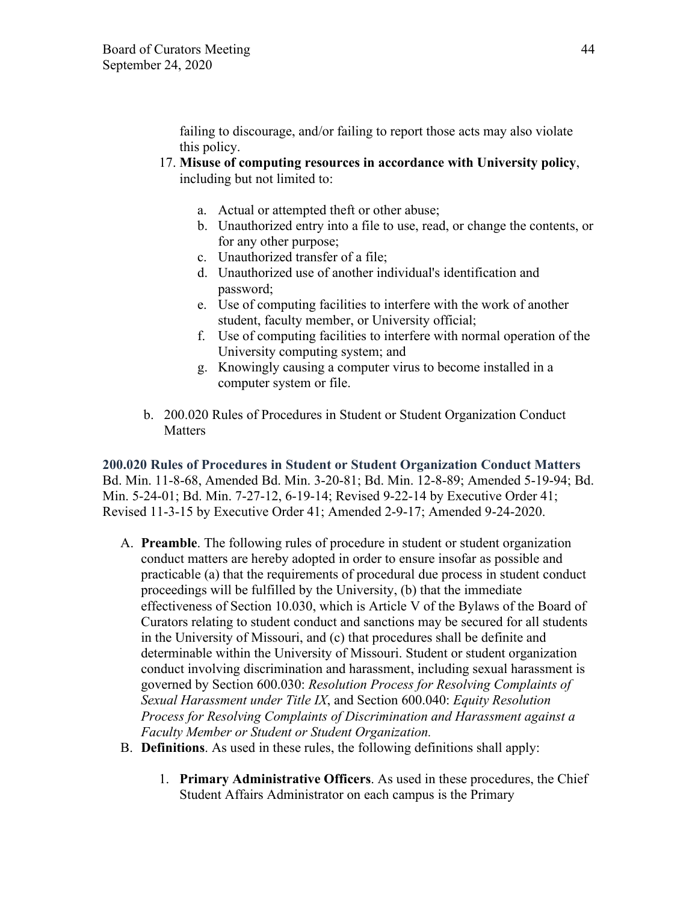failing to discourage, and/or failing to report those acts may also violate this policy.

- 17. **Misuse of computing resources in accordance with University policy**, including but not limited to:
	- a. Actual or attempted theft or other abuse;
	- b. Unauthorized entry into a file to use, read, or change the contents, or for any other purpose;
	- c. Unauthorized transfer of a file;
	- d. Unauthorized use of another individual's identification and password;
	- e. Use of computing facilities to interfere with the work of another student, faculty member, or University official;
	- f. Use of computing facilities to interfere with normal operation of the University computing system; and
	- g. Knowingly causing a computer virus to become installed in a computer system or file.
- b. 200.020 Rules of Procedures in Student or Student Organization Conduct **Matters**

**200.020 Rules of Procedures in Student or Student Organization Conduct Matters** Bd. Min. 11-8-68, Amended Bd. Min. 3-20-81; Bd. Min. 12-8-89; Amended 5-19-94; Bd. Min. 5-24-01; Bd. Min. 7-27-12, 6-19-14; Revised 9-22-14 by Executive Order 41; Revised 11-3-15 by Executive Order 41; Amended 2-9-17; Amended 9-24-2020.

- A. **Preamble**. The following rules of procedure in student or student organization conduct matters are hereby adopted in order to ensure insofar as possible and practicable (a) that the requirements of procedural due process in student conduct proceedings will be fulfilled by the University, (b) that the immediate effectiveness of Section 10.030, which is Article V of the Bylaws of the Board of Curators relating to student conduct and sanctions may be secured for all students in the University of Missouri, and (c) that procedures shall be definite and determinable within the University of Missouri. Student or student organization conduct involving discrimination and harassment, including sexual harassment is governed by Section 600.030: *Resolution Process for Resolving Complaints of Sexual Harassment under Title IX*, and Section 600.040: *Equity Resolution Process for Resolving Complaints of Discrimination and Harassment against a Faculty Member or Student or Student Organization.*
- B. **Definitions**. As used in these rules, the following definitions shall apply:
	- 1. **Primary Administrative Officers**. As used in these procedures, the Chief Student Affairs Administrator on each campus is the Primary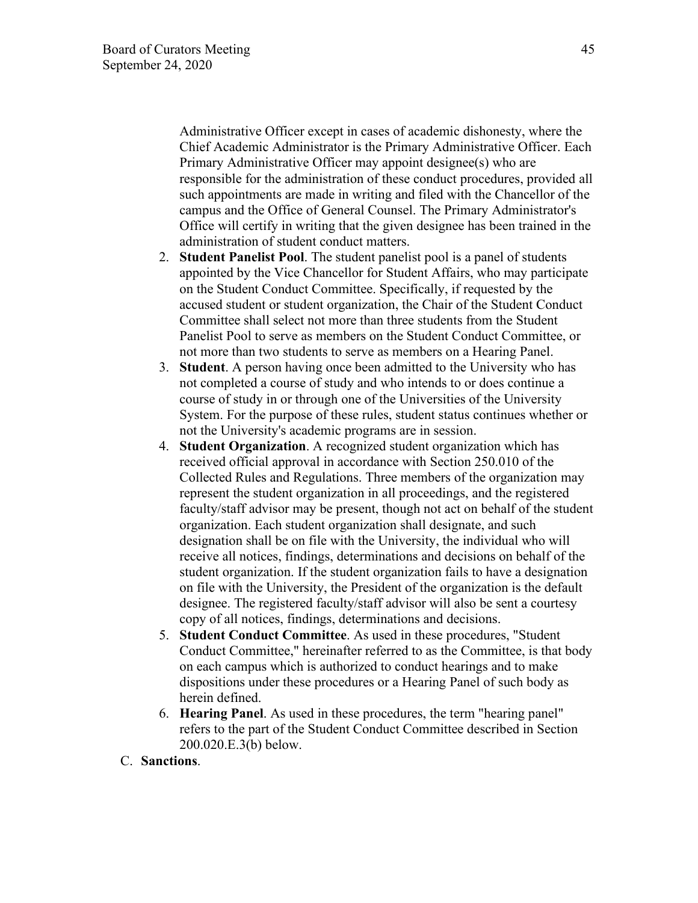Administrative Officer except in cases of academic dishonesty, where the Chief Academic Administrator is the Primary Administrative Officer. Each Primary Administrative Officer may appoint designee(s) who are responsible for the administration of these conduct procedures, provided all such appointments are made in writing and filed with the Chancellor of the campus and the Office of General Counsel. The Primary Administrator's Office will certify in writing that the given designee has been trained in the administration of student conduct matters.

- 2. **Student Panelist Pool**. The student panelist pool is a panel of students appointed by the Vice Chancellor for Student Affairs, who may participate on the Student Conduct Committee. Specifically, if requested by the accused student or student organization, the Chair of the Student Conduct Committee shall select not more than three students from the Student Panelist Pool to serve as members on the Student Conduct Committee, or not more than two students to serve as members on a Hearing Panel.
- 3. **Student**. A person having once been admitted to the University who has not completed a course of study and who intends to or does continue a course of study in or through one of the Universities of the University System. For the purpose of these rules, student status continues whether or not the University's academic programs are in session.
- 4. **Student Organization**. A recognized student organization which has received official approval in accordance with Section 250.010 of the Collected Rules and Regulations. Three members of the organization may represent the student organization in all proceedings, and the registered faculty/staff advisor may be present, though not act on behalf of the student organization. Each student organization shall designate, and such designation shall be on file with the University, the individual who will receive all notices, findings, determinations and decisions on behalf of the student organization. If the student organization fails to have a designation on file with the University, the President of the organization is the default designee. The registered faculty/staff advisor will also be sent a courtesy copy of all notices, findings, determinations and decisions.
- 5. **Student Conduct Committee**. As used in these procedures, "Student Conduct Committee," hereinafter referred to as the Committee, is that body on each campus which is authorized to conduct hearings and to make dispositions under these procedures or a Hearing Panel of such body as herein defined.
- 6. **Hearing Panel**. As used in these procedures, the term "hearing panel" refers to the part of the Student Conduct Committee described in Section 200.020.E.3(b) below.
- C. **Sanctions**.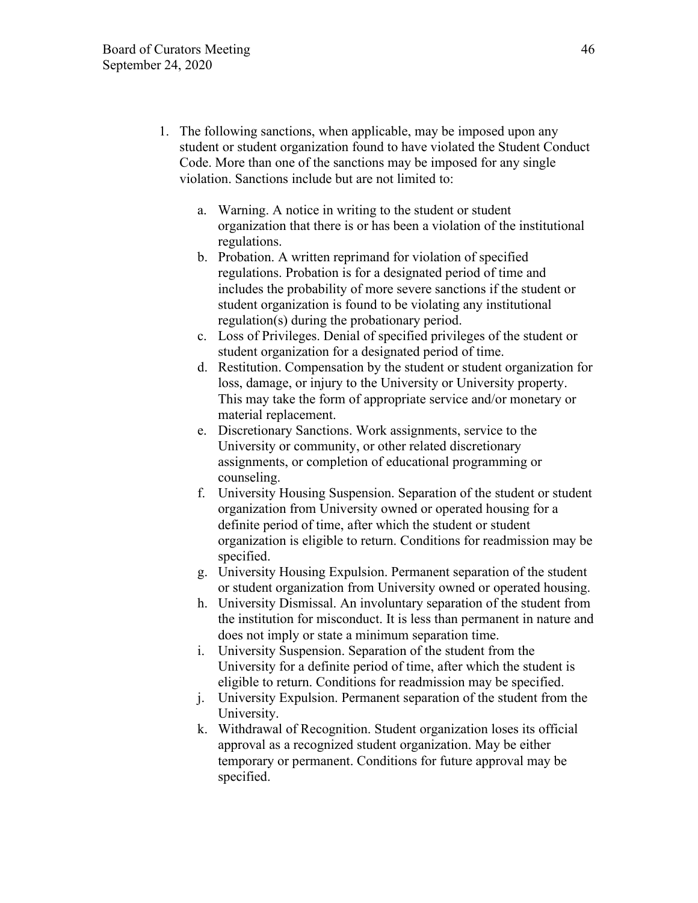- 1. The following sanctions, when applicable, may be imposed upon any student or student organization found to have violated the Student Conduct Code. More than one of the sanctions may be imposed for any single violation. Sanctions include but are not limited to:
	- a. Warning. A notice in writing to the student or student organization that there is or has been a violation of the institutional regulations.
	- b. Probation. A written reprimand for violation of specified regulations. Probation is for a designated period of time and includes the probability of more severe sanctions if the student or student organization is found to be violating any institutional regulation(s) during the probationary period.
	- c. Loss of Privileges. Denial of specified privileges of the student or student organization for a designated period of time.
	- d. Restitution. Compensation by the student or student organization for loss, damage, or injury to the University or University property. This may take the form of appropriate service and/or monetary or material replacement.
	- e. Discretionary Sanctions. Work assignments, service to the University or community, or other related discretionary assignments, or completion of educational programming or counseling.
	- f. University Housing Suspension. Separation of the student or student organization from University owned or operated housing for a definite period of time, after which the student or student organization is eligible to return. Conditions for readmission may be specified.
	- g. University Housing Expulsion. Permanent separation of the student or student organization from University owned or operated housing.
	- h. University Dismissal. An involuntary separation of the student from the institution for misconduct. It is less than permanent in nature and does not imply or state a minimum separation time.
	- i. University Suspension. Separation of the student from the University for a definite period of time, after which the student is eligible to return. Conditions for readmission may be specified.
	- j. University Expulsion. Permanent separation of the student from the University.
	- k. Withdrawal of Recognition. Student organization loses its official approval as a recognized student organization. May be either temporary or permanent. Conditions for future approval may be specified.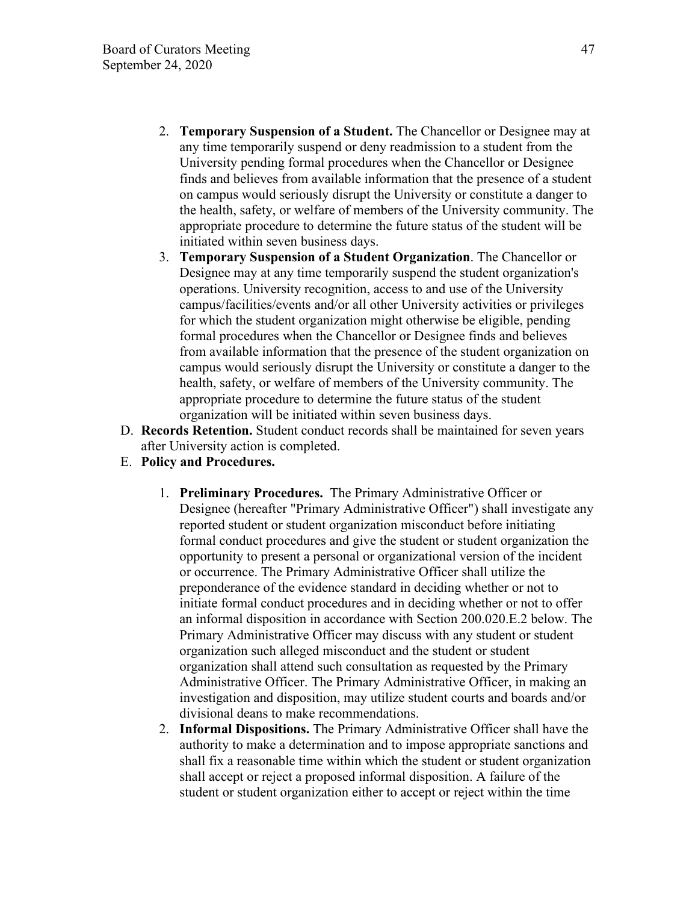- 2. **Temporary Suspension of a Student.** The Chancellor or Designee may at any time temporarily suspend or deny readmission to a student from the University pending formal procedures when the Chancellor or Designee finds and believes from available information that the presence of a student on campus would seriously disrupt the University or constitute a danger to the health, safety, or welfare of members of the University community. The appropriate procedure to determine the future status of the student will be initiated within seven business days.
- 3. **Temporary Suspension of a Student Organization**. The Chancellor or Designee may at any time temporarily suspend the student organization's operations. University recognition, access to and use of the University campus/facilities/events and/or all other University activities or privileges for which the student organization might otherwise be eligible, pending formal procedures when the Chancellor or Designee finds and believes from available information that the presence of the student organization on campus would seriously disrupt the University or constitute a danger to the health, safety, or welfare of members of the University community. The appropriate procedure to determine the future status of the student organization will be initiated within seven business days.
- D. **Records Retention.** Student conduct records shall be maintained for seven years after University action is completed.
- E. **Policy and Procedures.**
	- 1. **Preliminary Procedures.** The Primary Administrative Officer or Designee (hereafter "Primary Administrative Officer") shall investigate any reported student or student organization misconduct before initiating formal conduct procedures and give the student or student organization the opportunity to present a personal or organizational version of the incident or occurrence. The Primary Administrative Officer shall utilize the preponderance of the evidence standard in deciding whether or not to initiate formal conduct procedures and in deciding whether or not to offer an informal disposition in accordance with Section 200.020.E.2 below. The Primary Administrative Officer may discuss with any student or student organization such alleged misconduct and the student or student organization shall attend such consultation as requested by the Primary Administrative Officer. The Primary Administrative Officer, in making an investigation and disposition, may utilize student courts and boards and/or divisional deans to make recommendations.
	- 2. **Informal Dispositions.** The Primary Administrative Officer shall have the authority to make a determination and to impose appropriate sanctions and shall fix a reasonable time within which the student or student organization shall accept or reject a proposed informal disposition. A failure of the student or student organization either to accept or reject within the time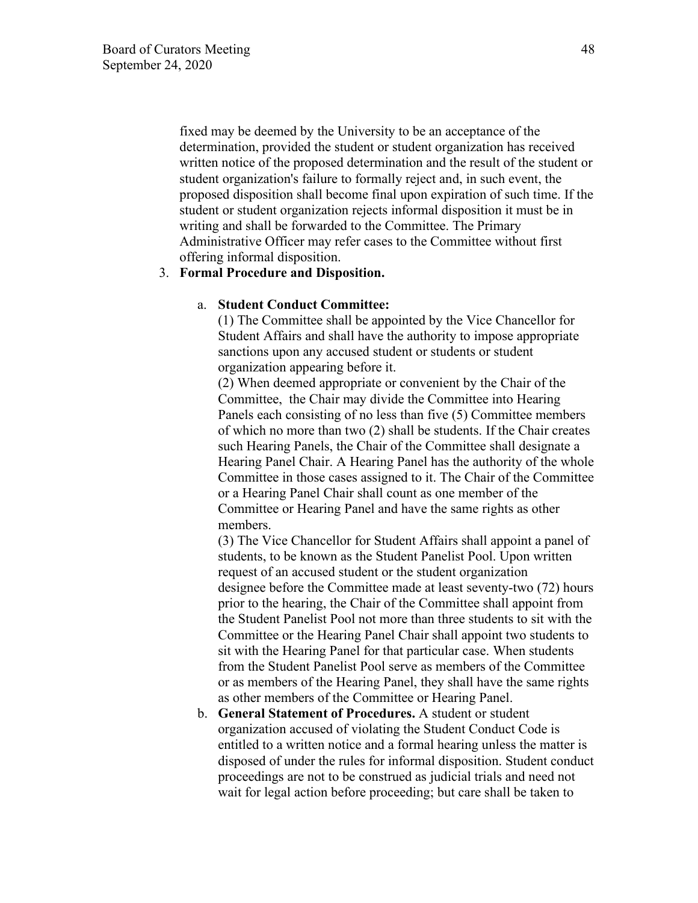fixed may be deemed by the University to be an acceptance of the determination, provided the student or student organization has received written notice of the proposed determination and the result of the student or student organization's failure to formally reject and, in such event, the proposed disposition shall become final upon expiration of such time. If the student or student organization rejects informal disposition it must be in writing and shall be forwarded to the Committee. The Primary Administrative Officer may refer cases to the Committee without first offering informal disposition.

#### 3. **Formal Procedure and Disposition.**

## a. **Student Conduct Committee:**

(1) The Committee shall be appointed by the Vice Chancellor for Student Affairs and shall have the authority to impose appropriate sanctions upon any accused student or students or student organization appearing before it.

(2) When deemed appropriate or convenient by the Chair of the Committee, the Chair may divide the Committee into Hearing Panels each consisting of no less than five (5) Committee members of which no more than two (2) shall be students. If the Chair creates such Hearing Panels, the Chair of the Committee shall designate a Hearing Panel Chair. A Hearing Panel has the authority of the whole Committee in those cases assigned to it. The Chair of the Committee or a Hearing Panel Chair shall count as one member of the Committee or Hearing Panel and have the same rights as other members.

(3) The Vice Chancellor for Student Affairs shall appoint a panel of students, to be known as the Student Panelist Pool. Upon written request of an accused student or the student organization designee before the Committee made at least seventy-two (72) hours prior to the hearing, the Chair of the Committee shall appoint from the Student Panelist Pool not more than three students to sit with the Committee or the Hearing Panel Chair shall appoint two students to sit with the Hearing Panel for that particular case. When students from the Student Panelist Pool serve as members of the Committee or as members of the Hearing Panel, they shall have the same rights as other members of the Committee or Hearing Panel.

b. **General Statement of Procedures.** A student or student organization accused of violating the Student Conduct Code is entitled to a written notice and a formal hearing unless the matter is disposed of under the rules for informal disposition. Student conduct proceedings are not to be construed as judicial trials and need not wait for legal action before proceeding; but care shall be taken to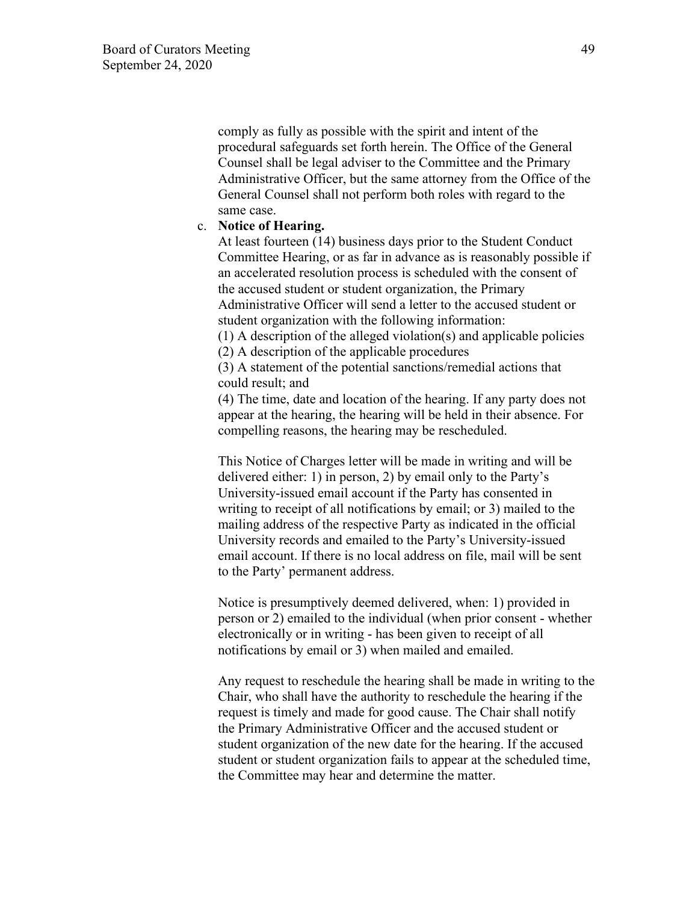comply as fully as possible with the spirit and intent of the procedural safeguards set forth herein. The Office of the General Counsel shall be legal adviser to the Committee and the Primary Administrative Officer, but the same attorney from the Office of the General Counsel shall not perform both roles with regard to the same case.

#### c. **Notice of Hearing.**

At least fourteen (14) business days prior to the Student Conduct Committee Hearing, or as far in advance as is reasonably possible if an accelerated resolution process is scheduled with the consent of the accused student or student organization, the Primary Administrative Officer will send a letter to the accused student or student organization with the following information:

(1) A description of the alleged violation(s) and applicable policies (2) A description of the applicable procedures

(3) A statement of the potential sanctions/remedial actions that could result; and

(4) The time, date and location of the hearing. If any party does not appear at the hearing, the hearing will be held in their absence. For compelling reasons, the hearing may be rescheduled.

This Notice of Charges letter will be made in writing and will be delivered either: 1) in person, 2) by email only to the Party's University-issued email account if the Party has consented in writing to receipt of all notifications by email; or 3) mailed to the mailing address of the respective Party as indicated in the official University records and emailed to the Party's University-issued email account. If there is no local address on file, mail will be sent to the Party' permanent address.

Notice is presumptively deemed delivered, when: 1) provided in person or 2) emailed to the individual (when prior consent - whether electronically or in writing - has been given to receipt of all notifications by email or 3) when mailed and emailed.

Any request to reschedule the hearing shall be made in writing to the Chair, who shall have the authority to reschedule the hearing if the request is timely and made for good cause. The Chair shall notify the Primary Administrative Officer and the accused student or student organization of the new date for the hearing. If the accused student or student organization fails to appear at the scheduled time, the Committee may hear and determine the matter.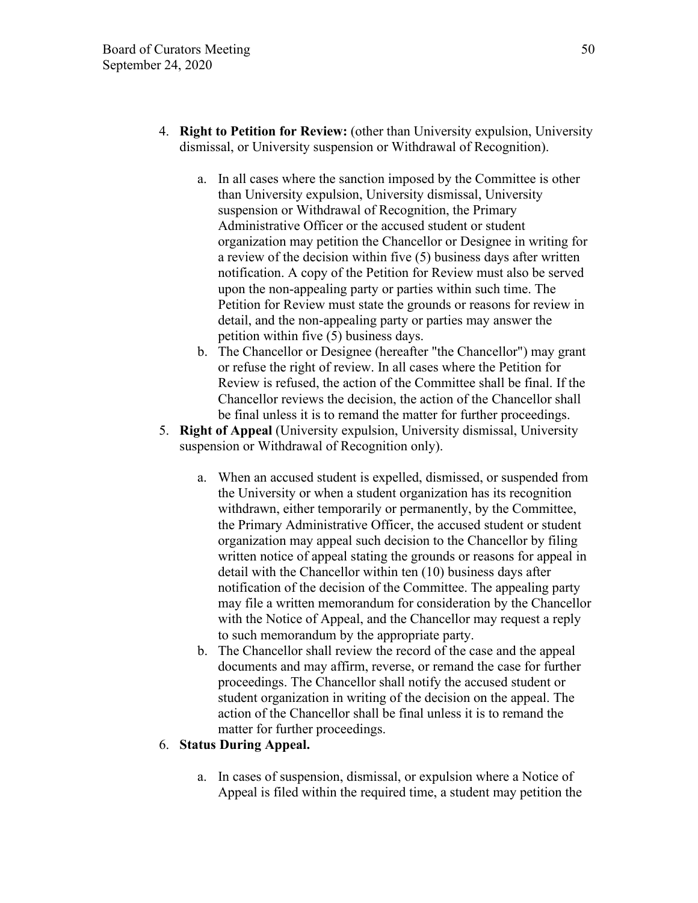- 4. **Right to Petition for Review:** (other than University expulsion, University dismissal, or University suspension or Withdrawal of Recognition).
	- a. In all cases where the sanction imposed by the Committee is other than University expulsion, University dismissal, University suspension or Withdrawal of Recognition, the Primary Administrative Officer or the accused student or student organization may petition the Chancellor or Designee in writing for a review of the decision within five (5) business days after written notification. A copy of the Petition for Review must also be served upon the non-appealing party or parties within such time. The Petition for Review must state the grounds or reasons for review in detail, and the non-appealing party or parties may answer the petition within five (5) business days.
	- b. The Chancellor or Designee (hereafter "the Chancellor") may grant or refuse the right of review. In all cases where the Petition for Review is refused, the action of the Committee shall be final. If the Chancellor reviews the decision, the action of the Chancellor shall be final unless it is to remand the matter for further proceedings.
- 5. **Right of Appeal** (University expulsion, University dismissal, University suspension or Withdrawal of Recognition only).
	- a. When an accused student is expelled, dismissed, or suspended from the University or when a student organization has its recognition withdrawn, either temporarily or permanently, by the Committee, the Primary Administrative Officer, the accused student or student organization may appeal such decision to the Chancellor by filing written notice of appeal stating the grounds or reasons for appeal in detail with the Chancellor within ten (10) business days after notification of the decision of the Committee. The appealing party may file a written memorandum for consideration by the Chancellor with the Notice of Appeal, and the Chancellor may request a reply to such memorandum by the appropriate party.
	- b. The Chancellor shall review the record of the case and the appeal documents and may affirm, reverse, or remand the case for further proceedings. The Chancellor shall notify the accused student or student organization in writing of the decision on the appeal. The action of the Chancellor shall be final unless it is to remand the matter for further proceedings.

## 6. **Status During Appeal.**

a. In cases of suspension, dismissal, or expulsion where a Notice of Appeal is filed within the required time, a student may petition the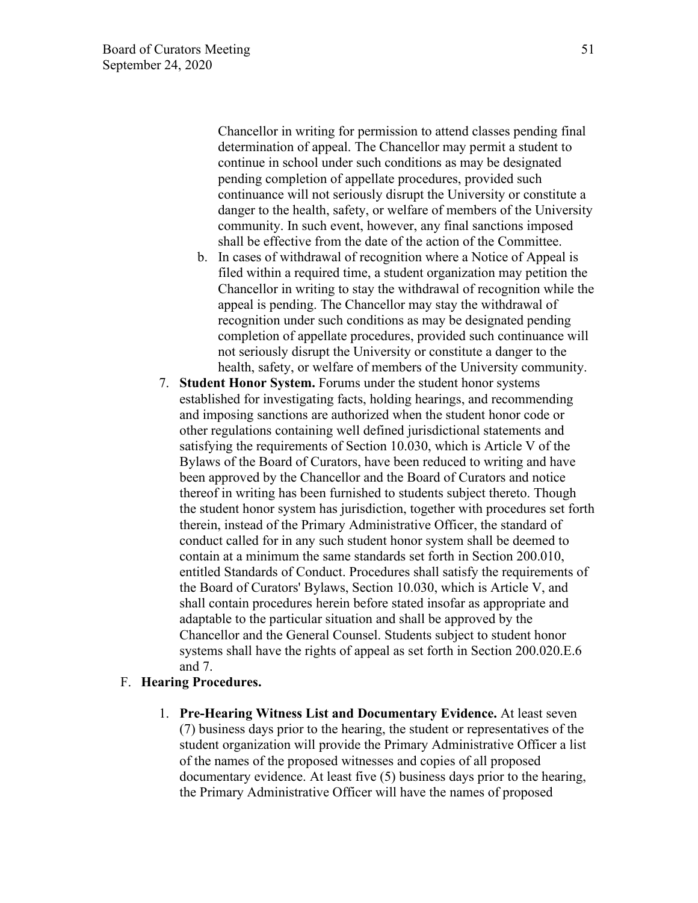Chancellor in writing for permission to attend classes pending final determination of appeal. The Chancellor may permit a student to continue in school under such conditions as may be designated pending completion of appellate procedures, provided such continuance will not seriously disrupt the University or constitute a danger to the health, safety, or welfare of members of the University community. In such event, however, any final sanctions imposed shall be effective from the date of the action of the Committee.

- b. In cases of withdrawal of recognition where a Notice of Appeal is filed within a required time, a student organization may petition the Chancellor in writing to stay the withdrawal of recognition while the appeal is pending. The Chancellor may stay the withdrawal of recognition under such conditions as may be designated pending completion of appellate procedures, provided such continuance will not seriously disrupt the University or constitute a danger to the health, safety, or welfare of members of the University community.
- 7. **Student Honor System.** Forums under the student honor systems established for investigating facts, holding hearings, and recommending and imposing sanctions are authorized when the student honor code or other regulations containing well defined jurisdictional statements and satisfying the requirements of Section 10.030, which is Article V of the Bylaws of the Board of Curators, have been reduced to writing and have been approved by the Chancellor and the Board of Curators and notice thereof in writing has been furnished to students subject thereto. Though the student honor system has jurisdiction, together with procedures set forth therein, instead of the Primary Administrative Officer, the standard of conduct called for in any such student honor system shall be deemed to contain at a minimum the same standards set forth in Section 200.010, entitled Standards of Conduct. Procedures shall satisfy the requirements of the Board of Curators' Bylaws, Section 10.030, which is Article V, and shall contain procedures herein before stated insofar as appropriate and adaptable to the particular situation and shall be approved by the Chancellor and the General Counsel. Students subject to student honor systems shall have the rights of appeal as set forth in Section 200.020.E.6 and 7.

## F. **Hearing Procedures.**

1. **Pre-Hearing Witness List and Documentary Evidence.** At least seven (7) business days prior to the hearing, the student or representatives of the student organization will provide the Primary Administrative Officer a list of the names of the proposed witnesses and copies of all proposed documentary evidence. At least five (5) business days prior to the hearing, the Primary Administrative Officer will have the names of proposed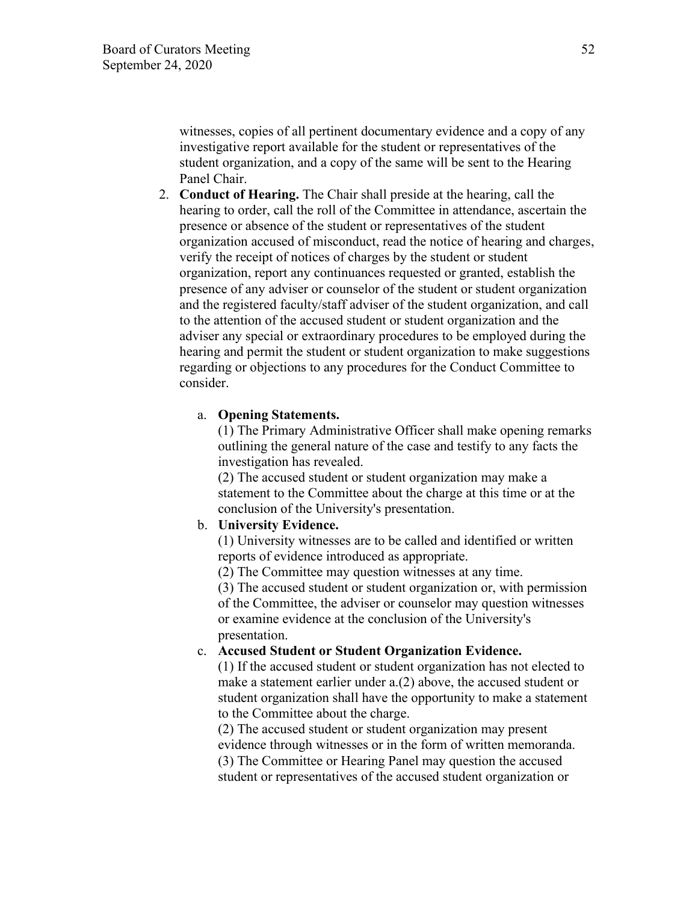witnesses, copies of all pertinent documentary evidence and a copy of any investigative report available for the student or representatives of the student organization, and a copy of the same will be sent to the Hearing Panel Chair.

2. **Conduct of Hearing.** The Chair shall preside at the hearing, call the hearing to order, call the roll of the Committee in attendance, ascertain the presence or absence of the student or representatives of the student organization accused of misconduct, read the notice of hearing and charges, verify the receipt of notices of charges by the student or student organization, report any continuances requested or granted, establish the presence of any adviser or counselor of the student or student organization and the registered faculty/staff adviser of the student organization, and call to the attention of the accused student or student organization and the adviser any special or extraordinary procedures to be employed during the hearing and permit the student or student organization to make suggestions regarding or objections to any procedures for the Conduct Committee to consider.

#### a. **Opening Statements.**

(1) The Primary Administrative Officer shall make opening remarks outlining the general nature of the case and testify to any facts the investigation has revealed.

(2) The accused student or student organization may make a statement to the Committee about the charge at this time or at the conclusion of the University's presentation.

### b. **University Evidence.**

(1) University witnesses are to be called and identified or written reports of evidence introduced as appropriate.

(2) The Committee may question witnesses at any time.

(3) The accused student or student organization or, with permission of the Committee, the adviser or counselor may question witnesses or examine evidence at the conclusion of the University's presentation.

#### c. **Accused Student or Student Organization Evidence.**

(1) If the accused student or student organization has not elected to make a statement earlier under a.(2) above, the accused student or student organization shall have the opportunity to make a statement to the Committee about the charge.

(2) The accused student or student organization may present evidence through witnesses or in the form of written memoranda. (3) The Committee or Hearing Panel may question the accused student or representatives of the accused student organization or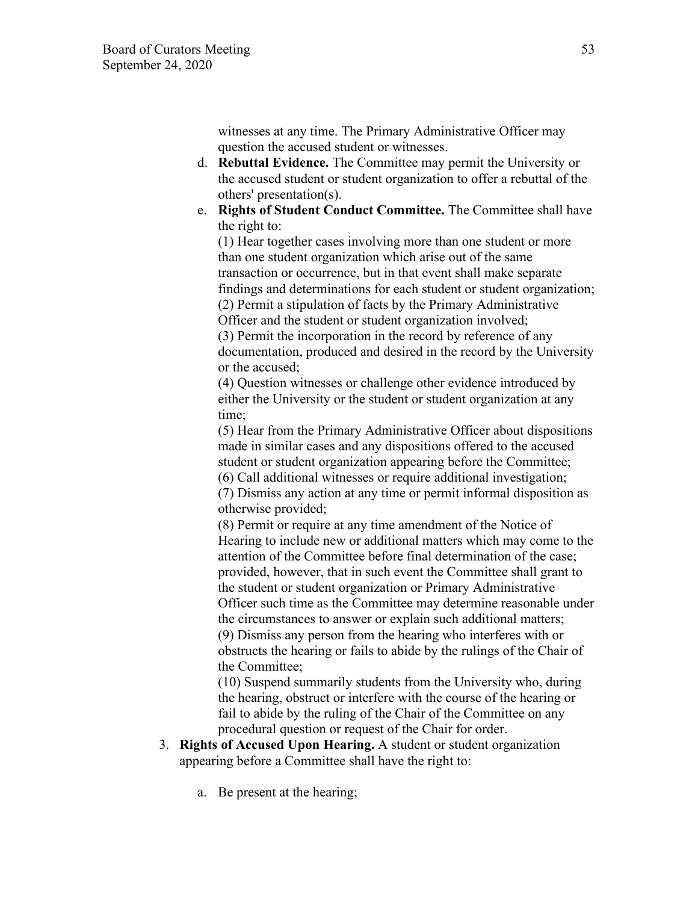witnesses at any time. The Primary Administrative Officer may question the accused student or witnesses.

- d. **Rebuttal Evidence.** The Committee may permit the University or the accused student or student organization to offer a rebuttal of the others' presentation(s).
- e. **Rights of Student Conduct Committee.** The Committee shall have the right to:

(1) Hear together cases involving more than one student or more than one student organization which arise out of the same transaction or occurrence, but in that event shall make separate findings and determinations for each student or student organization; (2) Permit a stipulation of facts by the Primary Administrative Officer and the student or student organization involved; (3) Permit the incorporation in the record by reference of any

documentation, produced and desired in the record by the University or the accused;

(4) Question witnesses or challenge other evidence introduced by either the University or the student or student organization at any time;

(5) Hear from the Primary Administrative Officer about dispositions made in similar cases and any dispositions offered to the accused student or student organization appearing before the Committee;

(6) Call additional witnesses or require additional investigation; (7) Dismiss any action at any time or permit informal disposition as otherwise provided;

(8) Permit or require at any time amendment of the Notice of Hearing to include new or additional matters which may come to the attention of the Committee before final determination of the case; provided, however, that in such event the Committee shall grant to the student or student organization or Primary Administrative Officer such time as the Committee may determine reasonable under the circumstances to answer or explain such additional matters; (9) Dismiss any person from the hearing who interferes with or obstructs the hearing or fails to abide by the rulings of the Chair of the Committee;

(10) Suspend summarily students from the University who, during the hearing, obstruct or interfere with the course of the hearing or fail to abide by the ruling of the Chair of the Committee on any procedural question or request of the Chair for order.

- 3. **Rights of Accused Upon Hearing.** A student or student organization appearing before a Committee shall have the right to:
	- a. Be present at the hearing;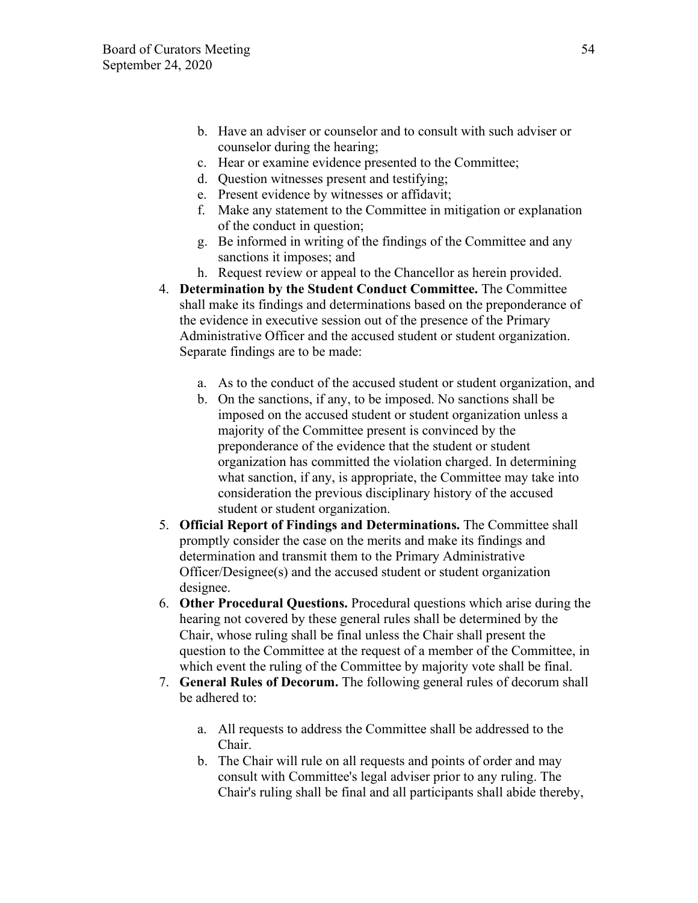- b. Have an adviser or counselor and to consult with such adviser or counselor during the hearing;
- c. Hear or examine evidence presented to the Committee;
- d. Question witnesses present and testifying;
- e. Present evidence by witnesses or affidavit;
- f. Make any statement to the Committee in mitigation or explanation of the conduct in question;
- g. Be informed in writing of the findings of the Committee and any sanctions it imposes; and
- h. Request review or appeal to the Chancellor as herein provided.
- 4. **Determination by the Student Conduct Committee.** The Committee shall make its findings and determinations based on the preponderance of the evidence in executive session out of the presence of the Primary Administrative Officer and the accused student or student organization. Separate findings are to be made:
	- a. As to the conduct of the accused student or student organization, and
	- b. On the sanctions, if any, to be imposed. No sanctions shall be imposed on the accused student or student organization unless a majority of the Committee present is convinced by the preponderance of the evidence that the student or student organization has committed the violation charged. In determining what sanction, if any, is appropriate, the Committee may take into consideration the previous disciplinary history of the accused student or student organization.
- 5. **Official Report of Findings and Determinations.** The Committee shall promptly consider the case on the merits and make its findings and determination and transmit them to the Primary Administrative Officer/Designee(s) and the accused student or student organization designee.
- 6. **Other Procedural Questions.** Procedural questions which arise during the hearing not covered by these general rules shall be determined by the Chair, whose ruling shall be final unless the Chair shall present the question to the Committee at the request of a member of the Committee, in which event the ruling of the Committee by majority vote shall be final.
- 7. **General Rules of Decorum.** The following general rules of decorum shall be adhered to:
	- a. All requests to address the Committee shall be addressed to the Chair.
	- b. The Chair will rule on all requests and points of order and may consult with Committee's legal adviser prior to any ruling. The Chair's ruling shall be final and all participants shall abide thereby,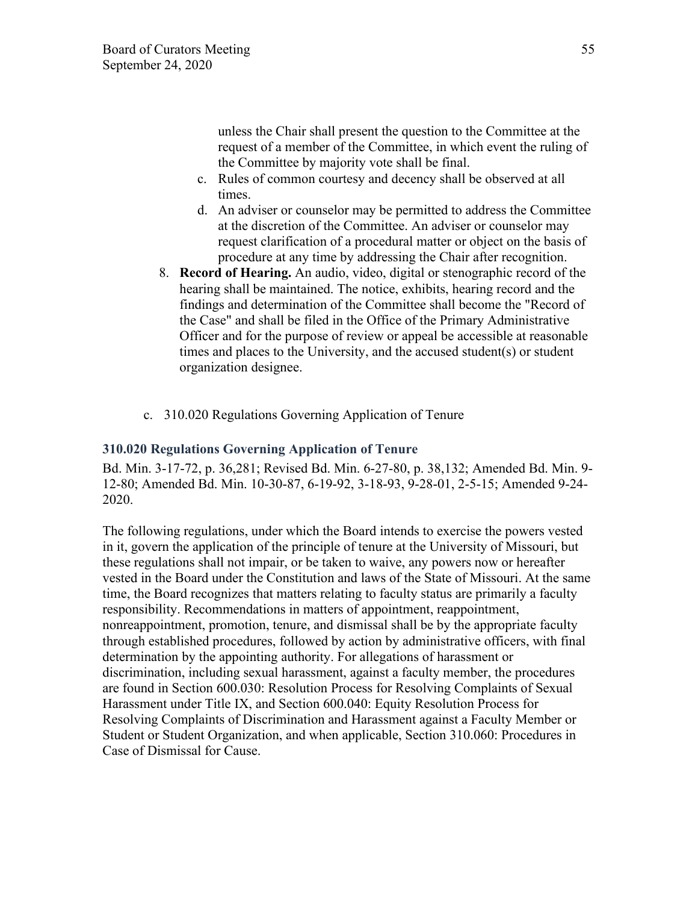unless the Chair shall present the question to the Committee at the request of a member of the Committee, in which event the ruling of the Committee by majority vote shall be final.

- c. Rules of common courtesy and decency shall be observed at all times.
- d. An adviser or counselor may be permitted to address the Committee at the discretion of the Committee. An adviser or counselor may request clarification of a procedural matter or object on the basis of procedure at any time by addressing the Chair after recognition.
- 8. **Record of Hearing.** An audio, video, digital or stenographic record of the hearing shall be maintained. The notice, exhibits, hearing record and the findings and determination of the Committee shall become the "Record of the Case" and shall be filed in the Office of the Primary Administrative Officer and for the purpose of review or appeal be accessible at reasonable times and places to the University, and the accused student(s) or student organization designee.
- c. 310.020 Regulations Governing Application of Tenure

## **310.020 Regulations Governing Application of Tenure**

Bd. Min. 3-17-72, p. 36,281; Revised Bd. Min. 6-27-80, p. 38,132; Amended Bd. Min. 9- 12-80; Amended Bd. Min. 10-30-87, 6-19-92, 3-18-93, 9-28-01, 2-5-15; Amended 9-24- 2020.

The following regulations, under which the Board intends to exercise the powers vested in it, govern the application of the principle of tenure at the University of Missouri, but these regulations shall not impair, or be taken to waive, any powers now or hereafter vested in the Board under the Constitution and laws of the State of Missouri. At the same time, the Board recognizes that matters relating to faculty status are primarily a faculty responsibility. Recommendations in matters of appointment, reappointment, nonreappointment, promotion, tenure, and dismissal shall be by the appropriate faculty through established procedures, followed by action by administrative officers, with final determination by the appointing authority. For allegations of harassment or discrimination, including sexual harassment, against a faculty member, the procedures are found in Section 600.030: Resolution Process for Resolving Complaints of Sexual Harassment under Title IX, and Section 600.040: Equity Resolution Process for Resolving Complaints of Discrimination and Harassment against a Faculty Member or Student or Student Organization, and when applicable, Section 310.060: Procedures in Case of Dismissal for Cause.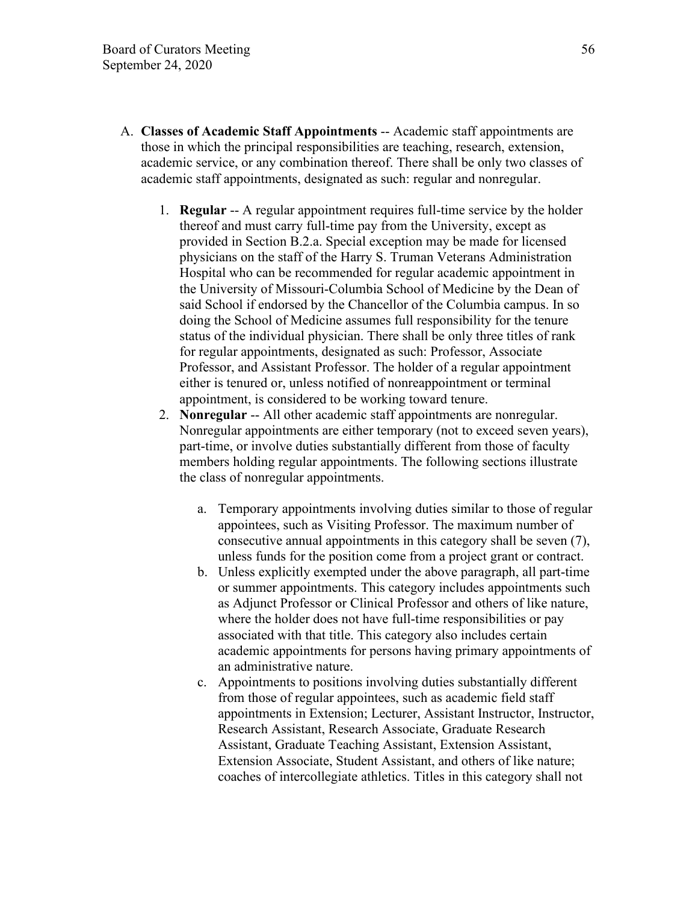- A. **Classes of Academic Staff Appointments** -- Academic staff appointments are those in which the principal responsibilities are teaching, research, extension, academic service, or any combination thereof. There shall be only two classes of academic staff appointments, designated as such: regular and nonregular.
	- 1. **Regular** -- A regular appointment requires full-time service by the holder thereof and must carry full-time pay from the University, except as provided in Section B.2.a. Special exception may be made for licensed physicians on the staff of the Harry S. Truman Veterans Administration Hospital who can be recommended for regular academic appointment in the University of Missouri-Columbia School of Medicine by the Dean of said School if endorsed by the Chancellor of the Columbia campus. In so doing the School of Medicine assumes full responsibility for the tenure status of the individual physician. There shall be only three titles of rank for regular appointments, designated as such: Professor, Associate Professor, and Assistant Professor. The holder of a regular appointment either is tenured or, unless notified of nonreappointment or terminal appointment, is considered to be working toward tenure.
	- 2. **Nonregular** -- All other academic staff appointments are nonregular. Nonregular appointments are either temporary (not to exceed seven years), part-time, or involve duties substantially different from those of faculty members holding regular appointments. The following sections illustrate the class of nonregular appointments.
		- a. Temporary appointments involving duties similar to those of regular appointees, such as Visiting Professor. The maximum number of consecutive annual appointments in this category shall be seven (7), unless funds for the position come from a project grant or contract.
		- b. Unless explicitly exempted under the above paragraph, all part-time or summer appointments. This category includes appointments such as Adjunct Professor or Clinical Professor and others of like nature, where the holder does not have full-time responsibilities or pay associated with that title. This category also includes certain academic appointments for persons having primary appointments of an administrative nature.
		- c. Appointments to positions involving duties substantially different from those of regular appointees, such as academic field staff appointments in Extension; Lecturer, Assistant Instructor, Instructor, Research Assistant, Research Associate, Graduate Research Assistant, Graduate Teaching Assistant, Extension Assistant, Extension Associate, Student Assistant, and others of like nature; coaches of intercollegiate athletics. Titles in this category shall not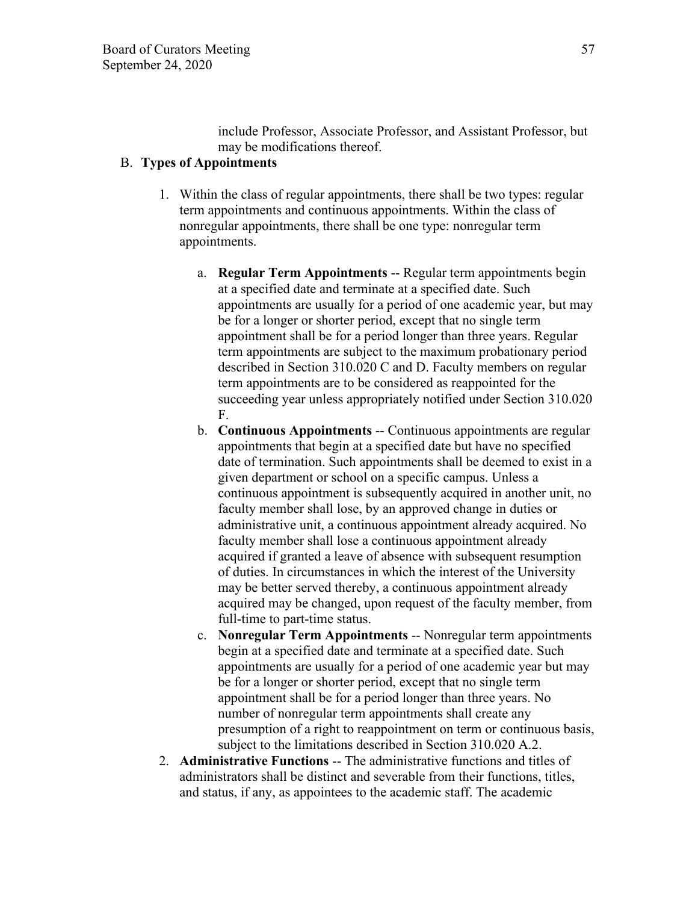include Professor, Associate Professor, and Assistant Professor, but may be modifications thereof.

## B. **Types of Appointments**

- 1. Within the class of regular appointments, there shall be two types: regular term appointments and continuous appointments. Within the class of nonregular appointments, there shall be one type: nonregular term appointments.
	- a. **Regular Term Appointments** -- Regular term appointments begin at a specified date and terminate at a specified date. Such appointments are usually for a period of one academic year, but may be for a longer or shorter period, except that no single term appointment shall be for a period longer than three years. Regular term appointments are subject to the maximum probationary period described in Section 310.020 C and D. Faculty members on regular term appointments are to be considered as reappointed for the succeeding year unless appropriately notified under Section 310.020 F.
	- b. **Continuous Appointments** -- Continuous appointments are regular appointments that begin at a specified date but have no specified date of termination. Such appointments shall be deemed to exist in a given department or school on a specific campus. Unless a continuous appointment is subsequently acquired in another unit, no faculty member shall lose, by an approved change in duties or administrative unit, a continuous appointment already acquired. No faculty member shall lose a continuous appointment already acquired if granted a leave of absence with subsequent resumption of duties. In circumstances in which the interest of the University may be better served thereby, a continuous appointment already acquired may be changed, upon request of the faculty member, from full-time to part-time status.
	- c. **Nonregular Term Appointments** -- Nonregular term appointments begin at a specified date and terminate at a specified date. Such appointments are usually for a period of one academic year but may be for a longer or shorter period, except that no single term appointment shall be for a period longer than three years. No number of nonregular term appointments shall create any presumption of a right to reappointment on term or continuous basis, subject to the limitations described in Section 310.020 A.2.
- 2. **Administrative Functions** -- The administrative functions and titles of administrators shall be distinct and severable from their functions, titles, and status, if any, as appointees to the academic staff. The academic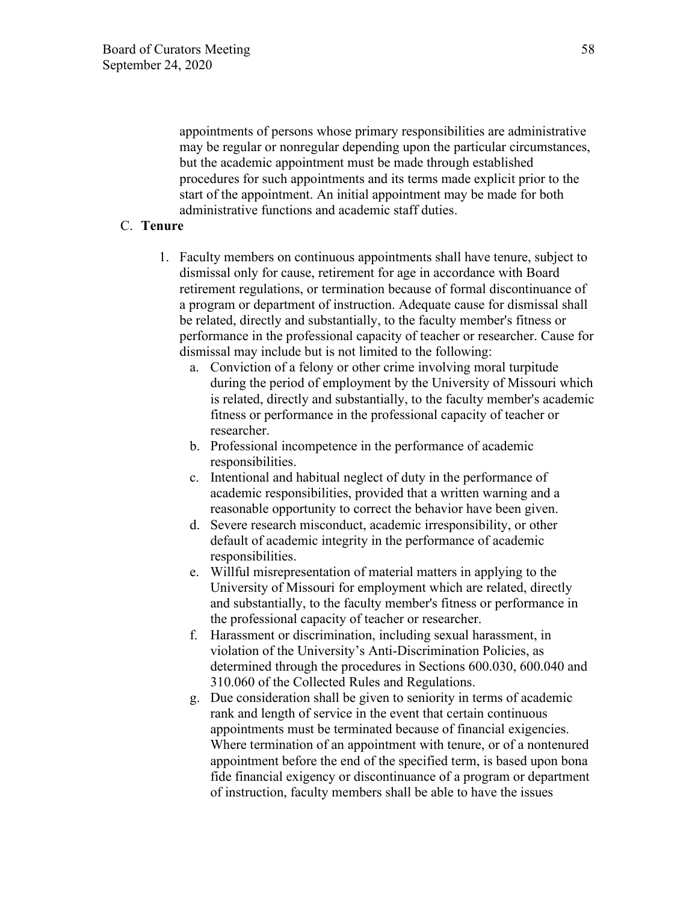appointments of persons whose primary responsibilities are administrative may be regular or nonregular depending upon the particular circumstances, but the academic appointment must be made through established procedures for such appointments and its terms made explicit prior to the start of the appointment. An initial appointment may be made for both administrative functions and academic staff duties.

## C. **Tenure**

- 1. Faculty members on continuous appointments shall have tenure, subject to dismissal only for cause, retirement for age in accordance with Board retirement regulations, or termination because of formal discontinuance of a program or department of instruction. Adequate cause for dismissal shall be related, directly and substantially, to the faculty member's fitness or performance in the professional capacity of teacher or researcher. Cause for dismissal may include but is not limited to the following:
	- a. Conviction of a felony or other crime involving moral turpitude during the period of employment by the University of Missouri which is related, directly and substantially, to the faculty member's academic fitness or performance in the professional capacity of teacher or researcher.
	- b. Professional incompetence in the performance of academic responsibilities.
	- c. Intentional and habitual neglect of duty in the performance of academic responsibilities, provided that a written warning and a reasonable opportunity to correct the behavior have been given.
	- d. Severe research misconduct, academic irresponsibility, or other default of academic integrity in the performance of academic responsibilities.
	- e. Willful misrepresentation of material matters in applying to the University of Missouri for employment which are related, directly and substantially, to the faculty member's fitness or performance in the professional capacity of teacher or researcher.
	- f. Harassment or discrimination, including sexual harassment, in violation of the University's Anti-Discrimination Policies, as determined through the procedures in Sections 600.030, 600.040 and 310.060 of the Collected Rules and Regulations.
	- g. Due consideration shall be given to seniority in terms of academic rank and length of service in the event that certain continuous appointments must be terminated because of financial exigencies. Where termination of an appointment with tenure, or of a nontenured appointment before the end of the specified term, is based upon bona fide financial exigency or discontinuance of a program or department of instruction, faculty members shall be able to have the issues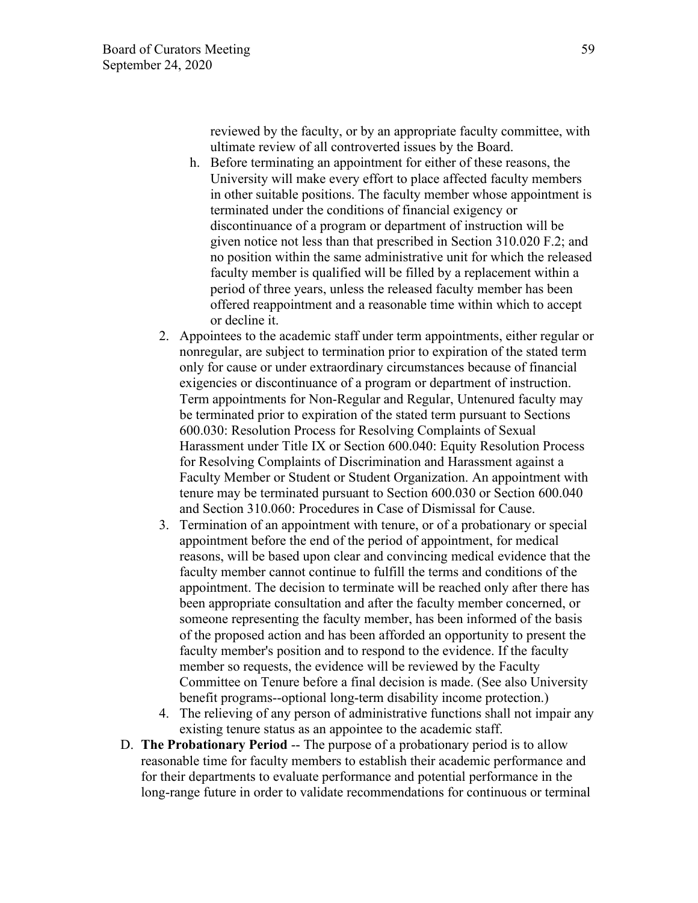reviewed by the faculty, or by an appropriate faculty committee, with ultimate review of all controverted issues by the Board.

- h. Before terminating an appointment for either of these reasons, the University will make every effort to place affected faculty members in other suitable positions. The faculty member whose appointment is terminated under the conditions of financial exigency or discontinuance of a program or department of instruction will be given notice not less than that prescribed in Section 310.020 F.2; and no position within the same administrative unit for which the released faculty member is qualified will be filled by a replacement within a period of three years, unless the released faculty member has been offered reappointment and a reasonable time within which to accept or decline it.
- 2. Appointees to the academic staff under term appointments, either regular or nonregular, are subject to termination prior to expiration of the stated term only for cause or under extraordinary circumstances because of financial exigencies or discontinuance of a program or department of instruction. Term appointments for Non-Regular and Regular, Untenured faculty may be terminated prior to expiration of the stated term pursuant to Sections 600.030: Resolution Process for Resolving Complaints of Sexual Harassment under Title IX or Section 600.040: Equity Resolution Process for Resolving Complaints of Discrimination and Harassment against a Faculty Member or Student or Student Organization. An appointment with tenure may be terminated pursuant to Section 600.030 or Section 600.040 and Section 310.060: Procedures in Case of Dismissal for Cause.
- 3. Termination of an appointment with tenure, or of a probationary or special appointment before the end of the period of appointment, for medical reasons, will be based upon clear and convincing medical evidence that the faculty member cannot continue to fulfill the terms and conditions of the appointment. The decision to terminate will be reached only after there has been appropriate consultation and after the faculty member concerned, or someone representing the faculty member, has been informed of the basis of the proposed action and has been afforded an opportunity to present the faculty member's position and to respond to the evidence. If the faculty member so requests, the evidence will be reviewed by the Faculty Committee on Tenure before a final decision is made. (See also University benefit programs--optional long-term disability income protection.)
- 4. The relieving of any person of administrative functions shall not impair any existing tenure status as an appointee to the academic staff.
- D. **The Probationary Period** -- The purpose of a probationary period is to allow reasonable time for faculty members to establish their academic performance and for their departments to evaluate performance and potential performance in the long-range future in order to validate recommendations for continuous or terminal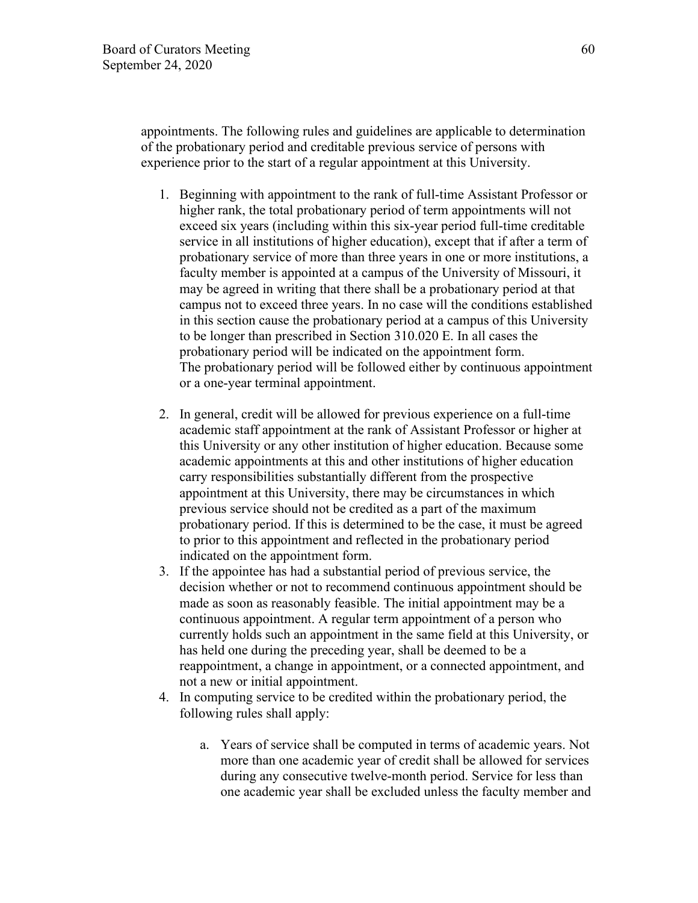appointments. The following rules and guidelines are applicable to determination of the probationary period and creditable previous service of persons with experience prior to the start of a regular appointment at this University.

- 1. Beginning with appointment to the rank of full-time Assistant Professor or higher rank, the total probationary period of term appointments will not exceed six years (including within this six-year period full-time creditable service in all institutions of higher education), except that if after a term of probationary service of more than three years in one or more institutions, a faculty member is appointed at a campus of the University of Missouri, it may be agreed in writing that there shall be a probationary period at that campus not to exceed three years. In no case will the conditions established in this section cause the probationary period at a campus of this University to be longer than prescribed in Section 310.020 E. In all cases the probationary period will be indicated on the appointment form. The probationary period will be followed either by continuous appointment or a one-year terminal appointment.
- 2. In general, credit will be allowed for previous experience on a full-time academic staff appointment at the rank of Assistant Professor or higher at this University or any other institution of higher education. Because some academic appointments at this and other institutions of higher education carry responsibilities substantially different from the prospective appointment at this University, there may be circumstances in which previous service should not be credited as a part of the maximum probationary period. If this is determined to be the case, it must be agreed to prior to this appointment and reflected in the probationary period indicated on the appointment form.
- 3. If the appointee has had a substantial period of previous service, the decision whether or not to recommend continuous appointment should be made as soon as reasonably feasible. The initial appointment may be a continuous appointment. A regular term appointment of a person who currently holds such an appointment in the same field at this University, or has held one during the preceding year, shall be deemed to be a reappointment, a change in appointment, or a connected appointment, and not a new or initial appointment.
- 4. In computing service to be credited within the probationary period, the following rules shall apply:
	- a. Years of service shall be computed in terms of academic years. Not more than one academic year of credit shall be allowed for services during any consecutive twelve-month period. Service for less than one academic year shall be excluded unless the faculty member and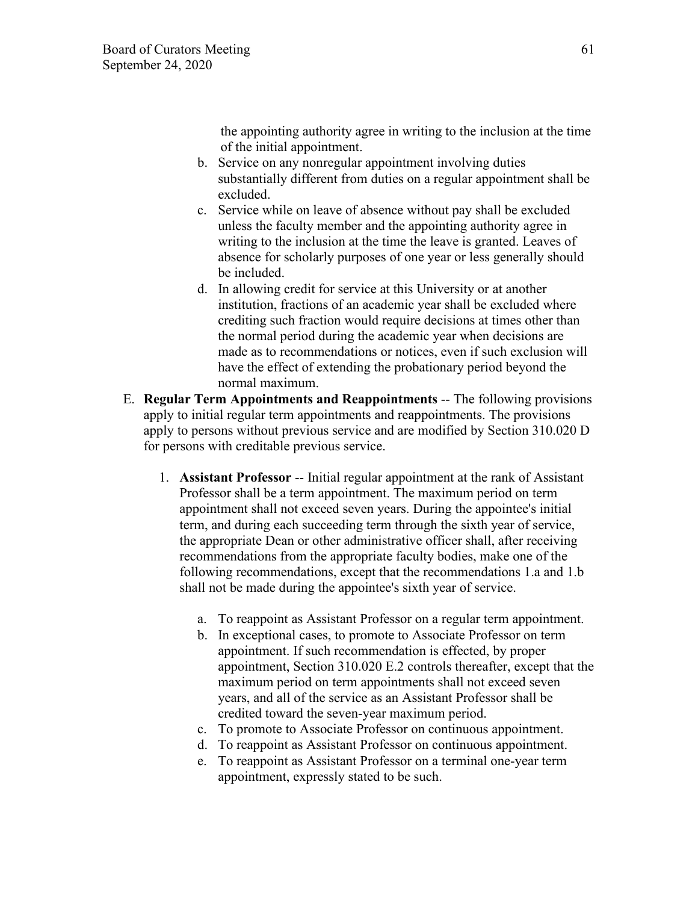the appointing authority agree in writing to the inclusion at the time of the initial appointment.

- b. Service on any nonregular appointment involving duties substantially different from duties on a regular appointment shall be excluded.
- c. Service while on leave of absence without pay shall be excluded unless the faculty member and the appointing authority agree in writing to the inclusion at the time the leave is granted. Leaves of absence for scholarly purposes of one year or less generally should be included.
- d. In allowing credit for service at this University or at another institution, fractions of an academic year shall be excluded where crediting such fraction would require decisions at times other than the normal period during the academic year when decisions are made as to recommendations or notices, even if such exclusion will have the effect of extending the probationary period beyond the normal maximum.
- E. **Regular Term Appointments and Reappointments** -- The following provisions apply to initial regular term appointments and reappointments. The provisions apply to persons without previous service and are modified by Section 310.020 D for persons with creditable previous service.
	- 1. **Assistant Professor** -- Initial regular appointment at the rank of Assistant Professor shall be a term appointment. The maximum period on term appointment shall not exceed seven years. During the appointee's initial term, and during each succeeding term through the sixth year of service, the appropriate Dean or other administrative officer shall, after receiving recommendations from the appropriate faculty bodies, make one of the following recommendations, except that the recommendations 1.a and 1.b shall not be made during the appointee's sixth year of service.
		- a. To reappoint as Assistant Professor on a regular term appointment.
		- b. In exceptional cases, to promote to Associate Professor on term appointment. If such recommendation is effected, by proper appointment, Section 310.020 E.2 controls thereafter, except that the maximum period on term appointments shall not exceed seven years, and all of the service as an Assistant Professor shall be credited toward the seven-year maximum period.
		- c. To promote to Associate Professor on continuous appointment.
		- d. To reappoint as Assistant Professor on continuous appointment.
		- e. To reappoint as Assistant Professor on a terminal one-year term appointment, expressly stated to be such.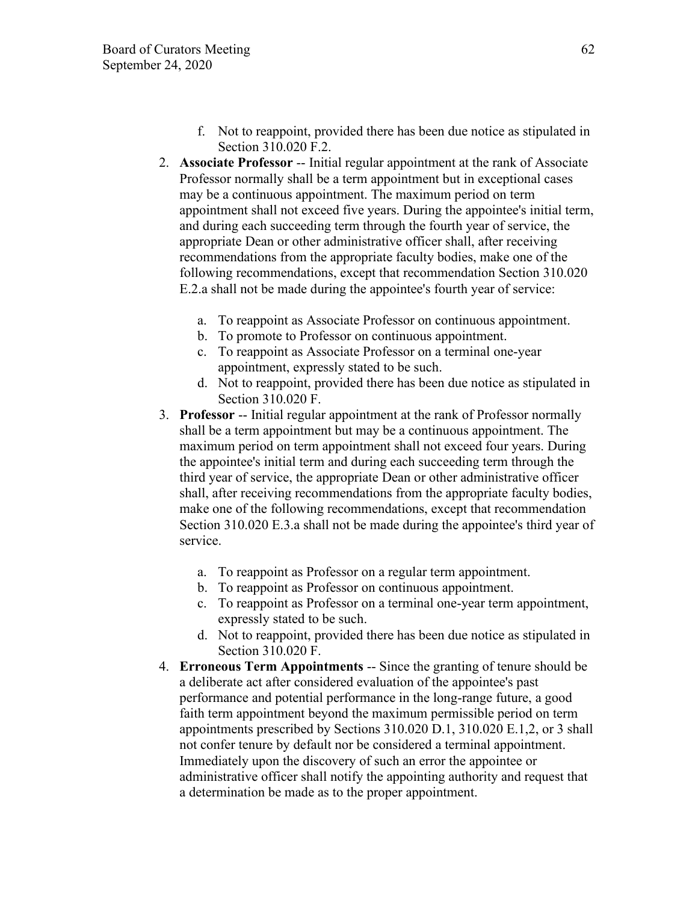- f. Not to reappoint, provided there has been due notice as stipulated in Section 310.020 F.2.
- 2. **Associate Professor** -- Initial regular appointment at the rank of Associate Professor normally shall be a term appointment but in exceptional cases may be a continuous appointment. The maximum period on term appointment shall not exceed five years. During the appointee's initial term, and during each succeeding term through the fourth year of service, the appropriate Dean or other administrative officer shall, after receiving recommendations from the appropriate faculty bodies, make one of the following recommendations, except that recommendation Section 310.020 E.2.a shall not be made during the appointee's fourth year of service:
	- a. To reappoint as Associate Professor on continuous appointment.
	- b. To promote to Professor on continuous appointment.
	- c. To reappoint as Associate Professor on a terminal one-year appointment, expressly stated to be such.
	- d. Not to reappoint, provided there has been due notice as stipulated in Section 310.020 F.
- 3. **Professor** -- Initial regular appointment at the rank of Professor normally shall be a term appointment but may be a continuous appointment. The maximum period on term appointment shall not exceed four years. During the appointee's initial term and during each succeeding term through the third year of service, the appropriate Dean or other administrative officer shall, after receiving recommendations from the appropriate faculty bodies, make one of the following recommendations, except that recommendation Section 310.020 E.3.a shall not be made during the appointee's third year of service.
	- a. To reappoint as Professor on a regular term appointment.
	- b. To reappoint as Professor on continuous appointment.
	- c. To reappoint as Professor on a terminal one-year term appointment, expressly stated to be such.
	- d. Not to reappoint, provided there has been due notice as stipulated in Section 310.020 F.
- 4. **Erroneous Term Appointments** -- Since the granting of tenure should be a deliberate act after considered evaluation of the appointee's past performance and potential performance in the long-range future, a good faith term appointment beyond the maximum permissible period on term appointments prescribed by Sections 310.020 D.1, 310.020 E.1,2, or 3 shall not confer tenure by default nor be considered a terminal appointment. Immediately upon the discovery of such an error the appointee or administrative officer shall notify the appointing authority and request that a determination be made as to the proper appointment.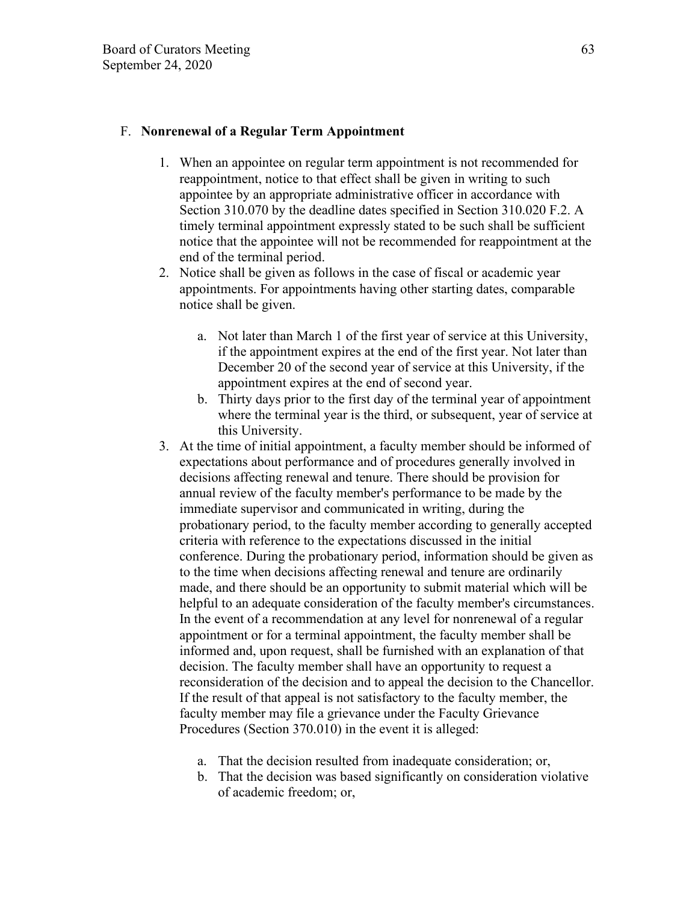## F. **Nonrenewal of a Regular Term Appointment**

- 1. When an appointee on regular term appointment is not recommended for reappointment, notice to that effect shall be given in writing to such appointee by an appropriate administrative officer in accordance with Section 310.070 by the deadline dates specified in Section 310.020 F.2. A timely terminal appointment expressly stated to be such shall be sufficient notice that the appointee will not be recommended for reappointment at the end of the terminal period.
- 2. Notice shall be given as follows in the case of fiscal or academic year appointments. For appointments having other starting dates, comparable notice shall be given.
	- a. Not later than March 1 of the first year of service at this University, if the appointment expires at the end of the first year. Not later than December 20 of the second year of service at this University, if the appointment expires at the end of second year.
	- b. Thirty days prior to the first day of the terminal year of appointment where the terminal year is the third, or subsequent, year of service at this University.
- 3. At the time of initial appointment, a faculty member should be informed of expectations about performance and of procedures generally involved in decisions affecting renewal and tenure. There should be provision for annual review of the faculty member's performance to be made by the immediate supervisor and communicated in writing, during the probationary period, to the faculty member according to generally accepted criteria with reference to the expectations discussed in the initial conference. During the probationary period, information should be given as to the time when decisions affecting renewal and tenure are ordinarily made, and there should be an opportunity to submit material which will be helpful to an adequate consideration of the faculty member's circumstances. In the event of a recommendation at any level for nonrenewal of a regular appointment or for a terminal appointment, the faculty member shall be informed and, upon request, shall be furnished with an explanation of that decision. The faculty member shall have an opportunity to request a reconsideration of the decision and to appeal the decision to the Chancellor. If the result of that appeal is not satisfactory to the faculty member, the faculty member may file a grievance under the Faculty Grievance Procedures (Section 370.010) in the event it is alleged:
	- a. That the decision resulted from inadequate consideration; or,
	- b. That the decision was based significantly on consideration violative of academic freedom; or,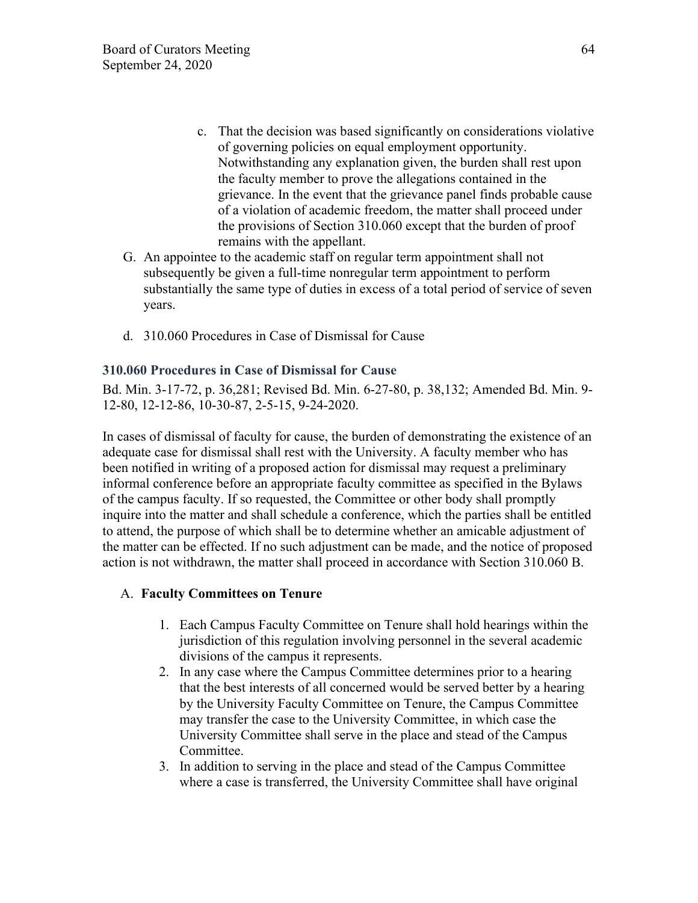- c. That the decision was based significantly on considerations violative of governing policies on equal employment opportunity. Notwithstanding any explanation given, the burden shall rest upon the faculty member to prove the allegations contained in the grievance. In the event that the grievance panel finds probable cause of a violation of academic freedom, the matter shall proceed under the provisions of Section 310.060 except that the burden of proof remains with the appellant.
- G. An appointee to the academic staff on regular term appointment shall not subsequently be given a full-time nonregular term appointment to perform substantially the same type of duties in excess of a total period of service of seven years.
- d. 310.060 Procedures in Case of Dismissal for Cause

# **310.060 Procedures in Case of Dismissal for Cause**

Bd. Min. 3-17-72, p. 36,281; Revised Bd. Min. 6-27-80, p. 38,132; Amended Bd. Min. 9- 12-80, 12-12-86, 10-30-87, 2-5-15, 9-24-2020.

In cases of dismissal of faculty for cause, the burden of demonstrating the existence of an adequate case for dismissal shall rest with the University. A faculty member who has been notified in writing of a proposed action for dismissal may request a preliminary informal conference before an appropriate faculty committee as specified in the Bylaws of the campus faculty. If so requested, the Committee or other body shall promptly inquire into the matter and shall schedule a conference, which the parties shall be entitled to attend, the purpose of which shall be to determine whether an amicable adjustment of the matter can be effected. If no such adjustment can be made, and the notice of proposed action is not withdrawn, the matter shall proceed in accordance with Section 310.060 B.

# A. **Faculty Committees on Tenure**

- 1. Each Campus Faculty Committee on Tenure shall hold hearings within the jurisdiction of this regulation involving personnel in the several academic divisions of the campus it represents.
- 2. In any case where the Campus Committee determines prior to a hearing that the best interests of all concerned would be served better by a hearing by the University Faculty Committee on Tenure, the Campus Committee may transfer the case to the University Committee, in which case the University Committee shall serve in the place and stead of the Campus Committee.
- 3. In addition to serving in the place and stead of the Campus Committee where a case is transferred, the University Committee shall have original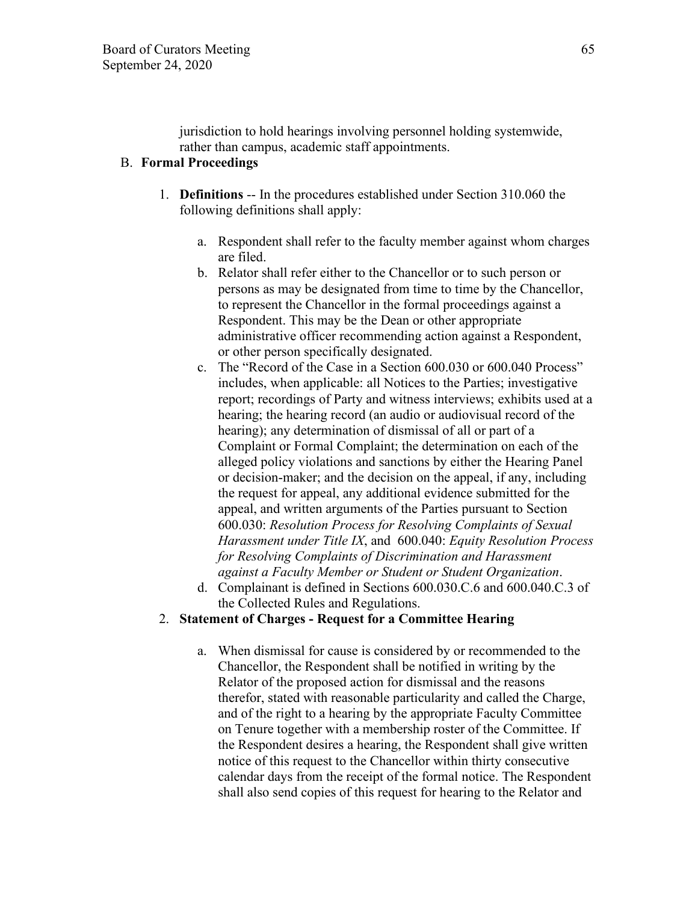jurisdiction to hold hearings involving personnel holding systemwide, rather than campus, academic staff appointments.

# B. **Formal Proceedings**

- 1. **Definitions** -- In the procedures established under Section 310.060 the following definitions shall apply:
	- a. Respondent shall refer to the faculty member against whom charges are filed.
	- b. Relator shall refer either to the Chancellor or to such person or persons as may be designated from time to time by the Chancellor, to represent the Chancellor in the formal proceedings against a Respondent. This may be the Dean or other appropriate administrative officer recommending action against a Respondent, or other person specifically designated.
	- c. The "Record of the Case in a Section 600.030 or 600.040 Process" includes, when applicable: all Notices to the Parties; investigative report; recordings of Party and witness interviews; exhibits used at a hearing; the hearing record (an audio or audiovisual record of the hearing); any determination of dismissal of all or part of a Complaint or Formal Complaint; the determination on each of the alleged policy violations and sanctions by either the Hearing Panel or decision-maker; and the decision on the appeal, if any, including the request for appeal, any additional evidence submitted for the appeal, and written arguments of the Parties pursuant to Section 600.030: *Resolution Process for Resolving Complaints of Sexual Harassment under Title IX*, and 600.040: *Equity Resolution Process for Resolving Complaints of Discrimination and Harassment against a Faculty Member or Student or Student Organization*.
	- d. Complainant is defined in Sections 600.030.C.6 and 600.040.C.3 of the Collected Rules and Regulations.

## 2. **Statement of Charges - Request for a Committee Hearing**

a. When dismissal for cause is considered by or recommended to the Chancellor, the Respondent shall be notified in writing by the Relator of the proposed action for dismissal and the reasons therefor, stated with reasonable particularity and called the Charge, and of the right to a hearing by the appropriate Faculty Committee on Tenure together with a membership roster of the Committee. If the Respondent desires a hearing, the Respondent shall give written notice of this request to the Chancellor within thirty consecutive calendar days from the receipt of the formal notice. The Respondent shall also send copies of this request for hearing to the Relator and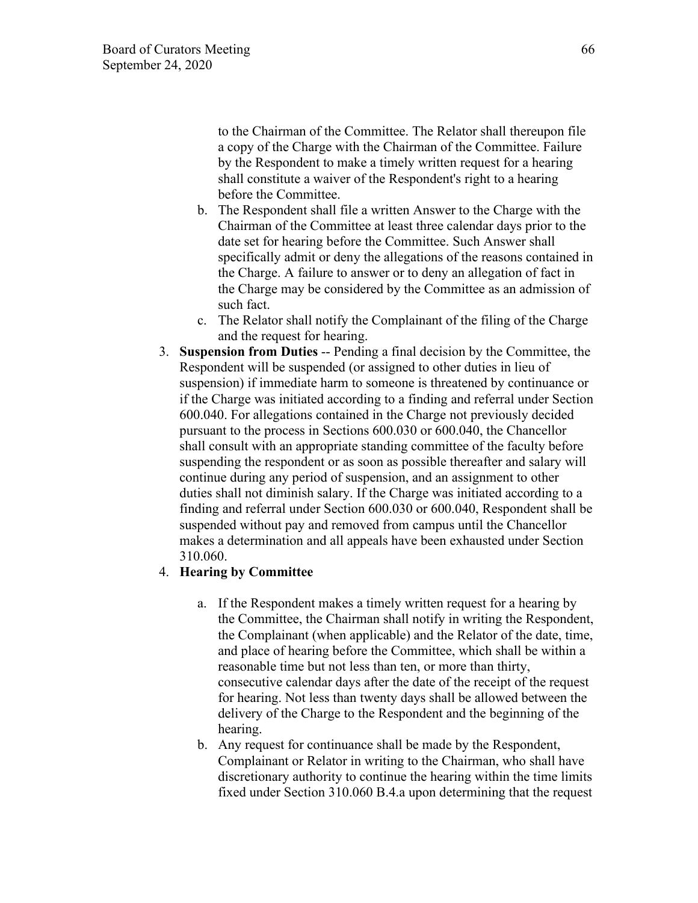to the Chairman of the Committee. The Relator shall thereupon file a copy of the Charge with the Chairman of the Committee. Failure by the Respondent to make a timely written request for a hearing shall constitute a waiver of the Respondent's right to a hearing before the Committee.

- b. The Respondent shall file a written Answer to the Charge with the Chairman of the Committee at least three calendar days prior to the date set for hearing before the Committee. Such Answer shall specifically admit or deny the allegations of the reasons contained in the Charge. A failure to answer or to deny an allegation of fact in the Charge may be considered by the Committee as an admission of such fact.
- c. The Relator shall notify the Complainant of the filing of the Charge and the request for hearing.
- 3. **Suspension from Duties** -- Pending a final decision by the Committee, the Respondent will be suspended (or assigned to other duties in lieu of suspension) if immediate harm to someone is threatened by continuance or if the Charge was initiated according to a finding and referral under Section 600.040. For allegations contained in the Charge not previously decided pursuant to the process in Sections 600.030 or 600.040, the Chancellor shall consult with an appropriate standing committee of the faculty before suspending the respondent or as soon as possible thereafter and salary will continue during any period of suspension, and an assignment to other duties shall not diminish salary. If the Charge was initiated according to a finding and referral under Section 600.030 or 600.040, Respondent shall be suspended without pay and removed from campus until the Chancellor makes a determination and all appeals have been exhausted under Section 310.060.

## 4. **Hearing by Committee**

- a. If the Respondent makes a timely written request for a hearing by the Committee, the Chairman shall notify in writing the Respondent, the Complainant (when applicable) and the Relator of the date, time, and place of hearing before the Committee, which shall be within a reasonable time but not less than ten, or more than thirty, consecutive calendar days after the date of the receipt of the request for hearing. Not less than twenty days shall be allowed between the delivery of the Charge to the Respondent and the beginning of the hearing.
- b. Any request for continuance shall be made by the Respondent, Complainant or Relator in writing to the Chairman, who shall have discretionary authority to continue the hearing within the time limits fixed under Section 310.060 B.4.a upon determining that the request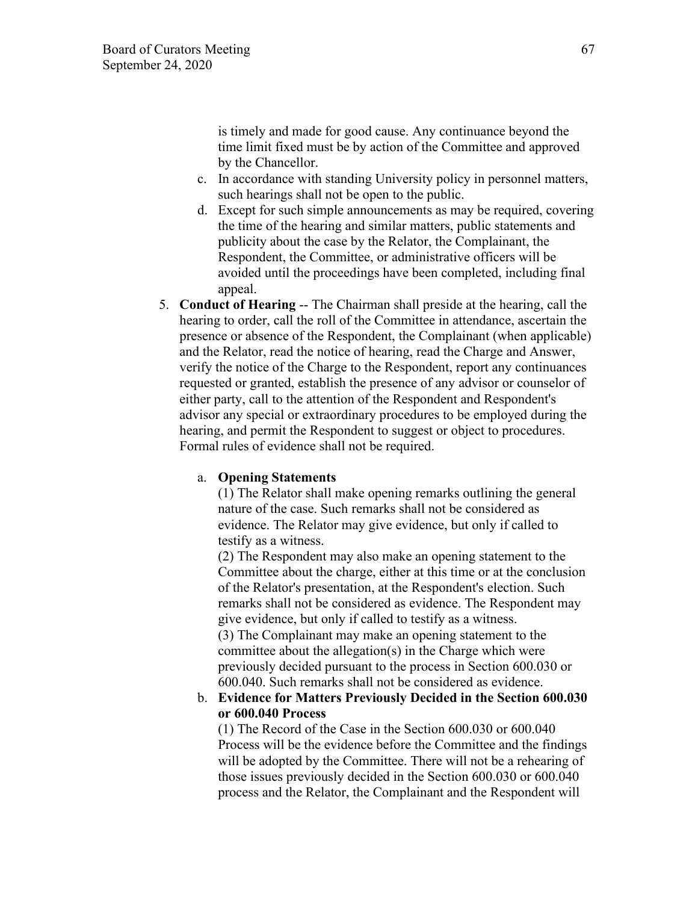is timely and made for good cause. Any continuance beyond the time limit fixed must be by action of the Committee and approved by the Chancellor.

- c. In accordance with standing University policy in personnel matters, such hearings shall not be open to the public.
- d. Except for such simple announcements as may be required, covering the time of the hearing and similar matters, public statements and publicity about the case by the Relator, the Complainant, the Respondent, the Committee, or administrative officers will be avoided until the proceedings have been completed, including final appeal.
- 5. **Conduct of Hearing** -- The Chairman shall preside at the hearing, call the hearing to order, call the roll of the Committee in attendance, ascertain the presence or absence of the Respondent, the Complainant (when applicable) and the Relator, read the notice of hearing, read the Charge and Answer, verify the notice of the Charge to the Respondent, report any continuances requested or granted, establish the presence of any advisor or counselor of either party, call to the attention of the Respondent and Respondent's advisor any special or extraordinary procedures to be employed during the hearing, and permit the Respondent to suggest or object to procedures. Formal rules of evidence shall not be required.

#### a. **Opening Statements**

(1) The Relator shall make opening remarks outlining the general nature of the case. Such remarks shall not be considered as evidence. The Relator may give evidence, but only if called to testify as a witness.

(2) The Respondent may also make an opening statement to the Committee about the charge, either at this time or at the conclusion of the Relator's presentation, at the Respondent's election. Such remarks shall not be considered as evidence. The Respondent may give evidence, but only if called to testify as a witness.

(3) The Complainant may make an opening statement to the committee about the allegation(s) in the Charge which were previously decided pursuant to the process in Section 600.030 or 600.040. Such remarks shall not be considered as evidence.

## b. **Evidence for Matters Previously Decided in the Section 600.030 or 600.040 Process**

(1) The Record of the Case in the Section 600.030 or 600.040 Process will be the evidence before the Committee and the findings will be adopted by the Committee. There will not be a rehearing of those issues previously decided in the Section 600.030 or 600.040 process and the Relator, the Complainant and the Respondent will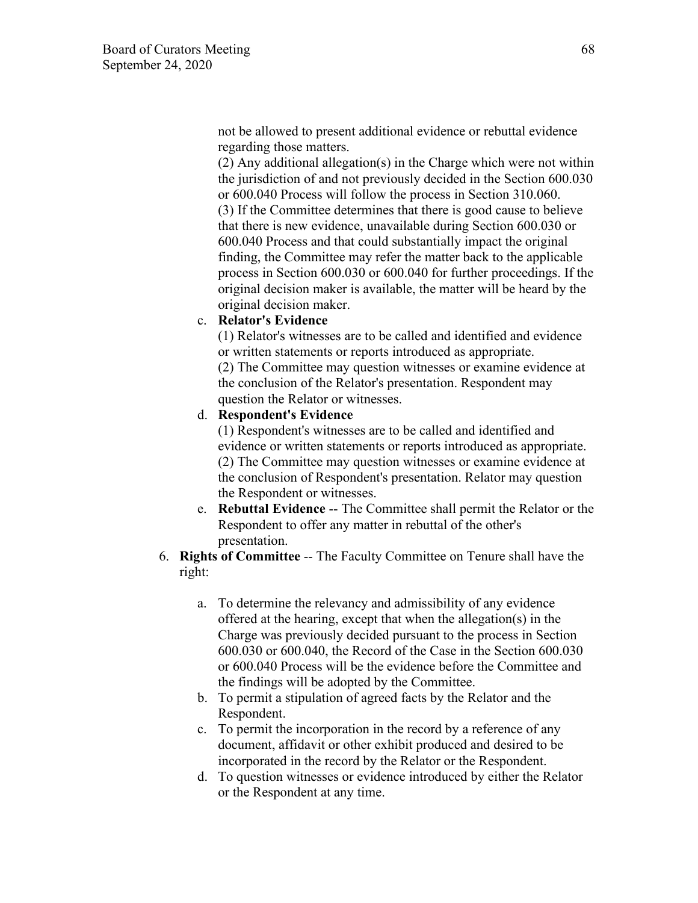not be allowed to present additional evidence or rebuttal evidence regarding those matters.

(2) Any additional allegation(s) in the Charge which were not within the jurisdiction of and not previously decided in the Section 600.030 or 600.040 Process will follow the process in Section 310.060. (3) If the Committee determines that there is good cause to believe that there is new evidence, unavailable during Section 600.030 or 600.040 Process and that could substantially impact the original finding, the Committee may refer the matter back to the applicable process in Section 600.030 or 600.040 for further proceedings. If the original decision maker is available, the matter will be heard by the original decision maker.

#### c. **Relator's Evidence**

(1) Relator's witnesses are to be called and identified and evidence or written statements or reports introduced as appropriate.

(2) The Committee may question witnesses or examine evidence at the conclusion of the Relator's presentation. Respondent may question the Relator or witnesses.

#### d. **Respondent's Evidence**

(1) Respondent's witnesses are to be called and identified and evidence or written statements or reports introduced as appropriate. (2) The Committee may question witnesses or examine evidence at the conclusion of Respondent's presentation. Relator may question the Respondent or witnesses.

- e. **Rebuttal Evidence** -- The Committee shall permit the Relator or the Respondent to offer any matter in rebuttal of the other's presentation.
- 6. **Rights of Committee** -- The Faculty Committee on Tenure shall have the right:
	- a. To determine the relevancy and admissibility of any evidence offered at the hearing, except that when the allegation(s) in the Charge was previously decided pursuant to the process in Section 600.030 or 600.040, the Record of the Case in the Section 600.030 or 600.040 Process will be the evidence before the Committee and the findings will be adopted by the Committee.
	- b. To permit a stipulation of agreed facts by the Relator and the Respondent.
	- c. To permit the incorporation in the record by a reference of any document, affidavit or other exhibit produced and desired to be incorporated in the record by the Relator or the Respondent.
	- d. To question witnesses or evidence introduced by either the Relator or the Respondent at any time.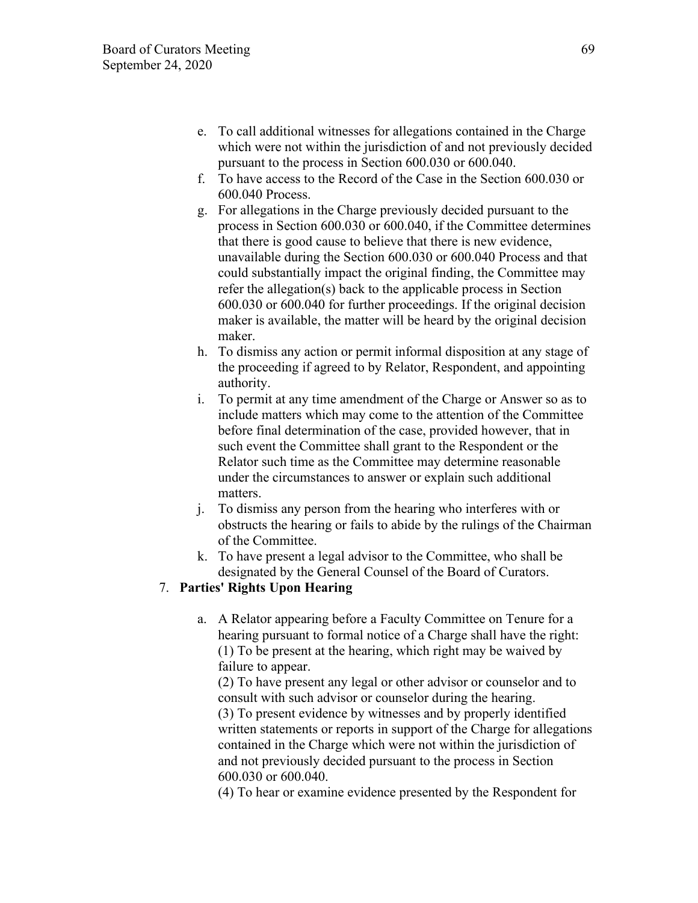- e. To call additional witnesses for allegations contained in the Charge which were not within the jurisdiction of and not previously decided pursuant to the process in Section 600.030 or 600.040.
- f. To have access to the Record of the Case in the Section 600.030 or 600.040 Process.
- g. For allegations in the Charge previously decided pursuant to the process in Section 600.030 or 600.040, if the Committee determines that there is good cause to believe that there is new evidence, unavailable during the Section 600.030 or 600.040 Process and that could substantially impact the original finding, the Committee may refer the allegation(s) back to the applicable process in Section 600.030 or 600.040 for further proceedings. If the original decision maker is available, the matter will be heard by the original decision maker.
- h. To dismiss any action or permit informal disposition at any stage of the proceeding if agreed to by Relator, Respondent, and appointing authority.
- i. To permit at any time amendment of the Charge or Answer so as to include matters which may come to the attention of the Committee before final determination of the case, provided however, that in such event the Committee shall grant to the Respondent or the Relator such time as the Committee may determine reasonable under the circumstances to answer or explain such additional matters.
- j. To dismiss any person from the hearing who interferes with or obstructs the hearing or fails to abide by the rulings of the Chairman of the Committee.
- k. To have present a legal advisor to the Committee, who shall be designated by the General Counsel of the Board of Curators.

# 7. **Parties' Rights Upon Hearing**

a. A Relator appearing before a Faculty Committee on Tenure for a hearing pursuant to formal notice of a Charge shall have the right: (1) To be present at the hearing, which right may be waived by failure to appear.

(2) To have present any legal or other advisor or counselor and to consult with such advisor or counselor during the hearing. (3) To present evidence by witnesses and by properly identified written statements or reports in support of the Charge for allegations contained in the Charge which were not within the jurisdiction of and not previously decided pursuant to the process in Section 600.030 or 600.040.

(4) To hear or examine evidence presented by the Respondent for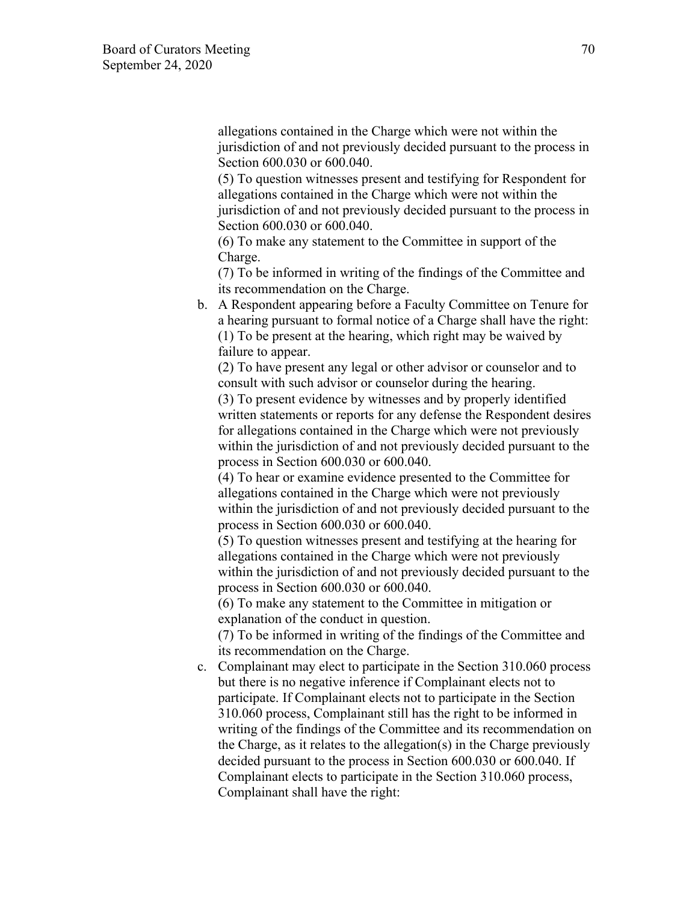allegations contained in the Charge which were not within the jurisdiction of and not previously decided pursuant to the process in Section 600.030 or 600.040.

(5) To question witnesses present and testifying for Respondent for allegations contained in the Charge which were not within the jurisdiction of and not previously decided pursuant to the process in Section 600.030 or 600.040.

(6) To make any statement to the Committee in support of the Charge.

(7) To be informed in writing of the findings of the Committee and its recommendation on the Charge.

b. A Respondent appearing before a Faculty Committee on Tenure for a hearing pursuant to formal notice of a Charge shall have the right: (1) To be present at the hearing, which right may be waived by failure to appear.

(2) To have present any legal or other advisor or counselor and to consult with such advisor or counselor during the hearing.

(3) To present evidence by witnesses and by properly identified written statements or reports for any defense the Respondent desires for allegations contained in the Charge which were not previously within the jurisdiction of and not previously decided pursuant to the process in Section 600.030 or 600.040.

(4) To hear or examine evidence presented to the Committee for allegations contained in the Charge which were not previously within the jurisdiction of and not previously decided pursuant to the process in Section 600.030 or 600.040.

(5) To question witnesses present and testifying at the hearing for allegations contained in the Charge which were not previously within the jurisdiction of and not previously decided pursuant to the process in Section 600.030 or 600.040.

(6) To make any statement to the Committee in mitigation or explanation of the conduct in question.

(7) To be informed in writing of the findings of the Committee and its recommendation on the Charge.

c. Complainant may elect to participate in the Section 310.060 process but there is no negative inference if Complainant elects not to participate. If Complainant elects not to participate in the Section 310.060 process, Complainant still has the right to be informed in writing of the findings of the Committee and its recommendation on the Charge, as it relates to the allegation(s) in the Charge previously decided pursuant to the process in Section 600.030 or 600.040. If Complainant elects to participate in the Section 310.060 process, Complainant shall have the right: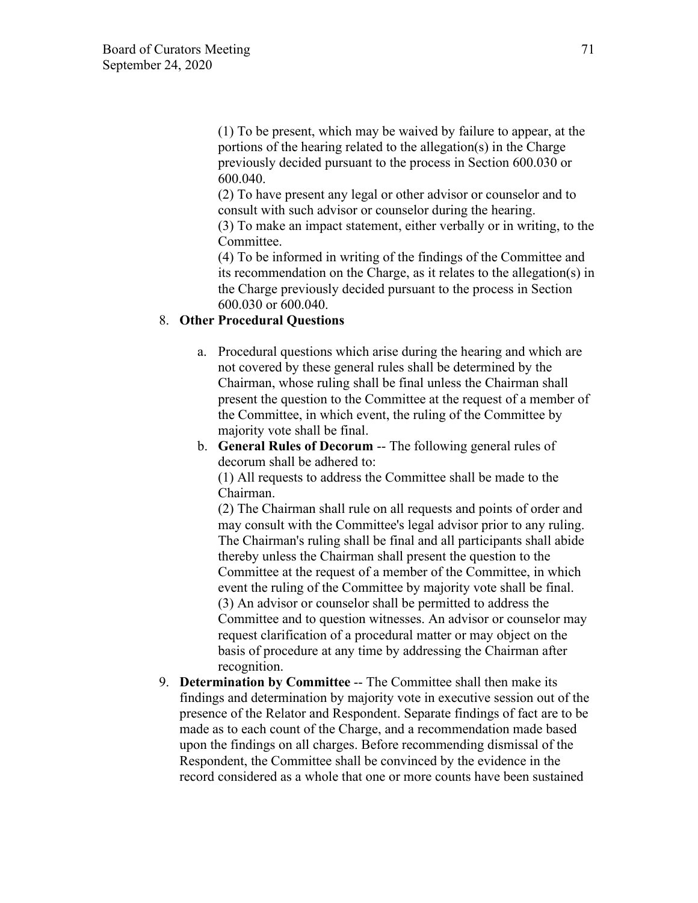(1) To be present, which may be waived by failure to appear, at the portions of the hearing related to the allegation(s) in the Charge previously decided pursuant to the process in Section 600.030 or 600.040.

(2) To have present any legal or other advisor or counselor and to consult with such advisor or counselor during the hearing.

(3) To make an impact statement, either verbally or in writing, to the Committee.

(4) To be informed in writing of the findings of the Committee and its recommendation on the Charge, as it relates to the allegation(s) in the Charge previously decided pursuant to the process in Section 600.030 or 600.040.

## 8. **Other Procedural Questions**

- a. Procedural questions which arise during the hearing and which are not covered by these general rules shall be determined by the Chairman, whose ruling shall be final unless the Chairman shall present the question to the Committee at the request of a member of the Committee, in which event, the ruling of the Committee by majority vote shall be final.
- b. **General Rules of Decorum** -- The following general rules of decorum shall be adhered to:

(1) All requests to address the Committee shall be made to the Chairman.

(2) The Chairman shall rule on all requests and points of order and may consult with the Committee's legal advisor prior to any ruling. The Chairman's ruling shall be final and all participants shall abide thereby unless the Chairman shall present the question to the Committee at the request of a member of the Committee, in which event the ruling of the Committee by majority vote shall be final. (3) An advisor or counselor shall be permitted to address the Committee and to question witnesses. An advisor or counselor may request clarification of a procedural matter or may object on the basis of procedure at any time by addressing the Chairman after recognition.

9. **Determination by Committee** -- The Committee shall then make its findings and determination by majority vote in executive session out of the presence of the Relator and Respondent. Separate findings of fact are to be made as to each count of the Charge, and a recommendation made based upon the findings on all charges. Before recommending dismissal of the Respondent, the Committee shall be convinced by the evidence in the record considered as a whole that one or more counts have been sustained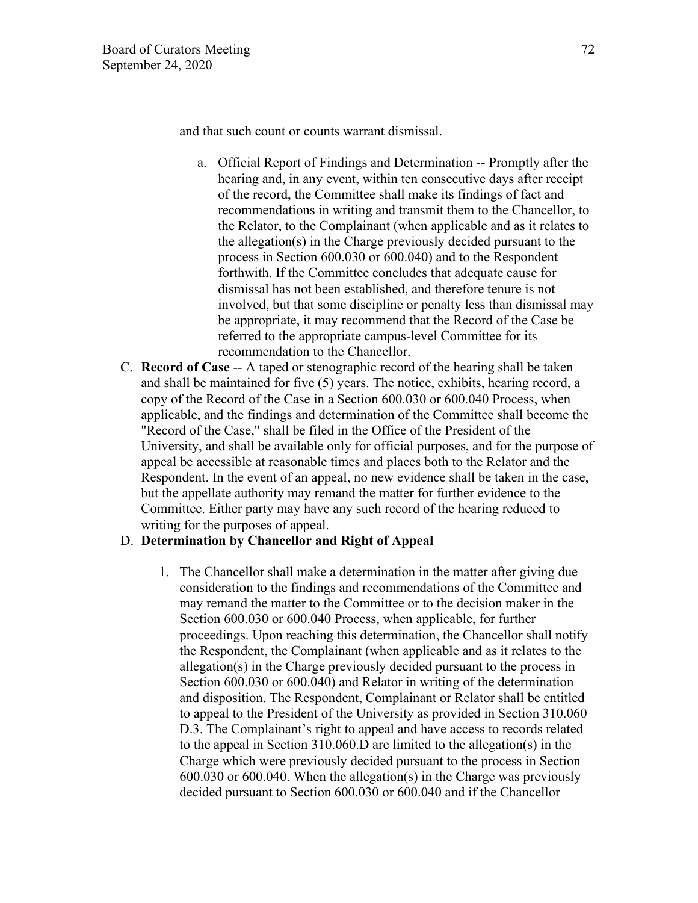and that such count or counts warrant dismissal.

- a. Official Report of Findings and Determination -- Promptly after the hearing and, in any event, within ten consecutive days after receipt of the record, the Committee shall make its findings of fact and recommendations in writing and transmit them to the Chancellor, to the Relator, to the Complainant (when applicable and as it relates to the allegation(s) in the Charge previously decided pursuant to the process in Section 600.030 or 600.040) and to the Respondent forthwith. If the Committee concludes that adequate cause for dismissal has not been established, and therefore tenure is not involved, but that some discipline or penalty less than dismissal may be appropriate, it may recommend that the Record of the Case be referred to the appropriate campus-level Committee for its recommendation to the Chancellor.
- C. **Record of Case** -- A taped or stenographic record of the hearing shall be taken and shall be maintained for five (5) years. The notice, exhibits, hearing record, a copy of the Record of the Case in a Section 600.030 or 600.040 Process, when applicable, and the findings and determination of the Committee shall become the "Record of the Case," shall be filed in the Office of the President of the University, and shall be available only for official purposes, and for the purpose of appeal be accessible at reasonable times and places both to the Relator and the Respondent. In the event of an appeal, no new evidence shall be taken in the case, but the appellate authority may remand the matter for further evidence to the Committee. Either party may have any such record of the hearing reduced to writing for the purposes of appeal.

## D. **Determination by Chancellor and Right of Appeal**

1. The Chancellor shall make a determination in the matter after giving due consideration to the findings and recommendations of the Committee and may remand the matter to the Committee or to the decision maker in the Section 600.030 or 600.040 Process, when applicable, for further proceedings. Upon reaching this determination, the Chancellor shall notify the Respondent, the Complainant (when applicable and as it relates to the allegation(s) in the Charge previously decided pursuant to the process in Section 600.030 or 600.040) and Relator in writing of the determination and disposition. The Respondent, Complainant or Relator shall be entitled to appeal to the President of the University as provided in Section 310.060 D.3. The Complainant's right to appeal and have access to records related to the appeal in Section 310.060.D are limited to the allegation(s) in the Charge which were previously decided pursuant to the process in Section 600.030 or 600.040. When the allegation(s) in the Charge was previously decided pursuant to Section 600.030 or 600.040 and if the Chancellor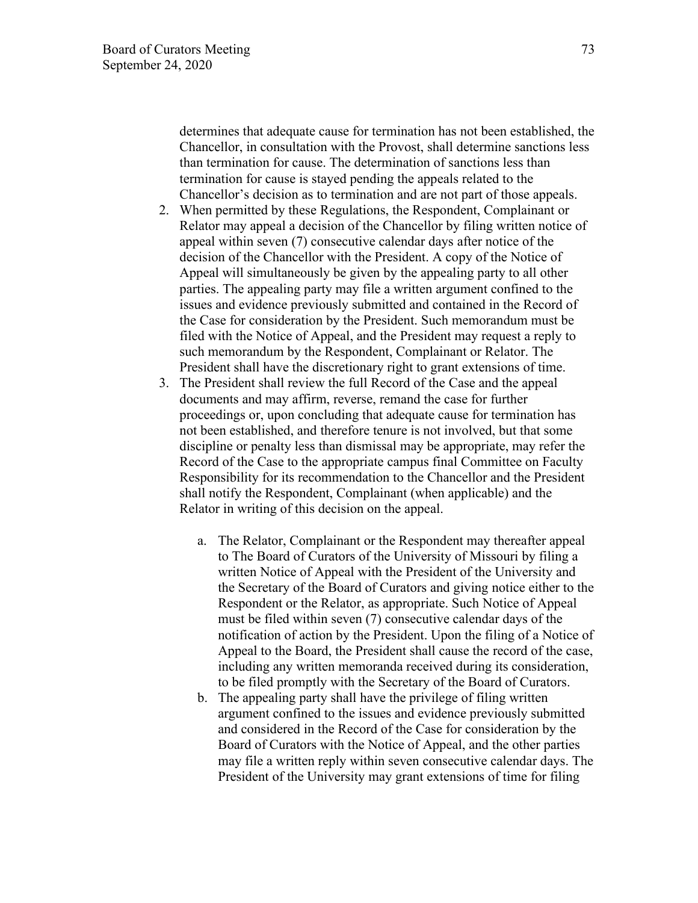determines that adequate cause for termination has not been established, the Chancellor, in consultation with the Provost, shall determine sanctions less than termination for cause. The determination of sanctions less than termination for cause is stayed pending the appeals related to the Chancellor's decision as to termination and are not part of those appeals.

- 2. When permitted by these Regulations, the Respondent, Complainant or Relator may appeal a decision of the Chancellor by filing written notice of appeal within seven (7) consecutive calendar days after notice of the decision of the Chancellor with the President. A copy of the Notice of Appeal will simultaneously be given by the appealing party to all other parties. The appealing party may file a written argument confined to the issues and evidence previously submitted and contained in the Record of the Case for consideration by the President. Such memorandum must be filed with the Notice of Appeal, and the President may request a reply to such memorandum by the Respondent, Complainant or Relator. The President shall have the discretionary right to grant extensions of time.
- 3. The President shall review the full Record of the Case and the appeal documents and may affirm, reverse, remand the case for further proceedings or, upon concluding that adequate cause for termination has not been established, and therefore tenure is not involved, but that some discipline or penalty less than dismissal may be appropriate, may refer the Record of the Case to the appropriate campus final Committee on Faculty Responsibility for its recommendation to the Chancellor and the President shall notify the Respondent, Complainant (when applicable) and the Relator in writing of this decision on the appeal.
	- a. The Relator, Complainant or the Respondent may thereafter appeal to The Board of Curators of the University of Missouri by filing a written Notice of Appeal with the President of the University and the Secretary of the Board of Curators and giving notice either to the Respondent or the Relator, as appropriate. Such Notice of Appeal must be filed within seven (7) consecutive calendar days of the notification of action by the President. Upon the filing of a Notice of Appeal to the Board, the President shall cause the record of the case, including any written memoranda received during its consideration, to be filed promptly with the Secretary of the Board of Curators.
	- b. The appealing party shall have the privilege of filing written argument confined to the issues and evidence previously submitted and considered in the Record of the Case for consideration by the Board of Curators with the Notice of Appeal, and the other parties may file a written reply within seven consecutive calendar days. The President of the University may grant extensions of time for filing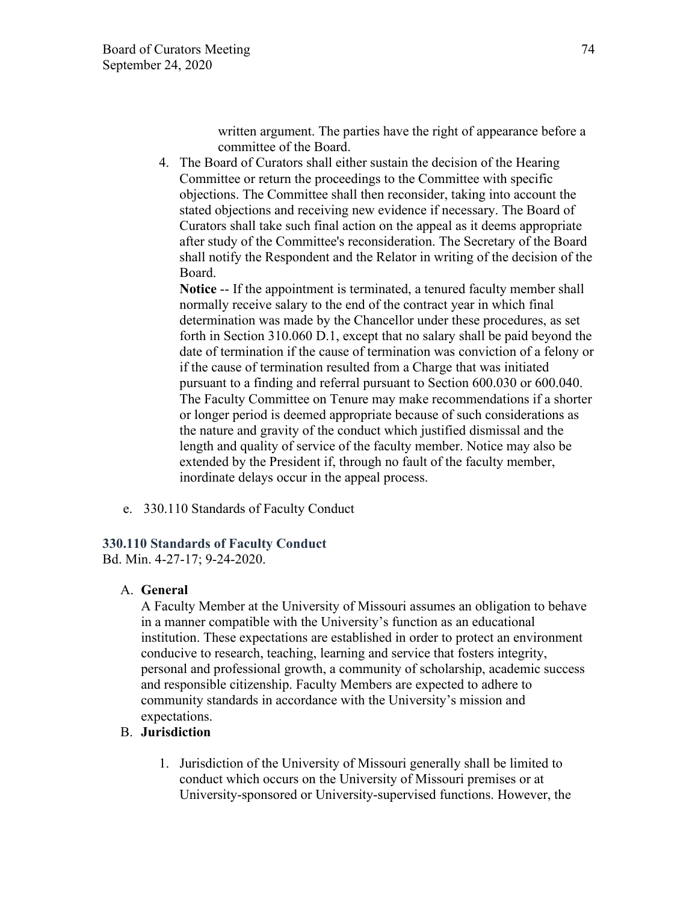written argument. The parties have the right of appearance before a committee of the Board.

4. The Board of Curators shall either sustain the decision of the Hearing Committee or return the proceedings to the Committee with specific objections. The Committee shall then reconsider, taking into account the stated objections and receiving new evidence if necessary. The Board of Curators shall take such final action on the appeal as it deems appropriate after study of the Committee's reconsideration. The Secretary of the Board shall notify the Respondent and the Relator in writing of the decision of the Board.

**Notice** -- If the appointment is terminated, a tenured faculty member shall normally receive salary to the end of the contract year in which final determination was made by the Chancellor under these procedures, as set forth in Section 310.060 D.1, except that no salary shall be paid beyond the date of termination if the cause of termination was conviction of a felony or if the cause of termination resulted from a Charge that was initiated pursuant to a finding and referral pursuant to Section 600.030 or 600.040. The Faculty Committee on Tenure may make recommendations if a shorter or longer period is deemed appropriate because of such considerations as the nature and gravity of the conduct which justified dismissal and the length and quality of service of the faculty member. Notice may also be extended by the President if, through no fault of the faculty member, inordinate delays occur in the appeal process.

e. 330.110 Standards of Faculty Conduct

#### **330.110 Standards of Faculty Conduct**

Bd. Min. 4-27-17; 9-24-2020.

### A. **General**

A Faculty Member at the University of Missouri assumes an obligation to behave in a manner compatible with the University's function as an educational institution. These expectations are established in order to protect an environment conducive to research, teaching, learning and service that fosters integrity, personal and professional growth, a community of scholarship, academic success and responsible citizenship. Faculty Members are expected to adhere to community standards in accordance with the University's mission and expectations.

### B. **Jurisdiction**

1. Jurisdiction of the University of Missouri generally shall be limited to conduct which occurs on the University of Missouri premises or at University-sponsored or University-supervised functions. However, the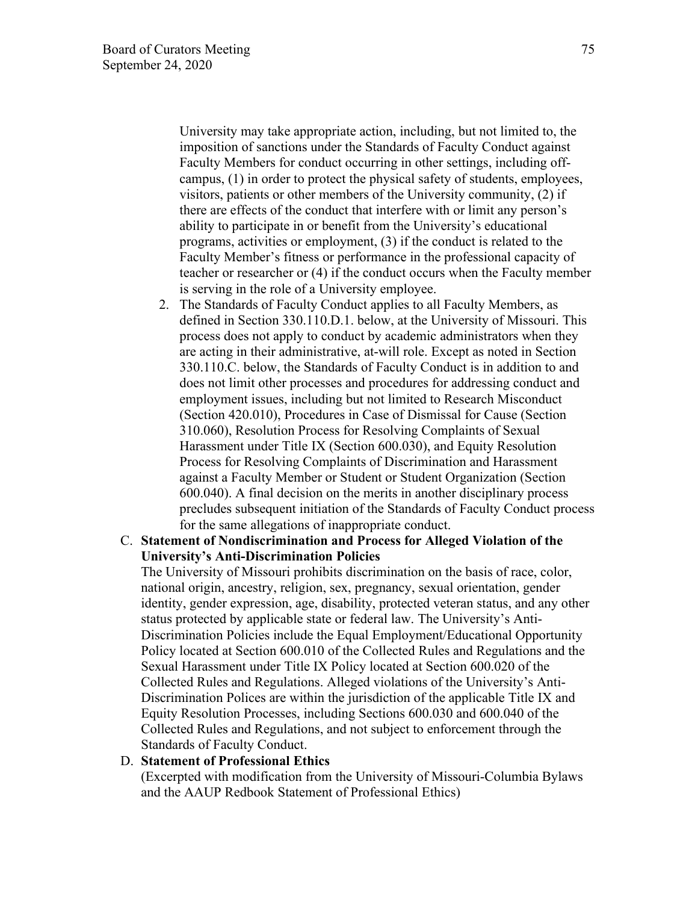University may take appropriate action, including, but not limited to, the imposition of sanctions under the Standards of Faculty Conduct against Faculty Members for conduct occurring in other settings, including offcampus, (1) in order to protect the physical safety of students, employees, visitors, patients or other members of the University community, (2) if there are effects of the conduct that interfere with or limit any person's ability to participate in or benefit from the University's educational programs, activities or employment, (3) if the conduct is related to the Faculty Member's fitness or performance in the professional capacity of teacher or researcher or (4) if the conduct occurs when the Faculty member is serving in the role of a University employee.

2. The Standards of Faculty Conduct applies to all Faculty Members, as defined in Section 330.110.D.1. below, at the University of Missouri. This process does not apply to conduct by academic administrators when they are acting in their administrative, at-will role. Except as noted in Section 330.110.C. below, the Standards of Faculty Conduct is in addition to and does not limit other processes and procedures for addressing conduct and employment issues, including but not limited to Research Misconduct (Section 420.010), Procedures in Case of Dismissal for Cause (Section 310.060), Resolution Process for Resolving Complaints of Sexual Harassment under Title IX (Section 600.030), and Equity Resolution Process for Resolving Complaints of Discrimination and Harassment against a Faculty Member or Student or Student Organization (Section 600.040). A final decision on the merits in another disciplinary process precludes subsequent initiation of the Standards of Faculty Conduct process for the same allegations of inappropriate conduct.

### C. **Statement of Nondiscrimination and Process for Alleged Violation of the University's Anti-Discrimination Policies**

The University of Missouri prohibits discrimination on the basis of race, color, national origin, ancestry, religion, sex, pregnancy, sexual orientation, gender identity, gender expression, age, disability, protected veteran status, and any other status protected by applicable state or federal law. The University's Anti-Discrimination Policies include the Equal Employment/Educational Opportunity Policy located at Section 600.010 of the Collected Rules and Regulations and the Sexual Harassment under Title IX Policy located at Section 600.020 of the Collected Rules and Regulations. Alleged violations of the University's Anti-Discrimination Polices are within the jurisdiction of the applicable Title IX and Equity Resolution Processes, including Sections 600.030 and 600.040 of the Collected Rules and Regulations, and not subject to enforcement through the Standards of Faculty Conduct.

#### D. **Statement of Professional Ethics**

(Excerpted with modification from the University of Missouri-Columbia Bylaws and the AAUP Redbook Statement of Professional Ethics)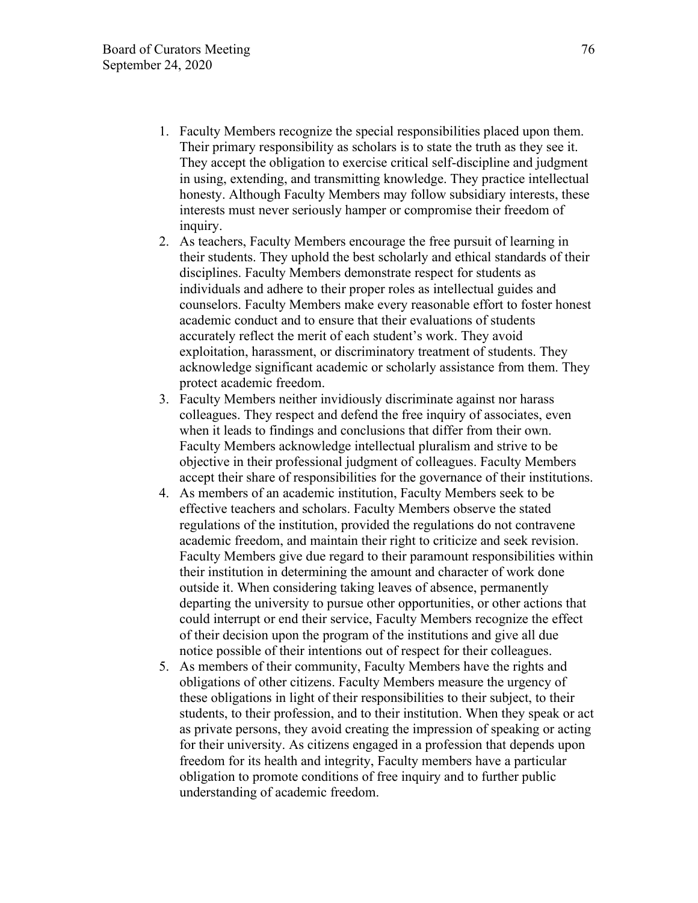- 1. Faculty Members recognize the special responsibilities placed upon them. Their primary responsibility as scholars is to state the truth as they see it. They accept the obligation to exercise critical self-discipline and judgment in using, extending, and transmitting knowledge. They practice intellectual honesty. Although Faculty Members may follow subsidiary interests, these interests must never seriously hamper or compromise their freedom of inquiry.
- 2. As teachers, Faculty Members encourage the free pursuit of learning in their students. They uphold the best scholarly and ethical standards of their disciplines. Faculty Members demonstrate respect for students as individuals and adhere to their proper roles as intellectual guides and counselors. Faculty Members make every reasonable effort to foster honest academic conduct and to ensure that their evaluations of students accurately reflect the merit of each student's work. They avoid exploitation, harassment, or discriminatory treatment of students. They acknowledge significant academic or scholarly assistance from them. They protect academic freedom.
- 3. Faculty Members neither invidiously discriminate against nor harass colleagues. They respect and defend the free inquiry of associates, even when it leads to findings and conclusions that differ from their own. Faculty Members acknowledge intellectual pluralism and strive to be objective in their professional judgment of colleagues. Faculty Members accept their share of responsibilities for the governance of their institutions.
- 4. As members of an academic institution, Faculty Members seek to be effective teachers and scholars. Faculty Members observe the stated regulations of the institution, provided the regulations do not contravene academic freedom, and maintain their right to criticize and seek revision. Faculty Members give due regard to their paramount responsibilities within their institution in determining the amount and character of work done outside it. When considering taking leaves of absence, permanently departing the university to pursue other opportunities, or other actions that could interrupt or end their service, Faculty Members recognize the effect of their decision upon the program of the institutions and give all due notice possible of their intentions out of respect for their colleagues.
- 5. As members of their community, Faculty Members have the rights and obligations of other citizens. Faculty Members measure the urgency of these obligations in light of their responsibilities to their subject, to their students, to their profession, and to their institution. When they speak or act as private persons, they avoid creating the impression of speaking or acting for their university. As citizens engaged in a profession that depends upon freedom for its health and integrity, Faculty members have a particular obligation to promote conditions of free inquiry and to further public understanding of academic freedom.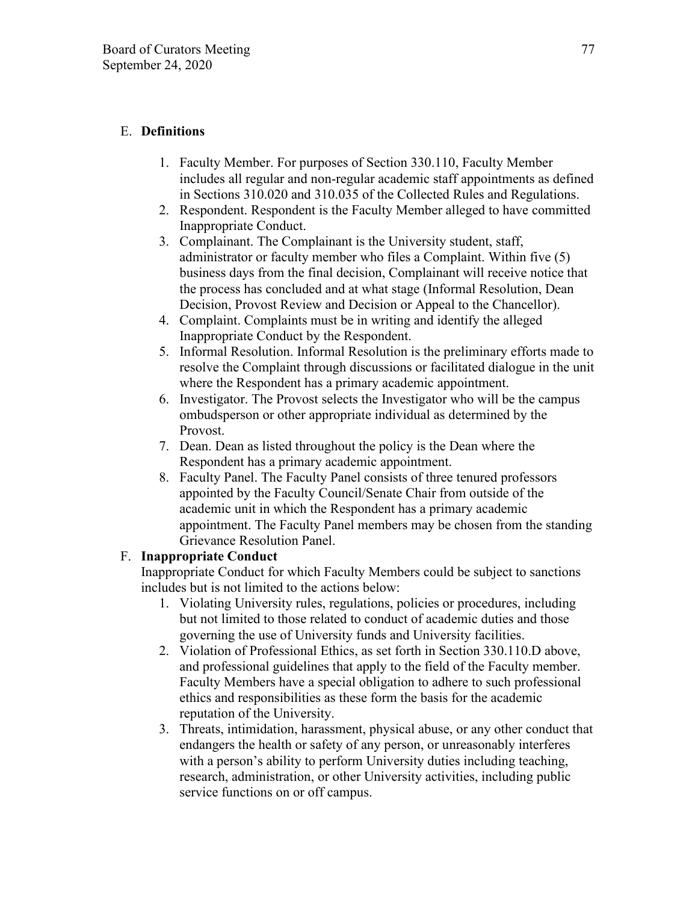# E. **Definitions**

- 1. Faculty Member. For purposes of Section 330.110, Faculty Member includes all regular and non-regular academic staff appointments as defined in Sections 310.020 and 310.035 of the Collected Rules and Regulations.
- 2. Respondent. Respondent is the Faculty Member alleged to have committed Inappropriate Conduct.
- 3. Complainant. The Complainant is the University student, staff, administrator or faculty member who files a Complaint. Within five (5) business days from the final decision, Complainant will receive notice that the process has concluded and at what stage (Informal Resolution, Dean Decision, Provost Review and Decision or Appeal to the Chancellor).
- 4. Complaint. Complaints must be in writing and identify the alleged Inappropriate Conduct by the Respondent.
- 5. Informal Resolution. Informal Resolution is the preliminary efforts made to resolve the Complaint through discussions or facilitated dialogue in the unit where the Respondent has a primary academic appointment.
- 6. Investigator. The Provost selects the Investigator who will be the campus ombudsperson or other appropriate individual as determined by the Provost.
- 7. Dean. Dean as listed throughout the policy is the Dean where the Respondent has a primary academic appointment.
- 8. Faculty Panel. The Faculty Panel consists of three tenured professors appointed by the Faculty Council/Senate Chair from outside of the academic unit in which the Respondent has a primary academic appointment. The Faculty Panel members may be chosen from the standing Grievance Resolution Panel.

## F. **Inappropriate Conduct**

Inappropriate Conduct for which Faculty Members could be subject to sanctions includes but is not limited to the actions below:

- 1. Violating University rules, regulations, policies or procedures, including but not limited to those related to conduct of academic duties and those governing the use of University funds and University facilities.
- 2. Violation of Professional Ethics, as set forth in Section 330.110.D above, and professional guidelines that apply to the field of the Faculty member. Faculty Members have a special obligation to adhere to such professional ethics and responsibilities as these form the basis for the academic reputation of the University.
- 3. Threats, intimidation, harassment, physical abuse, or any other conduct that endangers the health or safety of any person, or unreasonably interferes with a person's ability to perform University duties including teaching, research, administration, or other University activities, including public service functions on or off campus.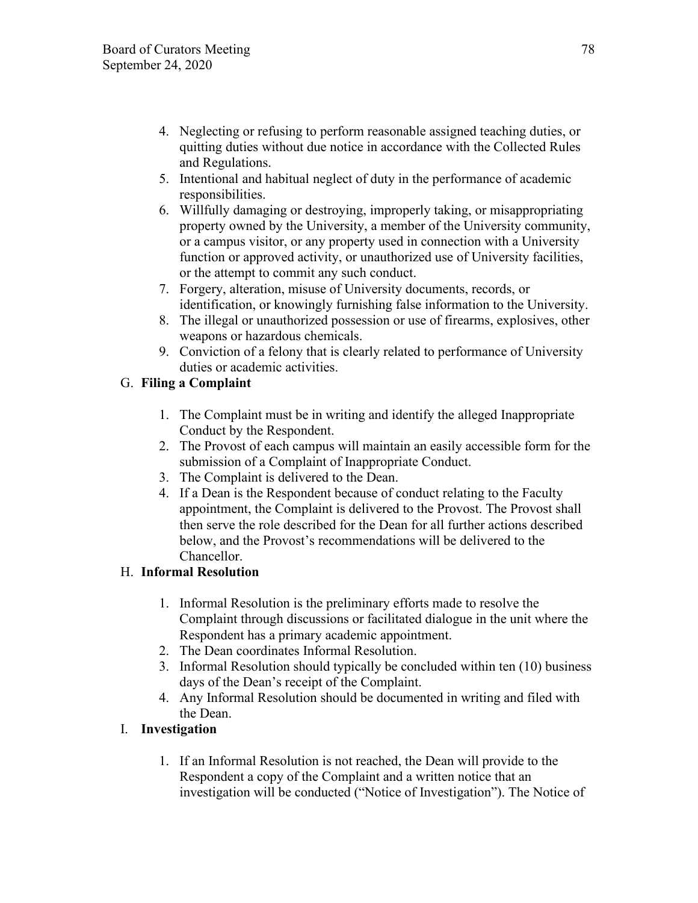- 4. Neglecting or refusing to perform reasonable assigned teaching duties, or quitting duties without due notice in accordance with the Collected Rules and Regulations.
- 5. Intentional and habitual neglect of duty in the performance of academic responsibilities.
- 6. Willfully damaging or destroying, improperly taking, or misappropriating property owned by the University, a member of the University community, or a campus visitor, or any property used in connection with a University function or approved activity, or unauthorized use of University facilities, or the attempt to commit any such conduct.
- 7. Forgery, alteration, misuse of University documents, records, or identification, or knowingly furnishing false information to the University.
- 8. The illegal or unauthorized possession or use of firearms, explosives, other weapons or hazardous chemicals.
- 9. Conviction of a felony that is clearly related to performance of University duties or academic activities.

# G. **Filing a Complaint**

- 1. The Complaint must be in writing and identify the alleged Inappropriate Conduct by the Respondent.
- 2. The Provost of each campus will maintain an easily accessible form for the submission of a Complaint of Inappropriate Conduct.
- 3. The Complaint is delivered to the Dean.
- 4. If a Dean is the Respondent because of conduct relating to the Faculty appointment, the Complaint is delivered to the Provost. The Provost shall then serve the role described for the Dean for all further actions described below, and the Provost's recommendations will be delivered to the Chancellor.

# H. **Informal Resolution**

- 1. Informal Resolution is the preliminary efforts made to resolve the Complaint through discussions or facilitated dialogue in the unit where the Respondent has a primary academic appointment.
- 2. The Dean coordinates Informal Resolution.
- 3. Informal Resolution should typically be concluded within ten (10) business days of the Dean's receipt of the Complaint.
- 4. Any Informal Resolution should be documented in writing and filed with the Dean.

# I. **Investigation**

1. If an Informal Resolution is not reached, the Dean will provide to the Respondent a copy of the Complaint and a written notice that an investigation will be conducted ("Notice of Investigation"). The Notice of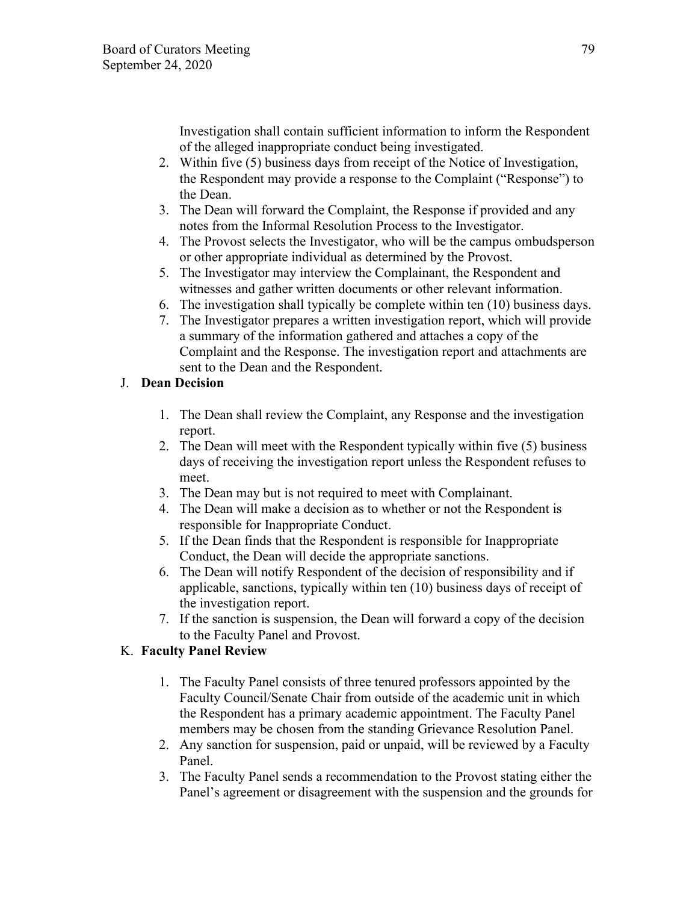Investigation shall contain sufficient information to inform the Respondent of the alleged inappropriate conduct being investigated.

- 2. Within five (5) business days from receipt of the Notice of Investigation, the Respondent may provide a response to the Complaint ("Response") to the Dean.
- 3. The Dean will forward the Complaint, the Response if provided and any notes from the Informal Resolution Process to the Investigator.
- 4. The Provost selects the Investigator, who will be the campus ombudsperson or other appropriate individual as determined by the Provost.
- 5. The Investigator may interview the Complainant, the Respondent and witnesses and gather written documents or other relevant information.
- 6. The investigation shall typically be complete within ten (10) business days.
- 7. The Investigator prepares a written investigation report, which will provide a summary of the information gathered and attaches a copy of the Complaint and the Response. The investigation report and attachments are sent to the Dean and the Respondent.

## J. **Dean Decision**

- 1. The Dean shall review the Complaint, any Response and the investigation report.
- 2. The Dean will meet with the Respondent typically within five (5) business days of receiving the investigation report unless the Respondent refuses to meet.
- 3. The Dean may but is not required to meet with Complainant.
- 4. The Dean will make a decision as to whether or not the Respondent is responsible for Inappropriate Conduct.
- 5. If the Dean finds that the Respondent is responsible for Inappropriate Conduct, the Dean will decide the appropriate sanctions.
- 6. The Dean will notify Respondent of the decision of responsibility and if applicable, sanctions, typically within ten (10) business days of receipt of the investigation report.
- 7. If the sanction is suspension, the Dean will forward a copy of the decision to the Faculty Panel and Provost.

# K. **Faculty Panel Review**

- 1. The Faculty Panel consists of three tenured professors appointed by the Faculty Council/Senate Chair from outside of the academic unit in which the Respondent has a primary academic appointment. The Faculty Panel members may be chosen from the standing Grievance Resolution Panel.
- 2. Any sanction for suspension, paid or unpaid, will be reviewed by a Faculty Panel.
- 3. The Faculty Panel sends a recommendation to the Provost stating either the Panel's agreement or disagreement with the suspension and the grounds for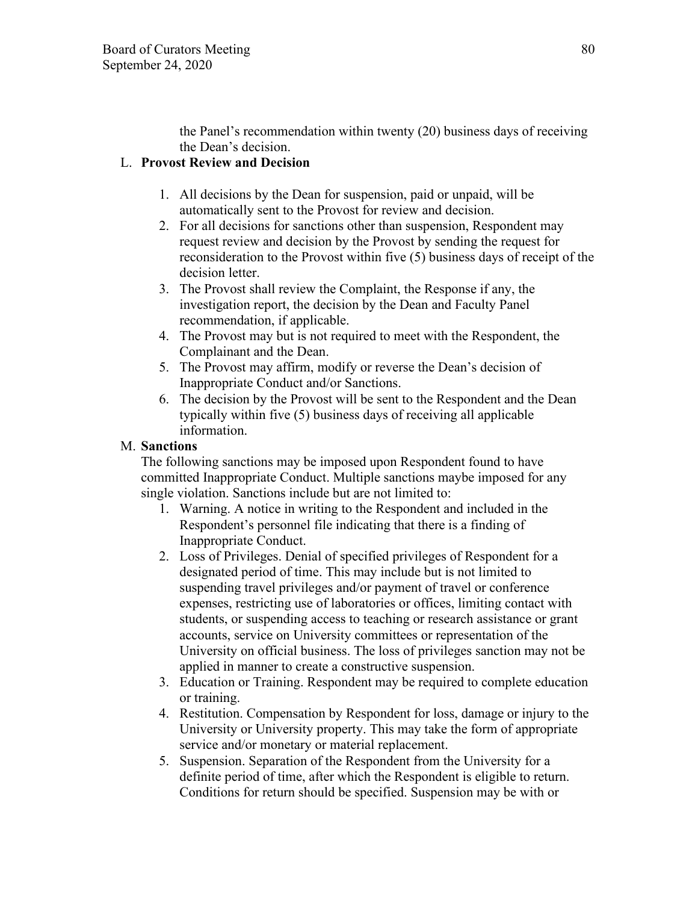the Panel's recommendation within twenty (20) business days of receiving the Dean's decision.

## L. **Provost Review and Decision**

- 1. All decisions by the Dean for suspension, paid or unpaid, will be automatically sent to the Provost for review and decision.
- 2. For all decisions for sanctions other than suspension, Respondent may request review and decision by the Provost by sending the request for reconsideration to the Provost within five (5) business days of receipt of the decision letter.
- 3. The Provost shall review the Complaint, the Response if any, the investigation report, the decision by the Dean and Faculty Panel recommendation, if applicable.
- 4. The Provost may but is not required to meet with the Respondent, the Complainant and the Dean.
- 5. The Provost may affirm, modify or reverse the Dean's decision of Inappropriate Conduct and/or Sanctions.
- 6. The decision by the Provost will be sent to the Respondent and the Dean typically within five (5) business days of receiving all applicable information.

### M. **Sanctions**

The following sanctions may be imposed upon Respondent found to have committed Inappropriate Conduct. Multiple sanctions maybe imposed for any single violation. Sanctions include but are not limited to:

- 1. Warning. A notice in writing to the Respondent and included in the Respondent's personnel file indicating that there is a finding of Inappropriate Conduct.
- 2. Loss of Privileges. Denial of specified privileges of Respondent for a designated period of time. This may include but is not limited to suspending travel privileges and/or payment of travel or conference expenses, restricting use of laboratories or offices, limiting contact with students, or suspending access to teaching or research assistance or grant accounts, service on University committees or representation of the University on official business. The loss of privileges sanction may not be applied in manner to create a constructive suspension.
- 3. Education or Training. Respondent may be required to complete education or training.
- 4. Restitution. Compensation by Respondent for loss, damage or injury to the University or University property. This may take the form of appropriate service and/or monetary or material replacement.
- 5. Suspension. Separation of the Respondent from the University for a definite period of time, after which the Respondent is eligible to return. Conditions for return should be specified. Suspension may be with or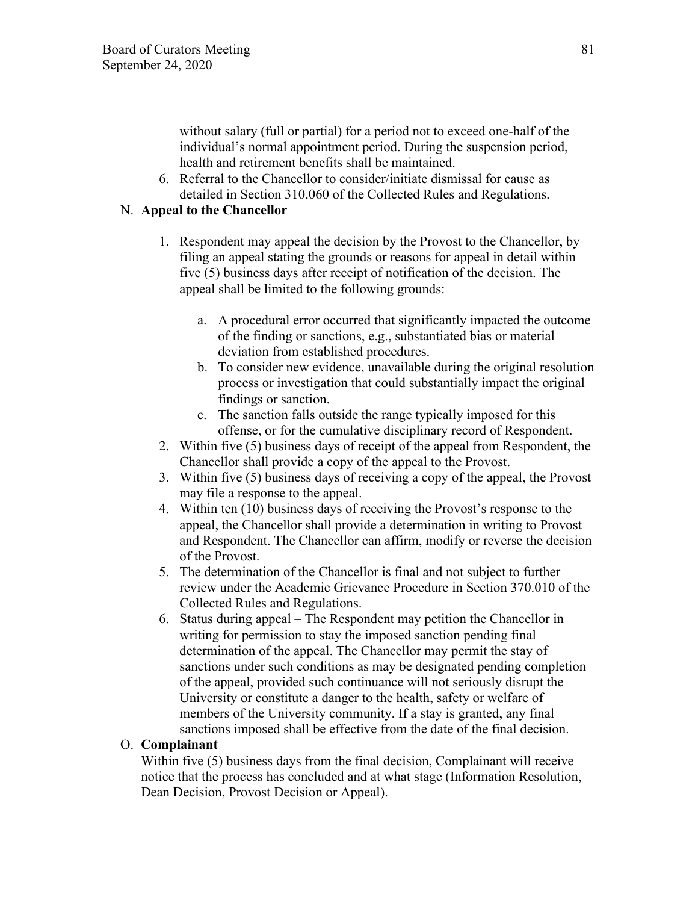without salary (full or partial) for a period not to exceed one-half of the individual's normal appointment period. During the suspension period, health and retirement benefits shall be maintained.

6. Referral to the Chancellor to consider/initiate dismissal for cause as detailed in Section 310.060 of the Collected Rules and Regulations.

### N. **Appeal to the Chancellor**

- 1. Respondent may appeal the decision by the Provost to the Chancellor, by filing an appeal stating the grounds or reasons for appeal in detail within five (5) business days after receipt of notification of the decision. The appeal shall be limited to the following grounds:
	- a. A procedural error occurred that significantly impacted the outcome of the finding or sanctions, e.g., substantiated bias or material deviation from established procedures.
	- b. To consider new evidence, unavailable during the original resolution process or investigation that could substantially impact the original findings or sanction.
	- c. The sanction falls outside the range typically imposed for this offense, or for the cumulative disciplinary record of Respondent.
- 2. Within five (5) business days of receipt of the appeal from Respondent, the Chancellor shall provide a copy of the appeal to the Provost.
- 3. Within five (5) business days of receiving a copy of the appeal, the Provost may file a response to the appeal.
- 4. Within ten (10) business days of receiving the Provost's response to the appeal, the Chancellor shall provide a determination in writing to Provost and Respondent. The Chancellor can affirm, modify or reverse the decision of the Provost.
- 5. The determination of the Chancellor is final and not subject to further review under the Academic Grievance Procedure in Section 370.010 of the Collected Rules and Regulations.
- 6. Status during appeal The Respondent may petition the Chancellor in writing for permission to stay the imposed sanction pending final determination of the appeal. The Chancellor may permit the stay of sanctions under such conditions as may be designated pending completion of the appeal, provided such continuance will not seriously disrupt the University or constitute a danger to the health, safety or welfare of members of the University community. If a stay is granted, any final sanctions imposed shall be effective from the date of the final decision.

### O. **Complainant**

Within five (5) business days from the final decision, Complainant will receive notice that the process has concluded and at what stage (Information Resolution, Dean Decision, Provost Decision or Appeal).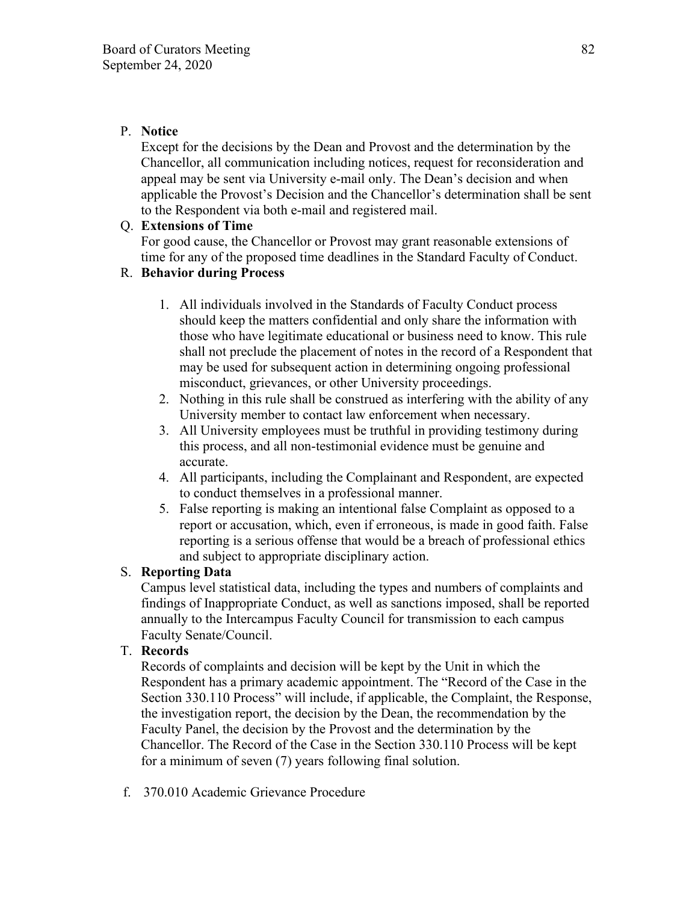## P. **Notice**

Except for the decisions by the Dean and Provost and the determination by the Chancellor, all communication including notices, request for reconsideration and appeal may be sent via University e-mail only. The Dean's decision and when applicable the Provost's Decision and the Chancellor's determination shall be sent to the Respondent via both e-mail and registered mail.

## Q. **Extensions of Time**

For good cause, the Chancellor or Provost may grant reasonable extensions of time for any of the proposed time deadlines in the Standard Faculty of Conduct.

## R. **Behavior during Process**

- 1. All individuals involved in the Standards of Faculty Conduct process should keep the matters confidential and only share the information with those who have legitimate educational or business need to know. This rule shall not preclude the placement of notes in the record of a Respondent that may be used for subsequent action in determining ongoing professional misconduct, grievances, or other University proceedings.
- 2. Nothing in this rule shall be construed as interfering with the ability of any University member to contact law enforcement when necessary.
- 3. All University employees must be truthful in providing testimony during this process, and all non-testimonial evidence must be genuine and accurate.
- 4. All participants, including the Complainant and Respondent, are expected to conduct themselves in a professional manner.
- 5. False reporting is making an intentional false Complaint as opposed to a report or accusation, which, even if erroneous, is made in good faith. False reporting is a serious offense that would be a breach of professional ethics and subject to appropriate disciplinary action.

# S. **Reporting Data**

Campus level statistical data, including the types and numbers of complaints and findings of Inappropriate Conduct, as well as sanctions imposed, shall be reported annually to the Intercampus Faculty Council for transmission to each campus Faculty Senate/Council.

## T. **Records**

Records of complaints and decision will be kept by the Unit in which the Respondent has a primary academic appointment. The "Record of the Case in the Section 330.110 Process" will include, if applicable, the Complaint, the Response, the investigation report, the decision by the Dean, the recommendation by the Faculty Panel, the decision by the Provost and the determination by the Chancellor. The Record of the Case in the Section 330.110 Process will be kept for a minimum of seven (7) years following final solution.

f. 370.010 Academic Grievance Procedure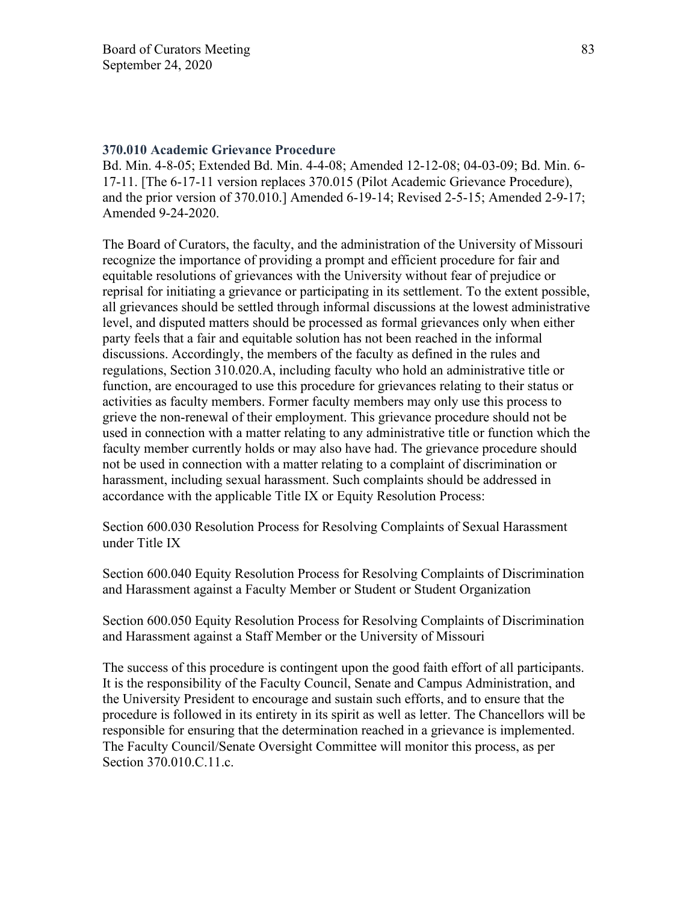#### **370.010 Academic Grievance Procedure**

Bd. Min. 4-8-05; Extended Bd. Min. 4-4-08; Amended 12-12-08; 04-03-09; Bd. Min. 6- 17-11. [The 6-17-11 version replaces 370.015 (Pilot Academic Grievance Procedure), and the prior version of 370.010.] Amended 6-19-14; Revised 2-5-15; Amended 2-9-17; Amended 9-24-2020.

The Board of Curators, the faculty, and the administration of the University of Missouri recognize the importance of providing a prompt and efficient procedure for fair and equitable resolutions of grievances with the University without fear of prejudice or reprisal for initiating a grievance or participating in its settlement. To the extent possible, all grievances should be settled through informal discussions at the lowest administrative level, and disputed matters should be processed as formal grievances only when either party feels that a fair and equitable solution has not been reached in the informal discussions. Accordingly, the members of the faculty as defined in the rules and regulations, Section 310.020.A, including faculty who hold an administrative title or function, are encouraged to use this procedure for grievances relating to their status or activities as faculty members. Former faculty members may only use this process to grieve the non-renewal of their employment. This grievance procedure should not be used in connection with a matter relating to any administrative title or function which the faculty member currently holds or may also have had. The grievance procedure should not be used in connection with a matter relating to a complaint of discrimination or harassment, including sexual harassment. Such complaints should be addressed in accordance with the applicable Title IX or Equity Resolution Process:

Section 600.030 Resolution Process for Resolving Complaints of Sexual Harassment under Title IX

Section 600.040 Equity Resolution Process for Resolving Complaints of Discrimination and Harassment against a Faculty Member or Student or Student Organization

Section 600.050 Equity Resolution Process for Resolving Complaints of Discrimination and Harassment against a Staff Member or the University of Missouri

The success of this procedure is contingent upon the good faith effort of all participants. It is the responsibility of the Faculty Council, Senate and Campus Administration, and the University President to encourage and sustain such efforts, and to ensure that the procedure is followed in its entirety in its spirit as well as letter. The Chancellors will be responsible for ensuring that the determination reached in a grievance is implemented. The Faculty Council/Senate Oversight Committee will monitor this process, as per Section 370.010.C.11.c.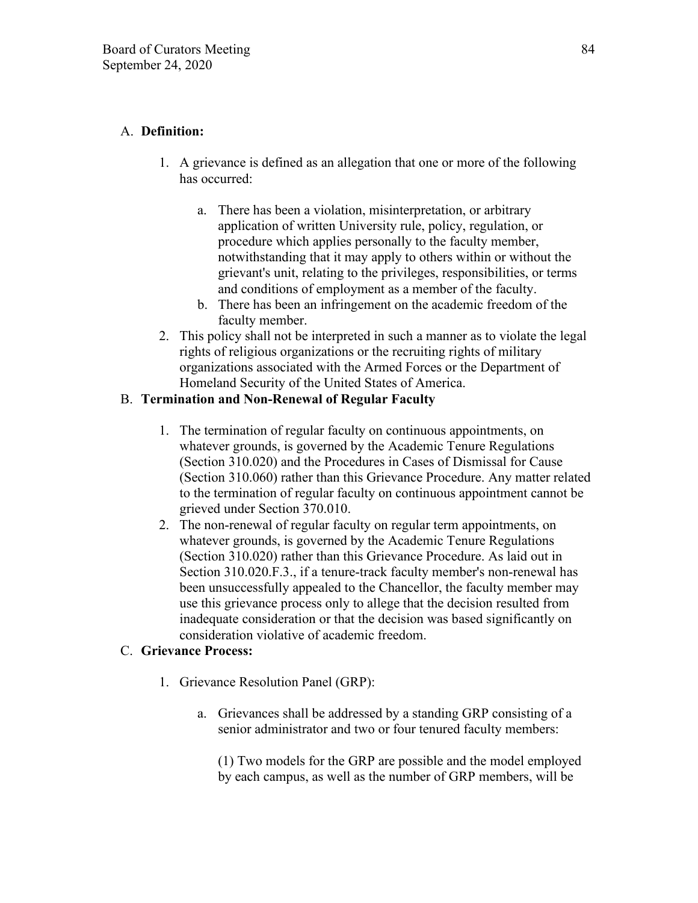# A. **Definition:**

- 1. A grievance is defined as an allegation that one or more of the following has occurred:
	- a. There has been a violation, misinterpretation, or arbitrary application of written University rule, policy, regulation, or procedure which applies personally to the faculty member, notwithstanding that it may apply to others within or without the grievant's unit, relating to the privileges, responsibilities, or terms and conditions of employment as a member of the faculty.
	- b. There has been an infringement on the academic freedom of the faculty member.
- 2. This policy shall not be interpreted in such a manner as to violate the legal rights of religious organizations or the recruiting rights of military organizations associated with the Armed Forces or the Department of Homeland Security of the United States of America.

# B. **Termination and Non-Renewal of Regular Faculty**

- 1. The termination of regular faculty on continuous appointments, on whatever grounds, is governed by the Academic Tenure Regulations (Section 310.020) and the Procedures in Cases of Dismissal for Cause (Section 310.060) rather than this Grievance Procedure. Any matter related to the termination of regular faculty on continuous appointment cannot be grieved under Section 370.010.
- 2. The non-renewal of regular faculty on regular term appointments, on whatever grounds, is governed by the Academic Tenure Regulations (Section 310.020) rather than this Grievance Procedure. As laid out in Section 310.020.F.3., if a tenure-track faculty member's non-renewal has been unsuccessfully appealed to the Chancellor, the faculty member may use this grievance process only to allege that the decision resulted from inadequate consideration or that the decision was based significantly on consideration violative of academic freedom.

# C. **Grievance Process:**

- 1. Grievance Resolution Panel (GRP):
	- a. Grievances shall be addressed by a standing GRP consisting of a senior administrator and two or four tenured faculty members:

(1) Two models for the GRP are possible and the model employed by each campus, as well as the number of GRP members, will be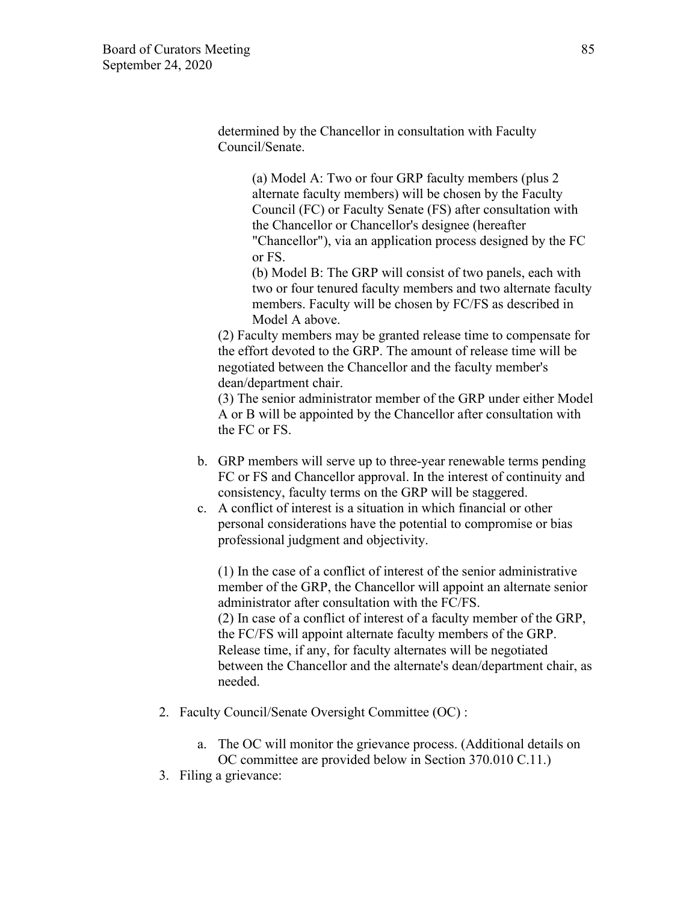determined by the Chancellor in consultation with Faculty Council/Senate.

> (a) Model A: Two or four GRP faculty members (plus 2 alternate faculty members) will be chosen by the Faculty Council (FC) or Faculty Senate (FS) after consultation with the Chancellor or Chancellor's designee (hereafter "Chancellor"), via an application process designed by the FC or FS.

(b) Model B: The GRP will consist of two panels, each with two or four tenured faculty members and two alternate faculty members. Faculty will be chosen by FC/FS as described in Model A above.

(2) Faculty members may be granted release time to compensate for the effort devoted to the GRP. The amount of release time will be negotiated between the Chancellor and the faculty member's dean/department chair.

(3) The senior administrator member of the GRP under either Model A or B will be appointed by the Chancellor after consultation with the FC or FS.

- b. GRP members will serve up to three-year renewable terms pending FC or FS and Chancellor approval. In the interest of continuity and consistency, faculty terms on the GRP will be staggered.
- c. A conflict of interest is a situation in which financial or other personal considerations have the potential to compromise or bias professional judgment and objectivity.

(1) In the case of a conflict of interest of the senior administrative member of the GRP, the Chancellor will appoint an alternate senior administrator after consultation with the FC/FS. (2) In case of a conflict of interest of a faculty member of the GRP, the FC/FS will appoint alternate faculty members of the GRP. Release time, if any, for faculty alternates will be negotiated between the Chancellor and the alternate's dean/department chair, as needed.

- 2. Faculty Council/Senate Oversight Committee (OC) :
	- a. The OC will monitor the grievance process. (Additional details on OC committee are provided below in Section 370.010 C.11.)
- 3. Filing a grievance: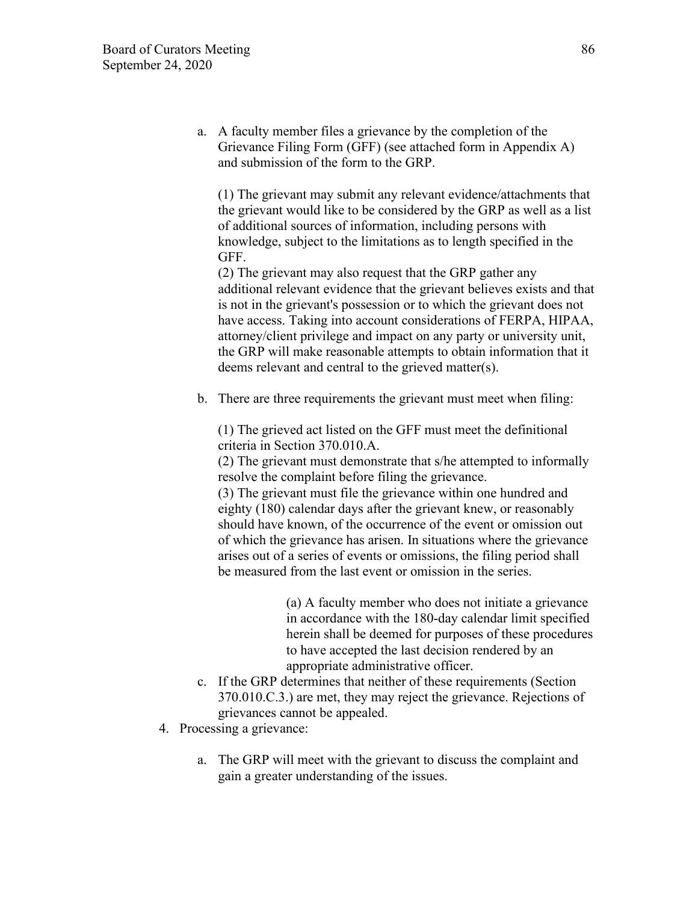a. A faculty member files a grievance by the completion of the Grievance Filing Form (GFF) (see attached form in Appendix A) and submission of the form to the GRP.

(1) The grievant may submit any relevant evidence/attachments that the grievant would like to be considered by the GRP as well as a list of additional sources of information, including persons with knowledge, subject to the limitations as to length specified in the GFF.

(2) The grievant may also request that the GRP gather any additional relevant evidence that the grievant believes exists and that is not in the grievant's possession or to which the grievant does not have access. Taking into account considerations of FERPA, HIPAA, attorney/client privilege and impact on any party or university unit, the GRP will make reasonable attempts to obtain information that it deems relevant and central to the grieved matter(s).

b. There are three requirements the grievant must meet when filing:

(1) The grieved act listed on the GFF must meet the definitional criteria in Section 370.010.A.

(2) The grievant must demonstrate that s/he attempted to informally resolve the complaint before filing the grievance.

(3) The grievant must file the grievance within one hundred and eighty (180) calendar days after the grievant knew, or reasonably should have known, of the occurrence of the event or omission out of which the grievance has arisen. In situations where the grievance arises out of a series of events or omissions, the filing period shall be measured from the last event or omission in the series.

> (a) A faculty member who does not initiate a grievance in accordance with the 180-day calendar limit specified herein shall be deemed for purposes of these procedures to have accepted the last decision rendered by an appropriate administrative officer.

- c. If the GRP determines that neither of these requirements (Section 370.010.C.3.) are met, they may reject the grievance. Rejections of grievances cannot be appealed.
- 4. Processing a grievance:
	- a. The GRP will meet with the grievant to discuss the complaint and gain a greater understanding of the issues.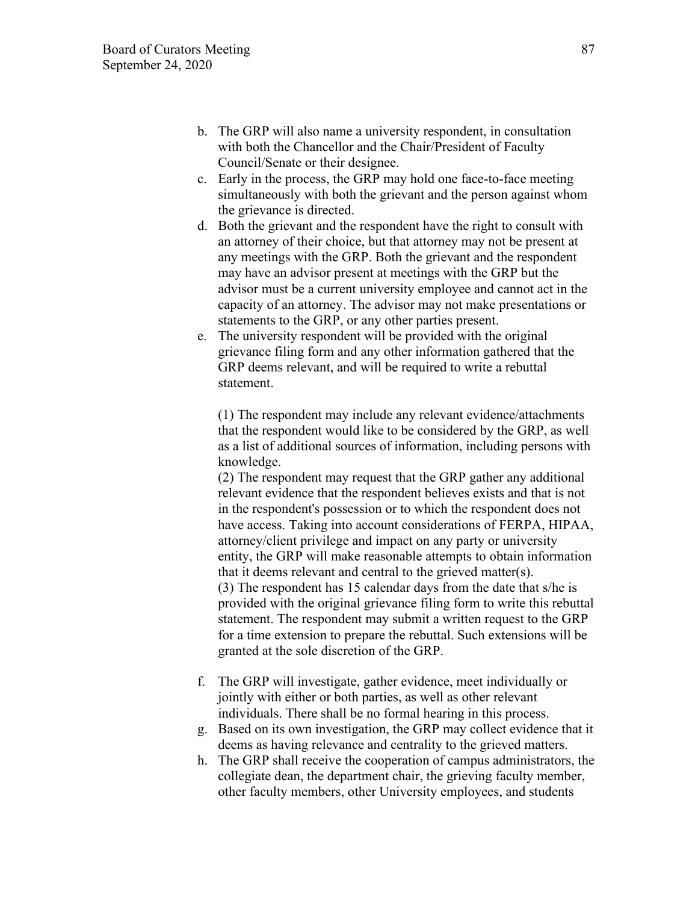- b. The GRP will also name a university respondent, in consultation with both the Chancellor and the Chair/President of Faculty Council/Senate or their designee.
- c. Early in the process, the GRP may hold one face-to-face meeting simultaneously with both the grievant and the person against whom the grievance is directed.
- d. Both the grievant and the respondent have the right to consult with an attorney of their choice, but that attorney may not be present at any meetings with the GRP. Both the grievant and the respondent may have an advisor present at meetings with the GRP but the advisor must be a current university employee and cannot act in the capacity of an attorney. The advisor may not make presentations or statements to the GRP, or any other parties present.
- e. The university respondent will be provided with the original grievance filing form and any other information gathered that the GRP deems relevant, and will be required to write a rebuttal statement.

(1) The respondent may include any relevant evidence/attachments that the respondent would like to be considered by the GRP, as well as a list of additional sources of information, including persons with knowledge.

(2) The respondent may request that the GRP gather any additional relevant evidence that the respondent believes exists and that is not in the respondent's possession or to which the respondent does not have access. Taking into account considerations of FERPA, HIPAA, attorney/client privilege and impact on any party or university entity, the GRP will make reasonable attempts to obtain information that it deems relevant and central to the grieved matter(s). (3) The respondent has 15 calendar days from the date that s/he is provided with the original grievance filing form to write this rebuttal statement. The respondent may submit a written request to the GRP for a time extension to prepare the rebuttal. Such extensions will be granted at the sole discretion of the GRP.

- f. The GRP will investigate, gather evidence, meet individually or jointly with either or both parties, as well as other relevant individuals. There shall be no formal hearing in this process.
- g. Based on its own investigation, the GRP may collect evidence that it deems as having relevance and centrality to the grieved matters.
- h. The GRP shall receive the cooperation of campus administrators, the collegiate dean, the department chair, the grieving faculty member, other faculty members, other University employees, and students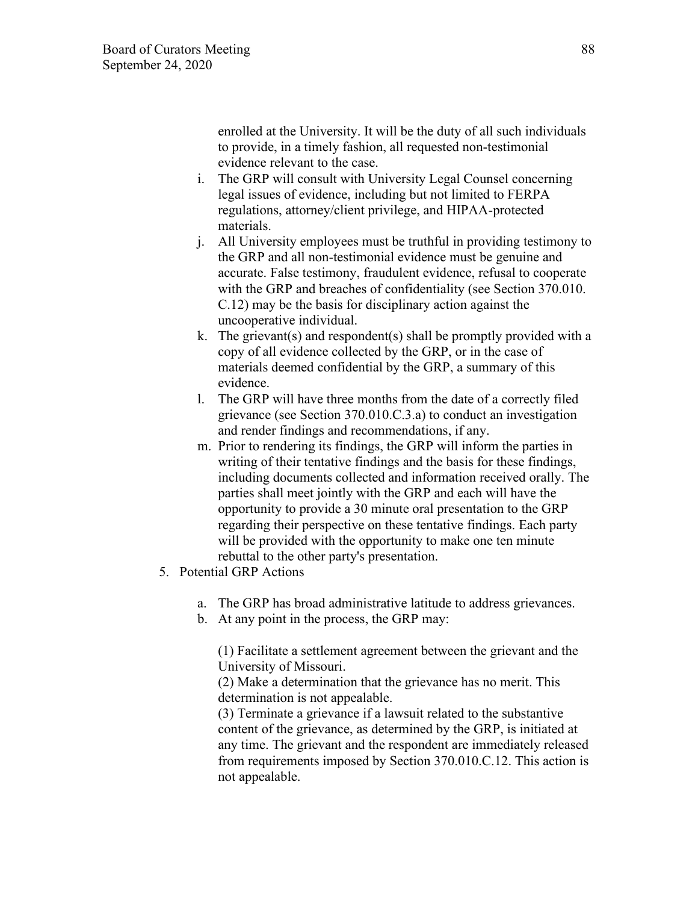enrolled at the University. It will be the duty of all such individuals to provide, in a timely fashion, all requested non-testimonial evidence relevant to the case.

- i. The GRP will consult with University Legal Counsel concerning legal issues of evidence, including but not limited to FERPA regulations, attorney/client privilege, and HIPAA-protected materials.
- j. All University employees must be truthful in providing testimony to the GRP and all non-testimonial evidence must be genuine and accurate. False testimony, fraudulent evidence, refusal to cooperate with the GRP and breaches of confidentiality (see Section 370.010. C.12) may be the basis for disciplinary action against the uncooperative individual.
- k. The grievant(s) and respondent(s) shall be promptly provided with a copy of all evidence collected by the GRP, or in the case of materials deemed confidential by the GRP, a summary of this evidence.
- l. The GRP will have three months from the date of a correctly filed grievance (see Section 370.010.C.3.a) to conduct an investigation and render findings and recommendations, if any.
- m. Prior to rendering its findings, the GRP will inform the parties in writing of their tentative findings and the basis for these findings, including documents collected and information received orally. The parties shall meet jointly with the GRP and each will have the opportunity to provide a 30 minute oral presentation to the GRP regarding their perspective on these tentative findings. Each party will be provided with the opportunity to make one ten minute rebuttal to the other party's presentation.
- 5. Potential GRP Actions
	- a. The GRP has broad administrative latitude to address grievances.
	- b. At any point in the process, the GRP may:

(1) Facilitate a settlement agreement between the grievant and the University of Missouri.

(2) Make a determination that the grievance has no merit. This determination is not appealable.

(3) Terminate a grievance if a lawsuit related to the substantive content of the grievance, as determined by the GRP, is initiated at any time. The grievant and the respondent are immediately released from requirements imposed by Section 370.010.C.12. This action is not appealable.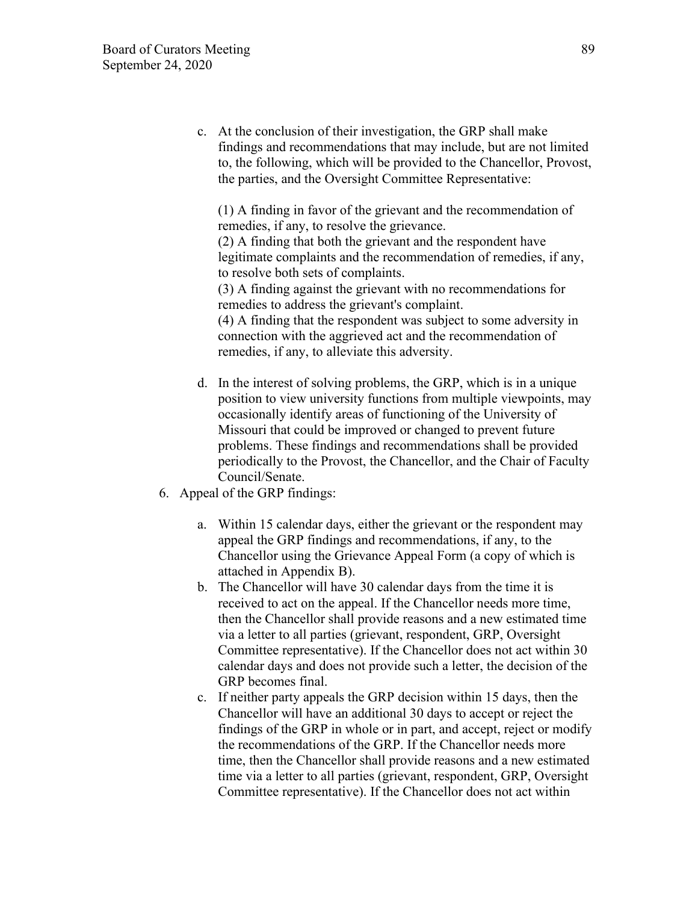c. At the conclusion of their investigation, the GRP shall make findings and recommendations that may include, but are not limited to, the following, which will be provided to the Chancellor, Provost, the parties, and the Oversight Committee Representative:

(1) A finding in favor of the grievant and the recommendation of remedies, if any, to resolve the grievance.

(2) A finding that both the grievant and the respondent have legitimate complaints and the recommendation of remedies, if any, to resolve both sets of complaints.

(3) A finding against the grievant with no recommendations for remedies to address the grievant's complaint.

(4) A finding that the respondent was subject to some adversity in connection with the aggrieved act and the recommendation of remedies, if any, to alleviate this adversity.

- d. In the interest of solving problems, the GRP, which is in a unique position to view university functions from multiple viewpoints, may occasionally identify areas of functioning of the University of Missouri that could be improved or changed to prevent future problems. These findings and recommendations shall be provided periodically to the Provost, the Chancellor, and the Chair of Faculty Council/Senate.
- 6. Appeal of the GRP findings:
	- a. Within 15 calendar days, either the grievant or the respondent may appeal the GRP findings and recommendations, if any, to the Chancellor using the Grievance Appeal Form (a copy of which is attached in Appendix B).
	- b. The Chancellor will have 30 calendar days from the time it is received to act on the appeal. If the Chancellor needs more time, then the Chancellor shall provide reasons and a new estimated time via a letter to all parties (grievant, respondent, GRP, Oversight Committee representative). If the Chancellor does not act within 30 calendar days and does not provide such a letter, the decision of the GRP becomes final.
	- c. If neither party appeals the GRP decision within 15 days, then the Chancellor will have an additional 30 days to accept or reject the findings of the GRP in whole or in part, and accept, reject or modify the recommendations of the GRP. If the Chancellor needs more time, then the Chancellor shall provide reasons and a new estimated time via a letter to all parties (grievant, respondent, GRP, Oversight Committee representative). If the Chancellor does not act within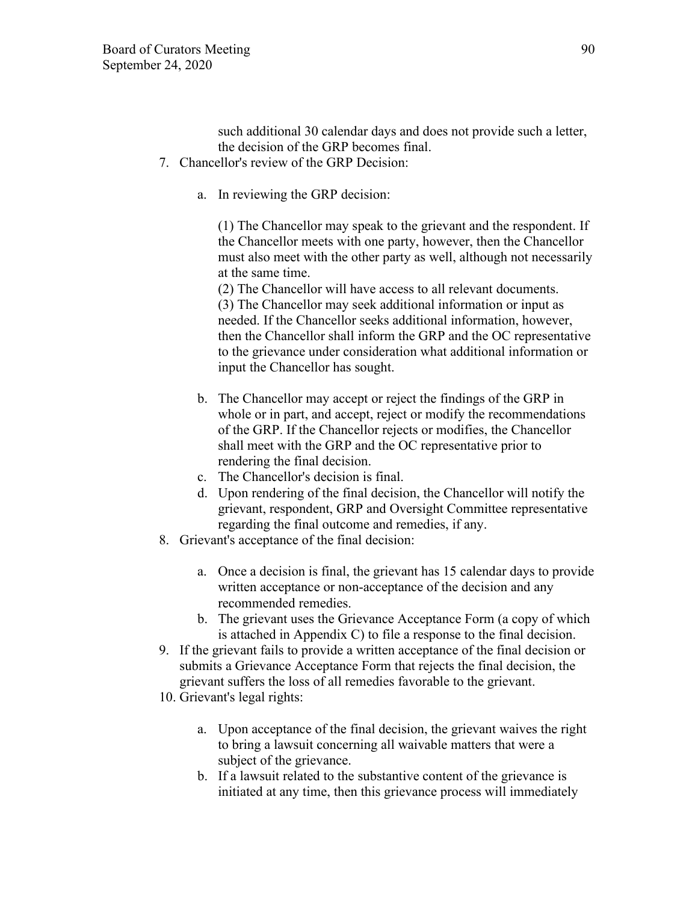such additional 30 calendar days and does not provide such a letter, the decision of the GRP becomes final.

- 7. Chancellor's review of the GRP Decision:
	- a. In reviewing the GRP decision:

(1) The Chancellor may speak to the grievant and the respondent. If the Chancellor meets with one party, however, then the Chancellor must also meet with the other party as well, although not necessarily at the same time.

(2) The Chancellor will have access to all relevant documents. (3) The Chancellor may seek additional information or input as needed. If the Chancellor seeks additional information, however, then the Chancellor shall inform the GRP and the OC representative to the grievance under consideration what additional information or input the Chancellor has sought.

- b. The Chancellor may accept or reject the findings of the GRP in whole or in part, and accept, reject or modify the recommendations of the GRP. If the Chancellor rejects or modifies, the Chancellor shall meet with the GRP and the OC representative prior to rendering the final decision.
- c. The Chancellor's decision is final.
- d. Upon rendering of the final decision, the Chancellor will notify the grievant, respondent, GRP and Oversight Committee representative regarding the final outcome and remedies, if any.
- 8. Grievant's acceptance of the final decision:
	- a. Once a decision is final, the grievant has 15 calendar days to provide written acceptance or non-acceptance of the decision and any recommended remedies.
	- b. The grievant uses the Grievance Acceptance Form (a copy of which is attached in Appendix C) to file a response to the final decision.
- 9. If the grievant fails to provide a written acceptance of the final decision or submits a Grievance Acceptance Form that rejects the final decision, the grievant suffers the loss of all remedies favorable to the grievant.
- 10. Grievant's legal rights:
	- a. Upon acceptance of the final decision, the grievant waives the right to bring a lawsuit concerning all waivable matters that were a subject of the grievance.
	- b. If a lawsuit related to the substantive content of the grievance is initiated at any time, then this grievance process will immediately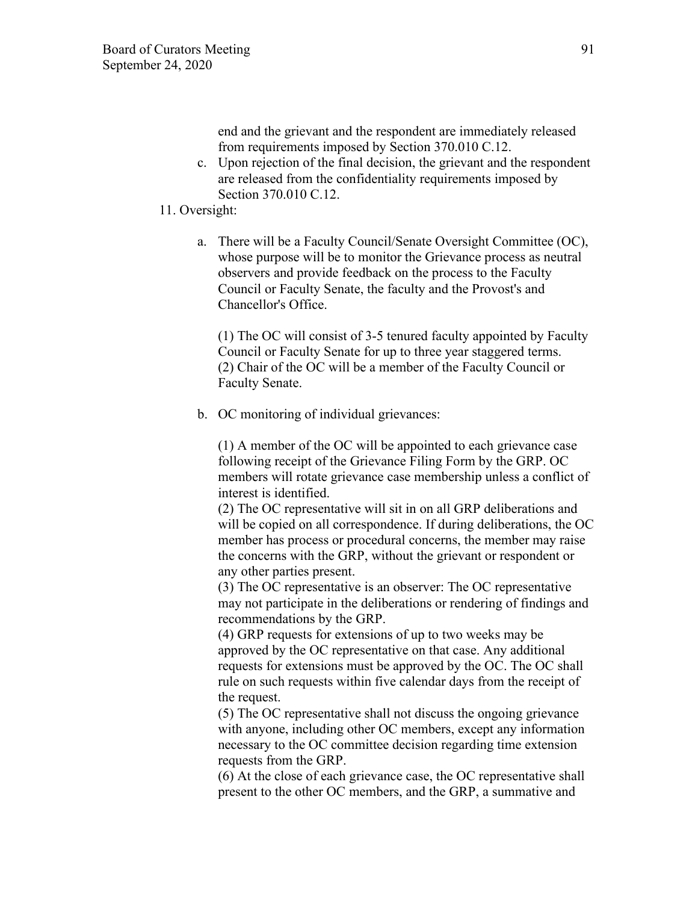end and the grievant and the respondent are immediately released from requirements imposed by Section 370.010 C.12.

c. Upon rejection of the final decision, the grievant and the respondent are released from the confidentiality requirements imposed by Section 370.010 C.12.

#### 11. Oversight:

a. There will be a Faculty Council/Senate Oversight Committee (OC), whose purpose will be to monitor the Grievance process as neutral observers and provide feedback on the process to the Faculty Council or Faculty Senate, the faculty and the Provost's and Chancellor's Office.

(1) The OC will consist of 3-5 tenured faculty appointed by Faculty Council or Faculty Senate for up to three year staggered terms. (2) Chair of the OC will be a member of the Faculty Council or Faculty Senate.

b. OC monitoring of individual grievances:

(1) A member of the OC will be appointed to each grievance case following receipt of the Grievance Filing Form by the GRP. OC members will rotate grievance case membership unless a conflict of interest is identified.

(2) The OC representative will sit in on all GRP deliberations and will be copied on all correspondence. If during deliberations, the OC member has process or procedural concerns, the member may raise the concerns with the GRP, without the grievant or respondent or any other parties present.

(3) The OC representative is an observer: The OC representative may not participate in the deliberations or rendering of findings and recommendations by the GRP.

(4) GRP requests for extensions of up to two weeks may be approved by the OC representative on that case. Any additional requests for extensions must be approved by the OC. The OC shall rule on such requests within five calendar days from the receipt of the request.

(5) The OC representative shall not discuss the ongoing grievance with anyone, including other OC members, except any information necessary to the OC committee decision regarding time extension requests from the GRP.

(6) At the close of each grievance case, the OC representative shall present to the other OC members, and the GRP, a summative and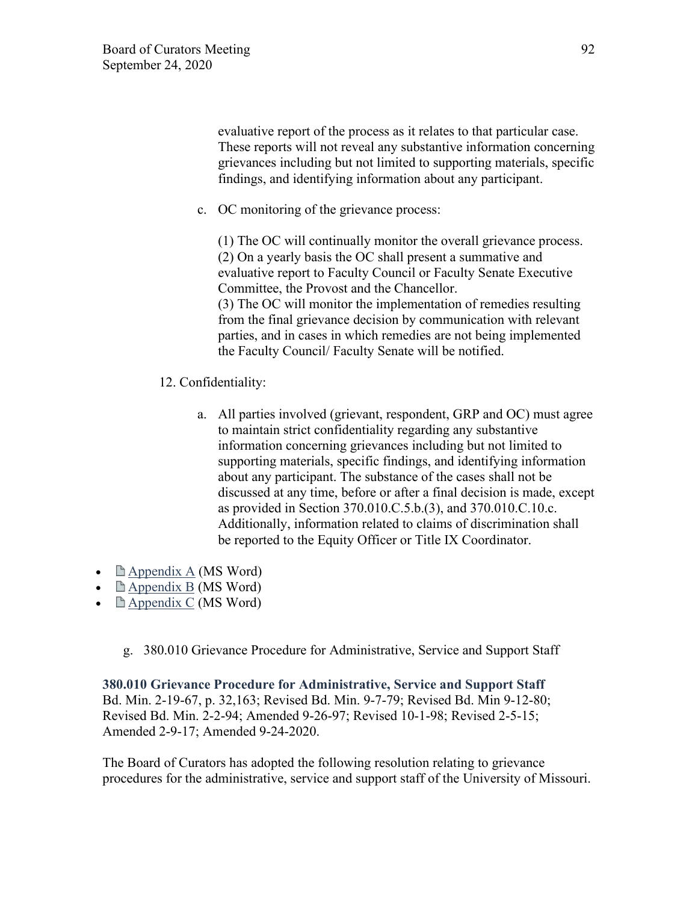evaluative report of the process as it relates to that particular case. These reports will not reveal any substantive information concerning grievances including but not limited to supporting materials, specific findings, and identifying information about any participant.

c. OC monitoring of the grievance process:

(1) The OC will continually monitor the overall grievance process. (2) On a yearly basis the OC shall present a summative and evaluative report to Faculty Council or Faculty Senate Executive Committee, the Provost and the Chancellor. (3) The OC will monitor the implementation of remedies resulting

from the final grievance decision by communication with relevant parties, and in cases in which remedies are not being implemented the Faculty Council/ Faculty Senate will be notified.

- 12. Confidentiality:
	- a. All parties involved (grievant, respondent, GRP and OC) must agree to maintain strict confidentiality regarding any substantive information concerning grievances including but not limited to supporting materials, specific findings, and identifying information about any participant. The substance of the cases shall not be discussed at any time, before or after a final decision is made, except as provided in Section 370.010.C.5.b.(3), and 370.010.C.10.c. Additionally, information related to claims of discrimination shall be reported to the Equity Officer or Title IX Coordinator.
- $\Box$  [Appendix A](https://www.umsystem.edu/media/gc/370.010-Appendix-A.doc) (MS Word)
- $\Box$  [Appendix B](https://www.umsystem.edu/media/gc/370.010-Appendix-B.doc) (MS Word)
- $\Box$  [Appendix C](https://www.umsystem.edu/media/gc/370.010-Appendix-C.doc) (MS Word)
	- g. 380.010 Grievance Procedure for Administrative, Service and Support Staff

**380.010 Grievance Procedure for Administrative, Service and Support Staff** Bd. Min. 2-19-67, p. 32,163; Revised Bd. Min. 9-7-79; Revised Bd. Min 9-12-80; Revised Bd. Min. 2-2-94; Amended 9-26-97; Revised 10-1-98; Revised 2-5-15; Amended 2-9-17; Amended 9-24-2020.

The Board of Curators has adopted the following resolution relating to grievance procedures for the administrative, service and support staff of the University of Missouri.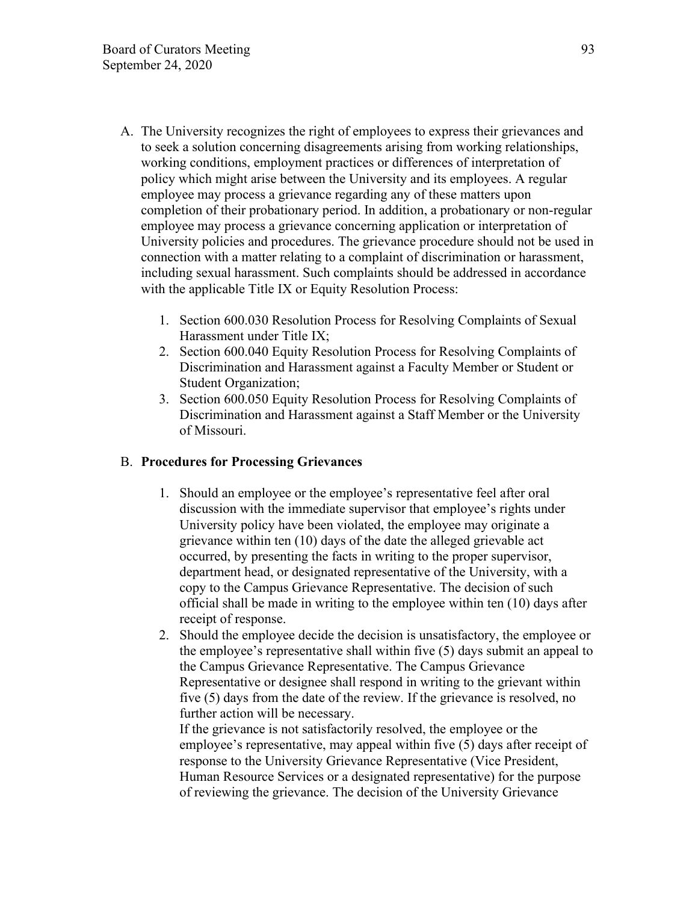- A. The University recognizes the right of employees to express their grievances and to seek a solution concerning disagreements arising from working relationships, working conditions, employment practices or differences of interpretation of policy which might arise between the University and its employees. A regular employee may process a grievance regarding any of these matters upon completion of their probationary period. In addition, a probationary or non-regular employee may process a grievance concerning application or interpretation of University policies and procedures. The grievance procedure should not be used in connection with a matter relating to a complaint of discrimination or harassment, including sexual harassment. Such complaints should be addressed in accordance with the applicable Title IX or Equity Resolution Process:
	- 1. Section 600.030 Resolution Process for Resolving Complaints of Sexual Harassment under Title IX;
	- 2. Section 600.040 Equity Resolution Process for Resolving Complaints of Discrimination and Harassment against a Faculty Member or Student or Student Organization;
	- 3. Section 600.050 Equity Resolution Process for Resolving Complaints of Discrimination and Harassment against a Staff Member or the University of Missouri.

### B. **Procedures for Processing Grievances**

- 1. Should an employee or the employee's representative feel after oral discussion with the immediate supervisor that employee's rights under University policy have been violated, the employee may originate a grievance within ten (10) days of the date the alleged grievable act occurred, by presenting the facts in writing to the proper supervisor, department head, or designated representative of the University, with a copy to the Campus Grievance Representative. The decision of such official shall be made in writing to the employee within ten (10) days after receipt of response.
- 2. Should the employee decide the decision is unsatisfactory, the employee or the employee's representative shall within five (5) days submit an appeal to the Campus Grievance Representative. The Campus Grievance Representative or designee shall respond in writing to the grievant within five (5) days from the date of the review. If the grievance is resolved, no further action will be necessary.

If the grievance is not satisfactorily resolved, the employee or the employee's representative, may appeal within five (5) days after receipt of response to the University Grievance Representative (Vice President, Human Resource Services or a designated representative) for the purpose of reviewing the grievance. The decision of the University Grievance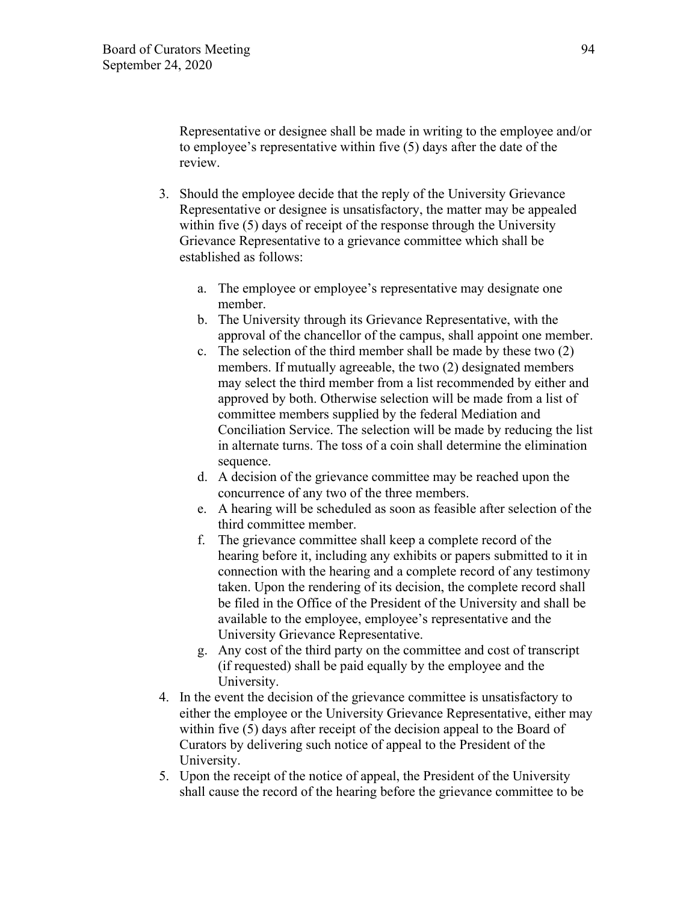Representative or designee shall be made in writing to the employee and/or to employee's representative within five (5) days after the date of the review.

- 3. Should the employee decide that the reply of the University Grievance Representative or designee is unsatisfactory, the matter may be appealed within five (5) days of receipt of the response through the University Grievance Representative to a grievance committee which shall be established as follows:
	- a. The employee or employee's representative may designate one member.
	- b. The University through its Grievance Representative, with the approval of the chancellor of the campus, shall appoint one member.
	- c. The selection of the third member shall be made by these two (2) members. If mutually agreeable, the two (2) designated members may select the third member from a list recommended by either and approved by both. Otherwise selection will be made from a list of committee members supplied by the federal Mediation and Conciliation Service. The selection will be made by reducing the list in alternate turns. The toss of a coin shall determine the elimination sequence.
	- d. A decision of the grievance committee may be reached upon the concurrence of any two of the three members.
	- e. A hearing will be scheduled as soon as feasible after selection of the third committee member.
	- f. The grievance committee shall keep a complete record of the hearing before it, including any exhibits or papers submitted to it in connection with the hearing and a complete record of any testimony taken. Upon the rendering of its decision, the complete record shall be filed in the Office of the President of the University and shall be available to the employee, employee's representative and the University Grievance Representative.
	- g. Any cost of the third party on the committee and cost of transcript (if requested) shall be paid equally by the employee and the University.
- 4. In the event the decision of the grievance committee is unsatisfactory to either the employee or the University Grievance Representative, either may within five (5) days after receipt of the decision appeal to the Board of Curators by delivering such notice of appeal to the President of the University.
- 5. Upon the receipt of the notice of appeal, the President of the University shall cause the record of the hearing before the grievance committee to be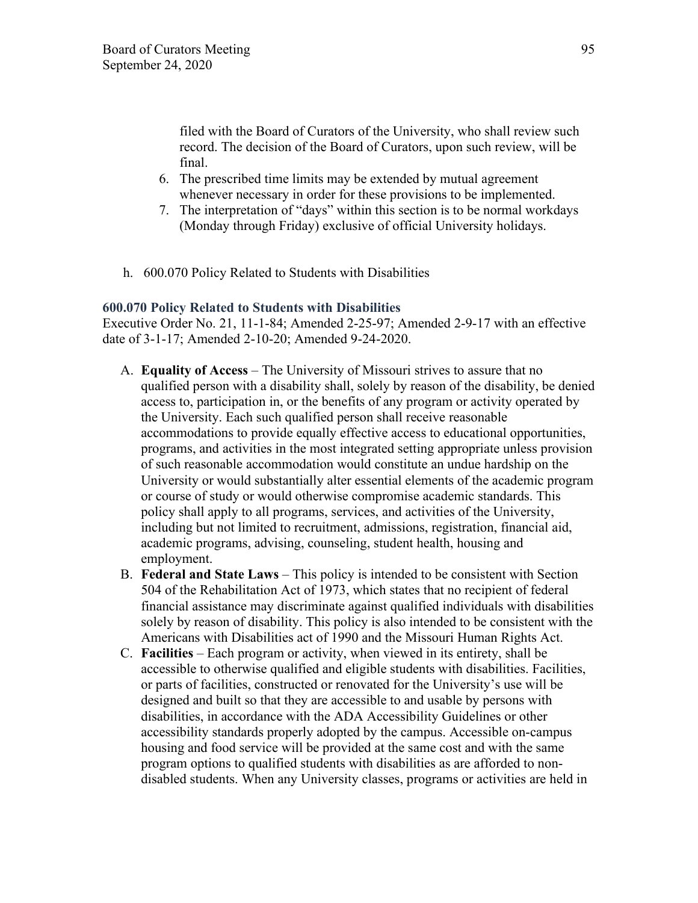filed with the Board of Curators of the University, who shall review such record. The decision of the Board of Curators, upon such review, will be final.

- 6. The prescribed time limits may be extended by mutual agreement whenever necessary in order for these provisions to be implemented.
- 7. The interpretation of "days" within this section is to be normal workdays (Monday through Friday) exclusive of official University holidays.
- h. 600.070 Policy Related to Students with Disabilities

#### **600.070 Policy Related to Students with Disabilities**

Executive Order No. 21, 11-1-84; Amended 2-25-97; Amended 2-9-17 with an effective date of 3-1-17; Amended 2-10-20; Amended 9-24-2020.

- A. **Equality of Access** The University of Missouri strives to assure that no qualified person with a disability shall, solely by reason of the disability, be denied access to, participation in, or the benefits of any program or activity operated by the University. Each such qualified person shall receive reasonable accommodations to provide equally effective access to educational opportunities, programs, and activities in the most integrated setting appropriate unless provision of such reasonable accommodation would constitute an undue hardship on the University or would substantially alter essential elements of the academic program or course of study or would otherwise compromise academic standards. This policy shall apply to all programs, services, and activities of the University, including but not limited to recruitment, admissions, registration, financial aid, academic programs, advising, counseling, student health, housing and employment.
- B. **Federal and State Laws** This policy is intended to be consistent with Section 504 of the Rehabilitation Act of 1973, which states that no recipient of federal financial assistance may discriminate against qualified individuals with disabilities solely by reason of disability. This policy is also intended to be consistent with the Americans with Disabilities act of 1990 and the Missouri Human Rights Act.
- C. **Facilities** Each program or activity, when viewed in its entirety, shall be accessible to otherwise qualified and eligible students with disabilities. Facilities, or parts of facilities, constructed or renovated for the University's use will be designed and built so that they are accessible to and usable by persons with disabilities, in accordance with the ADA Accessibility Guidelines or other accessibility standards properly adopted by the campus. Accessible on-campus housing and food service will be provided at the same cost and with the same program options to qualified students with disabilities as are afforded to nondisabled students. When any University classes, programs or activities are held in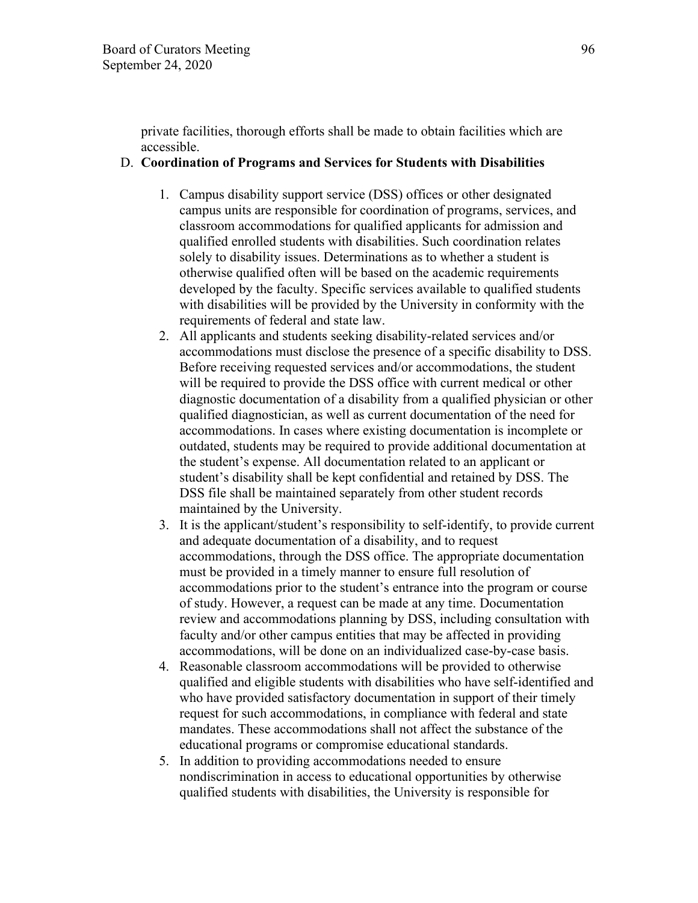private facilities, thorough efforts shall be made to obtain facilities which are accessible.

#### D. **Coordination of Programs and Services for Students with Disabilities**

- 1. Campus disability support service (DSS) offices or other designated campus units are responsible for coordination of programs, services, and classroom accommodations for qualified applicants for admission and qualified enrolled students with disabilities. Such coordination relates solely to disability issues. Determinations as to whether a student is otherwise qualified often will be based on the academic requirements developed by the faculty. Specific services available to qualified students with disabilities will be provided by the University in conformity with the requirements of federal and state law.
- 2. All applicants and students seeking disability-related services and/or accommodations must disclose the presence of a specific disability to DSS. Before receiving requested services and/or accommodations, the student will be required to provide the DSS office with current medical or other diagnostic documentation of a disability from a qualified physician or other qualified diagnostician, as well as current documentation of the need for accommodations. In cases where existing documentation is incomplete or outdated, students may be required to provide additional documentation at the student's expense. All documentation related to an applicant or student's disability shall be kept confidential and retained by DSS. The DSS file shall be maintained separately from other student records maintained by the University.
- 3. It is the applicant/student's responsibility to self-identify, to provide current and adequate documentation of a disability, and to request accommodations, through the DSS office. The appropriate documentation must be provided in a timely manner to ensure full resolution of accommodations prior to the student's entrance into the program or course of study. However, a request can be made at any time. Documentation review and accommodations planning by DSS, including consultation with faculty and/or other campus entities that may be affected in providing accommodations, will be done on an individualized case-by-case basis.
- 4. Reasonable classroom accommodations will be provided to otherwise qualified and eligible students with disabilities who have self-identified and who have provided satisfactory documentation in support of their timely request for such accommodations, in compliance with federal and state mandates. These accommodations shall not affect the substance of the educational programs or compromise educational standards.
- 5. In addition to providing accommodations needed to ensure nondiscrimination in access to educational opportunities by otherwise qualified students with disabilities, the University is responsible for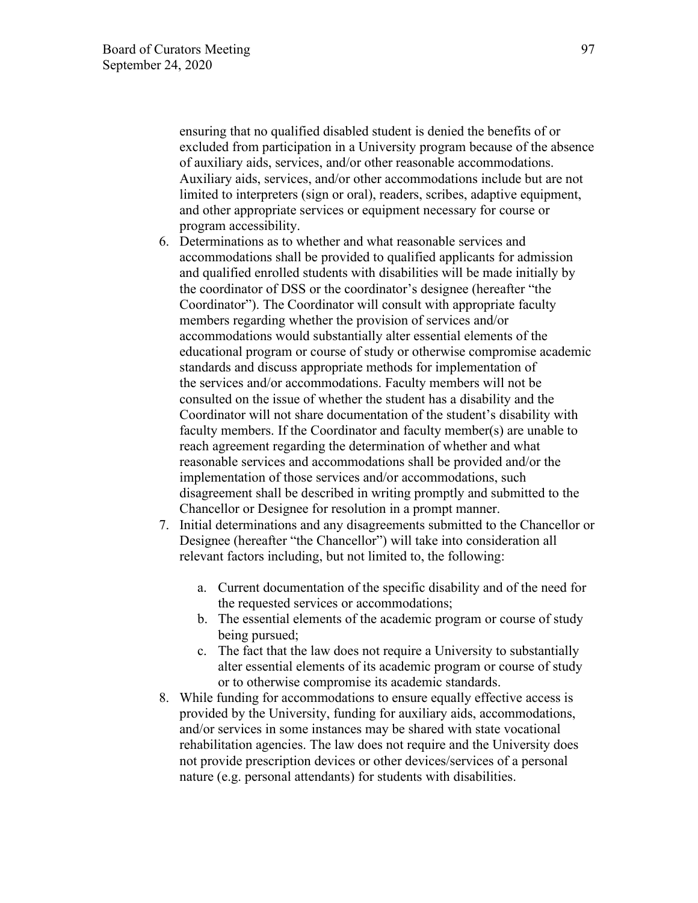ensuring that no qualified disabled student is denied the benefits of or excluded from participation in a University program because of the absence of auxiliary aids, services, and/or other reasonable accommodations. Auxiliary aids, services, and/or other accommodations include but are not limited to interpreters (sign or oral), readers, scribes, adaptive equipment, and other appropriate services or equipment necessary for course or program accessibility.

- 6. Determinations as to whether and what reasonable services and accommodations shall be provided to qualified applicants for admission and qualified enrolled students with disabilities will be made initially by the coordinator of DSS or the coordinator's designee (hereafter "the Coordinator"). The Coordinator will consult with appropriate faculty members regarding whether the provision of services and/or accommodations would substantially alter essential elements of the educational program or course of study or otherwise compromise academic standards and discuss appropriate methods for implementation of the services and/or accommodations. Faculty members will not be consulted on the issue of whether the student has a disability and the Coordinator will not share documentation of the student's disability with faculty members. If the Coordinator and faculty member(s) are unable to reach agreement regarding the determination of whether and what reasonable services and accommodations shall be provided and/or the implementation of those services and/or accommodations, such disagreement shall be described in writing promptly and submitted to the Chancellor or Designee for resolution in a prompt manner.
- 7. Initial determinations and any disagreements submitted to the Chancellor or Designee (hereafter "the Chancellor") will take into consideration all relevant factors including, but not limited to, the following:
	- a. Current documentation of the specific disability and of the need for the requested services or accommodations;
	- b. The essential elements of the academic program or course of study being pursued;
	- c. The fact that the law does not require a University to substantially alter essential elements of its academic program or course of study or to otherwise compromise its academic standards.
- 8. While funding for accommodations to ensure equally effective access is provided by the University, funding for auxiliary aids, accommodations, and/or services in some instances may be shared with state vocational rehabilitation agencies. The law does not require and the University does not provide prescription devices or other devices/services of a personal nature (e.g. personal attendants) for students with disabilities.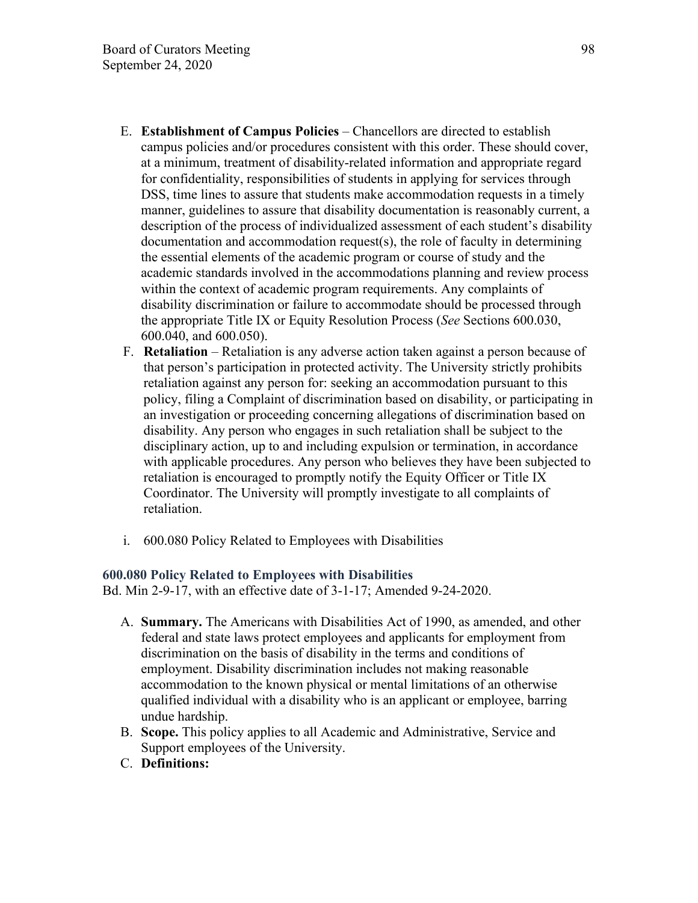- E. **Establishment of Campus Policies** Chancellors are directed to establish campus policies and/or procedures consistent with this order. These should cover, at a minimum, treatment of disability-related information and appropriate regard for confidentiality, responsibilities of students in applying for services through DSS, time lines to assure that students make accommodation requests in a timely manner, guidelines to assure that disability documentation is reasonably current, a description of the process of individualized assessment of each student's disability documentation and accommodation request(s), the role of faculty in determining the essential elements of the academic program or course of study and the academic standards involved in the accommodations planning and review process within the context of academic program requirements. Any complaints of disability discrimination or failure to accommodate should be processed through the appropriate Title IX or Equity Resolution Process (*See* Sections 600.030, 600.040, and 600.050).
- F. **Retaliation** Retaliation is any adverse action taken against a person because of that person's participation in protected activity. The University strictly prohibits retaliation against any person for: seeking an accommodation pursuant to this policy, filing a Complaint of discrimination based on disability, or participating in an investigation or proceeding concerning allegations of discrimination based on disability. Any person who engages in such retaliation shall be subject to the disciplinary action, up to and including expulsion or termination, in accordance with applicable procedures. Any person who believes they have been subjected to retaliation is encouraged to promptly notify the Equity Officer or Title IX Coordinator. The University will promptly investigate to all complaints of retaliation.
- i. 600.080 Policy Related to Employees with Disabilities

#### **600.080 Policy Related to Employees with Disabilities**

Bd. Min 2-9-17, with an effective date of 3-1-17; Amended 9-24-2020.

- A. **Summary.** The Americans with Disabilities Act of 1990, as amended, and other federal and state laws protect employees and applicants for employment from discrimination on the basis of disability in the terms and conditions of employment. Disability discrimination includes not making reasonable accommodation to the known physical or mental limitations of an otherwise qualified individual with a disability who is an applicant or employee, barring undue hardship.
- B. **Scope.** This policy applies to all Academic and Administrative, Service and Support employees of the University.
- C. **Definitions:**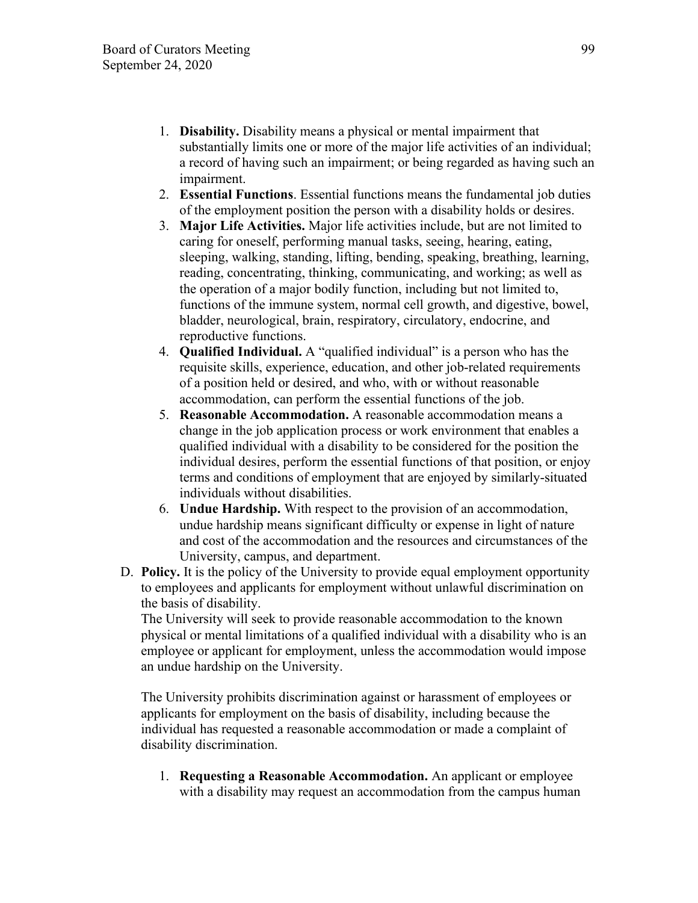- 1. **Disability.** Disability means a physical or mental impairment that substantially limits one or more of the major life activities of an individual; a record of having such an impairment; or being regarded as having such an impairment.
- 2. **Essential Functions**. Essential functions means the fundamental job duties of the employment position the person with a disability holds or desires.
- 3. **Major Life Activities.** Major life activities include, but are not limited to caring for oneself, performing manual tasks, seeing, hearing, eating, sleeping, walking, standing, lifting, bending, speaking, breathing, learning, reading, concentrating, thinking, communicating, and working; as well as the operation of a major bodily function, including but not limited to, functions of the immune system, normal cell growth, and digestive, bowel, bladder, neurological, brain, respiratory, circulatory, endocrine, and reproductive functions.
- 4. **Qualified Individual.** A "qualified individual" is a person who has the requisite skills, experience, education, and other job-related requirements of a position held or desired, and who, with or without reasonable accommodation, can perform the essential functions of the job.
- 5. **Reasonable Accommodation.** A reasonable accommodation means a change in the job application process or work environment that enables a qualified individual with a disability to be considered for the position the individual desires, perform the essential functions of that position, or enjoy terms and conditions of employment that are enjoyed by similarly-situated individuals without disabilities.
- 6. **Undue Hardship.** With respect to the provision of an accommodation, undue hardship means significant difficulty or expense in light of nature and cost of the accommodation and the resources and circumstances of the University, campus, and department.
- D. **Policy.** It is the policy of the University to provide equal employment opportunity to employees and applicants for employment without unlawful discrimination on the basis of disability.

The University will seek to provide reasonable accommodation to the known physical or mental limitations of a qualified individual with a disability who is an employee or applicant for employment, unless the accommodation would impose an undue hardship on the University.

The University prohibits discrimination against or harassment of employees or applicants for employment on the basis of disability, including because the individual has requested a reasonable accommodation or made a complaint of disability discrimination.

1. **Requesting a Reasonable Accommodation.** An applicant or employee with a disability may request an accommodation from the campus human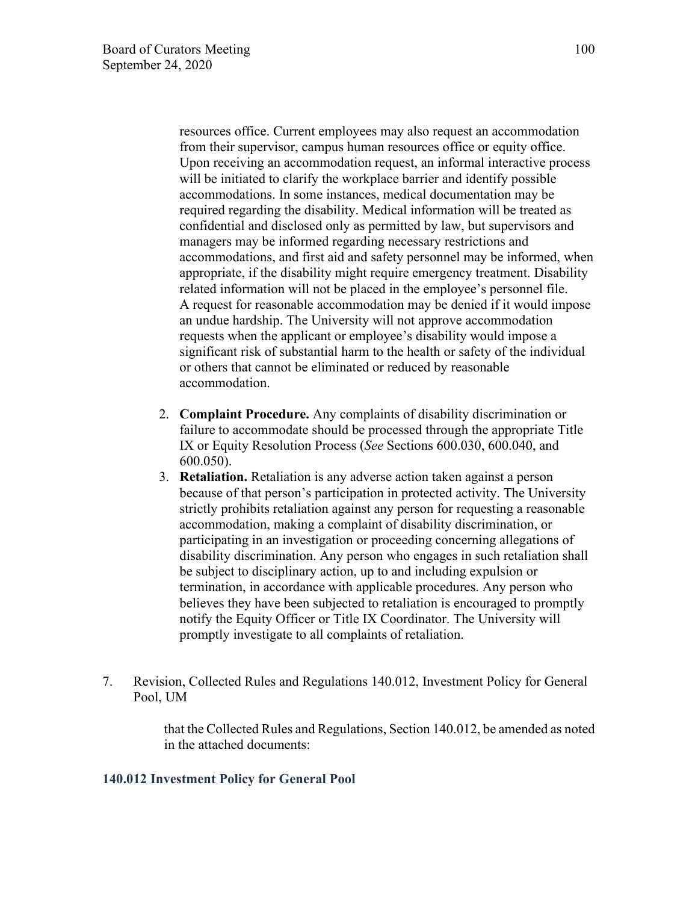resources office. Current employees may also request an accommodation from their supervisor, campus human resources office or equity office. Upon receiving an accommodation request, an informal interactive process will be initiated to clarify the workplace barrier and identify possible accommodations. In some instances, medical documentation may be required regarding the disability. Medical information will be treated as confidential and disclosed only as permitted by law, but supervisors and managers may be informed regarding necessary restrictions and accommodations, and first aid and safety personnel may be informed, when appropriate, if the disability might require emergency treatment. Disability related information will not be placed in the employee's personnel file. A request for reasonable accommodation may be denied if it would impose an undue hardship. The University will not approve accommodation requests when the applicant or employee's disability would impose a significant risk of substantial harm to the health or safety of the individual or others that cannot be eliminated or reduced by reasonable accommodation.

- 2. **Complaint Procedure.** Any complaints of disability discrimination or failure to accommodate should be processed through the appropriate Title IX or Equity Resolution Process (*See* Sections 600.030, 600.040, and 600.050).
- 3. **Retaliation.** Retaliation is any adverse action taken against a person because of that person's participation in protected activity. The University strictly prohibits retaliation against any person for requesting a reasonable accommodation, making a complaint of disability discrimination, or participating in an investigation or proceeding concerning allegations of disability discrimination. Any person who engages in such retaliation shall be subject to disciplinary action, up to and including expulsion or termination, in accordance with applicable procedures. Any person who believes they have been subjected to retaliation is encouraged to promptly notify the Equity Officer or Title IX Coordinator. The University will promptly investigate to all complaints of retaliation.
- 7. Revision, Collected Rules and Regulations 140.012, Investment Policy for General Pool, UM

that the Collected Rules and Regulations, Section 140.012, be amended as noted in the attached documents:

### **140.012 Investment Policy for General Pool**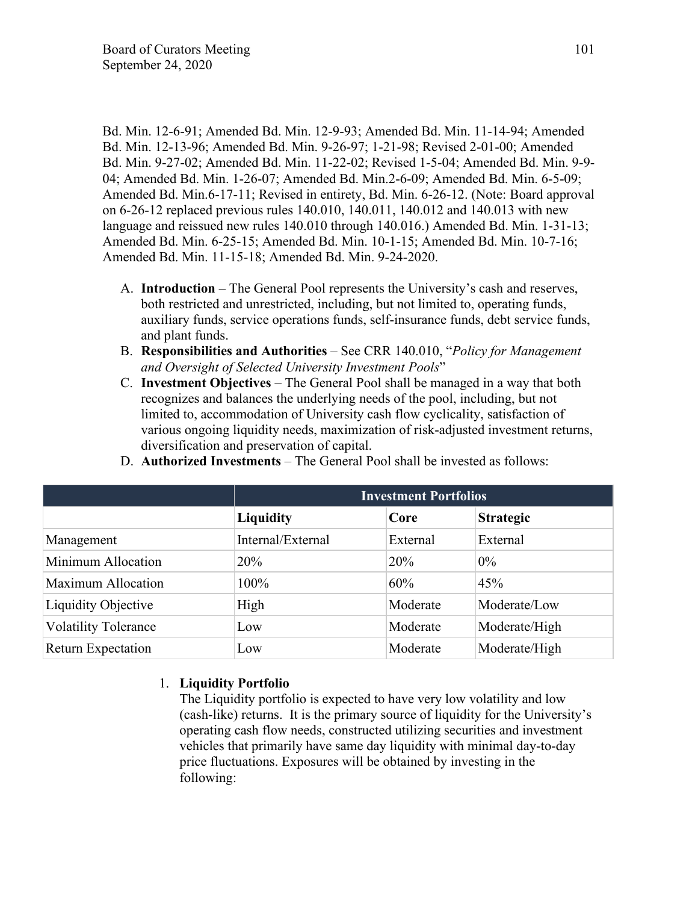Bd. Min. 12-6-91; Amended Bd. Min. 12-9-93; Amended Bd. Min. 11-14-94; Amended Bd. Min. 12-13-96; Amended Bd. Min. 9-26-97; 1-21-98; Revised 2-01-00; Amended Bd. Min. 9-27-02; Amended Bd. Min. 11-22-02; Revised 1-5-04; Amended Bd. Min. 9-9- 04; Amended Bd. Min. 1-26-07; Amended Bd. Min.2-6-09; Amended Bd. Min. 6-5-09; Amended Bd. Min.6-17-11; Revised in entirety, Bd. Min. 6-26-12. (Note: Board approval on 6-26-12 replaced previous rules 140.010, 140.011, 140.012 and 140.013 with new language and reissued new rules 140.010 through 140.016.) Amended Bd. Min. 1-31-13; Amended Bd. Min. 6-25-15; Amended Bd. Min. 10-1-15; Amended Bd. Min. 10-7-16; Amended Bd. Min. 11-15-18; Amended Bd. Min. 9-24-2020.

- A. **Introduction** The General Pool represents the University's cash and reserves, both restricted and unrestricted, including, but not limited to, operating funds, auxiliary funds, service operations funds, self-insurance funds, debt service funds, and plant funds.
- B. **Responsibilities and Authorities** See CRR 140.010, "*Policy for Management and Oversight of Selected University Investment Pools*"
- C. **Investment Objectives** The General Pool shall be managed in a way that both recognizes and balances the underlying needs of the pool, including, but not limited to, accommodation of University cash flow cyclicality, satisfaction of various ongoing liquidity needs, maximization of risk-adjusted investment returns, diversification and preservation of capital.

|                             | <b>Investment Portfolios</b> |          |                  |
|-----------------------------|------------------------------|----------|------------------|
|                             | <b>Liquidity</b>             | Core     | <b>Strategic</b> |
| Management                  | Internal/External            | External | External         |
| Minimum Allocation          | 20%                          | 20%      | $0\%$            |
| <b>Maximum Allocation</b>   | 100%                         | 60%      | 45%              |
| Liquidity Objective         | High                         | Moderate | Moderate/Low     |
| <b>Volatility Tolerance</b> | Low                          | Moderate | Moderate/High    |
| <b>Return Expectation</b>   | Low                          | Moderate | Moderate/High    |

D. **Authorized Investments** – The General Pool shall be invested as follows:

## 1. **Liquidity Portfolio**

The Liquidity portfolio is expected to have very low volatility and low (cash-like) returns. It is the primary source of liquidity for the University's operating cash flow needs, constructed utilizing securities and investment vehicles that primarily have same day liquidity with minimal day-to-day price fluctuations. Exposures will be obtained by investing in the following: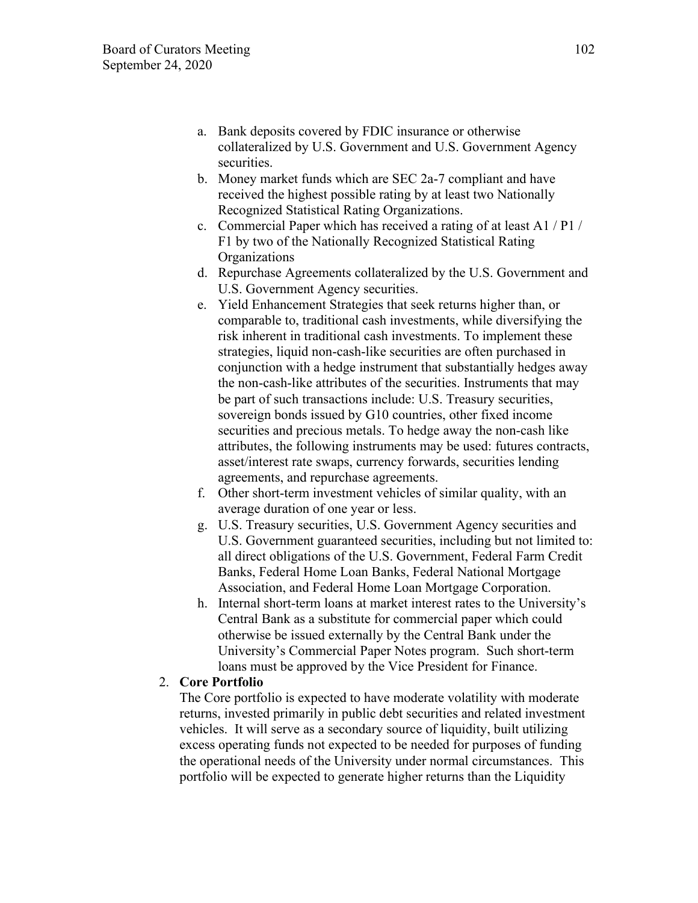- a. Bank deposits covered by FDIC insurance or otherwise collateralized by U.S. Government and U.S. Government Agency securities.
- b. Money market funds which are SEC 2a-7 compliant and have received the highest possible rating by at least two Nationally Recognized Statistical Rating Organizations.
- c. Commercial Paper which has received a rating of at least A1 / P1 / F1 by two of the Nationally Recognized Statistical Rating **Organizations**
- d. Repurchase Agreements collateralized by the U.S. Government and U.S. Government Agency securities.
- e. Yield Enhancement Strategies that seek returns higher than, or comparable to, traditional cash investments, while diversifying the risk inherent in traditional cash investments. To implement these strategies, liquid non-cash-like securities are often purchased in conjunction with a hedge instrument that substantially hedges away the non-cash-like attributes of the securities. Instruments that may be part of such transactions include: U.S. Treasury securities, sovereign bonds issued by G10 countries, other fixed income securities and precious metals. To hedge away the non-cash like attributes, the following instruments may be used: futures contracts, asset/interest rate swaps, currency forwards, securities lending agreements, and repurchase agreements.
- f. Other short-term investment vehicles of similar quality, with an average duration of one year or less.
- g. U.S. Treasury securities, U.S. Government Agency securities and U.S. Government guaranteed securities, including but not limited to: all direct obligations of the U.S. Government, Federal Farm Credit Banks, Federal Home Loan Banks, Federal National Mortgage Association, and Federal Home Loan Mortgage Corporation.
- h. Internal short-term loans at market interest rates to the University's Central Bank as a substitute for commercial paper which could otherwise be issued externally by the Central Bank under the University's Commercial Paper Notes program. Such short-term loans must be approved by the Vice President for Finance.

### 2. **Core Portfolio**

The Core portfolio is expected to have moderate volatility with moderate returns, invested primarily in public debt securities and related investment vehicles. It will serve as a secondary source of liquidity, built utilizing excess operating funds not expected to be needed for purposes of funding the operational needs of the University under normal circumstances. This portfolio will be expected to generate higher returns than the Liquidity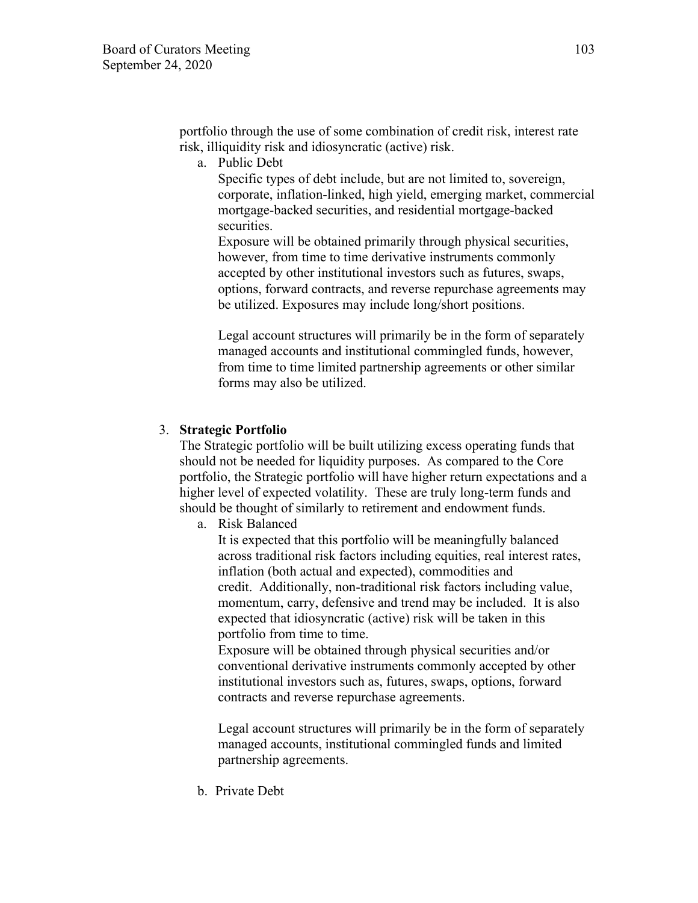portfolio through the use of some combination of credit risk, interest rate risk, illiquidity risk and idiosyncratic (active) risk.

a. Public Debt

Specific types of debt include, but are not limited to, sovereign, corporate, inflation-linked, high yield, emerging market, commercial mortgage-backed securities, and residential mortgage-backed securities.

Exposure will be obtained primarily through physical securities, however, from time to time derivative instruments commonly accepted by other institutional investors such as futures, swaps, options, forward contracts, and reverse repurchase agreements may be utilized. Exposures may include long/short positions.

Legal account structures will primarily be in the form of separately managed accounts and institutional commingled funds, however, from time to time limited partnership agreements or other similar forms may also be utilized.

#### 3. **Strategic Portfolio**

The Strategic portfolio will be built utilizing excess operating funds that should not be needed for liquidity purposes. As compared to the Core portfolio, the Strategic portfolio will have higher return expectations and a higher level of expected volatility. These are truly long-term funds and should be thought of similarly to retirement and endowment funds.

a. Risk Balanced

It is expected that this portfolio will be meaningfully balanced across traditional risk factors including equities, real interest rates, inflation (both actual and expected), commodities and credit. Additionally, non-traditional risk factors including value, momentum, carry, defensive and trend may be included. It is also expected that idiosyncratic (active) risk will be taken in this portfolio from time to time.

 Exposure will be obtained through physical securities and/or conventional derivative instruments commonly accepted by other institutional investors such as, futures, swaps, options, forward contracts and reverse repurchase agreements.

Legal account structures will primarily be in the form of separately managed accounts, institutional commingled funds and limited partnership agreements.

b. Private Debt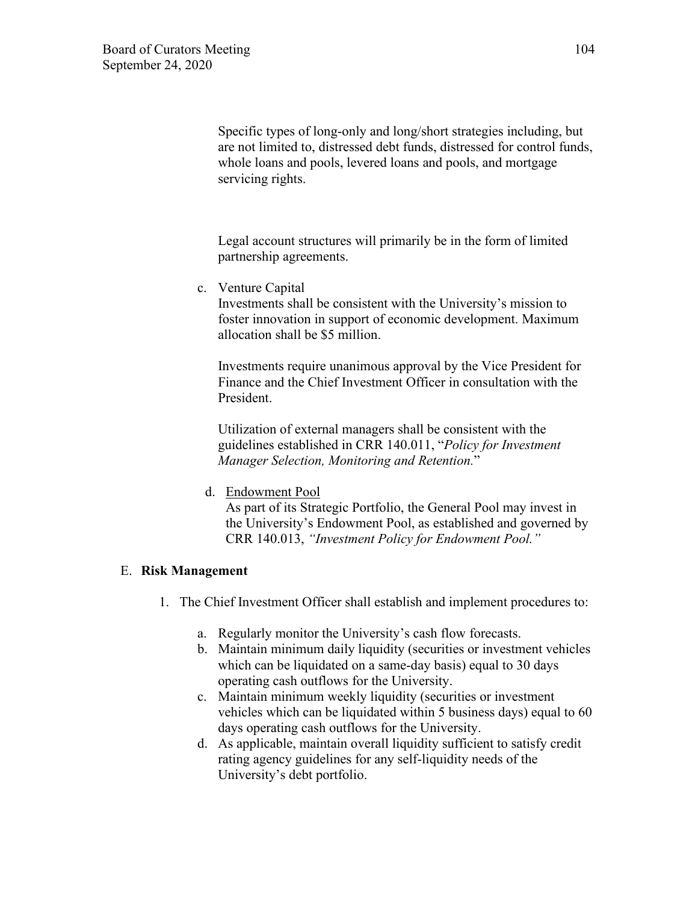Specific types of long-only and long/short strategies including, but are not limited to, distressed debt funds, distressed for control funds, whole loans and pools, levered loans and pools, and mortgage servicing rights.

Legal account structures will primarily be in the form of limited partnership agreements.

c. Venture Capital

Investments shall be consistent with the University's mission to foster innovation in support of economic development. Maximum allocation shall be \$5 million.

 Investments require unanimous approval by the Vice President for Finance and the Chief Investment Officer in consultation with the President.

Utilization of external managers shall be consistent with the guidelines established in CRR 140.011, "*Policy for Investment Manager Selection, Monitoring and Retention.*"

d. Endowment Pool

As part of its Strategic Portfolio, the General Pool may invest in the University's Endowment Pool, as established and governed by CRR 140.013, *"Investment Policy for Endowment Pool."* 

## E. **Risk Management**

- 1. The Chief Investment Officer shall establish and implement procedures to:
	- a. Regularly monitor the University's cash flow forecasts.
	- b. Maintain minimum daily liquidity (securities or investment vehicles which can be liquidated on a same-day basis) equal to 30 days operating cash outflows for the University.
	- c. Maintain minimum weekly liquidity (securities or investment vehicles which can be liquidated within 5 business days) equal to 60 days operating cash outflows for the University.
	- d. As applicable, maintain overall liquidity sufficient to satisfy credit rating agency guidelines for any self-liquidity needs of the University's debt portfolio.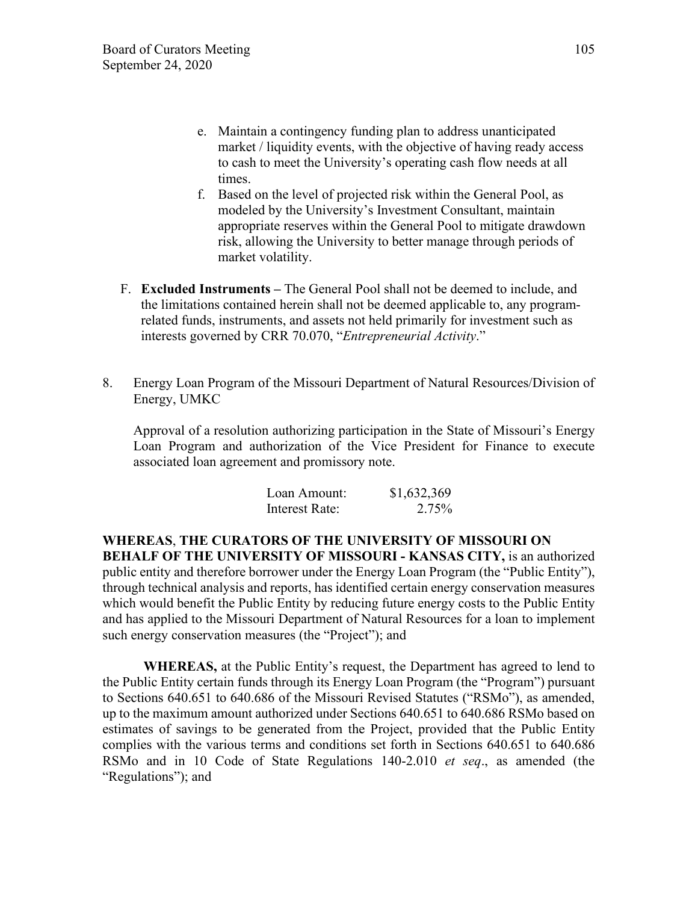- e. Maintain a contingency funding plan to address unanticipated market / liquidity events, with the objective of having ready access to cash to meet the University's operating cash flow needs at all times.
- f. Based on the level of projected risk within the General Pool, as modeled by the University's Investment Consultant, maintain appropriate reserves within the General Pool to mitigate drawdown risk, allowing the University to better manage through periods of market volatility.
- F. **Excluded Instruments –** The General Pool shall not be deemed to include, and the limitations contained herein shall not be deemed applicable to, any programrelated funds, instruments, and assets not held primarily for investment such as interests governed by CRR 70.070, "*Entrepreneurial Activity*."
- 8. Energy Loan Program of the Missouri Department of Natural Resources/Division of Energy, UMKC

Approval of a resolution authorizing participation in the State of Missouri's Energy Loan Program and authorization of the Vice President for Finance to execute associated loan agreement and promissory note.

| Loan Amount:   | \$1,632,369 |
|----------------|-------------|
| Interest Rate: | 2.75%       |

## **WHEREAS**, **THE CURATORS OF THE UNIVERSITY OF MISSOURI ON**

**BEHALF OF THE UNIVERSITY OF MISSOURI - KANSAS CITY,** is an authorized public entity and therefore borrower under the Energy Loan Program (the "Public Entity"), through technical analysis and reports, has identified certain energy conservation measures which would benefit the Public Entity by reducing future energy costs to the Public Entity and has applied to the Missouri Department of Natural Resources for a loan to implement such energy conservation measures (the "Project"); and

**WHEREAS,** at the Public Entity's request, the Department has agreed to lend to the Public Entity certain funds through its Energy Loan Program (the "Program") pursuant to Sections 640.651 to 640.686 of the Missouri Revised Statutes ("RSMo"), as amended, up to the maximum amount authorized under Sections 640.651 to 640.686 RSMo based on estimates of savings to be generated from the Project, provided that the Public Entity complies with the various terms and conditions set forth in Sections 640.651 to 640.686 RSMo and in 10 Code of State Regulations 140-2.010 *et seq*., as amended (the "Regulations"); and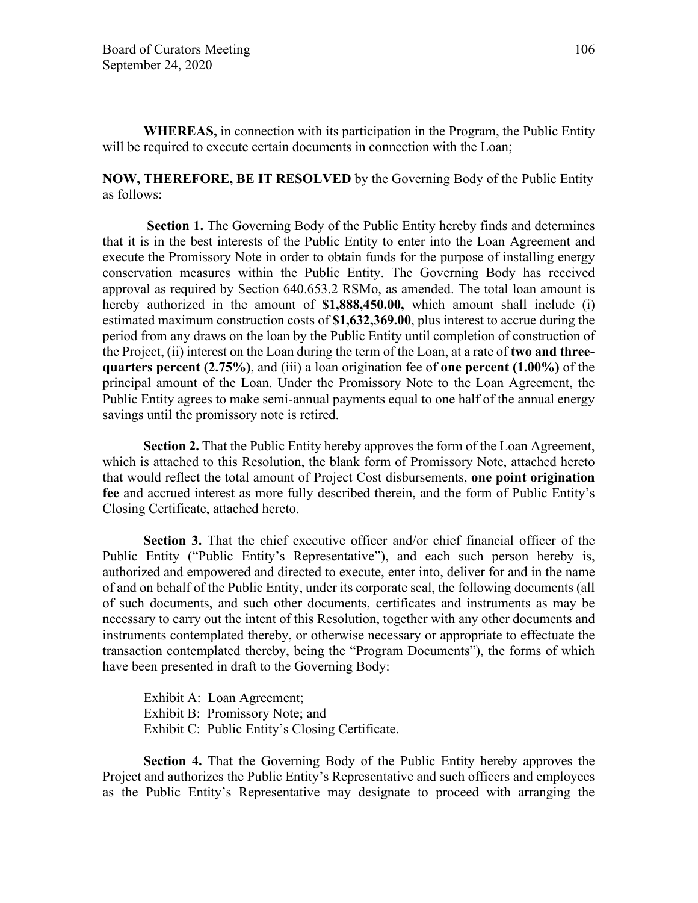**WHEREAS,** in connection with its participation in the Program, the Public Entity will be required to execute certain documents in connection with the Loan;

### **NOW, THEREFORE, BE IT RESOLVED** by the Governing Body of the Public Entity as follows:

**Section 1.** The Governing Body of the Public Entity hereby finds and determines that it is in the best interests of the Public Entity to enter into the Loan Agreement and execute the Promissory Note in order to obtain funds for the purpose of installing energy conservation measures within the Public Entity. The Governing Body has received approval as required by Section 640.653.2 RSMo, as amended. The total loan amount is hereby authorized in the amount of **\$1,888,450.00,** which amount shall include (i) estimated maximum construction costs of **\$1,632,369.00**, plus interest to accrue during the period from any draws on the loan by the Public Entity until completion of construction of the Project, (ii) interest on the Loan during the term of the Loan, at a rate of **two and threequarters percent (2.75%)**, and (iii) a loan origination fee of **one percent (1.00%)** of the principal amount of the Loan. Under the Promissory Note to the Loan Agreement, the Public Entity agrees to make semi-annual payments equal to one half of the annual energy savings until the promissory note is retired.

**Section 2.** That the Public Entity hereby approves the form of the Loan Agreement, which is attached to this Resolution, the blank form of Promissory Note, attached hereto that would reflect the total amount of Project Cost disbursements, **one point origination fee** and accrued interest as more fully described therein, and the form of Public Entity's Closing Certificate, attached hereto.

**Section 3.** That the chief executive officer and/or chief financial officer of the Public Entity ("Public Entity's Representative"), and each such person hereby is, authorized and empowered and directed to execute, enter into, deliver for and in the name of and on behalf of the Public Entity, under its corporate seal, the following documents (all of such documents, and such other documents, certificates and instruments as may be necessary to carry out the intent of this Resolution, together with any other documents and instruments contemplated thereby, or otherwise necessary or appropriate to effectuate the transaction contemplated thereby, being the "Program Documents"), the forms of which have been presented in draft to the Governing Body:

 Exhibit A: Loan Agreement; Exhibit B: Promissory Note; and Exhibit C: Public Entity's Closing Certificate.

**Section 4.** That the Governing Body of the Public Entity hereby approves the Project and authorizes the Public Entity's Representative and such officers and employees as the Public Entity's Representative may designate to proceed with arranging the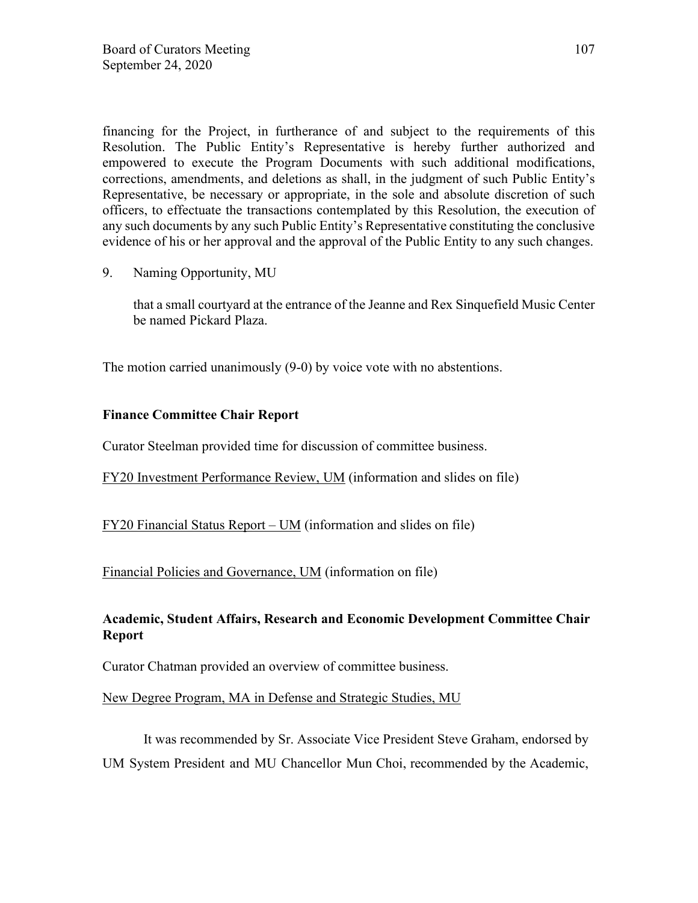financing for the Project, in furtherance of and subject to the requirements of this Resolution. The Public Entity's Representative is hereby further authorized and empowered to execute the Program Documents with such additional modifications, corrections, amendments, and deletions as shall, in the judgment of such Public Entity's Representative, be necessary or appropriate, in the sole and absolute discretion of such officers, to effectuate the transactions contemplated by this Resolution, the execution of any such documents by any such Public Entity's Representative constituting the conclusive evidence of his or her approval and the approval of the Public Entity to any such changes.

9. Naming Opportunity, MU

that a small courtyard at the entrance of the Jeanne and Rex Sinquefield Music Center be named Pickard Plaza.

The motion carried unanimously (9-0) by voice vote with no abstentions.

## **Finance Committee Chair Report**

Curator Steelman provided time for discussion of committee business.

FY20 Investment Performance Review, UM (information and slides on file)

FY20 Financial Status Report – UM (information and slides on file)

Financial Policies and Governance, UM (information on file)

## **Academic, Student Affairs, Research and Economic Development Committee Chair Report**

Curator Chatman provided an overview of committee business.

New Degree Program, MA in Defense and Strategic Studies, MU

It was recommended by Sr. Associate Vice President Steve Graham, endorsed by UM System President and MU Chancellor Mun Choi, recommended by the Academic,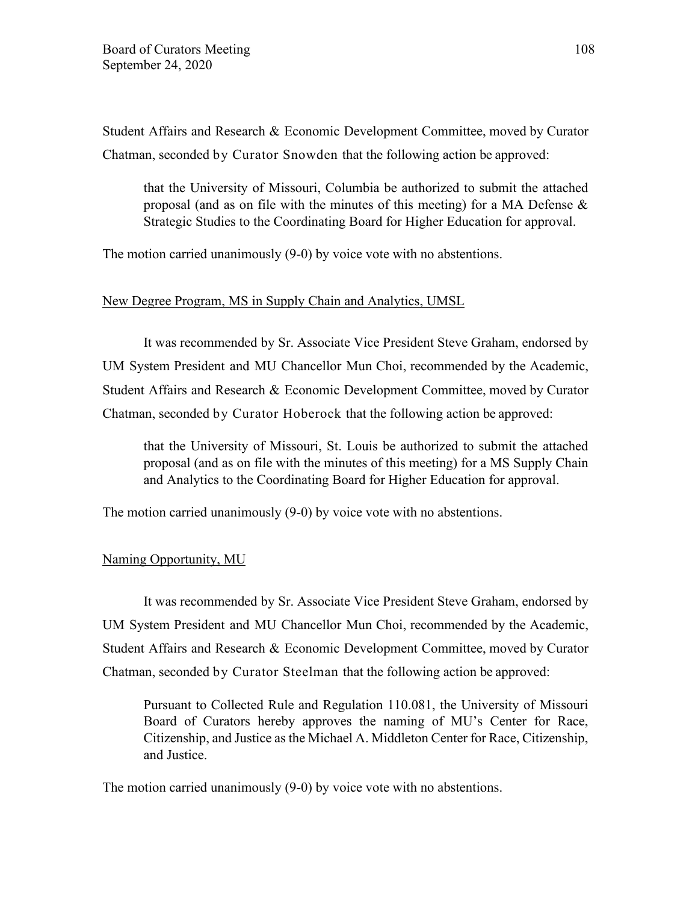Student Affairs and Research & Economic Development Committee, moved by Curator Chatman, seconded by Curator Snowden that the following action be approved:

that the University of Missouri, Columbia be authorized to submit the attached proposal (and as on file with the minutes of this meeting) for a MA Defense  $\&$ Strategic Studies to the Coordinating Board for Higher Education for approval.

The motion carried unanimously (9-0) by voice vote with no abstentions.

#### New Degree Program, MS in Supply Chain and Analytics, UMSL

It was recommended by Sr. Associate Vice President Steve Graham, endorsed by UM System President and MU Chancellor Mun Choi, recommended by the Academic, Student Affairs and Research & Economic Development Committee, moved by Curator Chatman, seconded by Curator Hoberock that the following action be approved:

that the University of Missouri, St. Louis be authorized to submit the attached proposal (and as on file with the minutes of this meeting) for a MS Supply Chain and Analytics to the Coordinating Board for Higher Education for approval.

The motion carried unanimously (9-0) by voice vote with no abstentions.

### Naming Opportunity, MU

It was recommended by Sr. Associate Vice President Steve Graham, endorsed by UM System President and MU Chancellor Mun Choi, recommended by the Academic, Student Affairs and Research & Economic Development Committee, moved by Curator Chatman, seconded by Curator Steelman that the following action be approved:

Pursuant to Collected Rule and Regulation 110.081, the University of Missouri Board of Curators hereby approves the naming of MU's Center for Race, Citizenship, and Justice as the Michael A. Middleton Center for Race, Citizenship, and Justice.

The motion carried unanimously (9-0) by voice vote with no abstentions.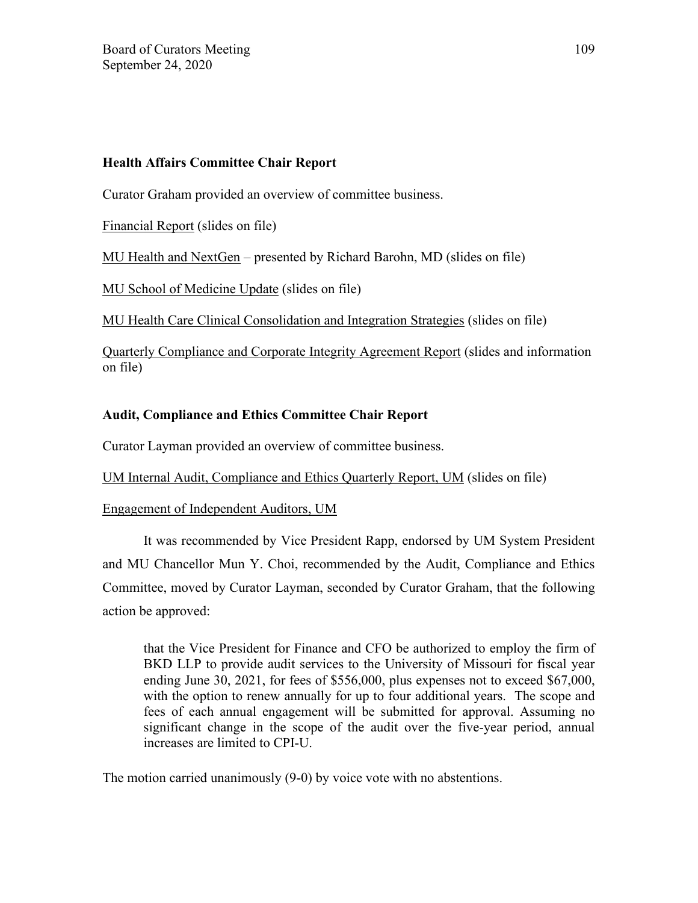## **Health Affairs Committee Chair Report**

Curator Graham provided an overview of committee business.

Financial Report (slides on file)

MU Health and NextGen – presented by Richard Barohn, MD (slides on file)

MU School of Medicine Update (slides on file)

MU Health Care Clinical Consolidation and Integration Strategies (slides on file)

Quarterly Compliance and Corporate Integrity Agreement Report (slides and information on file)

# **Audit, Compliance and Ethics Committee Chair Report**

Curator Layman provided an overview of committee business.

UM Internal Audit, Compliance and Ethics Quarterly Report, UM (slides on file)

## Engagement of Independent Auditors, UM

It was recommended by Vice President Rapp, endorsed by UM System President and MU Chancellor Mun Y. Choi, recommended by the Audit, Compliance and Ethics Committee, moved by Curator Layman, seconded by Curator Graham, that the following action be approved:

that the Vice President for Finance and CFO be authorized to employ the firm of BKD LLP to provide audit services to the University of Missouri for fiscal year ending June 30, 2021, for fees of \$556,000, plus expenses not to exceed \$67,000, with the option to renew annually for up to four additional years. The scope and fees of each annual engagement will be submitted for approval. Assuming no significant change in the scope of the audit over the five-year period, annual increases are limited to CPI-U.

The motion carried unanimously (9-0) by voice vote with no abstentions.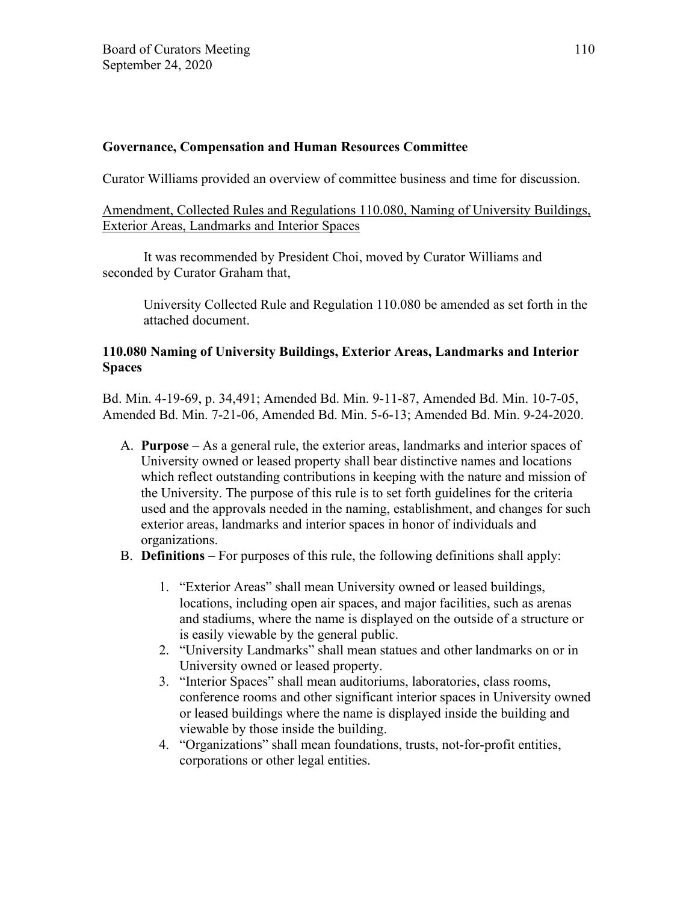## **Governance, Compensation and Human Resources Committee**

Curator Williams provided an overview of committee business and time for discussion.

## Amendment, Collected Rules and Regulations 110.080, Naming of University Buildings, Exterior Areas, Landmarks and Interior Spaces

It was recommended by President Choi, moved by Curator Williams and seconded by Curator Graham that,

 University Collected Rule and Regulation 110.080 be amended as set forth in the attached document.

## **110.080 Naming of University Buildings, Exterior Areas, Landmarks and Interior Spaces**

Bd. Min. 4-19-69, p. 34,491; Amended Bd. Min. 9-11-87, Amended Bd. Min. 10-7-05, Amended Bd. Min. 7-21-06, Amended Bd. Min. 5-6-13; Amended Bd. Min. 9-24-2020.

- A. **Purpose** As a general rule, the exterior areas, landmarks and interior spaces of University owned or leased property shall bear distinctive names and locations which reflect outstanding contributions in keeping with the nature and mission of the University. The purpose of this rule is to set forth guidelines for the criteria used and the approvals needed in the naming, establishment, and changes for such exterior areas, landmarks and interior spaces in honor of individuals and organizations.
- B. **Definitions** For purposes of this rule, the following definitions shall apply:
	- 1. "Exterior Areas" shall mean University owned or leased buildings, locations, including open air spaces, and major facilities, such as arenas and stadiums, where the name is displayed on the outside of a structure or is easily viewable by the general public.
	- 2. "University Landmarks" shall mean statues and other landmarks on or in University owned or leased property.
	- 3. "Interior Spaces" shall mean auditoriums, laboratories, class rooms, conference rooms and other significant interior spaces in University owned or leased buildings where the name is displayed inside the building and viewable by those inside the building.
	- 4. "Organizations" shall mean foundations, trusts, not-for-profit entities, corporations or other legal entities.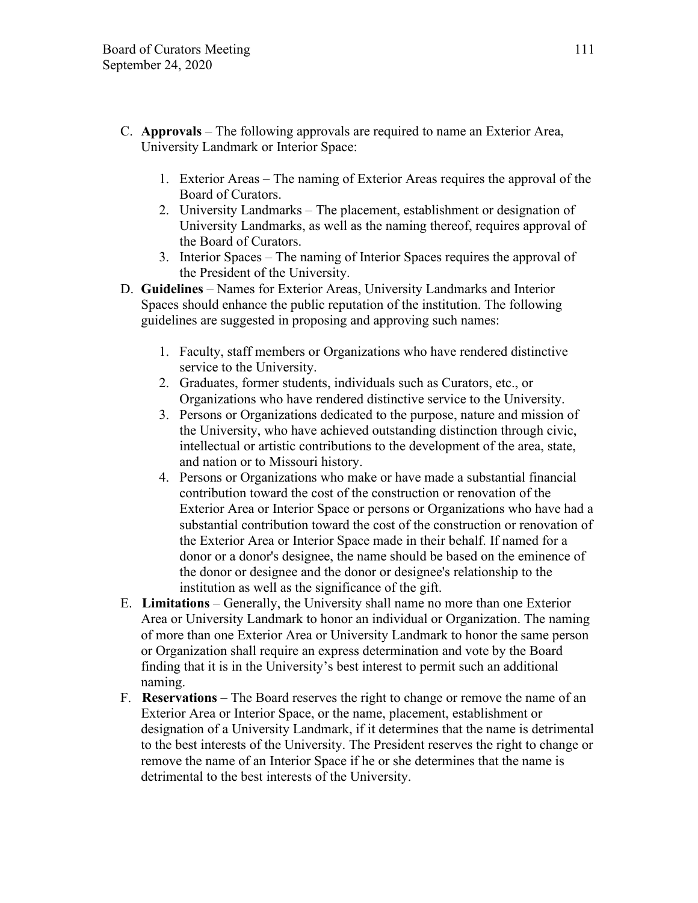- C. **Approvals** The following approvals are required to name an Exterior Area, University Landmark or Interior Space:
	- 1. Exterior Areas The naming of Exterior Areas requires the approval of the Board of Curators.
	- 2. University Landmarks The placement, establishment or designation of University Landmarks, as well as the naming thereof, requires approval of the Board of Curators.
	- 3. Interior Spaces The naming of Interior Spaces requires the approval of the President of the University.
- D. **Guidelines** Names for Exterior Areas, University Landmarks and Interior Spaces should enhance the public reputation of the institution. The following guidelines are suggested in proposing and approving such names:
	- 1. Faculty, staff members or Organizations who have rendered distinctive service to the University.
	- 2. Graduates, former students, individuals such as Curators, etc., or Organizations who have rendered distinctive service to the University.
	- 3. Persons or Organizations dedicated to the purpose, nature and mission of the University, who have achieved outstanding distinction through civic, intellectual or artistic contributions to the development of the area, state, and nation or to Missouri history.
	- 4. Persons or Organizations who make or have made a substantial financial contribution toward the cost of the construction or renovation of the Exterior Area or Interior Space or persons or Organizations who have had a substantial contribution toward the cost of the construction or renovation of the Exterior Area or Interior Space made in their behalf. If named for a donor or a donor's designee, the name should be based on the eminence of the donor or designee and the donor or designee's relationship to the institution as well as the significance of the gift.
- E. **Limitations** Generally, the University shall name no more than one Exterior Area or University Landmark to honor an individual or Organization. The naming of more than one Exterior Area or University Landmark to honor the same person or Organization shall require an express determination and vote by the Board finding that it is in the University's best interest to permit such an additional naming.
- F. **Reservations** The Board reserves the right to change or remove the name of an Exterior Area or Interior Space, or the name, placement, establishment or designation of a University Landmark, if it determines that the name is detrimental to the best interests of the University. The President reserves the right to change or remove the name of an Interior Space if he or she determines that the name is detrimental to the best interests of the University.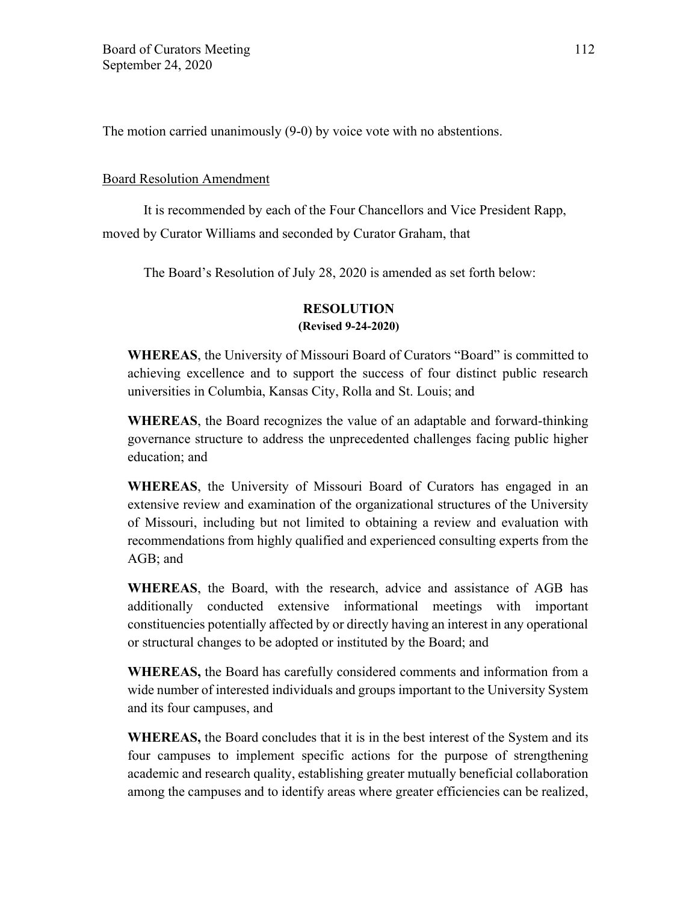The motion carried unanimously (9-0) by voice vote with no abstentions.

### Board Resolution Amendment

It is recommended by each of the Four Chancellors and Vice President Rapp, moved by Curator Williams and seconded by Curator Graham, that

The Board's Resolution of July 28, 2020 is amended as set forth below:

## **RESOLUTION (Revised 9-24-2020)**

**WHEREAS**, the University of Missouri Board of Curators "Board" is committed to achieving excellence and to support the success of four distinct public research universities in Columbia, Kansas City, Rolla and St. Louis; and

**WHEREAS**, the Board recognizes the value of an adaptable and forward-thinking governance structure to address the unprecedented challenges facing public higher education; and

**WHEREAS**, the University of Missouri Board of Curators has engaged in an extensive review and examination of the organizational structures of the University of Missouri, including but not limited to obtaining a review and evaluation with recommendations from highly qualified and experienced consulting experts from the AGB; and

**WHEREAS**, the Board, with the research, advice and assistance of AGB has additionally conducted extensive informational meetings with important constituencies potentially affected by or directly having an interest in any operational or structural changes to be adopted or instituted by the Board; and

**WHEREAS,** the Board has carefully considered comments and information from a wide number of interested individuals and groups important to the University System and its four campuses, and

**WHEREAS,** the Board concludes that it is in the best interest of the System and its four campuses to implement specific actions for the purpose of strengthening academic and research quality, establishing greater mutually beneficial collaboration among the campuses and to identify areas where greater efficiencies can be realized,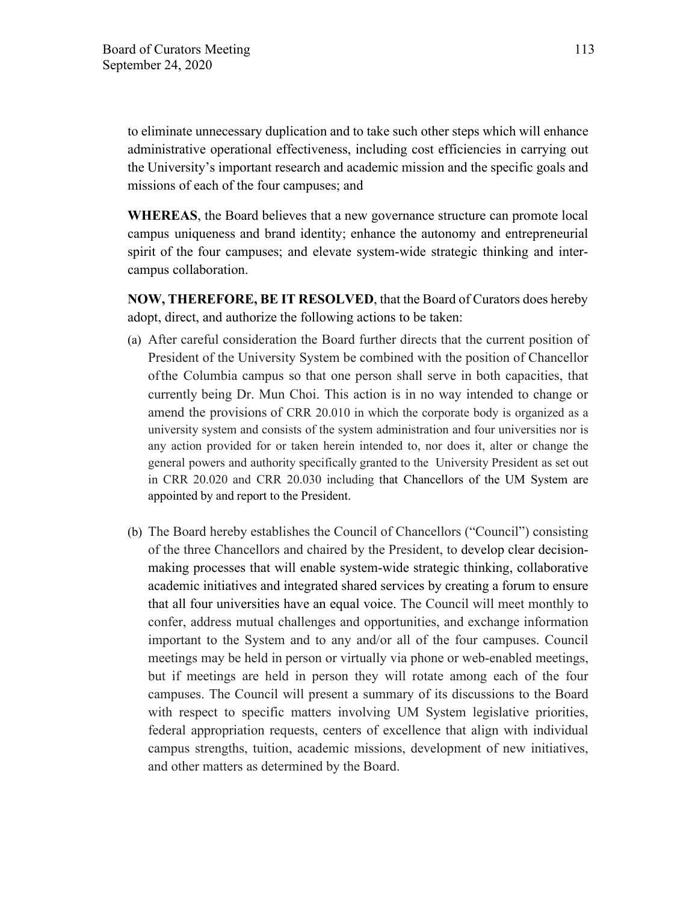to eliminate unnecessary duplication and to take such other steps which will enhance administrative operational effectiveness, including cost efficiencies in carrying out the University's important research and academic mission and the specific goals and missions of each of the four campuses; and

**WHEREAS**, the Board believes that a new governance structure can promote local campus uniqueness and brand identity; enhance the autonomy and entrepreneurial spirit of the four campuses; and elevate system-wide strategic thinking and intercampus collaboration.

**NOW, THEREFORE, BE IT RESOLVED**, that the Board of Curators does hereby adopt, direct, and authorize the following actions to be taken:

- (a) After careful consideration the Board further directs that the current position of President of the University System be combined with the position of Chancellor of the Columbia campus so that one person shall serve in both capacities, that currently being Dr. Mun Choi. This action is in no way intended to change or amend the provisions of CRR 20.010 in which the corporate body is organized as a university system and consists of the system administration and four universities nor is any action provided for or taken herein intended to, nor does it, alter or change the general powers and authority specifically granted to the University President as set out in CRR 20.020 and CRR 20.030 including that Chancellors of the UM System are appointed by and report to the President.
- (b) The Board hereby establishes the Council of Chancellors ("Council") consisting of the three Chancellors and chaired by the President, to develop clear decisionmaking processes that will enable system-wide strategic thinking, collaborative academic initiatives and integrated shared services by creating a forum to ensure that all four universities have an equal voice. The Council will meet monthly to confer, address mutual challenges and opportunities, and exchange information important to the System and to any and/or all of the four campuses. Council meetings may be held in person or virtually via phone or web-enabled meetings, but if meetings are held in person they will rotate among each of the four campuses. The Council will present a summary of its discussions to the Board with respect to specific matters involving UM System legislative priorities, federal appropriation requests, centers of excellence that align with individual campus strengths, tuition, academic missions, development of new initiatives, and other matters as determined by the Board.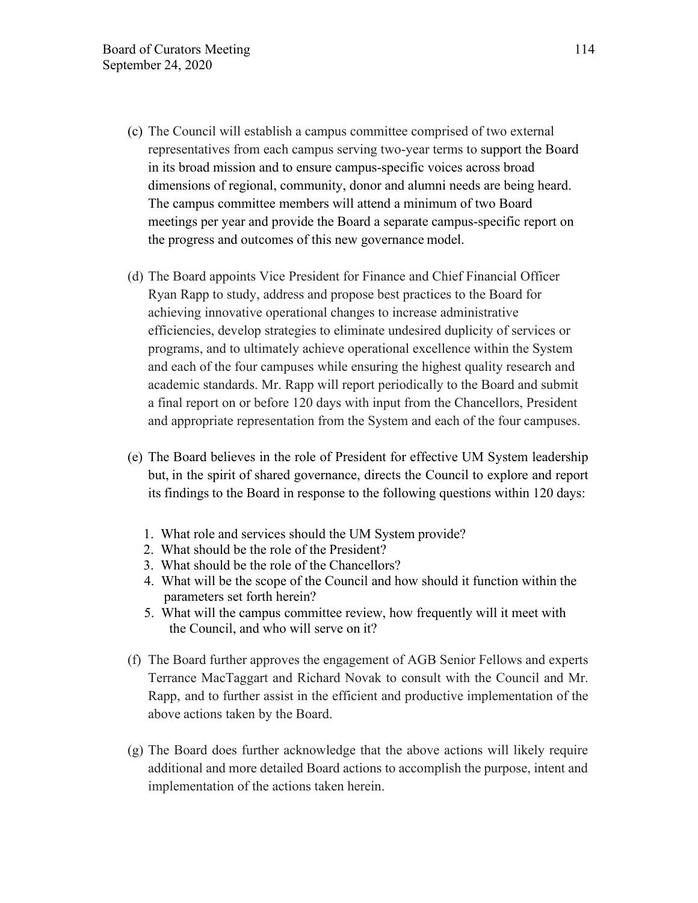- (c) The Council will establish a campus committee comprised of two external representatives from each campus serving two-year terms to support the Board in its broad mission and to ensure campus-specific voices across broad dimensions of regional, community, donor and alumni needs are being heard. The campus committee members will attend a minimum of two Board meetings per year and provide the Board a separate campus-specific report on the progress and outcomes of this new governance model.
- (d) The Board appoints Vice President for Finance and Chief Financial Officer Ryan Rapp to study, address and propose best practices to the Board for achieving innovative operational changes to increase administrative efficiencies, develop strategies to eliminate undesired duplicity of services or programs, and to ultimately achieve operational excellence within the System and each of the four campuses while ensuring the highest quality research and academic standards. Mr. Rapp will report periodically to the Board and submit a final report on or before 120 days with input from the Chancellors, President and appropriate representation from the System and each of the four campuses.
- (e) The Board believes in the role of President for effective UM System leadership but, in the spirit of shared governance, directs the Council to explore and report its findings to the Board in response to the following questions within 120 days:
	- 1. What role and services should the UM System provide?
	- 2. What should be the role of the President?
	- 3. What should be the role of the Chancellors?
	- 4. What will be the scope of the Council and how should it function within the parameters set forth herein?
	- 5. What will the campus committee review, how frequently will it meet with the Council, and who will serve on it?
- (f) The Board further approves the engagement of AGB Senior Fellows and experts Terrance MacTaggart and Richard Novak to consult with the Council and Mr. Rapp, and to further assist in the efficient and productive implementation of the above actions taken by the Board.
- (g) The Board does further acknowledge that the above actions will likely require additional and more detailed Board actions to accomplish the purpose, intent and implementation of the actions taken herein.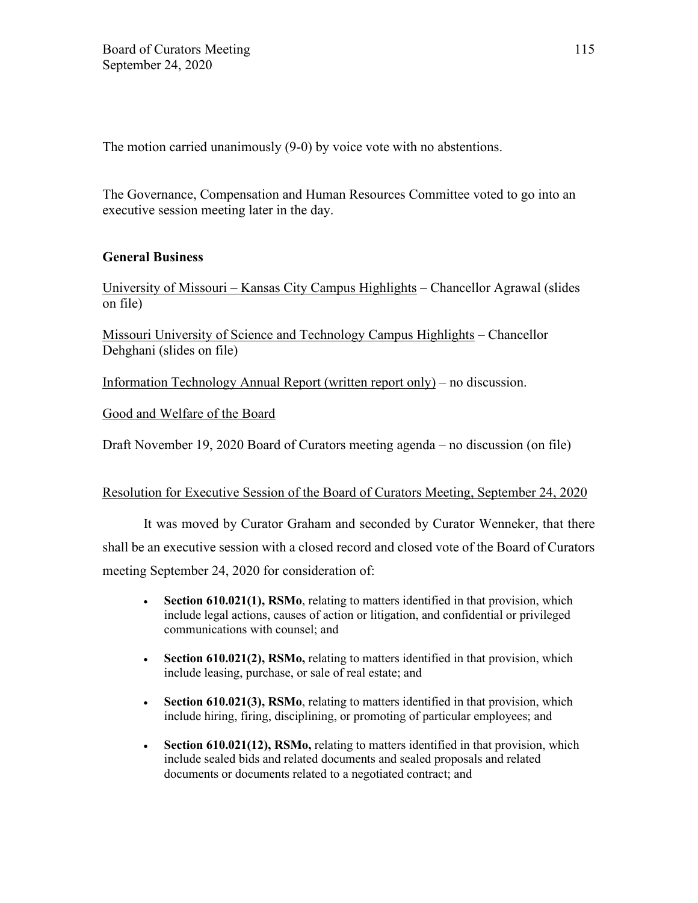The motion carried unanimously (9-0) by voice vote with no abstentions.

The Governance, Compensation and Human Resources Committee voted to go into an executive session meeting later in the day.

## **General Business**

University of Missouri – Kansas City Campus Highlights – Chancellor Agrawal (slides on file)

Missouri University of Science and Technology Campus Highlights – Chancellor Dehghani (slides on file)

Information Technology Annual Report (written report only) – no discussion.

Good and Welfare of the Board

Draft November 19, 2020 Board of Curators meeting agenda – no discussion (on file)

### Resolution for Executive Session of the Board of Curators Meeting, September 24, 2020

It was moved by Curator Graham and seconded by Curator Wenneker, that there shall be an executive session with a closed record and closed vote of the Board of Curators meeting September 24, 2020 for consideration of:

- **Section 610.021(1), RSMo**, relating to matters identified in that provision, which include legal actions, causes of action or litigation, and confidential or privileged communications with counsel; and
- **Section 610.021(2), RSMo,** relating to matters identified in that provision, which include leasing, purchase, or sale of real estate; and
- **Section 610.021(3), RSMo**, relating to matters identified in that provision, which include hiring, firing, disciplining, or promoting of particular employees; and
- **Section 610.021(12), RSMo,** relating to matters identified in that provision, which include sealed bids and related documents and sealed proposals and related documents or documents related to a negotiated contract; and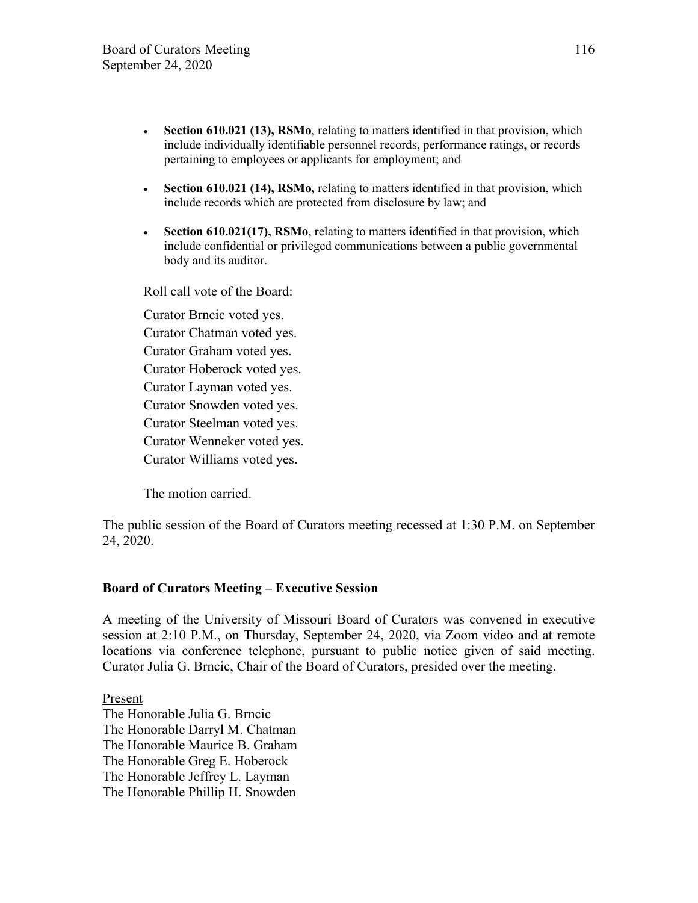- **Section 610.021 (13), RSMo**, relating to matters identified in that provision, which include individually identifiable personnel records, performance ratings, or records pertaining to employees or applicants for employment; and
- **Section 610.021 (14), RSMo,** relating to matters identified in that provision, which include records which are protected from disclosure by law; and
- **Section 610.021(17), RSMo**, relating to matters identified in that provision, which include confidential or privileged communications between a public governmental body and its auditor.

Roll call vote of the Board:

Curator Brncic voted yes. Curator Chatman voted yes. Curator Graham voted yes. Curator Hoberock voted yes. Curator Layman voted yes. Curator Snowden voted yes. Curator Steelman voted yes. Curator Wenneker voted yes. Curator Williams voted yes.

The motion carried.

The public session of the Board of Curators meeting recessed at 1:30 P.M. on September 24, 2020.

### **Board of Curators Meeting – Executive Session**

A meeting of the University of Missouri Board of Curators was convened in executive session at 2:10 P.M., on Thursday, September 24, 2020, via Zoom video and at remote locations via conference telephone, pursuant to public notice given of said meeting. Curator Julia G. Brncic, Chair of the Board of Curators, presided over the meeting.

Present The Honorable Julia G. Brncic The Honorable Darryl M. Chatman The Honorable Maurice B. Graham The Honorable Greg E. Hoberock The Honorable Jeffrey L. Layman The Honorable Phillip H. Snowden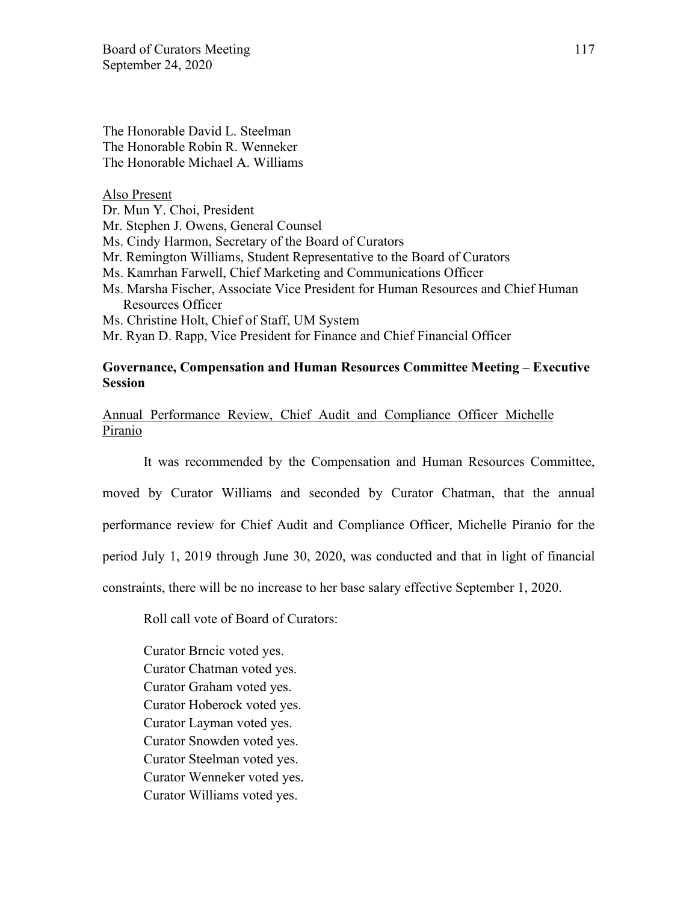Board of Curators Meeting 117 September 24, 2020

The Honorable David L. Steelman The Honorable Robin R. Wenneker The Honorable Michael A. Williams

Also Present

Dr. Mun Y. Choi, President

Mr. Stephen J. Owens, General Counsel

Ms. Cindy Harmon, Secretary of the Board of Curators

Mr. Remington Williams, Student Representative to the Board of Curators

- Ms. Kamrhan Farwell, Chief Marketing and Communications Officer
- Ms. Marsha Fischer, Associate Vice President for Human Resources and Chief Human Resources Officer

Ms. Christine Holt, Chief of Staff, UM System

Mr. Ryan D. Rapp, Vice President for Finance and Chief Financial Officer

#### **Governance, Compensation and Human Resources Committee Meeting – Executive Session**

Annual Performance Review, Chief Audit and Compliance Officer Michelle Piranio

It was recommended by the Compensation and Human Resources Committee, moved by Curator Williams and seconded by Curator Chatman, that the annual performance review for Chief Audit and Compliance Officer, Michelle Piranio for the period July 1, 2019 through June 30, 2020, was conducted and that in light of financial constraints, there will be no increase to her base salary effective September 1, 2020.

Roll call vote of Board of Curators:

Curator Brncic voted yes. Curator Chatman voted yes. Curator Graham voted yes. Curator Hoberock voted yes. Curator Layman voted yes. Curator Snowden voted yes. Curator Steelman voted yes. Curator Wenneker voted yes. Curator Williams voted yes.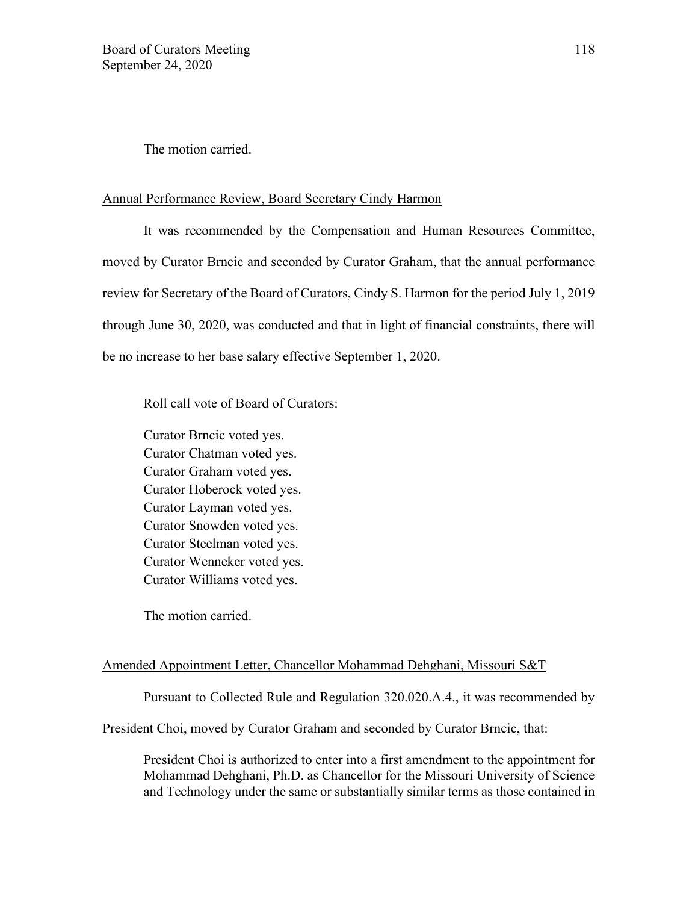The motion carried.

#### Annual Performance Review, Board Secretary Cindy Harmon

It was recommended by the Compensation and Human Resources Committee, moved by Curator Brncic and seconded by Curator Graham, that the annual performance review for Secretary of the Board of Curators, Cindy S. Harmon for the period July 1, 2019 through June 30, 2020, was conducted and that in light of financial constraints, there will be no increase to her base salary effective September 1, 2020.

Roll call vote of Board of Curators:

Curator Brncic voted yes. Curator Chatman voted yes. Curator Graham voted yes. Curator Hoberock voted yes. Curator Layman voted yes. Curator Snowden voted yes. Curator Steelman voted yes. Curator Wenneker voted yes. Curator Williams voted yes.

The motion carried.

#### Amended Appointment Letter, Chancellor Mohammad Dehghani, Missouri S&T

Pursuant to Collected Rule and Regulation 320.020.A.4., it was recommended by

President Choi, moved by Curator Graham and seconded by Curator Brncic, that:

President Choi is authorized to enter into a first amendment to the appointment for Mohammad Dehghani, Ph.D. as Chancellor for the Missouri University of Science and Technology under the same or substantially similar terms as those contained in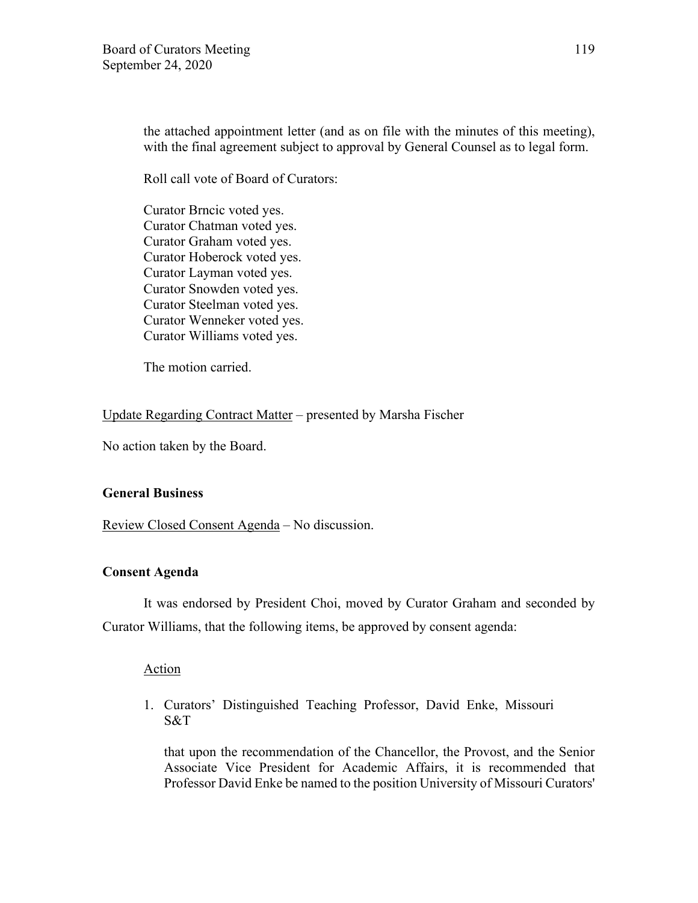the attached appointment letter (and as on file with the minutes of this meeting), with the final agreement subject to approval by General Counsel as to legal form.

Roll call vote of Board of Curators:

Curator Brncic voted yes. Curator Chatman voted yes. Curator Graham voted yes. Curator Hoberock voted yes. Curator Layman voted yes. Curator Snowden voted yes. Curator Steelman voted yes. Curator Wenneker voted yes. Curator Williams voted yes.

The motion carried.

Update Regarding Contract Matter – presented by Marsha Fischer

No action taken by the Board.

### **General Business**

Review Closed Consent Agenda – No discussion.

### **Consent Agenda**

It was endorsed by President Choi, moved by Curator Graham and seconded by Curator Williams, that the following items, be approved by consent agenda:

#### Action

1. Curators' Distinguished Teaching Professor, David Enke, Missouri S&T

that upon the recommendation of the Chancellor, the Provost, and the Senior Associate Vice President for Academic Affairs, it is recommended that Professor David Enke be named to the position University of Missouri Curators'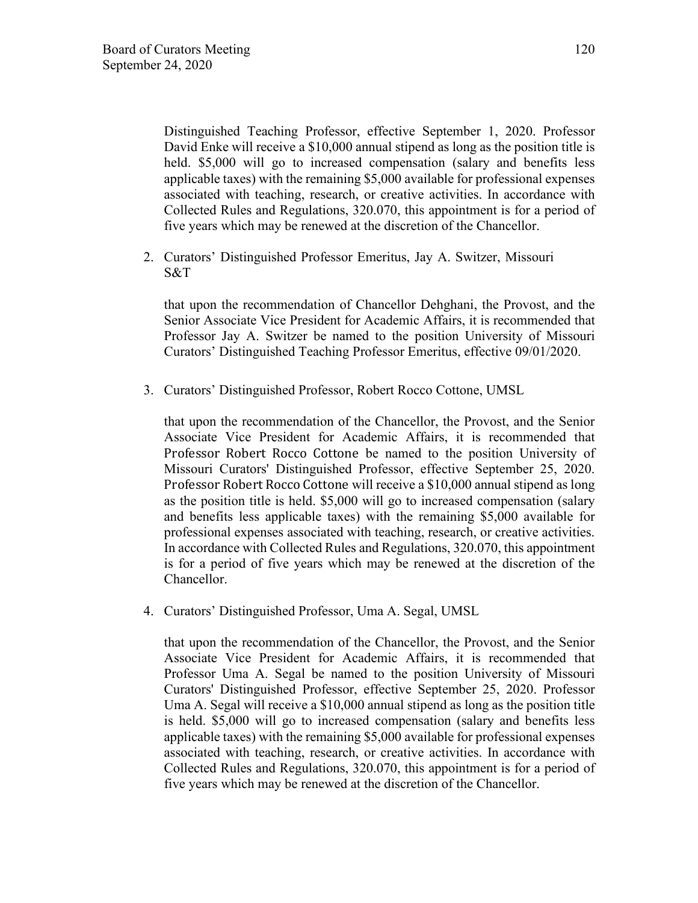Distinguished Teaching Professor, effective September 1, 2020. Professor David Enke will receive a \$10,000 annual stipend as long as the position title is held. \$5,000 will go to increased compensation (salary and benefits less applicable taxes) with the remaining \$5,000 available for professional expenses associated with teaching, research, or creative activities. In accordance with Collected Rules and Regulations, 320.070, this appointment is for a period of five years which may be renewed at the discretion of the Chancellor.

2. Curators' Distinguished Professor Emeritus, Jay A. Switzer, Missouri S&T

that upon the recommendation of Chancellor Dehghani, the Provost, and the Senior Associate Vice President for Academic Affairs, it is recommended that Professor Jay A. Switzer be named to the position University of Missouri Curators' Distinguished Teaching Professor Emeritus, effective 09/01/2020.

3. Curators' Distinguished Professor, Robert Rocco Cottone, UMSL

that upon the recommendation of the Chancellor, the Provost, and the Senior Associate Vice President for Academic Affairs, it is recommended that Professor Robert Rocco Cottone be named to the position University of Missouri Curators' Distinguished Professor, effective September 25, 2020. Professor Robert Rocco Cottone will receive a \$10,000 annual stipend as long as the position title is held. \$5,000 will go to increased compensation (salary and benefits less applicable taxes) with the remaining \$5,000 available for professional expenses associated with teaching, research, or creative activities. In accordance with Collected Rules and Regulations, 320.070, this appointment is for a period of five years which may be renewed at the discretion of the Chancellor.

4. Curators' Distinguished Professor, Uma A. Segal, UMSL

that upon the recommendation of the Chancellor, the Provost, and the Senior Associate Vice President for Academic Affairs, it is recommended that Professor Uma A. Segal be named to the position University of Missouri Curators' Distinguished Professor, effective September 25, 2020. Professor Uma A. Segal will receive a \$10,000 annual stipend as long as the position title is held. \$5,000 will go to increased compensation (salary and benefits less applicable taxes) with the remaining \$5,000 available for professional expenses associated with teaching, research, or creative activities. In accordance with Collected Rules and Regulations, 320.070, this appointment is for a period of five years which may be renewed at the discretion of the Chancellor.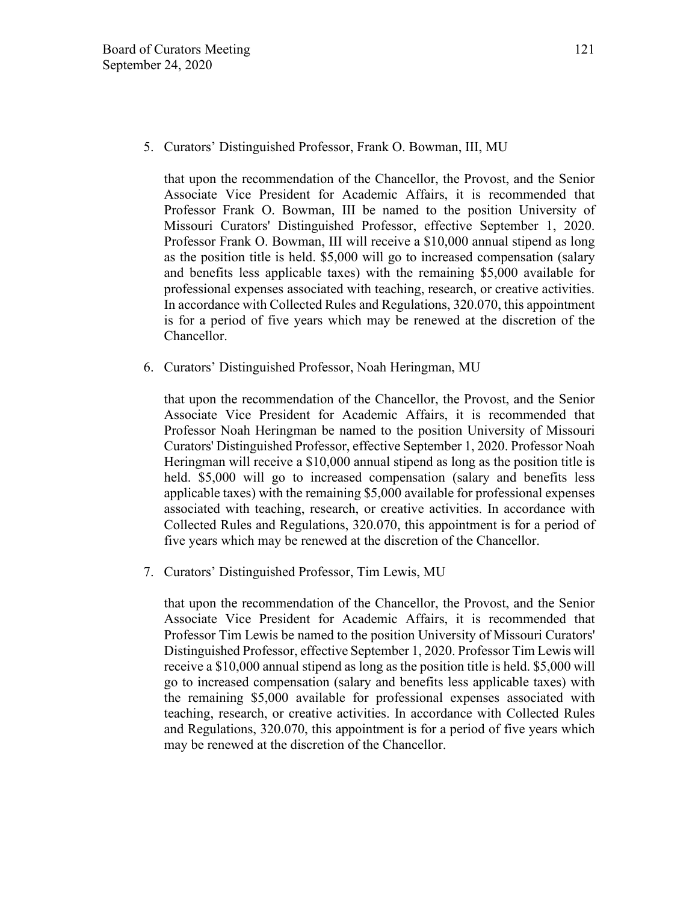5. Curators' Distinguished Professor, Frank O. Bowman, III, MU

that upon the recommendation of the Chancellor, the Provost, and the Senior Associate Vice President for Academic Affairs, it is recommended that Professor Frank O. Bowman, III be named to the position University of Missouri Curators' Distinguished Professor, effective September 1, 2020. Professor Frank O. Bowman, III will receive a \$10,000 annual stipend as long as the position title is held. \$5,000 will go to increased compensation (salary and benefits less applicable taxes) with the remaining \$5,000 available for professional expenses associated with teaching, research, or creative activities. In accordance with Collected Rules and Regulations, 320.070, this appointment is for a period of five years which may be renewed at the discretion of the Chancellor.

6. Curators' Distinguished Professor, Noah Heringman, MU

that upon the recommendation of the Chancellor, the Provost, and the Senior Associate Vice President for Academic Affairs, it is recommended that Professor Noah Heringman be named to the position University of Missouri Curators' Distinguished Professor, effective September 1, 2020. Professor Noah Heringman will receive a \$10,000 annual stipend as long as the position title is held. \$5,000 will go to increased compensation (salary and benefits less applicable taxes) with the remaining \$5,000 available for professional expenses associated with teaching, research, or creative activities. In accordance with Collected Rules and Regulations, 320.070, this appointment is for a period of five years which may be renewed at the discretion of the Chancellor.

7. Curators' Distinguished Professor, Tim Lewis, MU

that upon the recommendation of the Chancellor, the Provost, and the Senior Associate Vice President for Academic Affairs, it is recommended that Professor Tim Lewis be named to the position University of Missouri Curators' Distinguished Professor, effective September 1, 2020. Professor Tim Lewis will receive a \$10,000 annual stipend as long as the position title is held. \$5,000 will go to increased compensation (salary and benefits less applicable taxes) with the remaining \$5,000 available for professional expenses associated with teaching, research, or creative activities. In accordance with Collected Rules and Regulations, 320.070, this appointment is for a period of five years which may be renewed at the discretion of the Chancellor.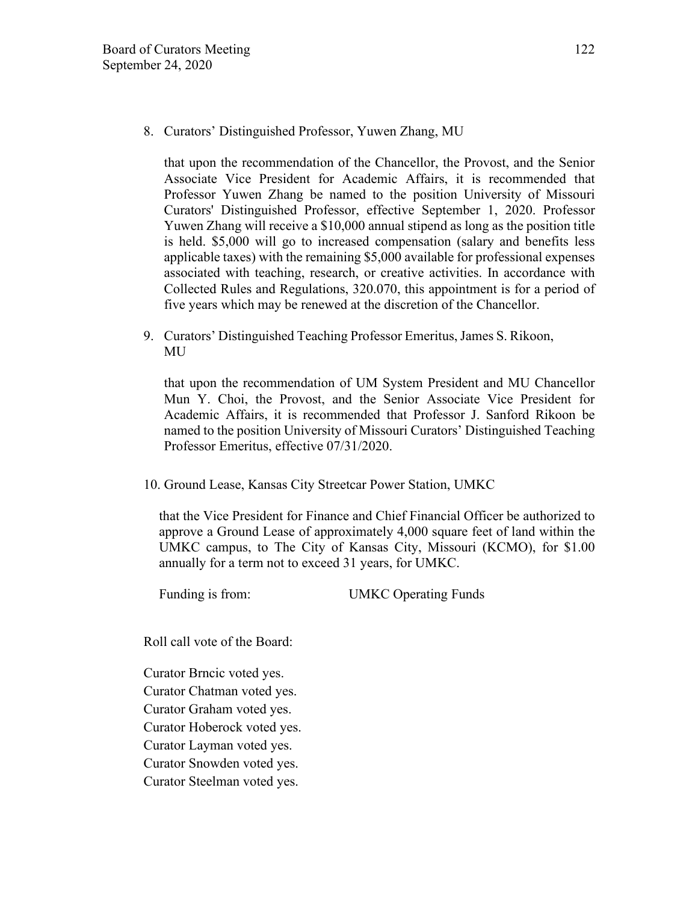8. Curators' Distinguished Professor, Yuwen Zhang, MU

that upon the recommendation of the Chancellor, the Provost, and the Senior Associate Vice President for Academic Affairs, it is recommended that Professor Yuwen Zhang be named to the position University of Missouri Curators' Distinguished Professor, effective September 1, 2020. Professor Yuwen Zhang will receive a \$10,000 annual stipend as long as the position title is held. \$5,000 will go to increased compensation (salary and benefits less applicable taxes) with the remaining \$5,000 available for professional expenses associated with teaching, research, or creative activities. In accordance with Collected Rules and Regulations, 320.070, this appointment is for a period of five years which may be renewed at the discretion of the Chancellor.

9. Curators' Distinguished Teaching Professor Emeritus, James S. Rikoon, MU

that upon the recommendation of UM System President and MU Chancellor Mun Y. Choi, the Provost, and the Senior Associate Vice President for Academic Affairs, it is recommended that Professor J. Sanford Rikoon be named to the position University of Missouri Curators' Distinguished Teaching Professor Emeritus, effective 07/31/2020.

10. Ground Lease, Kansas City Streetcar Power Station, UMKC

that the Vice President for Finance and Chief Financial Officer be authorized to approve a Ground Lease of approximately 4,000 square feet of land within the UMKC campus, to The City of Kansas City, Missouri (KCMO), for \$1.00 annually for a term not to exceed 31 years, for UMKC.

Funding is from: UMKC Operating Funds

Roll call vote of the Board:

Curator Brncic voted yes. Curator Chatman voted yes. Curator Graham voted yes. Curator Hoberock voted yes. Curator Layman voted yes. Curator Snowden voted yes. Curator Steelman voted yes.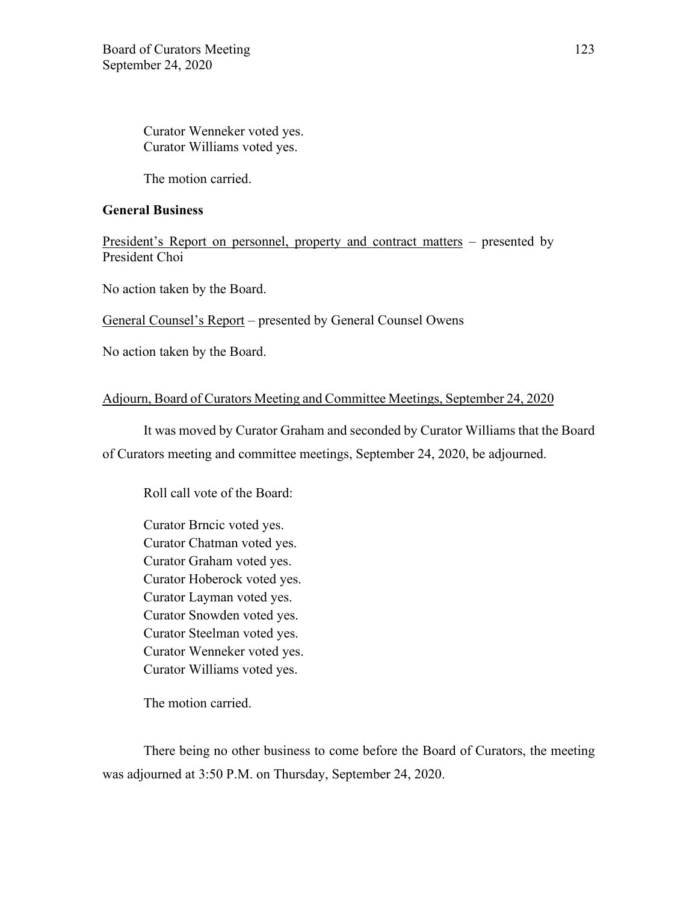Curator Wenneker voted yes. Curator Williams voted yes.

The motion carried.

#### **General Business**

President's Report on personnel, property and contract matters – presented by President Choi

No action taken by the Board.

General Counsel's Report – presented by General Counsel Owens

No action taken by the Board.

### Adjourn, Board of Curators Meeting and Committee Meetings, September 24, 2020

It was moved by Curator Graham and seconded by Curator Williams that the Board

of Curators meeting and committee meetings, September 24, 2020, be adjourned.

Roll call vote of the Board:

Curator Brncic voted yes. Curator Chatman voted yes. Curator Graham voted yes. Curator Hoberock voted yes. Curator Layman voted yes. Curator Snowden voted yes. Curator Steelman voted yes. Curator Wenneker voted yes. Curator Williams voted yes.

The motion carried.

There being no other business to come before the Board of Curators, the meeting was adjourned at 3:50 P.M. on Thursday, September 24, 2020.